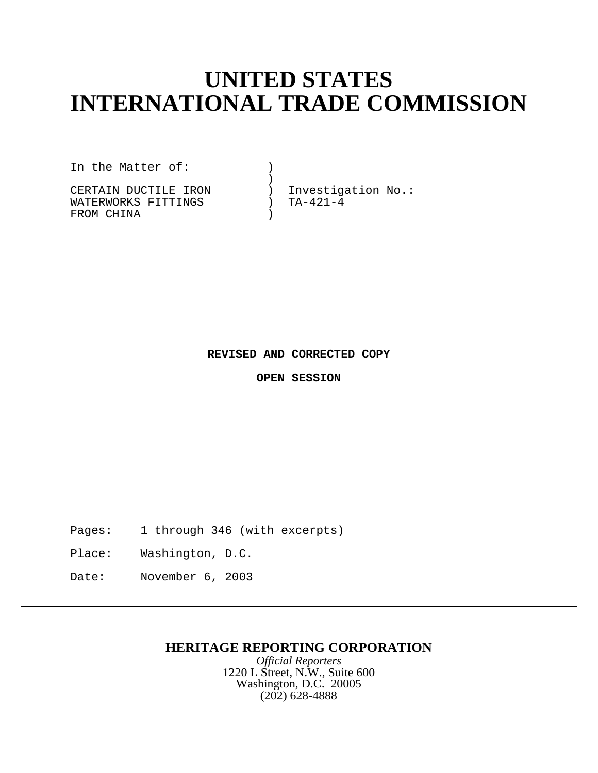# **UNITED STATES INTERNATIONAL TRADE COMMISSION**

In the Matter of: (1)

 $)$ WATERWORKS FITTINGS ) FROM CHINA (1999)

CERTAIN DUCTILE IRON (2008) Investigation No.:<br>WATERWORKS FITTINGS (2008) TA-421-4

## **REVISED AND CORRECTED COPY**

**OPEN SESSION**

Pages: 1 through 346 (with excerpts)

Place: Washington, D.C.

Date: November 6, 2003

# **HERITAGE REPORTING CORPORATION**

*Official Reporters* 1220 L Street, N.W., Suite 600 Washington, D.C. 20005 (202) 628-4888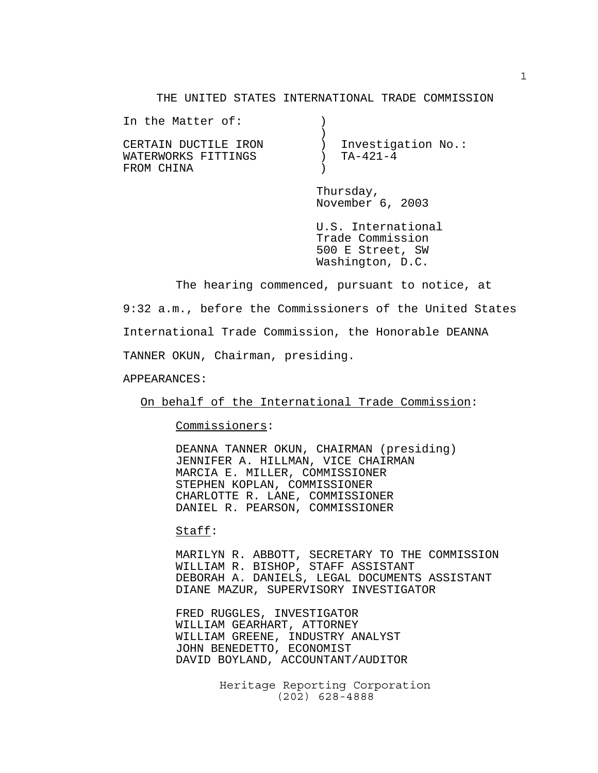#### THE UNITED STATES INTERNATIONAL TRADE COMMISSION

| In the Matter of:    |                    |  |
|----------------------|--------------------|--|
|                      |                    |  |
| CERTAIN DUCTILE IRON | Investigation No.: |  |
| WATERWORKS FITTINGS  | TA-421-4           |  |
| FROM CHINA           |                    |  |
|                      |                    |  |

Thursday, November 6, 2003

U.S. International Trade Commission 500 E Street, SW Washington, D.C.

The hearing commenced, pursuant to notice, at 9:32 a.m., before the Commissioners of the United States International Trade Commission, the Honorable DEANNA TANNER OKUN, Chairman, presiding.

APPEARANCES:

On behalf of the International Trade Commission:

Commissioners:

DEANNA TANNER OKUN, CHAIRMAN (presiding) JENNIFER A. HILLMAN, VICE CHAIRMAN MARCIA E. MILLER, COMMISSIONER STEPHEN KOPLAN, COMMISSIONER CHARLOTTE R. LANE, COMMISSIONER DANIEL R. PEARSON, COMMISSIONER

#### Staff:

MARILYN R. ABBOTT, SECRETARY TO THE COMMISSION WILLIAM R. BISHOP, STAFF ASSISTANT DEBORAH A. DANIELS, LEGAL DOCUMENTS ASSISTANT DIANE MAZUR, SUPERVISORY INVESTIGATOR

FRED RUGGLES, INVESTIGATOR WILLIAM GEARHART, ATTORNEY WILLIAM GREENE, INDUSTRY ANALYST JOHN BENEDETTO, ECONOMIST DAVID BOYLAND, ACCOUNTANT/AUDITOR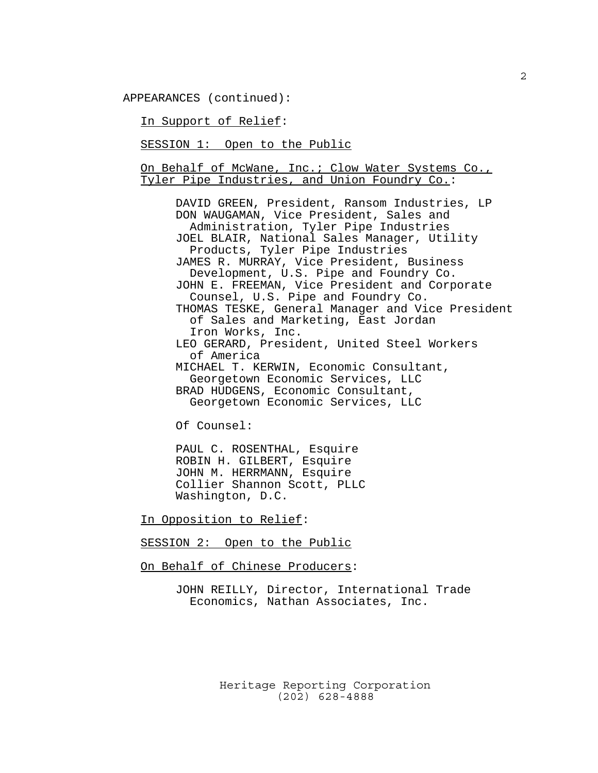APPEARANCES (continued):

In Support of Relief:

SESSION 1: Open to the Public

On Behalf of McWane, Inc.; Clow Water Systems Co., Tyler Pipe Industries, and Union Foundry Co.:

DAVID GREEN, President, Ransom Industries, LP DON WAUGAMAN, Vice President, Sales and Administration, Tyler Pipe Industries JOEL BLAIR, National Sales Manager, Utility Products, Tyler Pipe Industries JAMES R. MURRAY, Vice President, Business Development, U.S. Pipe and Foundry Co. JOHN E. FREEMAN, Vice President and Corporate Counsel, U.S. Pipe and Foundry Co. THOMAS TESKE, General Manager and Vice President of Sales and Marketing, East Jordan Iron Works, Inc. LEO GERARD, President, United Steel Workers of America MICHAEL T. KERWIN, Economic Consultant, Georgetown Economic Services, LLC BRAD HUDGENS, Economic Consultant, Georgetown Economic Services, LLC

Of Counsel:

PAUL C. ROSENTHAL, Esquire ROBIN H. GILBERT, Esquire JOHN M. HERRMANN, Esquire Collier Shannon Scott, PLLC Washington, D.C.

In Opposition to Relief:

SESSION 2: Open to the Public

On Behalf of Chinese Producers:

JOHN REILLY, Director, International Trade Economics, Nathan Associates, Inc.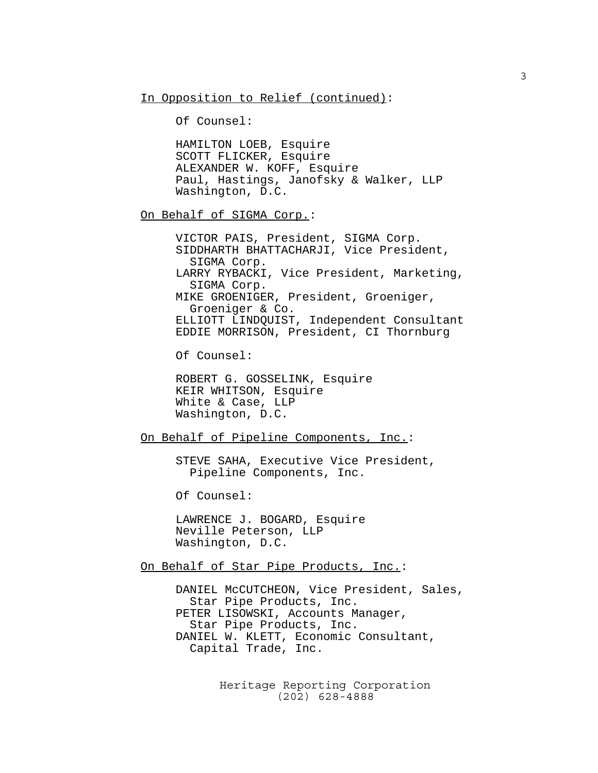In Opposition to Relief (continued):

Of Counsel:

HAMILTON LOEB, Esquire SCOTT FLICKER, Esquire ALEXANDER W. KOFF, Esquire Paul, Hastings, Janofsky & Walker, LLP Washington, D.C.

On Behalf of SIGMA Corp.:

VICTOR PAIS, President, SIGMA Corp. SIDDHARTH BHATTACHARJI, Vice President, SIGMA Corp. LARRY RYBACKI, Vice President, Marketing, SIGMA Corp. MIKE GROENIGER, President, Groeniger, Groeniger & Co. ELLIOTT LINDQUIST, Independent Consultant EDDIE MORRISON, President, CI Thornburg

Of Counsel:

ROBERT G. GOSSELINK, Esquire KEIR WHITSON, Esquire White & Case, LLP Washington, D.C.

On Behalf of Pipeline Components, Inc.:

STEVE SAHA, Executive Vice President, Pipeline Components, Inc.

Of Counsel:

LAWRENCE J. BOGARD, Esquire Neville Peterson, LLP Washington, D.C.

On Behalf of Star Pipe Products, Inc.:

DANIEL McCUTCHEON, Vice President, Sales, Star Pipe Products, Inc. PETER LISOWSKI, Accounts Manager, Star Pipe Products, Inc. DANIEL W. KLETT, Economic Consultant, Capital Trade, Inc.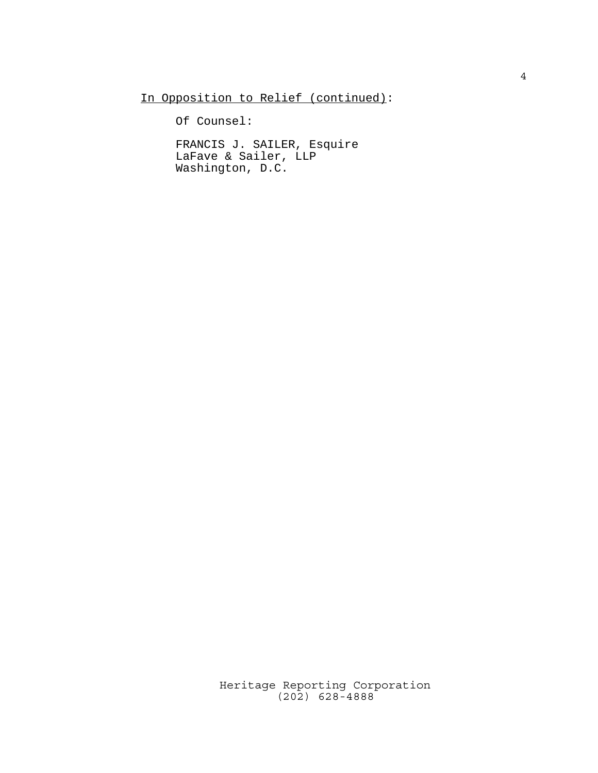In Opposition to Relief (continued):

Of Counsel:

FRANCIS J. SAILER, Esquire LaFave & Sailer, LLP Washington, D.C.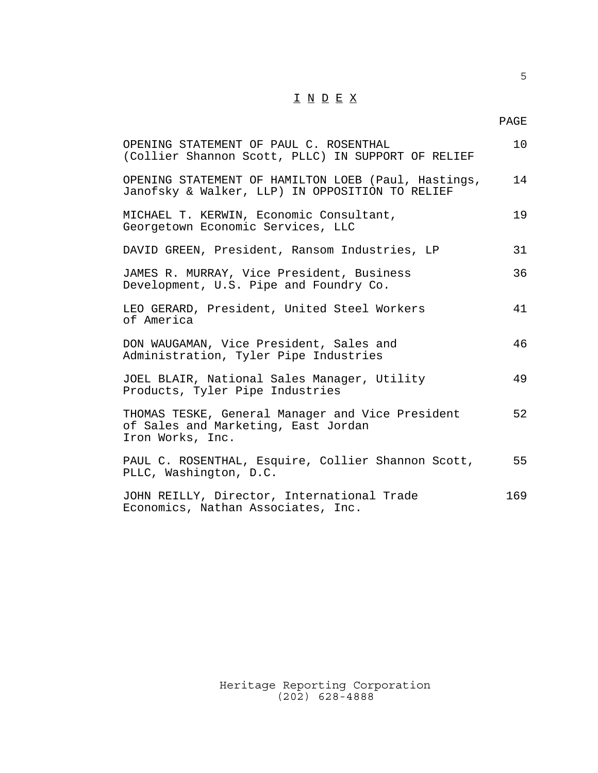## $\underline{\texttt{I}} \ \underline{\texttt{N}} \ \underline{\texttt{D}} \ \underline{\texttt{E}} \ \underline{\texttt{X}}$

| OPENING STATEMENT OF PAUL C. ROSENTHAL<br>(Collier Shannon Scott, PLLC) IN SUPPORT OF RELIEF                | 10  |
|-------------------------------------------------------------------------------------------------------------|-----|
| OPENING STATEMENT OF HAMILTON LOEB (Paul, Hastings,<br>Janofsky & Walker, LLP) IN OPPOSITION TO RELIEF      | 14  |
| MICHAEL T. KERWIN, Economic Consultant,<br>Georgetown Economic Services, LLC                                | 19  |
| DAVID GREEN, President, Ransom Industries, LP                                                               | 31  |
| JAMES R. MURRAY, Vice President, Business<br>Development, U.S. Pipe and Foundry Co.                         | 36  |
| LEO GERARD, President, United Steel Workers<br>of America                                                   | 41  |
| DON WAUGAMAN, Vice President, Sales and<br>Administration, Tyler Pipe Industries                            | 46  |
| JOEL BLAIR, National Sales Manager, Utility<br>Products, Tyler Pipe Industries                              | 49  |
| THOMAS TESKE, General Manager and Vice President<br>of Sales and Marketing, East Jordan<br>Iron Works, Inc. | 52  |
| PAUL C. ROSENTHAL, Esquire, Collier Shannon Scott,<br>PLLC, Washington, D.C.                                | 55  |
| JOHN REILLY, Director, International Trade<br>Economics, Nathan Associates, Inc.                            | 169 |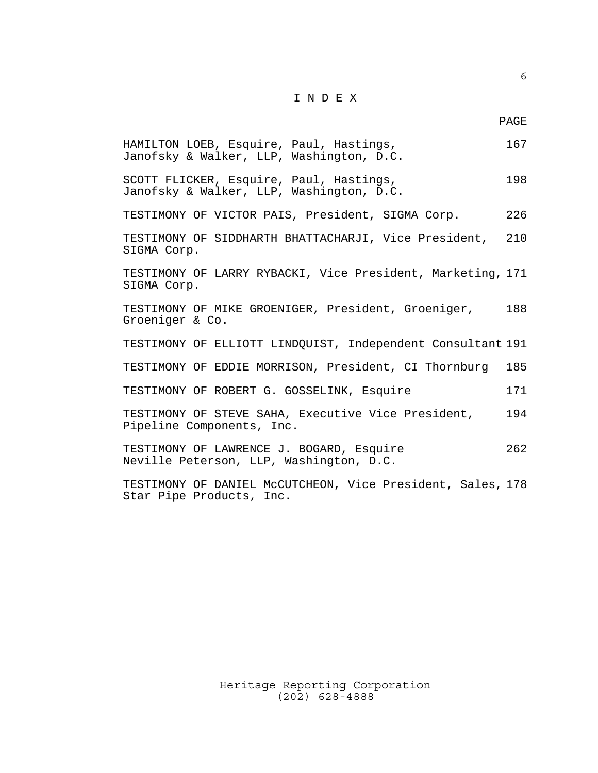## $\underline{\texttt{I}} \ \underline{\texttt{N}} \ \underline{\texttt{D}} \ \underline{\texttt{E}} \ \underline{\texttt{X}}$

6

| HAMILTON LOEB, Esquire, Paul, Hastings,<br>Janofsky & Walker, LLP, Washington, D.C.    | 167 |
|----------------------------------------------------------------------------------------|-----|
| SCOTT FLICKER, Esquire, Paul, Hastings,<br>Janofsky & Walker, LLP, Washington, D.C.    | 198 |
| TESTIMONY OF VICTOR PAIS, President, SIGMA Corp.                                       | 226 |
| TESTIMONY OF SIDDHARTH BHATTACHARJI, Vice President, 210<br>SIGMA Corp.                |     |
| TESTIMONY OF LARRY RYBACKI, Vice President, Marketing, 171<br>SIGMA Corp.              |     |
| TESTIMONY OF MIKE GROENIGER, President, Groeniger,<br>Groeniger & Co.                  | 188 |
| TESTIMONY OF ELLIOTT LINDQUIST, Independent Consultant 191                             |     |
| TESTIMONY OF EDDIE MORRISON, President, CI Thornburg                                   | 185 |
| TESTIMONY OF ROBERT G. GOSSELINK, Esquire                                              | 171 |
| TESTIMONY OF STEVE SAHA, Executive Vice President,<br>Pipeline Components, Inc.        | 194 |
| TESTIMONY OF LAWRENCE J. BOGARD, Esquire<br>Neville Peterson, LLP, Washington, D.C.    | 262 |
| TESTIMONY OF DANIEL McCUTCHEON, Vice President, Sales, 178<br>Star Pipe Products, Inc. |     |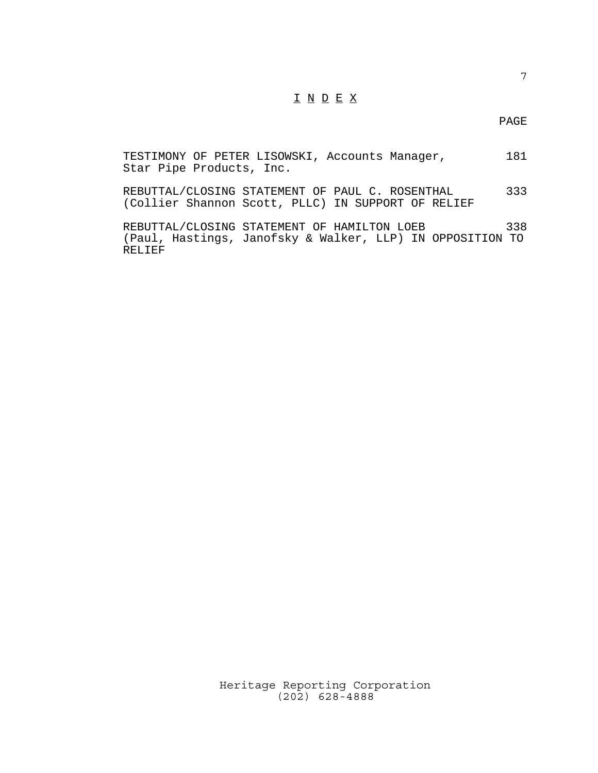### I N D E X

#### PAGE

TESTIMONY OF PETER LISOWSKI, Accounts Manager, 181 Star Pipe Products, Inc.

REBUTTAL/CLOSING STATEMENT OF PAUL C. ROSENTHAL 333 (Collier Shannon Scott, PLLC) IN SUPPORT OF RELIEF

REBUTTAL/CLOSING STATEMENT OF HAMILTON LOEB 338 (Paul, Hastings, Janofsky & Walker, LLP) IN OPPOSITION TO RELIEF

> Heritage Reporting Corporation (202) 628-4888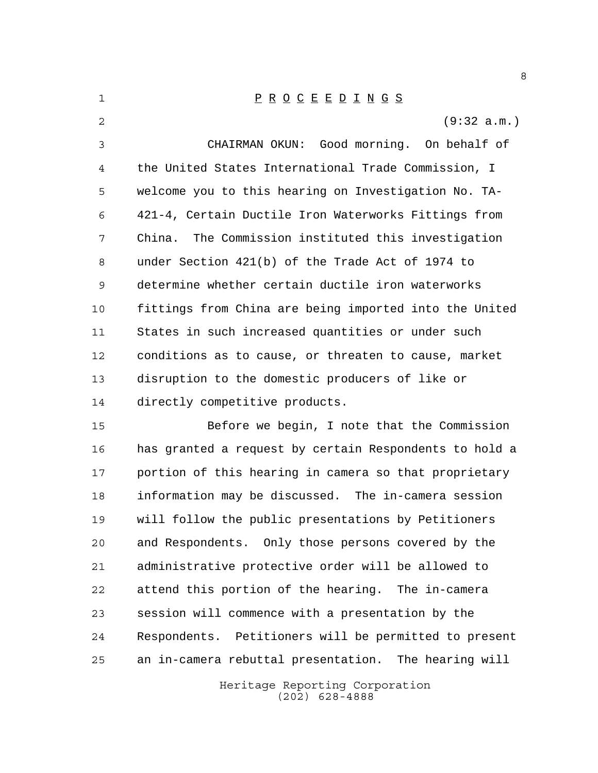| $\mathbf{1}$   | $\underline{P} \underline{R} \underline{O} \underline{C} \underline{E} \underline{E} \underline{D} \underline{I} \underline{N} \underline{G} \underline{S}$ |
|----------------|-------------------------------------------------------------------------------------------------------------------------------------------------------------|
| $\mathfrak{D}$ | (9:32 a.m.)                                                                                                                                                 |
| 3              | CHAIRMAN OKUN: Good morning. On behalf of                                                                                                                   |
| 4              | the United States International Trade Commission, I                                                                                                         |
| 5              | welcome you to this hearing on Investigation No. TA-                                                                                                        |
| 6              | 421-4, Certain Ductile Iron Waterworks Fittings from                                                                                                        |
| 7              | China. The Commission instituted this investigation                                                                                                         |
| 8              | under Section 421(b) of the Trade Act of 1974 to                                                                                                            |
| 9              | determine whether certain ductile iron waterworks                                                                                                           |
| 10             | fittings from China are being imported into the United                                                                                                      |
| 11             | States in such increased quantities or under such                                                                                                           |
| 12             | conditions as to cause, or threaten to cause, market                                                                                                        |
| 13             | disruption to the domestic producers of like or                                                                                                             |
| 14             | directly competitive products.                                                                                                                              |
|                |                                                                                                                                                             |

 Before we begin, I note that the Commission has granted a request by certain Respondents to hold a portion of this hearing in camera so that proprietary information may be discussed. The in-camera session will follow the public presentations by Petitioners and Respondents. Only those persons covered by the administrative protective order will be allowed to attend this portion of the hearing. The in-camera session will commence with a presentation by the Respondents. Petitioners will be permitted to present an in-camera rebuttal presentation. The hearing will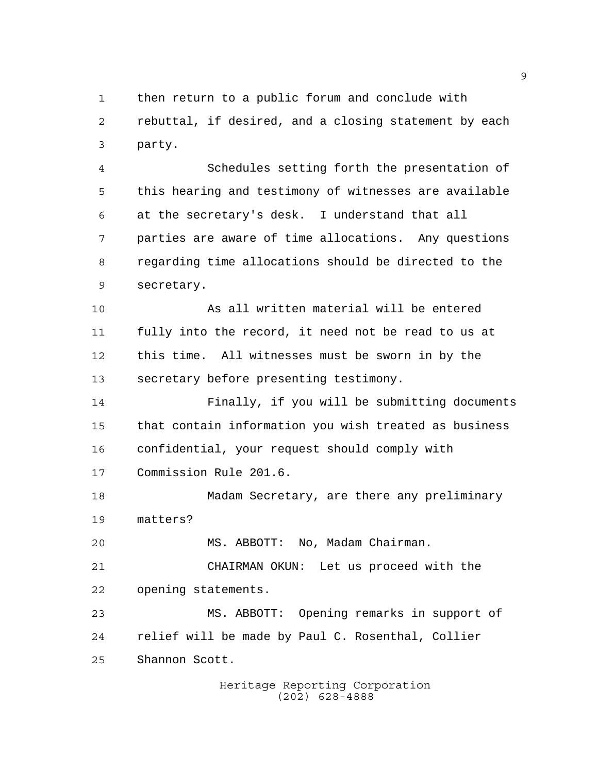then return to a public forum and conclude with rebuttal, if desired, and a closing statement by each party.

 Schedules setting forth the presentation of this hearing and testimony of witnesses are available at the secretary's desk. I understand that all parties are aware of time allocations. Any questions regarding time allocations should be directed to the secretary.

 As all written material will be entered fully into the record, it need not be read to us at this time. All witnesses must be sworn in by the secretary before presenting testimony.

 Finally, if you will be submitting documents that contain information you wish treated as business confidential, your request should comply with Commission Rule 201.6.

 Madam Secretary, are there any preliminary matters?

MS. ABBOTT: No, Madam Chairman.

 CHAIRMAN OKUN: Let us proceed with the opening statements.

 MS. ABBOTT: Opening remarks in support of relief will be made by Paul C. Rosenthal, Collier Shannon Scott.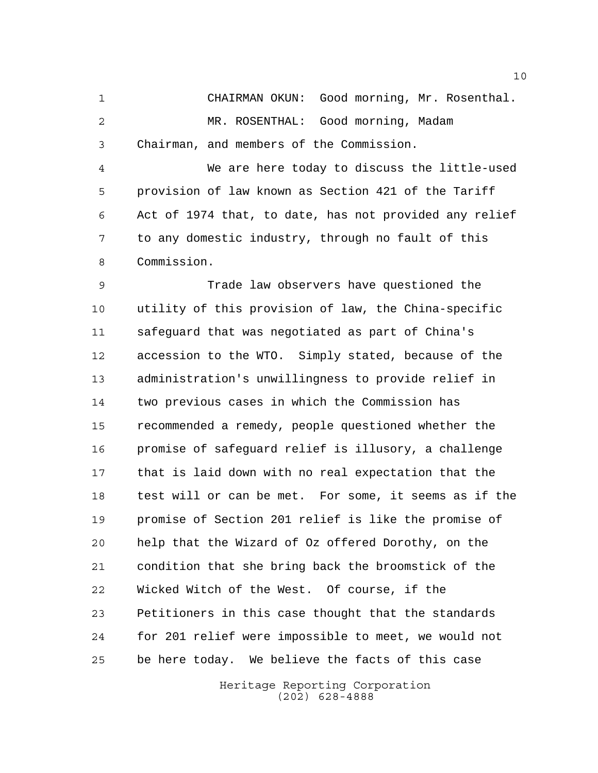CHAIRMAN OKUN: Good morning, Mr. Rosenthal. MR. ROSENTHAL: Good morning, Madam Chairman, and members of the Commission.

 We are here today to discuss the little-used provision of law known as Section 421 of the Tariff Act of 1974 that, to date, has not provided any relief to any domestic industry, through no fault of this Commission.

 Trade law observers have questioned the utility of this provision of law, the China-specific safeguard that was negotiated as part of China's accession to the WTO. Simply stated, because of the administration's unwillingness to provide relief in two previous cases in which the Commission has recommended a remedy, people questioned whether the promise of safeguard relief is illusory, a challenge that is laid down with no real expectation that the test will or can be met. For some, it seems as if the promise of Section 201 relief is like the promise of help that the Wizard of Oz offered Dorothy, on the condition that she bring back the broomstick of the Wicked Witch of the West. Of course, if the Petitioners in this case thought that the standards for 201 relief were impossible to meet, we would not be here today. We believe the facts of this case

> Heritage Reporting Corporation (202) 628-4888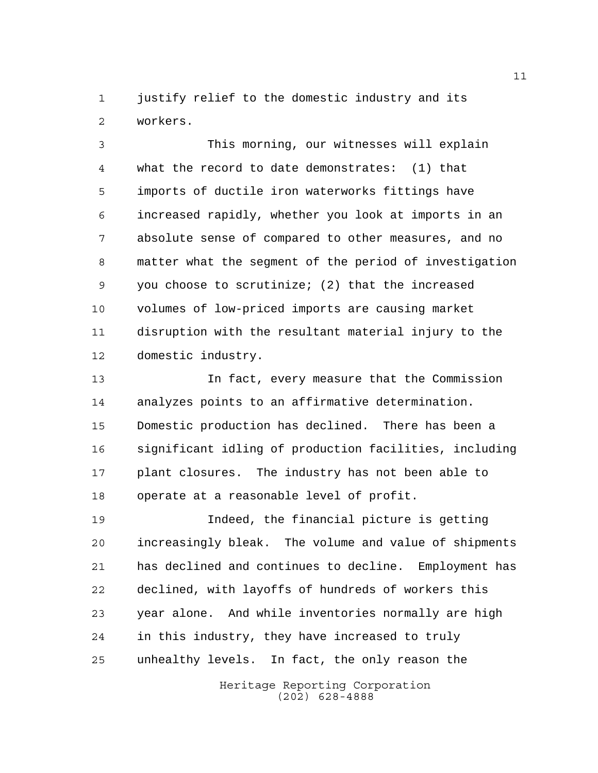justify relief to the domestic industry and its workers.

 This morning, our witnesses will explain what the record to date demonstrates: (1) that imports of ductile iron waterworks fittings have increased rapidly, whether you look at imports in an absolute sense of compared to other measures, and no matter what the segment of the period of investigation you choose to scrutinize; (2) that the increased volumes of low-priced imports are causing market disruption with the resultant material injury to the domestic industry.

 In fact, every measure that the Commission analyzes points to an affirmative determination. Domestic production has declined. There has been a significant idling of production facilities, including plant closures. The industry has not been able to operate at a reasonable level of profit.

 Indeed, the financial picture is getting increasingly bleak. The volume and value of shipments has declined and continues to decline. Employment has declined, with layoffs of hundreds of workers this year alone. And while inventories normally are high in this industry, they have increased to truly unhealthy levels. In fact, the only reason the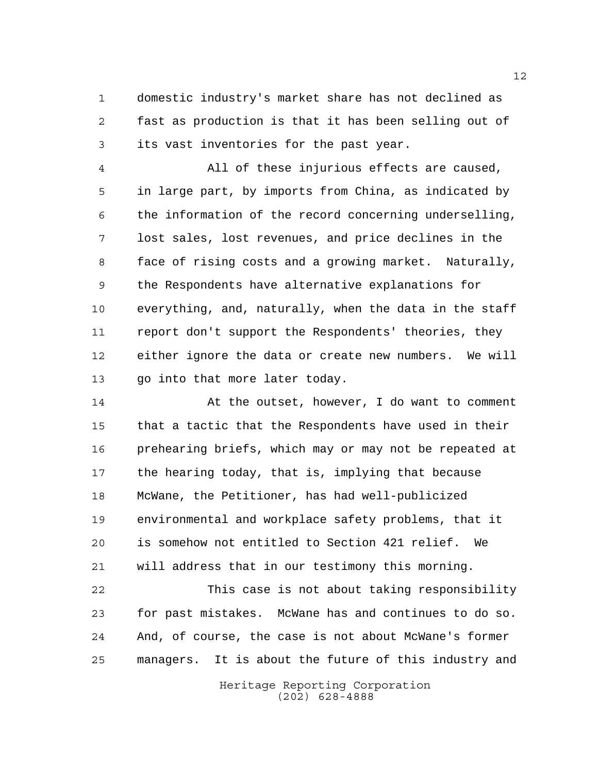domestic industry's market share has not declined as fast as production is that it has been selling out of its vast inventories for the past year.

 All of these injurious effects are caused, in large part, by imports from China, as indicated by the information of the record concerning underselling, lost sales, lost revenues, and price declines in the face of rising costs and a growing market. Naturally, the Respondents have alternative explanations for everything, and, naturally, when the data in the staff report don't support the Respondents' theories, they either ignore the data or create new numbers. We will go into that more later today.

 At the outset, however, I do want to comment that a tactic that the Respondents have used in their prehearing briefs, which may or may not be repeated at the hearing today, that is, implying that because McWane, the Petitioner, has had well-publicized environmental and workplace safety problems, that it is somehow not entitled to Section 421 relief. We will address that in our testimony this morning.

 This case is not about taking responsibility for past mistakes. McWane has and continues to do so. And, of course, the case is not about McWane's former managers. It is about the future of this industry and

> Heritage Reporting Corporation (202) 628-4888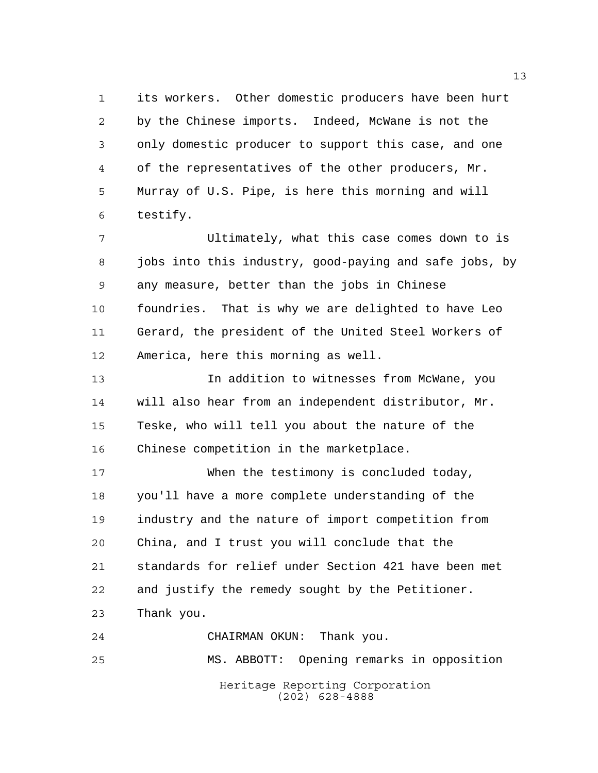its workers. Other domestic producers have been hurt by the Chinese imports. Indeed, McWane is not the only domestic producer to support this case, and one of the representatives of the other producers, Mr. Murray of U.S. Pipe, is here this morning and will testify.

 Ultimately, what this case comes down to is jobs into this industry, good-paying and safe jobs, by any measure, better than the jobs in Chinese foundries. That is why we are delighted to have Leo Gerard, the president of the United Steel Workers of America, here this morning as well.

 In addition to witnesses from McWane, you will also hear from an independent distributor, Mr. Teske, who will tell you about the nature of the Chinese competition in the marketplace.

 When the testimony is concluded today, you'll have a more complete understanding of the industry and the nature of import competition from China, and I trust you will conclude that the standards for relief under Section 421 have been met and justify the remedy sought by the Petitioner. Thank you.

Heritage Reporting Corporation (202) 628-4888 CHAIRMAN OKUN: Thank you. MS. ABBOTT: Opening remarks in opposition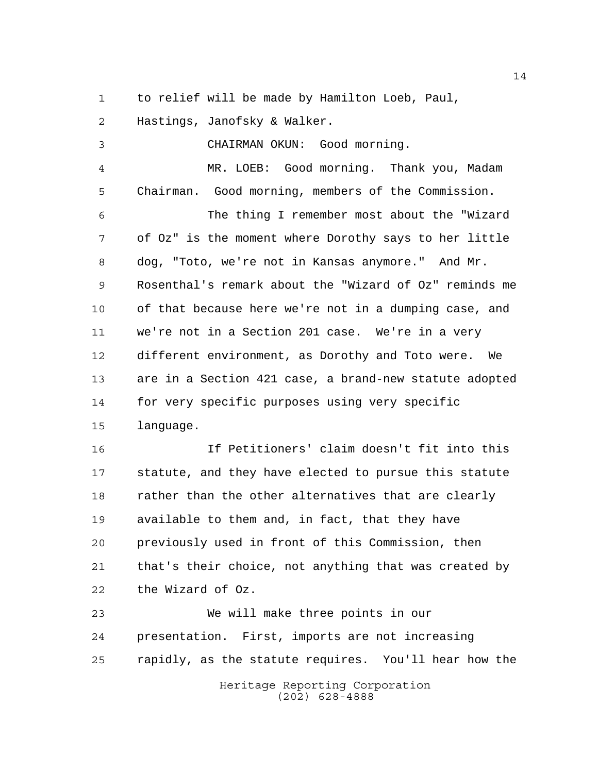to relief will be made by Hamilton Loeb, Paul,

Hastings, Janofsky & Walker.

 CHAIRMAN OKUN: Good morning. MR. LOEB: Good morning. Thank you, Madam Chairman. Good morning, members of the Commission. The thing I remember most about the "Wizard of Oz" is the moment where Dorothy says to her little dog, "Toto, we're not in Kansas anymore." And Mr. Rosenthal's remark about the "Wizard of Oz" reminds me of that because here we're not in a dumping case, and we're not in a Section 201 case. We're in a very different environment, as Dorothy and Toto were. We are in a Section 421 case, a brand-new statute adopted for very specific purposes using very specific language.

 If Petitioners' claim doesn't fit into this statute, and they have elected to pursue this statute 18 rather than the other alternatives that are clearly available to them and, in fact, that they have previously used in front of this Commission, then that's their choice, not anything that was created by the Wizard of Oz.

 We will make three points in our presentation. First, imports are not increasing rapidly, as the statute requires. You'll hear how the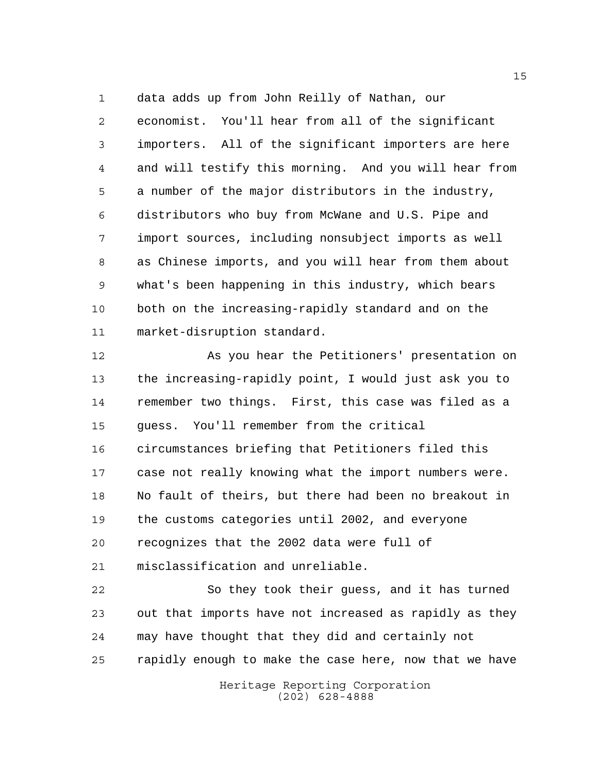data adds up from John Reilly of Nathan, our

 economist. You'll hear from all of the significant importers. All of the significant importers are here and will testify this morning. And you will hear from a number of the major distributors in the industry, distributors who buy from McWane and U.S. Pipe and import sources, including nonsubject imports as well as Chinese imports, and you will hear from them about what's been happening in this industry, which bears both on the increasing-rapidly standard and on the market-disruption standard.

 As you hear the Petitioners' presentation on the increasing-rapidly point, I would just ask you to remember two things. First, this case was filed as a guess. You'll remember from the critical circumstances briefing that Petitioners filed this case not really knowing what the import numbers were. No fault of theirs, but there had been no breakout in the customs categories until 2002, and everyone recognizes that the 2002 data were full of misclassification and unreliable.

 So they took their guess, and it has turned out that imports have not increased as rapidly as they may have thought that they did and certainly not rapidly enough to make the case here, now that we have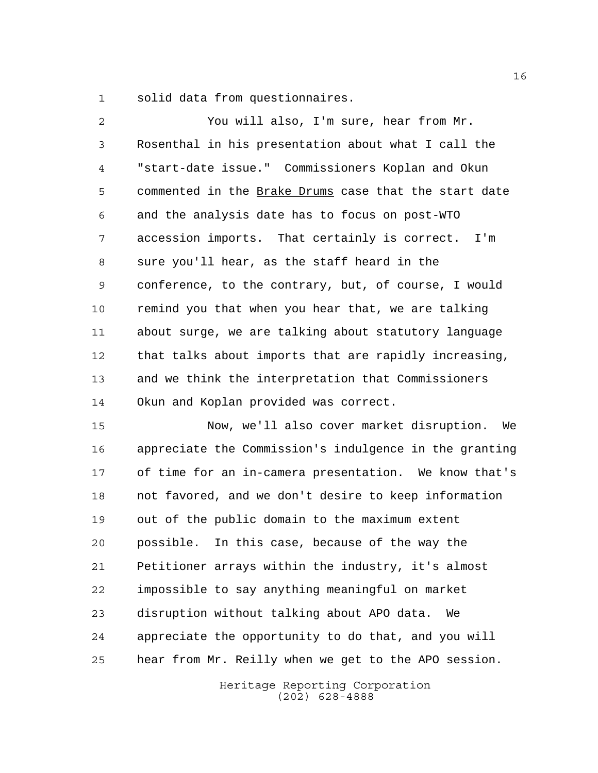solid data from questionnaires.

| 2  | You will also, I'm sure, hear from Mr.                 |
|----|--------------------------------------------------------|
| 3  | Rosenthal in his presentation about what I call the    |
| 4  | "start-date issue." Commissioners Koplan and Okun      |
| 5  | commented in the Brake Drums case that the start date  |
| 6  | and the analysis date has to focus on post-WTO         |
| 7  | accession imports. That certainly is correct. I'm      |
| 8  | sure you'll hear, as the staff heard in the            |
| 9  | conference, to the contrary, but, of course, I would   |
| 10 | remind you that when you hear that, we are talking     |
| 11 | about surge, we are talking about statutory language   |
| 12 | that talks about imports that are rapidly increasing,  |
| 13 | and we think the interpretation that Commissioners     |
| 14 | Okun and Koplan provided was correct.                  |
| 15 | Now, we'll also cover market disruption. We            |
| 16 | appreciate the Commission's indulgence in the granting |
| 17 | of time for an in-camera presentation. We know that's  |
| 18 | not favored, and we don't desire to keep information   |
| 19 | out of the public domain to the maximum extent         |
| 20 | possible.<br>In this case, because of the way the      |
| 21 | Petitioner arrays within the industry, it's almost     |
| 22 | impossible to say anything meaningful on market        |
| 23 | disruption without talking about APO data.<br>We       |
| 24 | appreciate the opportunity to do that, and you will    |

hear from Mr. Reilly when we get to the APO session.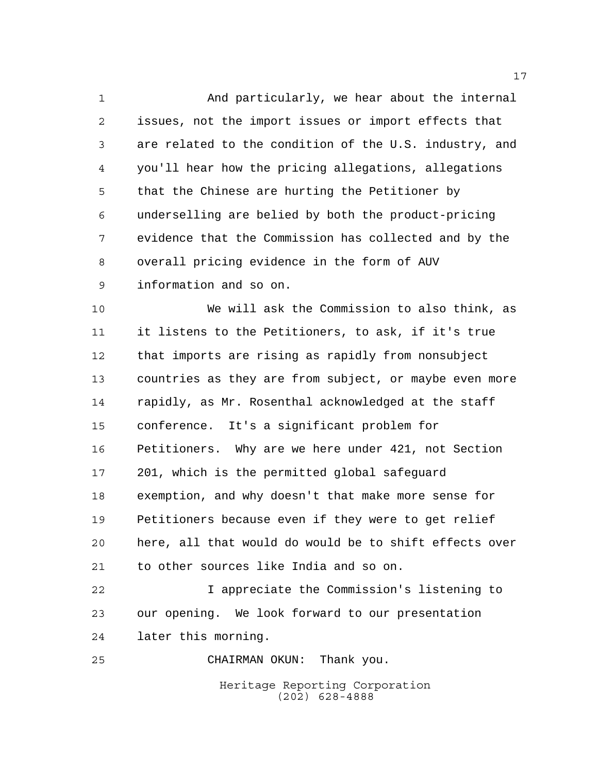And particularly, we hear about the internal issues, not the import issues or import effects that are related to the condition of the U.S. industry, and you'll hear how the pricing allegations, allegations that the Chinese are hurting the Petitioner by underselling are belied by both the product-pricing evidence that the Commission has collected and by the overall pricing evidence in the form of AUV information and so on.

 We will ask the Commission to also think, as it listens to the Petitioners, to ask, if it's true that imports are rising as rapidly from nonsubject countries as they are from subject, or maybe even more rapidly, as Mr. Rosenthal acknowledged at the staff conference. It's a significant problem for Petitioners. Why are we here under 421, not Section 201, which is the permitted global safeguard exemption, and why doesn't that make more sense for Petitioners because even if they were to get relief here, all that would do would be to shift effects over to other sources like India and so on.

 I appreciate the Commission's listening to our opening. We look forward to our presentation later this morning.

CHAIRMAN OKUN: Thank you.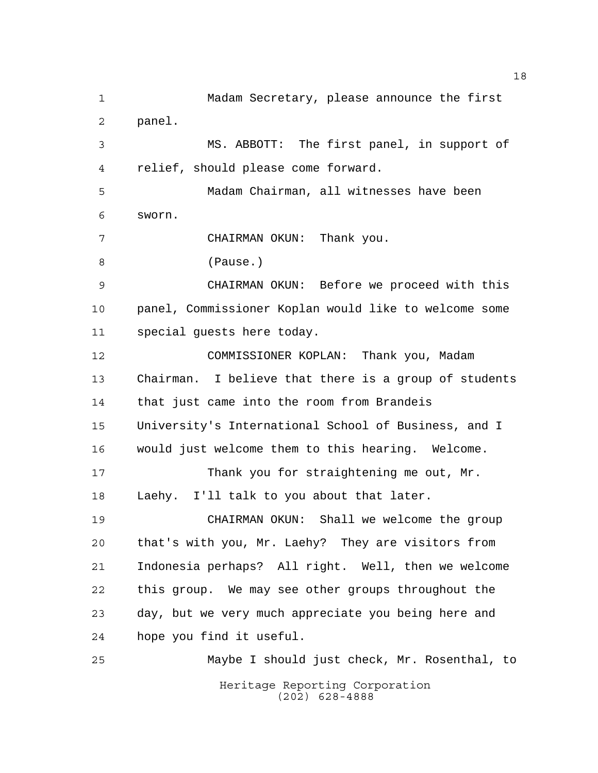Heritage Reporting Corporation (202) 628-4888 Madam Secretary, please announce the first panel. MS. ABBOTT: The first panel, in support of relief, should please come forward. Madam Chairman, all witnesses have been sworn. CHAIRMAN OKUN: Thank you. (Pause.) CHAIRMAN OKUN: Before we proceed with this panel, Commissioner Koplan would like to welcome some special guests here today. COMMISSIONER KOPLAN: Thank you, Madam Chairman. I believe that there is a group of students that just came into the room from Brandeis University's International School of Business, and I would just welcome them to this hearing. Welcome. 17 Thank you for straightening me out, Mr. Laehy. I'll talk to you about that later. CHAIRMAN OKUN: Shall we welcome the group that's with you, Mr. Laehy? They are visitors from Indonesia perhaps? All right. Well, then we welcome this group. We may see other groups throughout the day, but we very much appreciate you being here and hope you find it useful. Maybe I should just check, Mr. Rosenthal, to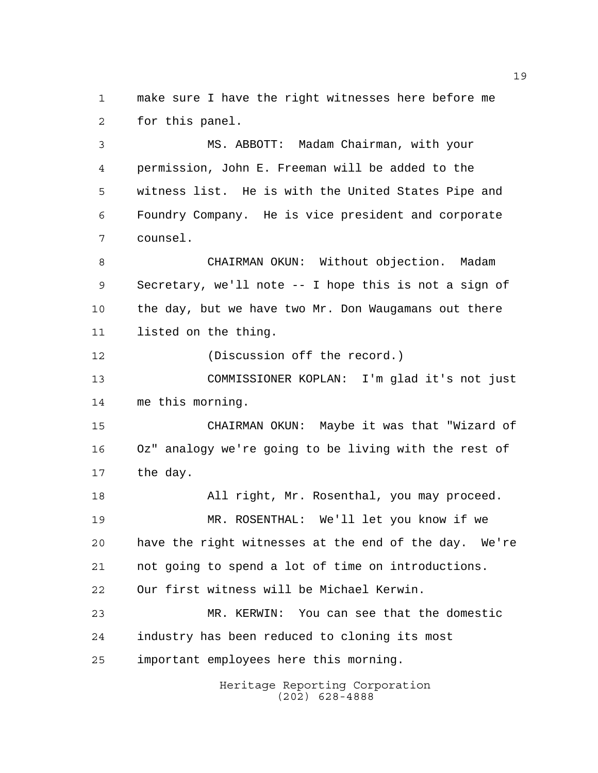make sure I have the right witnesses here before me for this panel.

 MS. ABBOTT: Madam Chairman, with your permission, John E. Freeman will be added to the witness list. He is with the United States Pipe and Foundry Company. He is vice president and corporate counsel.

 CHAIRMAN OKUN: Without objection. Madam Secretary, we'll note -- I hope this is not a sign of the day, but we have two Mr. Don Waugamans out there listed on the thing.

(Discussion off the record.)

 COMMISSIONER KOPLAN: I'm glad it's not just me this morning.

 CHAIRMAN OKUN: Maybe it was that "Wizard of Oz" analogy we're going to be living with the rest of the day.

 All right, Mr. Rosenthal, you may proceed. MR. ROSENTHAL: We'll let you know if we have the right witnesses at the end of the day. We're not going to spend a lot of time on introductions. Our first witness will be Michael Kerwin. MR. KERWIN: You can see that the domestic

 industry has been reduced to cloning its most important employees here this morning.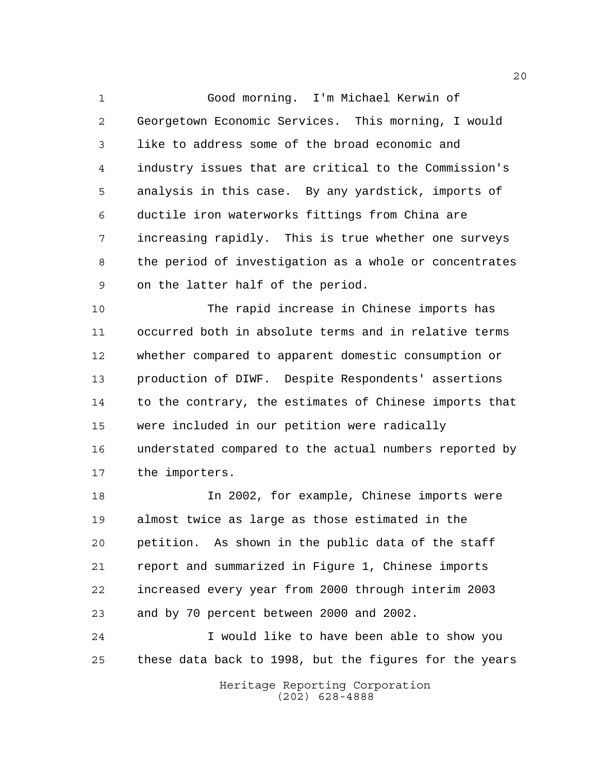Good morning. I'm Michael Kerwin of Georgetown Economic Services. This morning, I would like to address some of the broad economic and industry issues that are critical to the Commission's analysis in this case. By any yardstick, imports of ductile iron waterworks fittings from China are increasing rapidly. This is true whether one surveys the period of investigation as a whole or concentrates on the latter half of the period.

 The rapid increase in Chinese imports has occurred both in absolute terms and in relative terms whether compared to apparent domestic consumption or production of DIWF. Despite Respondents' assertions to the contrary, the estimates of Chinese imports that were included in our petition were radically understated compared to the actual numbers reported by the importers.

 In 2002, for example, Chinese imports were almost twice as large as those estimated in the petition. As shown in the public data of the staff report and summarized in Figure 1, Chinese imports increased every year from 2000 through interim 2003 and by 70 percent between 2000 and 2002.

 I would like to have been able to show you these data back to 1998, but the figures for the years

> Heritage Reporting Corporation (202) 628-4888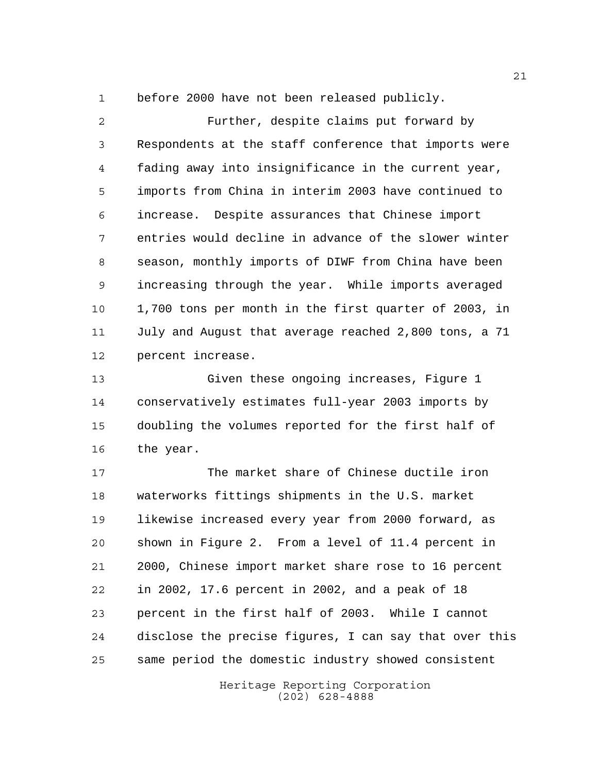before 2000 have not been released publicly.

 Further, despite claims put forward by Respondents at the staff conference that imports were fading away into insignificance in the current year, imports from China in interim 2003 have continued to increase. Despite assurances that Chinese import entries would decline in advance of the slower winter season, monthly imports of DIWF from China have been increasing through the year. While imports averaged 1,700 tons per month in the first quarter of 2003, in July and August that average reached 2,800 tons, a 71 percent increase.

 Given these ongoing increases, Figure 1 conservatively estimates full-year 2003 imports by doubling the volumes reported for the first half of the year.

 The market share of Chinese ductile iron waterworks fittings shipments in the U.S. market likewise increased every year from 2000 forward, as shown in Figure 2. From a level of 11.4 percent in 2000, Chinese import market share rose to 16 percent in 2002, 17.6 percent in 2002, and a peak of 18 percent in the first half of 2003. While I cannot disclose the precise figures, I can say that over this same period the domestic industry showed consistent

> Heritage Reporting Corporation (202) 628-4888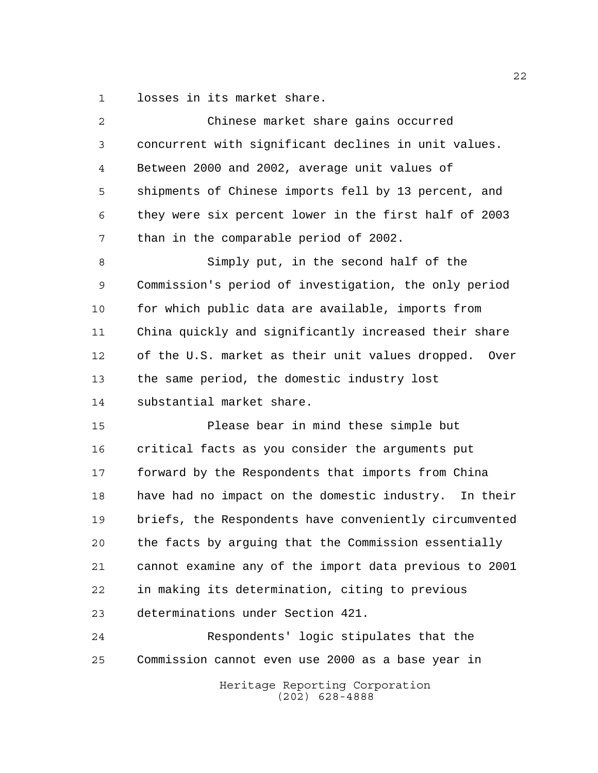losses in its market share.

| $\overline{2}$ | Chinese market share gains occurred                    |
|----------------|--------------------------------------------------------|
| 3              | concurrent with significant declines in unit values.   |
| 4              | Between 2000 and 2002, average unit values of          |
| 5              | shipments of Chinese imports fell by 13 percent, and   |
| 6              | they were six percent lower in the first half of 2003  |
| 7              | than in the comparable period of 2002.                 |
| 8              | Simply put, in the second half of the                  |
| 9              | Commission's period of investigation, the only period  |
| 10             | for which public data are available, imports from      |
| 11             | China quickly and significantly increased their share  |
| 12             | of the U.S. market as their unit values dropped. Over  |
| 13             | the same period, the domestic industry lost            |
| 14             | substantial market share.                              |
| 15             | Please bear in mind these simple but                   |
| 16             | critical facts as you consider the arguments put       |
| 17             | forward by the Respondents that imports from China     |
| 18             | have had no impact on the domestic industry. In their  |
| 19             | briefs, the Respondents have conveniently circumvented |
| 20             | the facts by arguing that the Commission essentially   |
| 21             | cannot examine any of the import data previous to 2001 |
| 22             | in making its determination, citing to previous        |
| 23             | determinations under Section 421.                      |
| 24             | Respondents' logic stipulates that the                 |
| 25             | Commission cannot even use 2000 as a base year in      |
|                | Heritage Reporting Corporation<br>$(202)$ 628-4888     |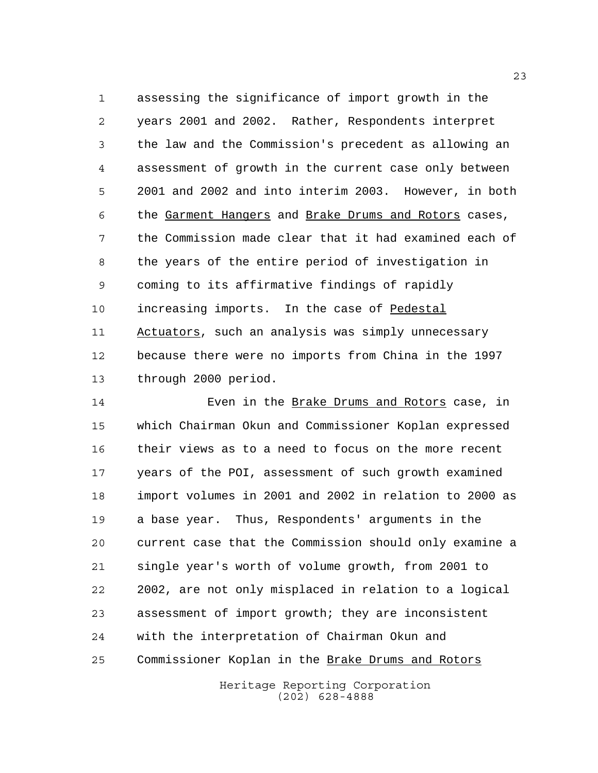assessing the significance of import growth in the years 2001 and 2002. Rather, Respondents interpret the law and the Commission's precedent as allowing an assessment of growth in the current case only between 2001 and 2002 and into interim 2003. However, in both the Garment Hangers and Brake Drums and Rotors cases, the Commission made clear that it had examined each of the years of the entire period of investigation in coming to its affirmative findings of rapidly increasing imports. In the case of Pedestal 11 Actuators, such an analysis was simply unnecessary because there were no imports from China in the 1997 through 2000 period.

 Even in the Brake Drums and Rotors case, in which Chairman Okun and Commissioner Koplan expressed their views as to a need to focus on the more recent years of the POI, assessment of such growth examined import volumes in 2001 and 2002 in relation to 2000 as a base year. Thus, Respondents' arguments in the current case that the Commission should only examine a single year's worth of volume growth, from 2001 to 2002, are not only misplaced in relation to a logical assessment of import growth; they are inconsistent with the interpretation of Chairman Okun and 25 Commissioner Koplan in the Brake Drums and Rotors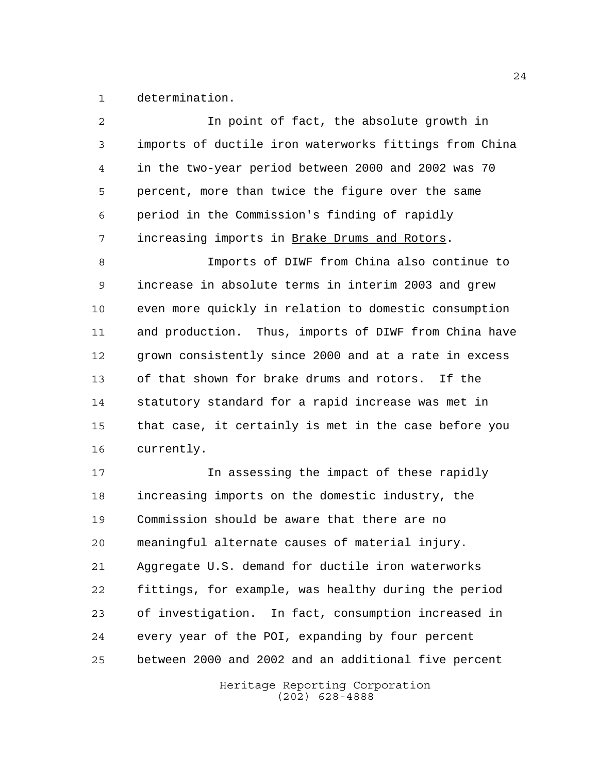determination.

| 2  | In point of fact, the absolute growth in               |
|----|--------------------------------------------------------|
| 3  | imports of ductile iron waterworks fittings from China |
| 4  | in the two-year period between 2000 and 2002 was 70    |
| 5  | percent, more than twice the figure over the same      |
| 6  | period in the Commission's finding of rapidly          |
| 7  | increasing imports in Brake Drums and Rotors.          |
| 8  | Imports of DIWF from China also continue to            |
| 9  | increase in absolute terms in interim 2003 and grew    |
| 10 | even more quickly in relation to domestic consumption  |
| 11 | and production. Thus, imports of DIWF from China have  |
| 12 | grown consistently since 2000 and at a rate in excess  |
| 13 | of that shown for brake drums and rotors. If the       |
| 14 | statutory standard for a rapid increase was met in     |
| 15 | that case, it certainly is met in the case before you  |
| 16 | currently.                                             |
| 17 | In assessing the impact of these rapidly               |
| 18 | increasing imports on the domestic industry, the       |
| 19 | Commission should be aware that there are no           |
| 20 | meaningful alternate causes of material injury.        |
| 21 | Aggregate U.S. demand for ductile iron waterworks      |
| 22 | fittings, for example, was healthy during the period   |
| 23 | of investigation. In fact, consumption increased in    |
| 24 | every year of the POI, expanding by four percent       |
| 25 | between 2000 and 2002 and an additional five percent   |
|    | Heritage Reporting Corporation                         |

(202) 628-4888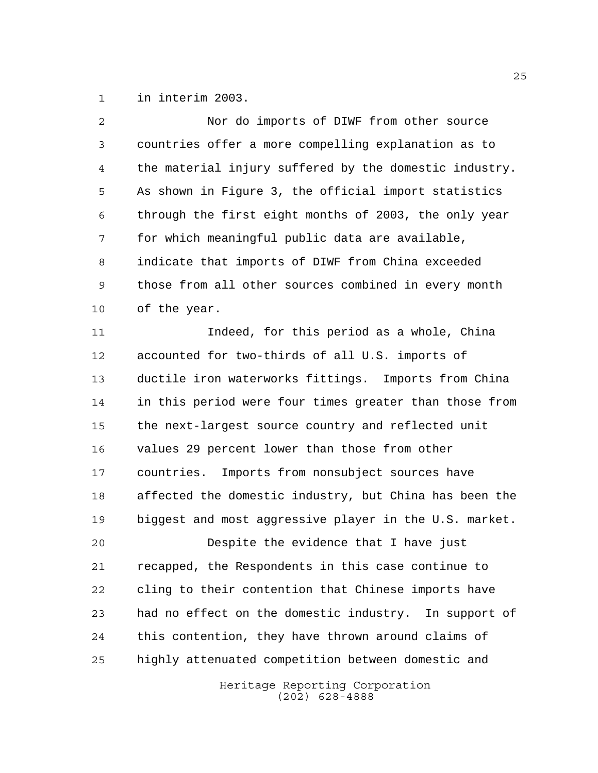in interim 2003.

| $\overline{a}$ | Nor do imports of DIWF from other source                 |
|----------------|----------------------------------------------------------|
| 3              | countries offer a more compelling explanation as to      |
| 4              | the material injury suffered by the domestic industry.   |
| 5              | As shown in Figure 3, the official import statistics     |
| 6              | through the first eight months of 2003, the only year    |
| 7              | for which meaningful public data are available,          |
| 8              | indicate that imports of DIWF from China exceeded        |
| 9              | those from all other sources combined in every month     |
| 10             | of the year.                                             |
| 11             | Indeed, for this period as a whole, China                |
| 12             | accounted for two-thirds of all U.S. imports of          |
| 13             | ductile iron waterworks fittings. Imports from China     |
| 14             | in this period were four times greater than those from   |
| 15             | the next-largest source country and reflected unit       |
| 16             | values 29 percent lower than those from other            |
| 17             | Imports from nonsubject sources have<br>countries.       |
| 18             | affected the domestic industry, but China has been the   |
| 19             | biggest and most aggressive player in the U.S. market.   |
| 20             | Despite the evidence that I have just                    |
| 21             | recapped, the Respondents in this case continue to       |
| 22             | cling to their contention that Chinese imports have      |
| 23             | had no effect on the domestic industry.<br>In support of |
| 24             | this contention, they have thrown around claims of       |
| 25             | highly attenuated competition between domestic and       |
|                | Heritage Reporting Corporation                           |

(202) 628-4888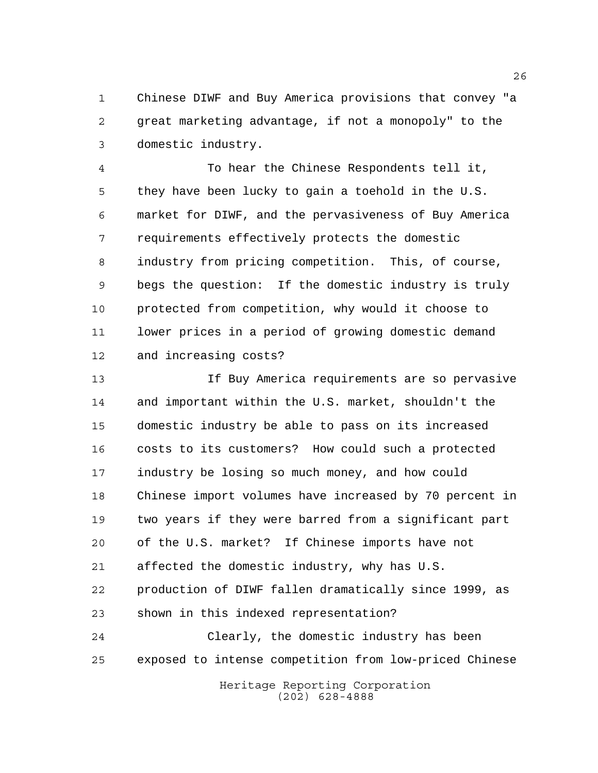Chinese DIWF and Buy America provisions that convey "a great marketing advantage, if not a monopoly" to the domestic industry.

 To hear the Chinese Respondents tell it, they have been lucky to gain a toehold in the U.S. market for DIWF, and the pervasiveness of Buy America requirements effectively protects the domestic industry from pricing competition. This, of course, begs the question: If the domestic industry is truly protected from competition, why would it choose to lower prices in a period of growing domestic demand and increasing costs?

 If Buy America requirements are so pervasive and important within the U.S. market, shouldn't the domestic industry be able to pass on its increased costs to its customers? How could such a protected industry be losing so much money, and how could Chinese import volumes have increased by 70 percent in two years if they were barred from a significant part of the U.S. market? If Chinese imports have not affected the domestic industry, why has U.S. production of DIWF fallen dramatically since 1999, as shown in this indexed representation? Clearly, the domestic industry has been exposed to intense competition from low-priced Chinese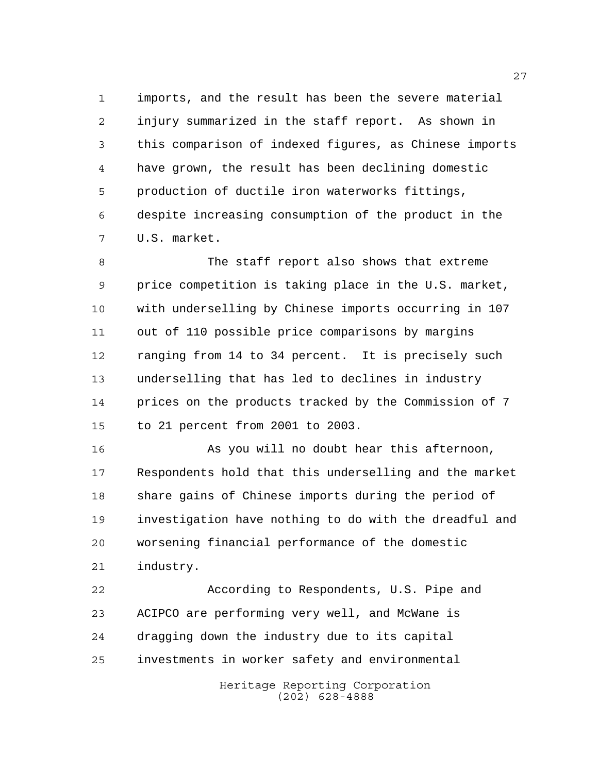imports, and the result has been the severe material injury summarized in the staff report. As shown in this comparison of indexed figures, as Chinese imports have grown, the result has been declining domestic production of ductile iron waterworks fittings, despite increasing consumption of the product in the U.S. market.

 The staff report also shows that extreme price competition is taking place in the U.S. market, with underselling by Chinese imports occurring in 107 out of 110 possible price comparisons by margins ranging from 14 to 34 percent. It is precisely such underselling that has led to declines in industry prices on the products tracked by the Commission of 7 to 21 percent from 2001 to 2003.

 As you will no doubt hear this afternoon, Respondents hold that this underselling and the market share gains of Chinese imports during the period of investigation have nothing to do with the dreadful and worsening financial performance of the domestic industry.

 According to Respondents, U.S. Pipe and ACIPCO are performing very well, and McWane is dragging down the industry due to its capital investments in worker safety and environmental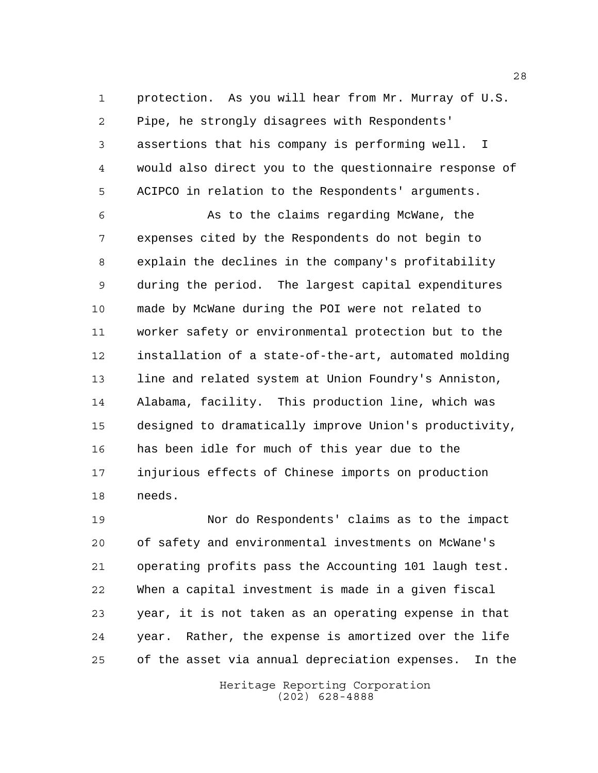protection. As you will hear from Mr. Murray of U.S. Pipe, he strongly disagrees with Respondents' assertions that his company is performing well. I would also direct you to the questionnaire response of ACIPCO in relation to the Respondents' arguments.

 As to the claims regarding McWane, the expenses cited by the Respondents do not begin to explain the declines in the company's profitability during the period. The largest capital expenditures made by McWane during the POI were not related to worker safety or environmental protection but to the installation of a state-of-the-art, automated molding 13 line and related system at Union Foundry's Anniston, Alabama, facility. This production line, which was designed to dramatically improve Union's productivity, has been idle for much of this year due to the injurious effects of Chinese imports on production needs.

 Nor do Respondents' claims as to the impact of safety and environmental investments on McWane's operating profits pass the Accounting 101 laugh test. When a capital investment is made in a given fiscal year, it is not taken as an operating expense in that year. Rather, the expense is amortized over the life of the asset via annual depreciation expenses. In the

> Heritage Reporting Corporation (202) 628-4888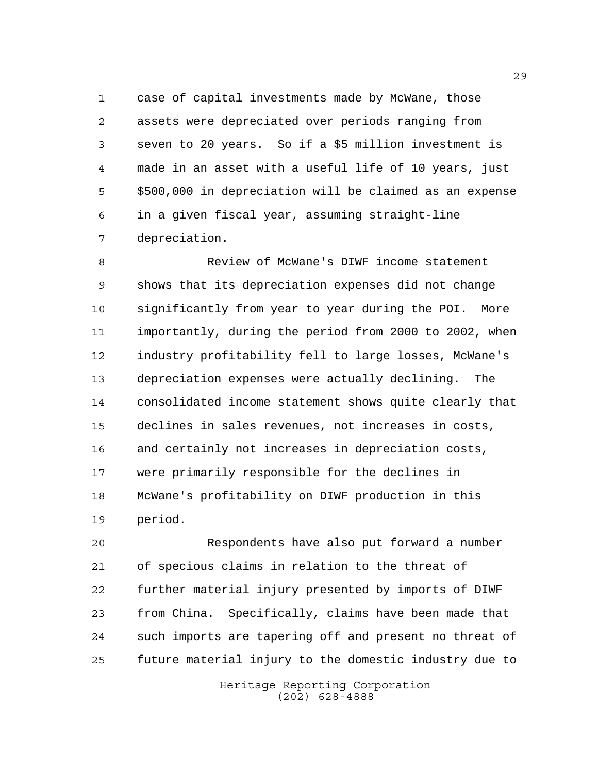case of capital investments made by McWane, those assets were depreciated over periods ranging from seven to 20 years. So if a \$5 million investment is made in an asset with a useful life of 10 years, just \$500,000 in depreciation will be claimed as an expense in a given fiscal year, assuming straight-line depreciation.

 Review of McWane's DIWF income statement shows that its depreciation expenses did not change significantly from year to year during the POI. More importantly, during the period from 2000 to 2002, when industry profitability fell to large losses, McWane's depreciation expenses were actually declining. The consolidated income statement shows quite clearly that declines in sales revenues, not increases in costs, and certainly not increases in depreciation costs, were primarily responsible for the declines in McWane's profitability on DIWF production in this period.

 Respondents have also put forward a number of specious claims in relation to the threat of further material injury presented by imports of DIWF from China. Specifically, claims have been made that such imports are tapering off and present no threat of future material injury to the domestic industry due to

> Heritage Reporting Corporation (202) 628-4888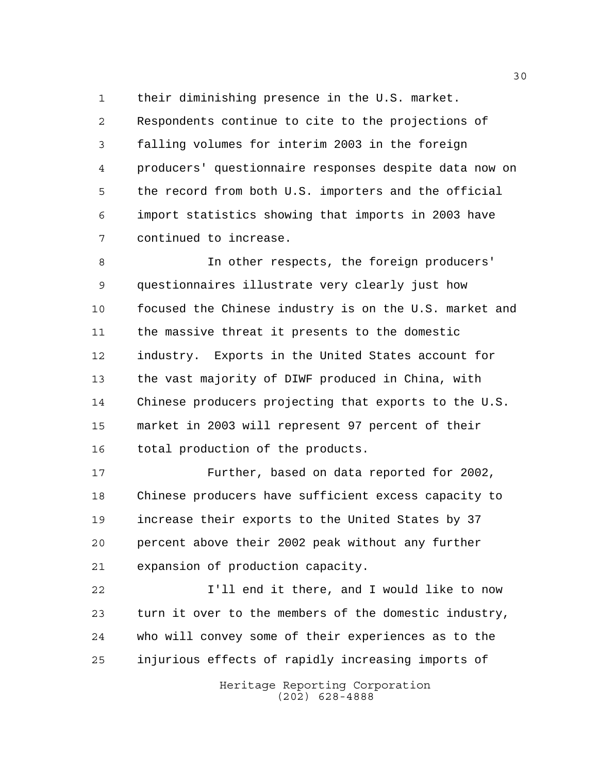their diminishing presence in the U.S. market.

 Respondents continue to cite to the projections of falling volumes for interim 2003 in the foreign producers' questionnaire responses despite data now on the record from both U.S. importers and the official import statistics showing that imports in 2003 have continued to increase.

 In other respects, the foreign producers' questionnaires illustrate very clearly just how focused the Chinese industry is on the U.S. market and the massive threat it presents to the domestic industry. Exports in the United States account for the vast majority of DIWF produced in China, with Chinese producers projecting that exports to the U.S. market in 2003 will represent 97 percent of their total production of the products.

 Further, based on data reported for 2002, Chinese producers have sufficient excess capacity to increase their exports to the United States by 37 percent above their 2002 peak without any further expansion of production capacity.

 I'll end it there, and I would like to now turn it over to the members of the domestic industry, who will convey some of their experiences as to the injurious effects of rapidly increasing imports of

> Heritage Reporting Corporation (202) 628-4888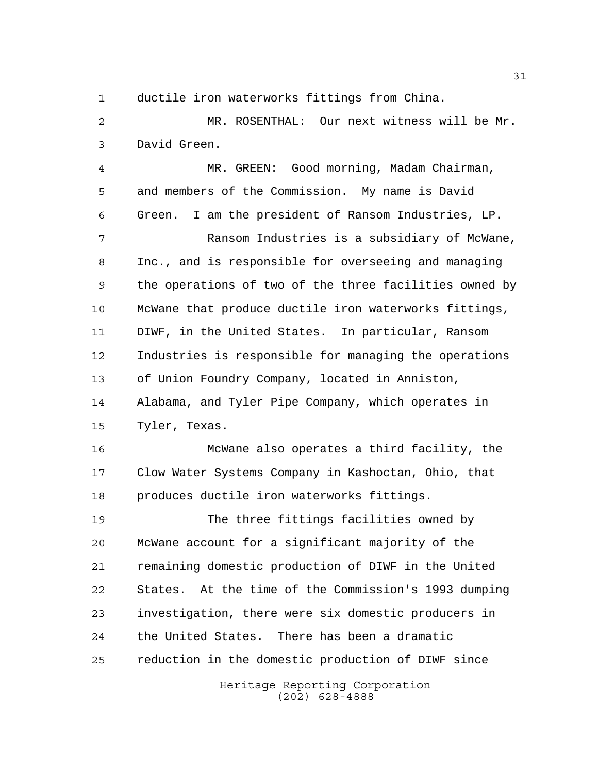ductile iron waterworks fittings from China.

 MR. ROSENTHAL: Our next witness will be Mr. David Green.

 MR. GREEN: Good morning, Madam Chairman, and members of the Commission. My name is David Green. I am the president of Ransom Industries, LP.

 Ransom Industries is a subsidiary of McWane, Inc., and is responsible for overseeing and managing the operations of two of the three facilities owned by McWane that produce ductile iron waterworks fittings, DIWF, in the United States. In particular, Ransom Industries is responsible for managing the operations of Union Foundry Company, located in Anniston, Alabama, and Tyler Pipe Company, which operates in Tyler, Texas.

 McWane also operates a third facility, the Clow Water Systems Company in Kashoctan, Ohio, that produces ductile iron waterworks fittings.

 The three fittings facilities owned by McWane account for a significant majority of the remaining domestic production of DIWF in the United States. At the time of the Commission's 1993 dumping investigation, there were six domestic producers in the United States. There has been a dramatic reduction in the domestic production of DIWF since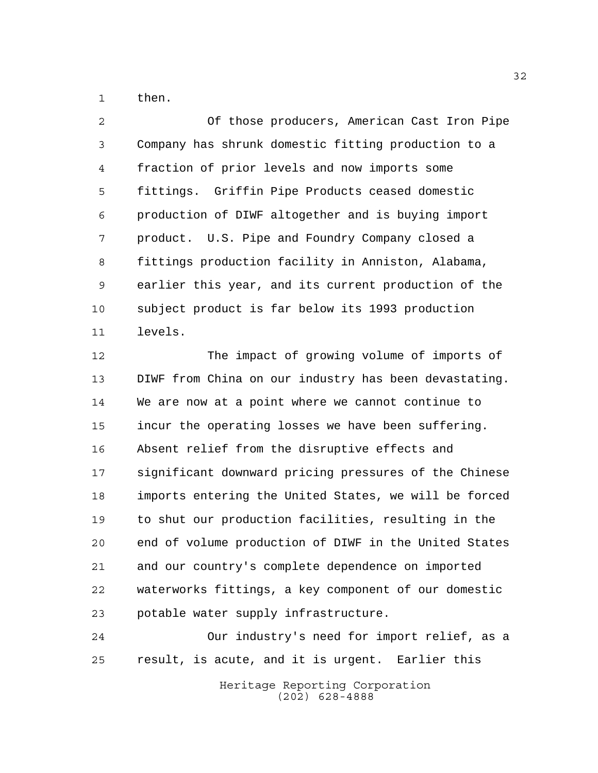then.

 Of those producers, American Cast Iron Pipe Company has shrunk domestic fitting production to a fraction of prior levels and now imports some fittings. Griffin Pipe Products ceased domestic production of DIWF altogether and is buying import product. U.S. Pipe and Foundry Company closed a fittings production facility in Anniston, Alabama, earlier this year, and its current production of the subject product is far below its 1993 production levels.

 The impact of growing volume of imports of DIWF from China on our industry has been devastating. We are now at a point where we cannot continue to incur the operating losses we have been suffering. Absent relief from the disruptive effects and significant downward pricing pressures of the Chinese imports entering the United States, we will be forced to shut our production facilities, resulting in the end of volume production of DIWF in the United States and our country's complete dependence on imported waterworks fittings, a key component of our domestic potable water supply infrastructure.

 Our industry's need for import relief, as a result, is acute, and it is urgent. Earlier this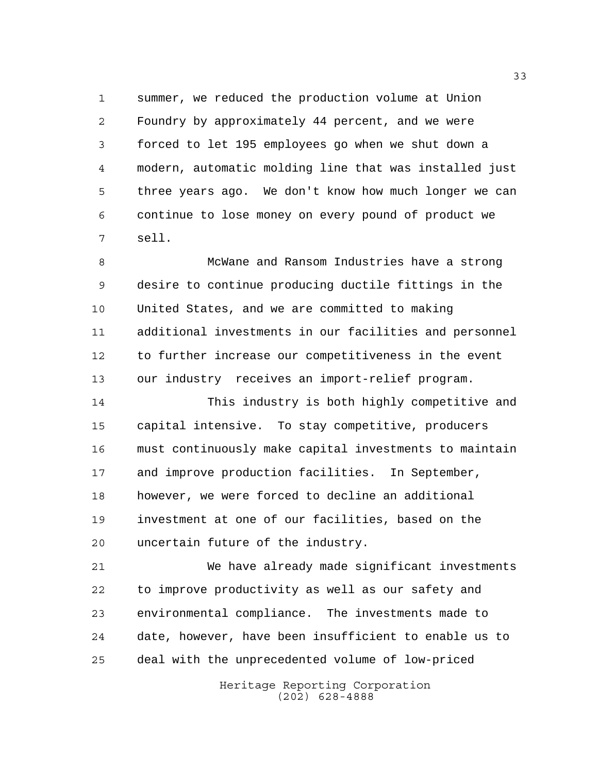summer, we reduced the production volume at Union Foundry by approximately 44 percent, and we were forced to let 195 employees go when we shut down a modern, automatic molding line that was installed just three years ago. We don't know how much longer we can continue to lose money on every pound of product we sell.

 McWane and Ransom Industries have a strong desire to continue producing ductile fittings in the United States, and we are committed to making additional investments in our facilities and personnel to further increase our competitiveness in the event our industry receives an import-relief program.

 This industry is both highly competitive and capital intensive. To stay competitive, producers must continuously make capital investments to maintain and improve production facilities. In September, however, we were forced to decline an additional investment at one of our facilities, based on the uncertain future of the industry.

 We have already made significant investments to improve productivity as well as our safety and environmental compliance. The investments made to date, however, have been insufficient to enable us to deal with the unprecedented volume of low-priced

> Heritage Reporting Corporation (202) 628-4888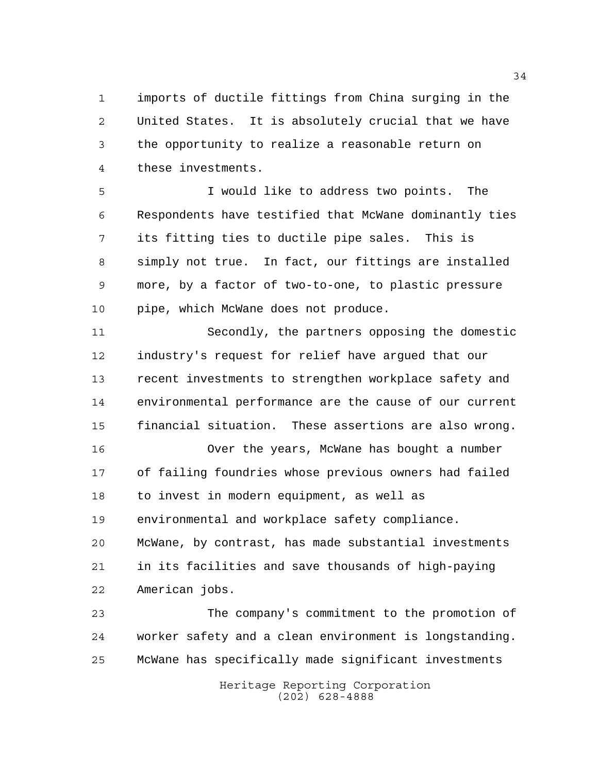imports of ductile fittings from China surging in the United States. It is absolutely crucial that we have the opportunity to realize a reasonable return on these investments.

 I would like to address two points. The Respondents have testified that McWane dominantly ties its fitting ties to ductile pipe sales. This is simply not true. In fact, our fittings are installed more, by a factor of two-to-one, to plastic pressure pipe, which McWane does not produce.

 Secondly, the partners opposing the domestic industry's request for relief have argued that our recent investments to strengthen workplace safety and environmental performance are the cause of our current financial situation. These assertions are also wrong.

 Over the years, McWane has bought a number of failing foundries whose previous owners had failed to invest in modern equipment, as well as environmental and workplace safety compliance. McWane, by contrast, has made substantial investments in its facilities and save thousands of high-paying

American jobs.

 The company's commitment to the promotion of worker safety and a clean environment is longstanding. McWane has specifically made significant investments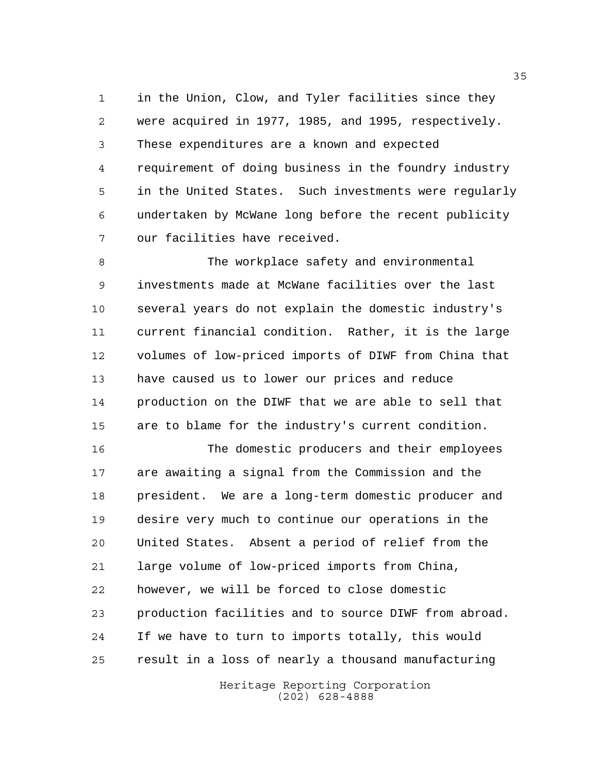in the Union, Clow, and Tyler facilities since they were acquired in 1977, 1985, and 1995, respectively. These expenditures are a known and expected requirement of doing business in the foundry industry in the United States. Such investments were regularly undertaken by McWane long before the recent publicity our facilities have received.

 The workplace safety and environmental investments made at McWane facilities over the last several years do not explain the domestic industry's current financial condition. Rather, it is the large volumes of low-priced imports of DIWF from China that have caused us to lower our prices and reduce production on the DIWF that we are able to sell that are to blame for the industry's current condition.

 The domestic producers and their employees are awaiting a signal from the Commission and the president. We are a long-term domestic producer and desire very much to continue our operations in the United States. Absent a period of relief from the large volume of low-priced imports from China, however, we will be forced to close domestic production facilities and to source DIWF from abroad. If we have to turn to imports totally, this would result in a loss of nearly a thousand manufacturing

> Heritage Reporting Corporation (202) 628-4888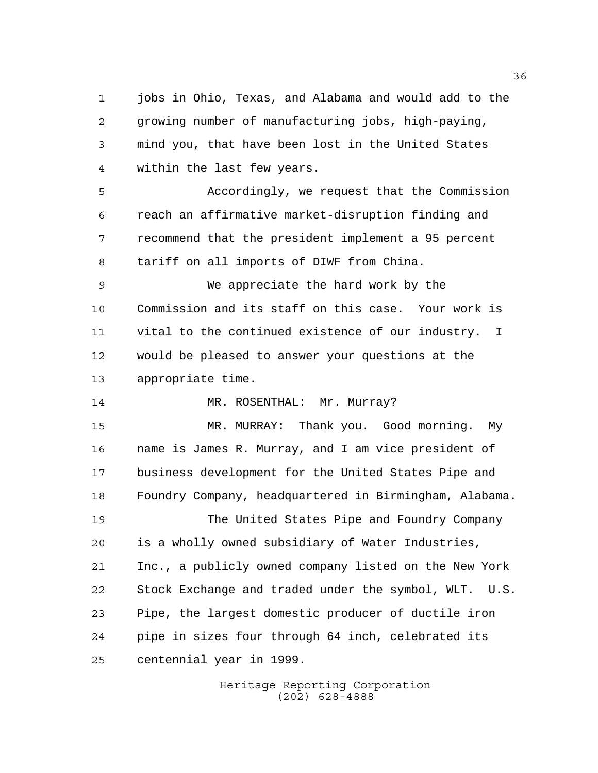jobs in Ohio, Texas, and Alabama and would add to the growing number of manufacturing jobs, high-paying, mind you, that have been lost in the United States within the last few years.

 Accordingly, we request that the Commission reach an affirmative market-disruption finding and recommend that the president implement a 95 percent tariff on all imports of DIWF from China.

 We appreciate the hard work by the Commission and its staff on this case. Your work is vital to the continued existence of our industry. I would be pleased to answer your questions at the appropriate time.

14 MR. ROSENTHAL: Mr. Murray?

 MR. MURRAY: Thank you. Good morning. My name is James R. Murray, and I am vice president of business development for the United States Pipe and Foundry Company, headquartered in Birmingham, Alabama. The United States Pipe and Foundry Company is a wholly owned subsidiary of Water Industries, Inc., a publicly owned company listed on the New York Stock Exchange and traded under the symbol, WLT. U.S. Pipe, the largest domestic producer of ductile iron pipe in sizes four through 64 inch, celebrated its centennial year in 1999.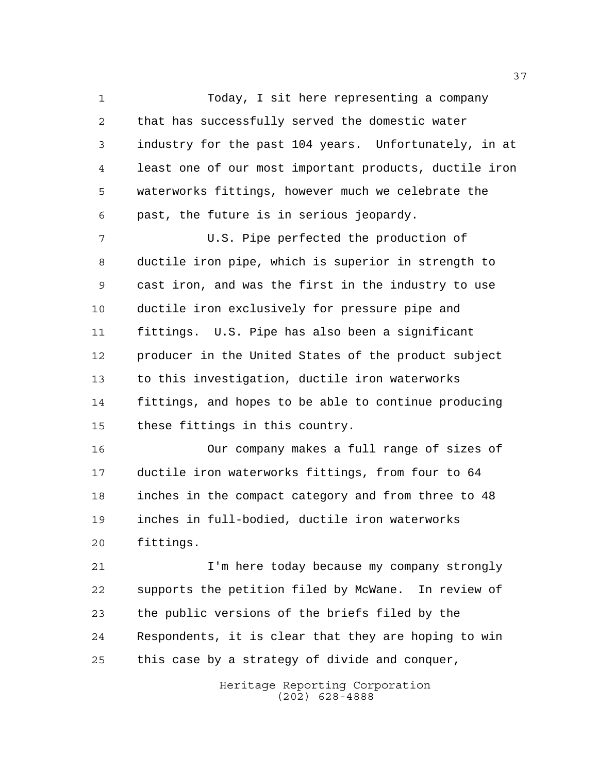Today, I sit here representing a company that has successfully served the domestic water industry for the past 104 years. Unfortunately, in at least one of our most important products, ductile iron waterworks fittings, however much we celebrate the past, the future is in serious jeopardy.

 U.S. Pipe perfected the production of ductile iron pipe, which is superior in strength to cast iron, and was the first in the industry to use ductile iron exclusively for pressure pipe and fittings. U.S. Pipe has also been a significant producer in the United States of the product subject to this investigation, ductile iron waterworks fittings, and hopes to be able to continue producing these fittings in this country.

 Our company makes a full range of sizes of ductile iron waterworks fittings, from four to 64 inches in the compact category and from three to 48 inches in full-bodied, ductile iron waterworks fittings.

 I'm here today because my company strongly supports the petition filed by McWane. In review of the public versions of the briefs filed by the Respondents, it is clear that they are hoping to win this case by a strategy of divide and conquer,

> Heritage Reporting Corporation (202) 628-4888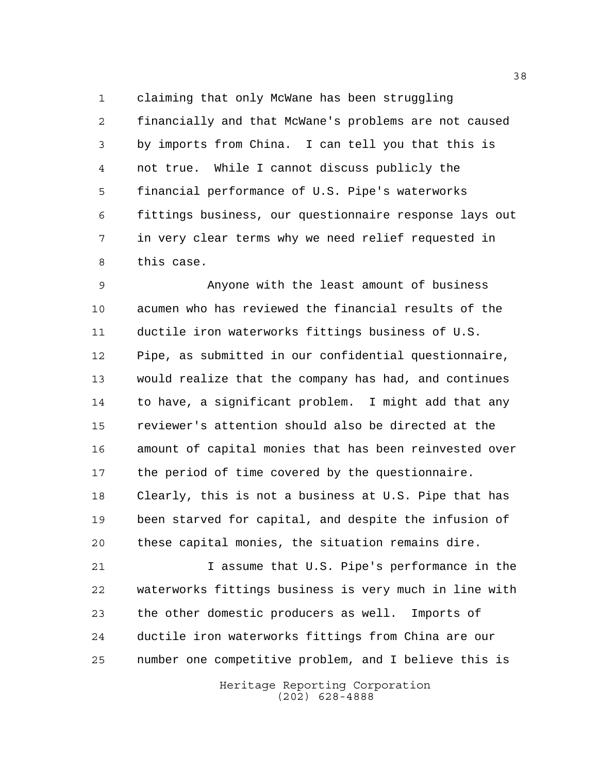claiming that only McWane has been struggling financially and that McWane's problems are not caused by imports from China. I can tell you that this is not true. While I cannot discuss publicly the financial performance of U.S. Pipe's waterworks fittings business, our questionnaire response lays out in very clear terms why we need relief requested in this case.

 Anyone with the least amount of business acumen who has reviewed the financial results of the ductile iron waterworks fittings business of U.S. Pipe, as submitted in our confidential questionnaire, would realize that the company has had, and continues to have, a significant problem. I might add that any reviewer's attention should also be directed at the amount of capital monies that has been reinvested over the period of time covered by the questionnaire. Clearly, this is not a business at U.S. Pipe that has been starved for capital, and despite the infusion of these capital monies, the situation remains dire.

 I assume that U.S. Pipe's performance in the waterworks fittings business is very much in line with the other domestic producers as well. Imports of ductile iron waterworks fittings from China are our number one competitive problem, and I believe this is

> Heritage Reporting Corporation (202) 628-4888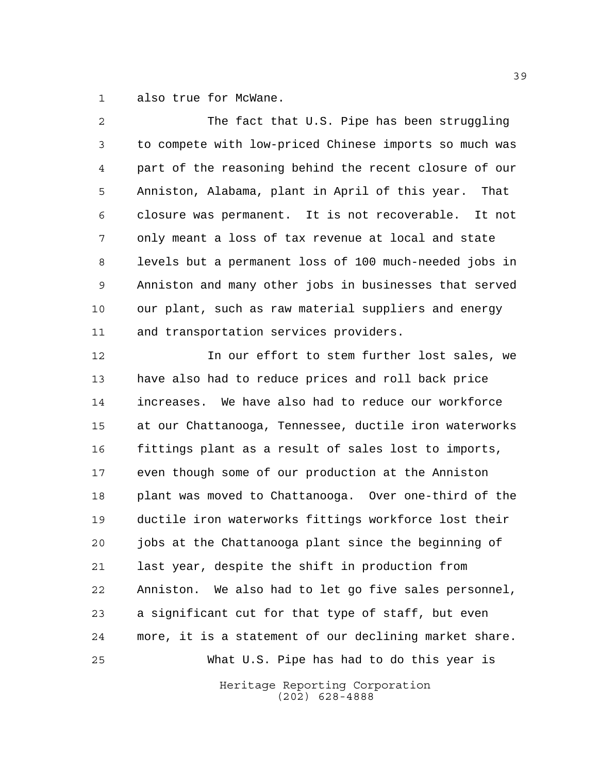also true for McWane.

 The fact that U.S. Pipe has been struggling to compete with low-priced Chinese imports so much was part of the reasoning behind the recent closure of our Anniston, Alabama, plant in April of this year. That closure was permanent. It is not recoverable. It not only meant a loss of tax revenue at local and state levels but a permanent loss of 100 much-needed jobs in Anniston and many other jobs in businesses that served our plant, such as raw material suppliers and energy and transportation services providers.

 In our effort to stem further lost sales, we have also had to reduce prices and roll back price increases. We have also had to reduce our workforce at our Chattanooga, Tennessee, ductile iron waterworks fittings plant as a result of sales lost to imports, even though some of our production at the Anniston plant was moved to Chattanooga. Over one-third of the ductile iron waterworks fittings workforce lost their jobs at the Chattanooga plant since the beginning of last year, despite the shift in production from Anniston. We also had to let go five sales personnel, a significant cut for that type of staff, but even more, it is a statement of our declining market share. What U.S. Pipe has had to do this year is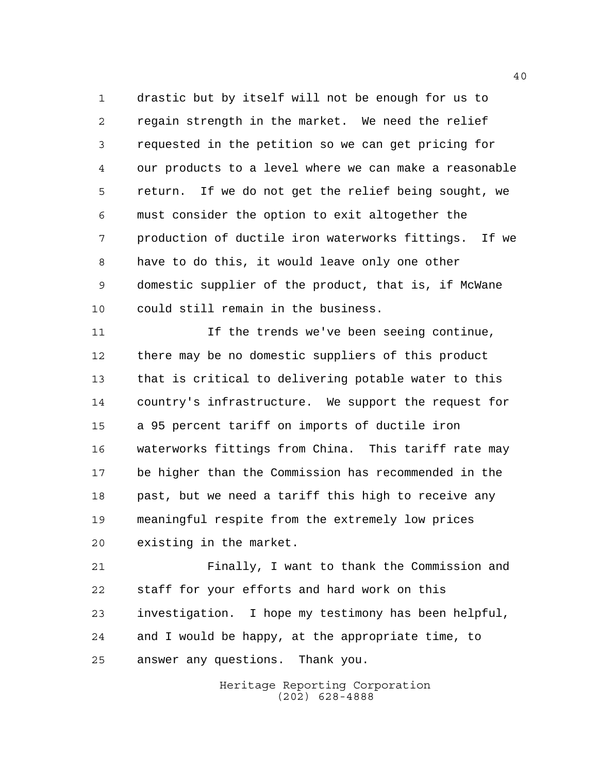drastic but by itself will not be enough for us to regain strength in the market. We need the relief requested in the petition so we can get pricing for our products to a level where we can make a reasonable return. If we do not get the relief being sought, we must consider the option to exit altogether the production of ductile iron waterworks fittings. If we have to do this, it would leave only one other domestic supplier of the product, that is, if McWane could still remain in the business.

 If the trends we've been seeing continue, there may be no domestic suppliers of this product that is critical to delivering potable water to this country's infrastructure. We support the request for a 95 percent tariff on imports of ductile iron waterworks fittings from China. This tariff rate may be higher than the Commission has recommended in the past, but we need a tariff this high to receive any meaningful respite from the extremely low prices existing in the market.

 Finally, I want to thank the Commission and staff for your efforts and hard work on this investigation. I hope my testimony has been helpful, and I would be happy, at the appropriate time, to answer any questions. Thank you.

> Heritage Reporting Corporation (202) 628-4888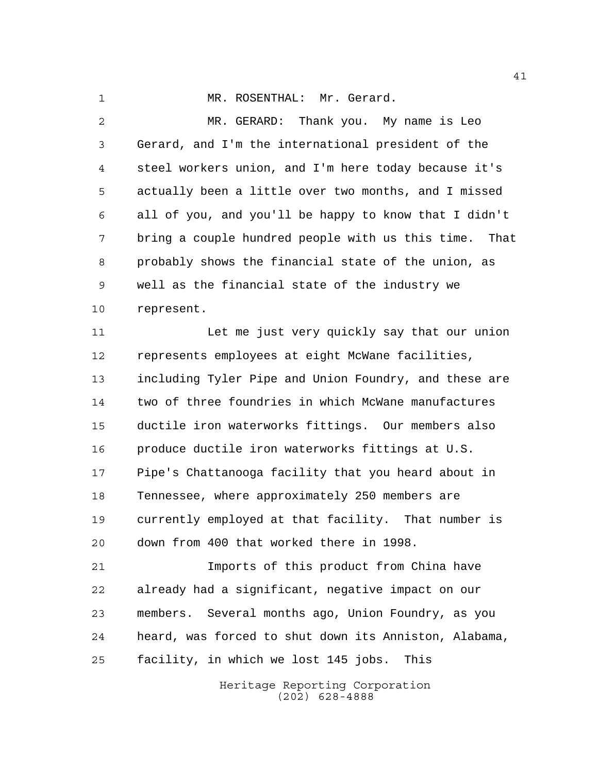1 MR. ROSENTHAL: Mr. Gerard.

 MR. GERARD: Thank you. My name is Leo Gerard, and I'm the international president of the steel workers union, and I'm here today because it's actually been a little over two months, and I missed all of you, and you'll be happy to know that I didn't bring a couple hundred people with us this time. That probably shows the financial state of the union, as well as the financial state of the industry we represent. Let me just very quickly say that our union represents employees at eight McWane facilities, including Tyler Pipe and Union Foundry, and these are two of three foundries in which McWane manufactures ductile iron waterworks fittings. Our members also produce ductile iron waterworks fittings at U.S. Pipe's Chattanooga facility that you heard about in Tennessee, where approximately 250 members are currently employed at that facility. That number is down from 400 that worked there in 1998. Imports of this product from China have

 already had a significant, negative impact on our members. Several months ago, Union Foundry, as you heard, was forced to shut down its Anniston, Alabama, facility, in which we lost 145 jobs. This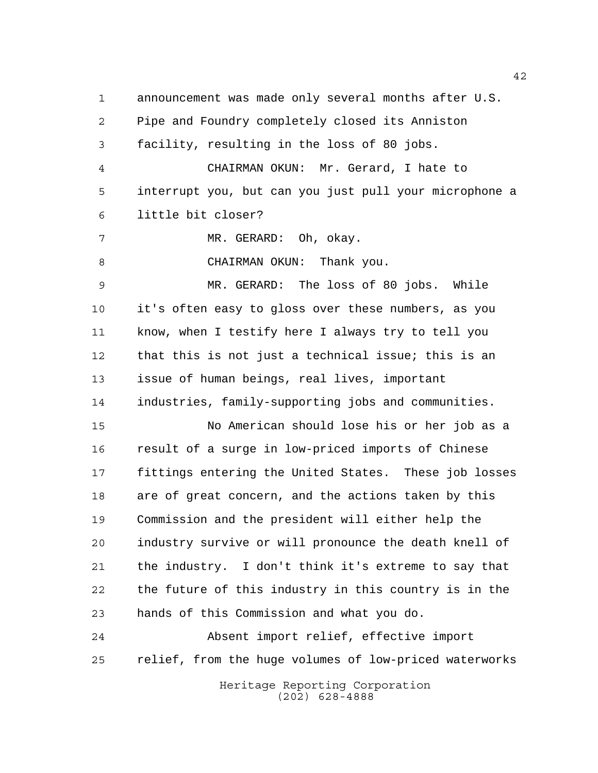announcement was made only several months after U.S. Pipe and Foundry completely closed its Anniston facility, resulting in the loss of 80 jobs. CHAIRMAN OKUN: Mr. Gerard, I hate to interrupt you, but can you just pull your microphone a little bit closer? MR. GERARD: Oh, okay. 8 CHAIRMAN OKUN: Thank you. MR. GERARD: The loss of 80 jobs. While it's often easy to gloss over these numbers, as you know, when I testify here I always try to tell you that this is not just a technical issue; this is an issue of human beings, real lives, important industries, family-supporting jobs and communities. No American should lose his or her job as a result of a surge in low-priced imports of Chinese fittings entering the United States. These job losses are of great concern, and the actions taken by this Commission and the president will either help the industry survive or will pronounce the death knell of the industry. I don't think it's extreme to say that the future of this industry in this country is in the hands of this Commission and what you do. Absent import relief, effective import relief, from the huge volumes of low-priced waterworks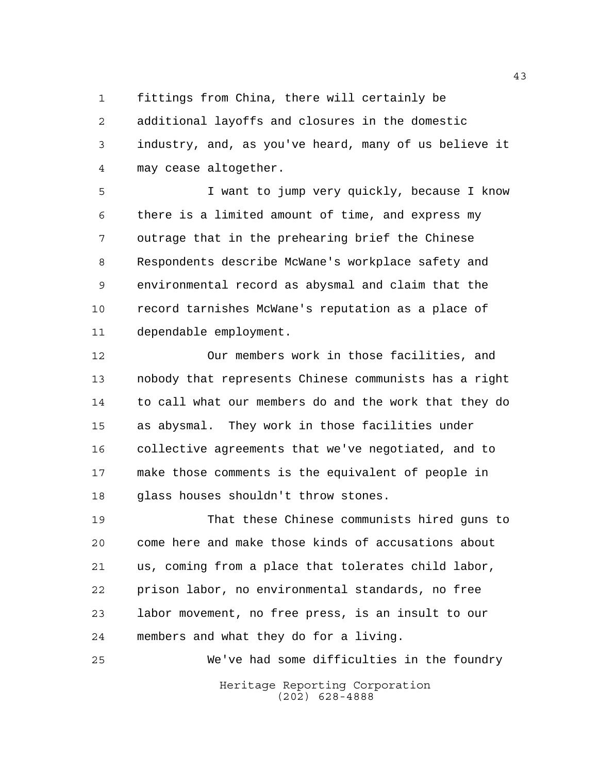fittings from China, there will certainly be

 additional layoffs and closures in the domestic industry, and, as you've heard, many of us believe it may cease altogether.

 I want to jump very quickly, because I know there is a limited amount of time, and express my outrage that in the prehearing brief the Chinese Respondents describe McWane's workplace safety and environmental record as abysmal and claim that the record tarnishes McWane's reputation as a place of dependable employment.

 Our members work in those facilities, and nobody that represents Chinese communists has a right to call what our members do and the work that they do as abysmal. They work in those facilities under collective agreements that we've negotiated, and to make those comments is the equivalent of people in glass houses shouldn't throw stones.

 That these Chinese communists hired guns to come here and make those kinds of accusations about us, coming from a place that tolerates child labor, prison labor, no environmental standards, no free labor movement, no free press, is an insult to our members and what they do for a living.

Heritage Reporting Corporation (202) 628-4888 We've had some difficulties in the foundry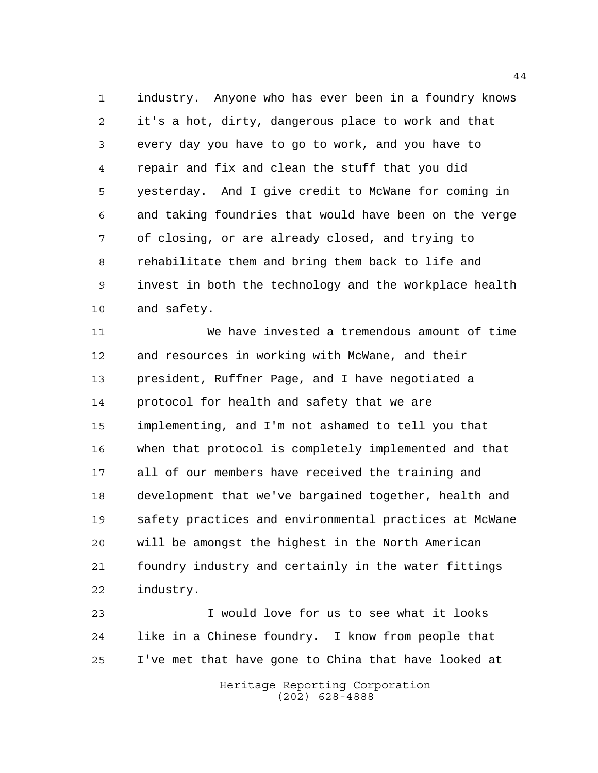industry. Anyone who has ever been in a foundry knows it's a hot, dirty, dangerous place to work and that every day you have to go to work, and you have to repair and fix and clean the stuff that you did yesterday. And I give credit to McWane for coming in and taking foundries that would have been on the verge of closing, or are already closed, and trying to rehabilitate them and bring them back to life and invest in both the technology and the workplace health and safety.

 We have invested a tremendous amount of time and resources in working with McWane, and their president, Ruffner Page, and I have negotiated a protocol for health and safety that we are implementing, and I'm not ashamed to tell you that when that protocol is completely implemented and that all of our members have received the training and development that we've bargained together, health and safety practices and environmental practices at McWane will be amongst the highest in the North American foundry industry and certainly in the water fittings industry.

 I would love for us to see what it looks like in a Chinese foundry. I know from people that I've met that have gone to China that have looked at

> Heritage Reporting Corporation (202) 628-4888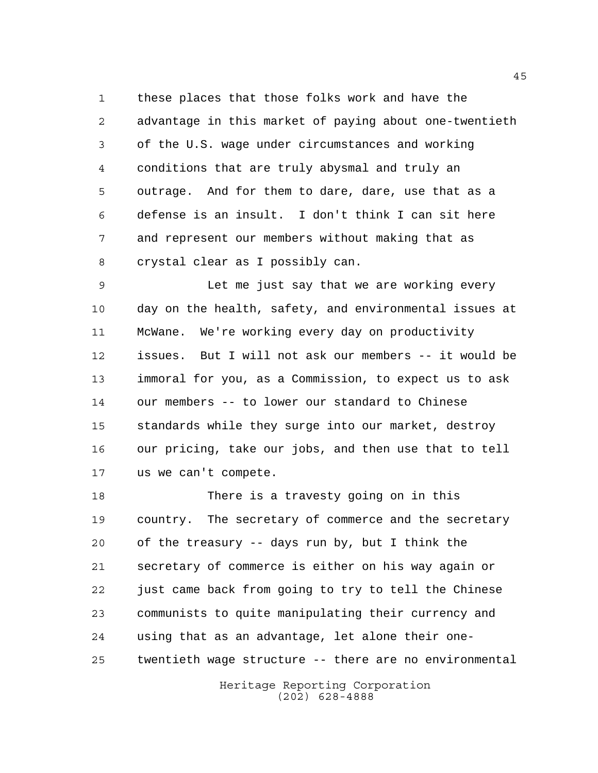these places that those folks work and have the advantage in this market of paying about one-twentieth of the U.S. wage under circumstances and working conditions that are truly abysmal and truly an outrage. And for them to dare, dare, use that as a defense is an insult. I don't think I can sit here and represent our members without making that as crystal clear as I possibly can.

 Let me just say that we are working every day on the health, safety, and environmental issues at McWane. We're working every day on productivity issues. But I will not ask our members -- it would be immoral for you, as a Commission, to expect us to ask our members -- to lower our standard to Chinese standards while they surge into our market, destroy our pricing, take our jobs, and then use that to tell us we can't compete.

 There is a travesty going on in this country. The secretary of commerce and the secretary of the treasury -- days run by, but I think the secretary of commerce is either on his way again or just came back from going to try to tell the Chinese communists to quite manipulating their currency and using that as an advantage, let alone their one-twentieth wage structure -- there are no environmental

> Heritage Reporting Corporation (202) 628-4888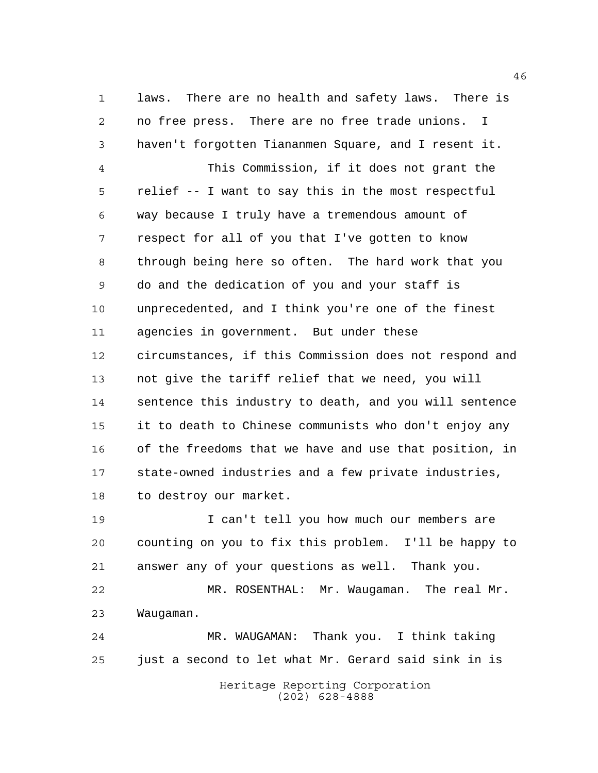laws. There are no health and safety laws. There is no free press. There are no free trade unions. I haven't forgotten Tiananmen Square, and I resent it. This Commission, if it does not grant the relief -- I want to say this in the most respectful way because I truly have a tremendous amount of respect for all of you that I've gotten to know through being here so often. The hard work that you do and the dedication of you and your staff is unprecedented, and I think you're one of the finest agencies in government. But under these circumstances, if this Commission does not respond and not give the tariff relief that we need, you will sentence this industry to death, and you will sentence it to death to Chinese communists who don't enjoy any of the freedoms that we have and use that position, in state-owned industries and a few private industries, to destroy our market.

 I can't tell you how much our members are counting on you to fix this problem. I'll be happy to answer any of your questions as well. Thank you. MR. ROSENTHAL: Mr. Waugaman. The real Mr.

Waugaman.

 MR. WAUGAMAN: Thank you. I think taking just a second to let what Mr. Gerard said sink in is

> Heritage Reporting Corporation (202) 628-4888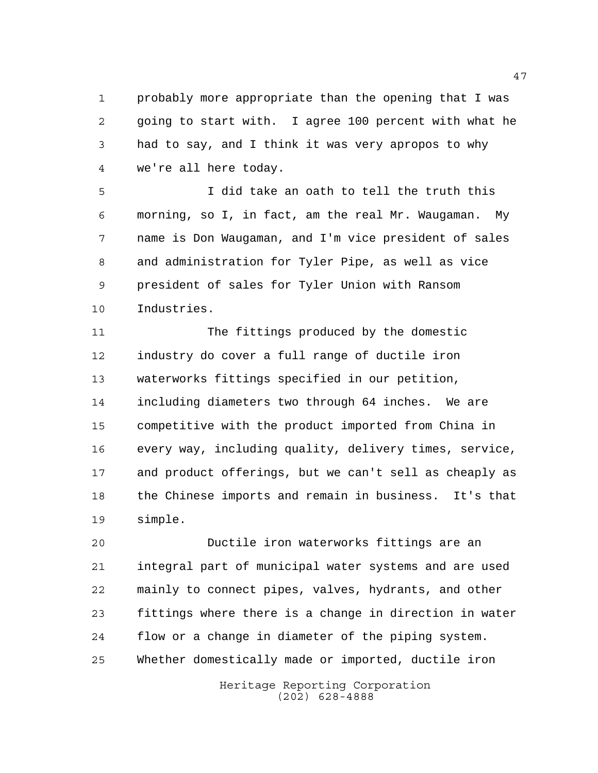probably more appropriate than the opening that I was going to start with. I agree 100 percent with what he had to say, and I think it was very apropos to why we're all here today.

 I did take an oath to tell the truth this morning, so I, in fact, am the real Mr. Waugaman. My name is Don Waugaman, and I'm vice president of sales and administration for Tyler Pipe, as well as vice president of sales for Tyler Union with Ransom Industries.

 The fittings produced by the domestic industry do cover a full range of ductile iron waterworks fittings specified in our petition, including diameters two through 64 inches. We are competitive with the product imported from China in every way, including quality, delivery times, service, and product offerings, but we can't sell as cheaply as the Chinese imports and remain in business. It's that simple.

 Ductile iron waterworks fittings are an integral part of municipal water systems and are used mainly to connect pipes, valves, hydrants, and other fittings where there is a change in direction in water flow or a change in diameter of the piping system. Whether domestically made or imported, ductile iron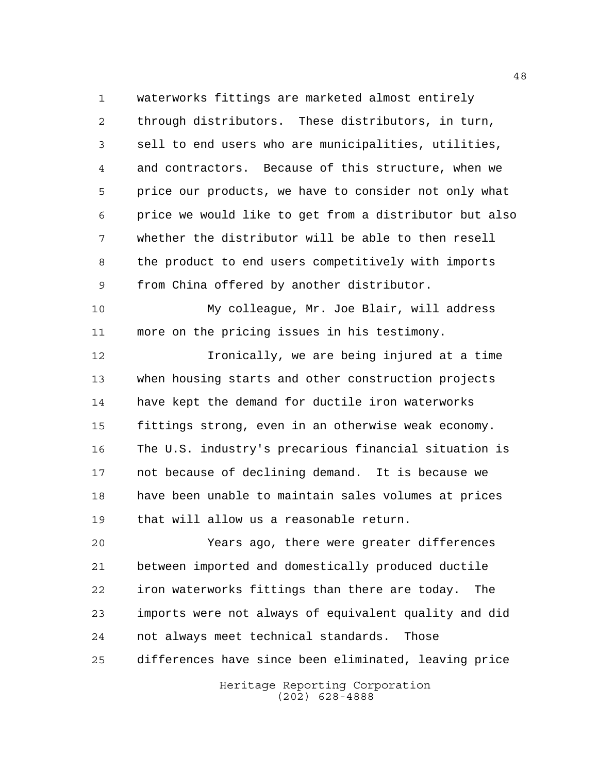waterworks fittings are marketed almost entirely through distributors. These distributors, in turn, sell to end users who are municipalities, utilities, and contractors. Because of this structure, when we price our products, we have to consider not only what price we would like to get from a distributor but also whether the distributor will be able to then resell the product to end users competitively with imports from China offered by another distributor.

 My colleague, Mr. Joe Blair, will address more on the pricing issues in his testimony.

 Ironically, we are being injured at a time when housing starts and other construction projects have kept the demand for ductile iron waterworks fittings strong, even in an otherwise weak economy. The U.S. industry's precarious financial situation is not because of declining demand. It is because we have been unable to maintain sales volumes at prices that will allow us a reasonable return.

 Years ago, there were greater differences between imported and domestically produced ductile iron waterworks fittings than there are today. The imports were not always of equivalent quality and did not always meet technical standards. Those differences have since been eliminated, leaving price

> Heritage Reporting Corporation (202) 628-4888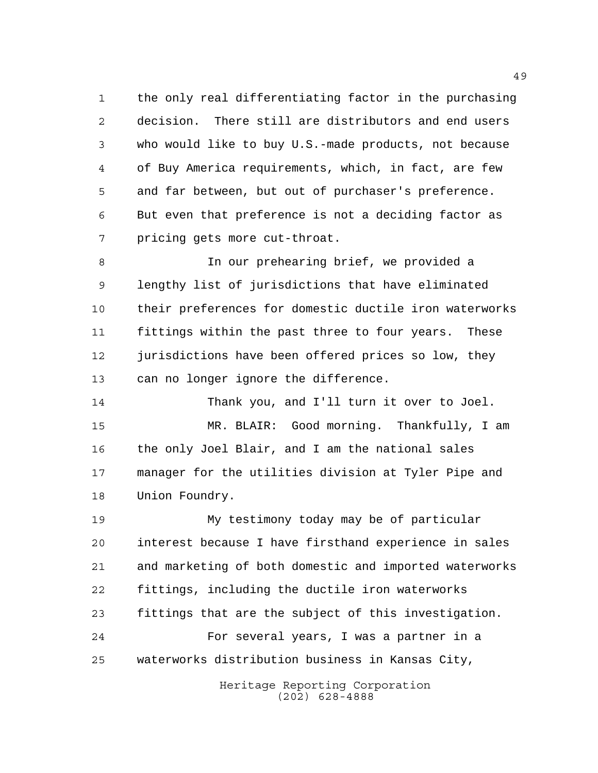the only real differentiating factor in the purchasing decision. There still are distributors and end users who would like to buy U.S.-made products, not because of Buy America requirements, which, in fact, are few and far between, but out of purchaser's preference. But even that preference is not a deciding factor as pricing gets more cut-throat.

 In our prehearing brief, we provided a lengthy list of jurisdictions that have eliminated their preferences for domestic ductile iron waterworks fittings within the past three to four years. These 12 jurisdictions have been offered prices so low, they can no longer ignore the difference.

 Thank you, and I'll turn it over to Joel. MR. BLAIR: Good morning. Thankfully, I am the only Joel Blair, and I am the national sales manager for the utilities division at Tyler Pipe and Union Foundry.

 My testimony today may be of particular interest because I have firsthand experience in sales and marketing of both domestic and imported waterworks fittings, including the ductile iron waterworks fittings that are the subject of this investigation. For several years, I was a partner in a waterworks distribution business in Kansas City,

> Heritage Reporting Corporation (202) 628-4888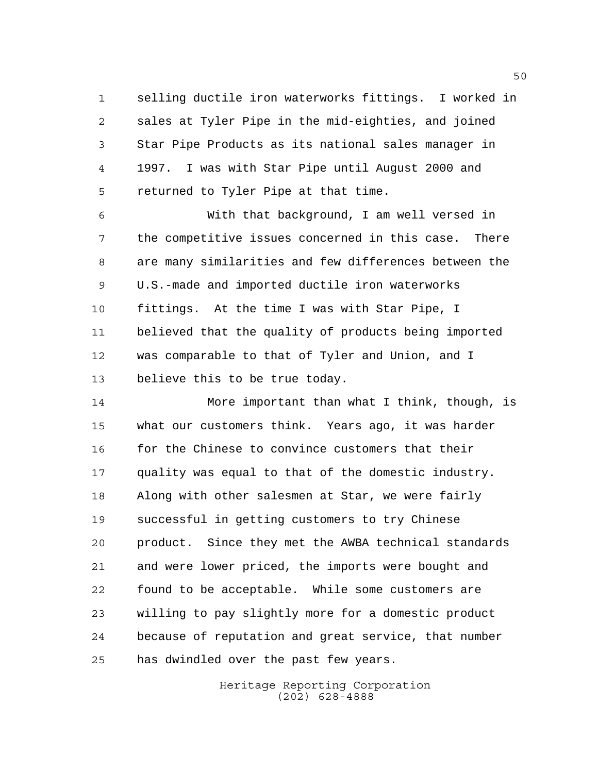selling ductile iron waterworks fittings. I worked in sales at Tyler Pipe in the mid-eighties, and joined Star Pipe Products as its national sales manager in 1997. I was with Star Pipe until August 2000 and returned to Tyler Pipe at that time.

 With that background, I am well versed in the competitive issues concerned in this case. There are many similarities and few differences between the U.S.-made and imported ductile iron waterworks fittings. At the time I was with Star Pipe, I believed that the quality of products being imported was comparable to that of Tyler and Union, and I believe this to be true today.

 More important than what I think, though, is what our customers think. Years ago, it was harder for the Chinese to convince customers that their quality was equal to that of the domestic industry. Along with other salesmen at Star, we were fairly successful in getting customers to try Chinese product. Since they met the AWBA technical standards and were lower priced, the imports were bought and found to be acceptable. While some customers are willing to pay slightly more for a domestic product because of reputation and great service, that number has dwindled over the past few years.

> Heritage Reporting Corporation (202) 628-4888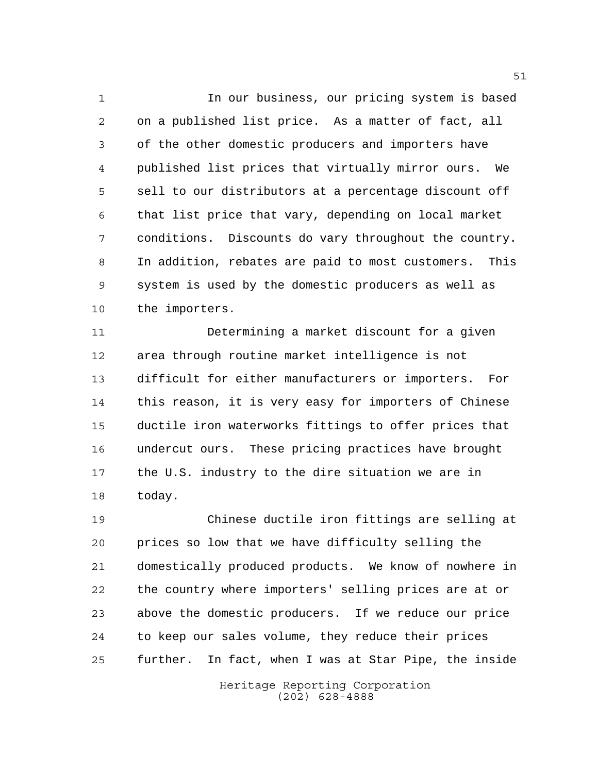In our business, our pricing system is based on a published list price. As a matter of fact, all of the other domestic producers and importers have published list prices that virtually mirror ours. We sell to our distributors at a percentage discount off that list price that vary, depending on local market conditions. Discounts do vary throughout the country. In addition, rebates are paid to most customers. This system is used by the domestic producers as well as the importers.

 Determining a market discount for a given area through routine market intelligence is not difficult for either manufacturers or importers. For this reason, it is very easy for importers of Chinese ductile iron waterworks fittings to offer prices that undercut ours. These pricing practices have brought the U.S. industry to the dire situation we are in today.

 Chinese ductile iron fittings are selling at prices so low that we have difficulty selling the domestically produced products. We know of nowhere in the country where importers' selling prices are at or above the domestic producers. If we reduce our price to keep our sales volume, they reduce their prices further. In fact, when I was at Star Pipe, the inside

> Heritage Reporting Corporation (202) 628-4888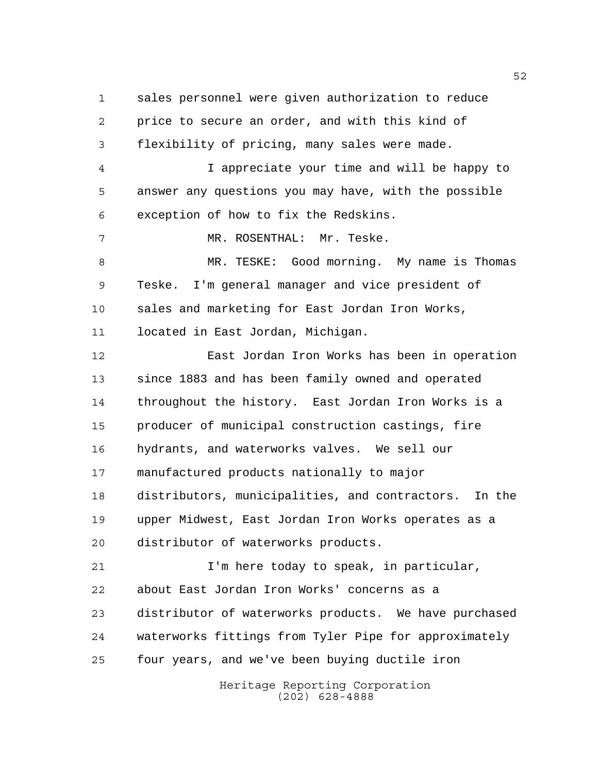sales personnel were given authorization to reduce price to secure an order, and with this kind of flexibility of pricing, many sales were made. I appreciate your time and will be happy to answer any questions you may have, with the possible exception of how to fix the Redskins. MR. ROSENTHAL: Mr. Teske. MR. TESKE: Good morning. My name is Thomas Teske. I'm general manager and vice president of sales and marketing for East Jordan Iron Works, located in East Jordan, Michigan. East Jordan Iron Works has been in operation since 1883 and has been family owned and operated throughout the history. East Jordan Iron Works is a producer of municipal construction castings, fire hydrants, and waterworks valves. We sell our manufactured products nationally to major distributors, municipalities, and contractors. In the upper Midwest, East Jordan Iron Works operates as a distributor of waterworks products. I'm here today to speak, in particular, about East Jordan Iron Works' concerns as a distributor of waterworks products. We have purchased waterworks fittings from Tyler Pipe for approximately four years, and we've been buying ductile iron

Heritage Reporting Corporation (202) 628-4888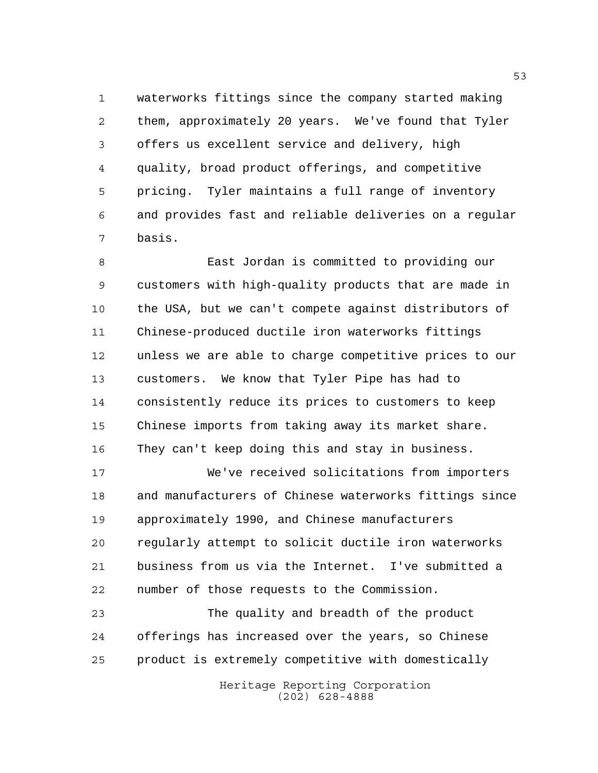waterworks fittings since the company started making them, approximately 20 years. We've found that Tyler offers us excellent service and delivery, high quality, broad product offerings, and competitive pricing. Tyler maintains a full range of inventory and provides fast and reliable deliveries on a regular basis.

 East Jordan is committed to providing our customers with high-quality products that are made in the USA, but we can't compete against distributors of Chinese-produced ductile iron waterworks fittings unless we are able to charge competitive prices to our customers. We know that Tyler Pipe has had to consistently reduce its prices to customers to keep Chinese imports from taking away its market share. They can't keep doing this and stay in business.

 We've received solicitations from importers and manufacturers of Chinese waterworks fittings since approximately 1990, and Chinese manufacturers regularly attempt to solicit ductile iron waterworks business from us via the Internet. I've submitted a number of those requests to the Commission.

 The quality and breadth of the product offerings has increased over the years, so Chinese product is extremely competitive with domestically

> Heritage Reporting Corporation (202) 628-4888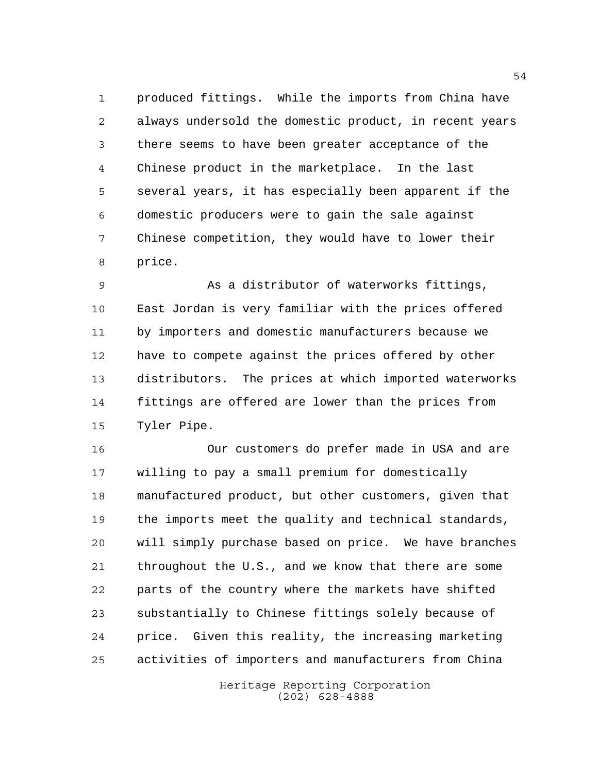produced fittings. While the imports from China have always undersold the domestic product, in recent years there seems to have been greater acceptance of the Chinese product in the marketplace. In the last several years, it has especially been apparent if the domestic producers were to gain the sale against Chinese competition, they would have to lower their price.

 As a distributor of waterworks fittings, East Jordan is very familiar with the prices offered by importers and domestic manufacturers because we have to compete against the prices offered by other distributors. The prices at which imported waterworks fittings are offered are lower than the prices from Tyler Pipe.

 Our customers do prefer made in USA and are willing to pay a small premium for domestically manufactured product, but other customers, given that the imports meet the quality and technical standards, will simply purchase based on price. We have branches throughout the U.S., and we know that there are some parts of the country where the markets have shifted substantially to Chinese fittings solely because of price. Given this reality, the increasing marketing activities of importers and manufacturers from China

> Heritage Reporting Corporation (202) 628-4888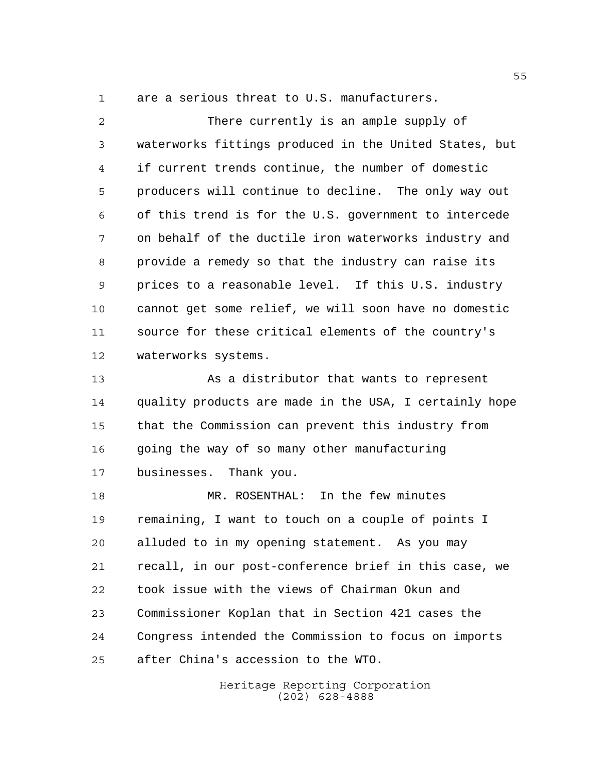are a serious threat to U.S. manufacturers.

 There currently is an ample supply of waterworks fittings produced in the United States, but if current trends continue, the number of domestic producers will continue to decline. The only way out of this trend is for the U.S. government to intercede on behalf of the ductile iron waterworks industry and provide a remedy so that the industry can raise its prices to a reasonable level. If this U.S. industry cannot get some relief, we will soon have no domestic source for these critical elements of the country's waterworks systems. As a distributor that wants to represent quality products are made in the USA, I certainly hope that the Commission can prevent this industry from going the way of so many other manufacturing businesses. Thank you.

 MR. ROSENTHAL: In the few minutes remaining, I want to touch on a couple of points I alluded to in my opening statement. As you may recall, in our post-conference brief in this case, we took issue with the views of Chairman Okun and Commissioner Koplan that in Section 421 cases the Congress intended the Commission to focus on imports after China's accession to the WTO.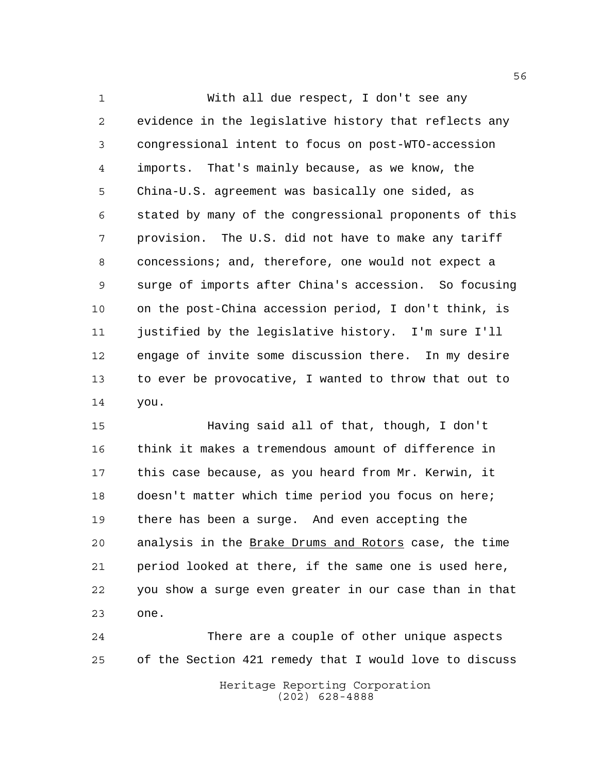With all due respect, I don't see any evidence in the legislative history that reflects any congressional intent to focus on post-WTO-accession imports. That's mainly because, as we know, the China-U.S. agreement was basically one sided, as stated by many of the congressional proponents of this provision. The U.S. did not have to make any tariff concessions; and, therefore, one would not expect a surge of imports after China's accession. So focusing on the post-China accession period, I don't think, is justified by the legislative history. I'm sure I'll engage of invite some discussion there. In my desire to ever be provocative, I wanted to throw that out to you.

 Having said all of that, though, I don't think it makes a tremendous amount of difference in this case because, as you heard from Mr. Kerwin, it doesn't matter which time period you focus on here; there has been a surge. And even accepting the analysis in the Brake Drums and Rotors case, the time period looked at there, if the same one is used here, you show a surge even greater in our case than in that one.

Heritage Reporting Corporation There are a couple of other unique aspects of the Section 421 remedy that I would love to discuss

(202) 628-4888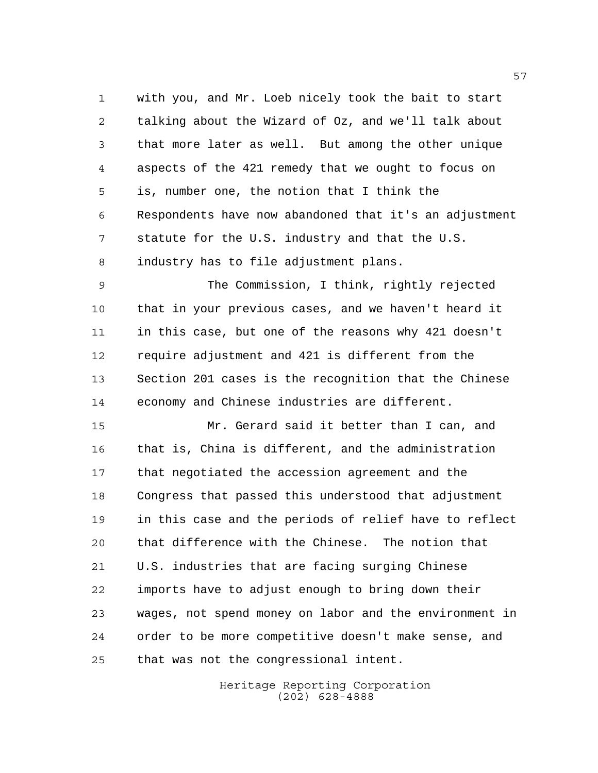with you, and Mr. Loeb nicely took the bait to start talking about the Wizard of Oz, and we'll talk about that more later as well. But among the other unique aspects of the 421 remedy that we ought to focus on is, number one, the notion that I think the Respondents have now abandoned that it's an adjustment statute for the U.S. industry and that the U.S. industry has to file adjustment plans.

 The Commission, I think, rightly rejected that in your previous cases, and we haven't heard it in this case, but one of the reasons why 421 doesn't require adjustment and 421 is different from the Section 201 cases is the recognition that the Chinese economy and Chinese industries are different.

 Mr. Gerard said it better than I can, and that is, China is different, and the administration that negotiated the accession agreement and the Congress that passed this understood that adjustment in this case and the periods of relief have to reflect that difference with the Chinese. The notion that U.S. industries that are facing surging Chinese imports have to adjust enough to bring down their wages, not spend money on labor and the environment in order to be more competitive doesn't make sense, and that was not the congressional intent.

> Heritage Reporting Corporation (202) 628-4888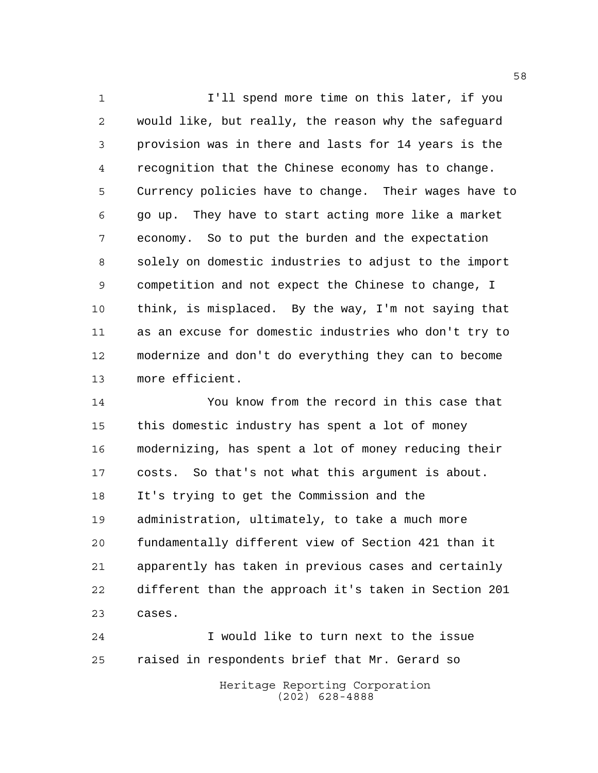1 I'll spend more time on this later, if you would like, but really, the reason why the safeguard provision was in there and lasts for 14 years is the recognition that the Chinese economy has to change. Currency policies have to change. Their wages have to go up. They have to start acting more like a market economy. So to put the burden and the expectation solely on domestic industries to adjust to the import competition and not expect the Chinese to change, I think, is misplaced. By the way, I'm not saying that as an excuse for domestic industries who don't try to modernize and don't do everything they can to become more efficient.

 You know from the record in this case that this domestic industry has spent a lot of money modernizing, has spent a lot of money reducing their costs. So that's not what this argument is about. It's trying to get the Commission and the administration, ultimately, to take a much more fundamentally different view of Section 421 than it apparently has taken in previous cases and certainly different than the approach it's taken in Section 201 cases.

Heritage Reporting Corporation I would like to turn next to the issue raised in respondents brief that Mr. Gerard so

(202) 628-4888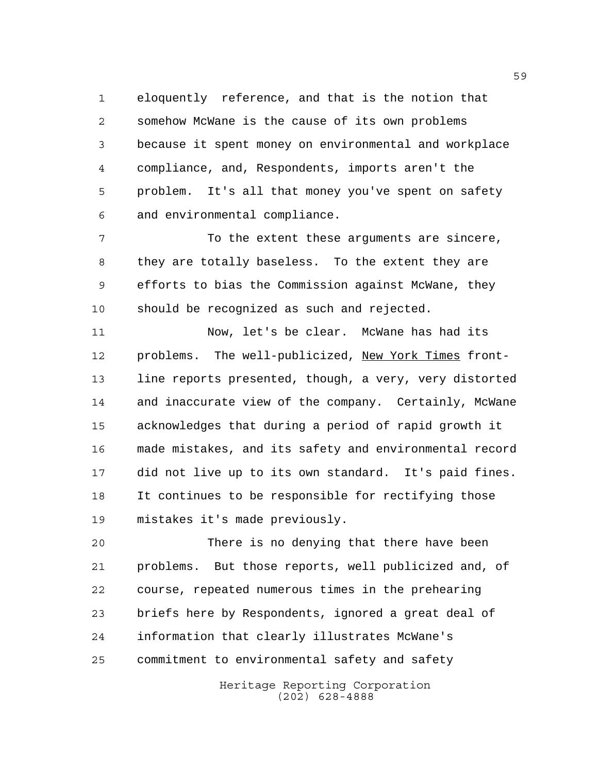eloquently reference, and that is the notion that somehow McWane is the cause of its own problems because it spent money on environmental and workplace compliance, and, Respondents, imports aren't the problem. It's all that money you've spent on safety and environmental compliance.

 To the extent these arguments are sincere, they are totally baseless. To the extent they are efforts to bias the Commission against McWane, they should be recognized as such and rejected.

 Now, let's be clear. McWane has had its problems. The well-publicized, New York Times front- line reports presented, though, a very, very distorted and inaccurate view of the company. Certainly, McWane acknowledges that during a period of rapid growth it made mistakes, and its safety and environmental record did not live up to its own standard. It's paid fines. It continues to be responsible for rectifying those mistakes it's made previously.

 There is no denying that there have been problems. But those reports, well publicized and, of course, repeated numerous times in the prehearing briefs here by Respondents, ignored a great deal of information that clearly illustrates McWane's commitment to environmental safety and safety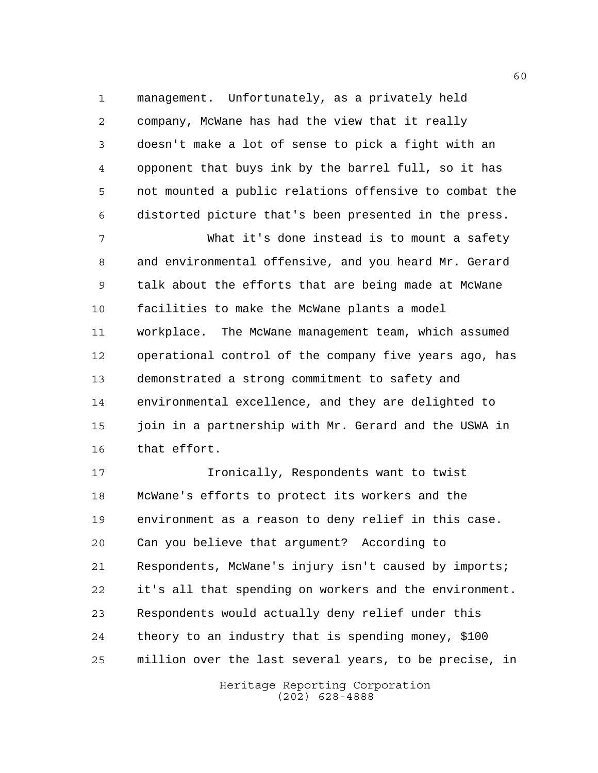management. Unfortunately, as a privately held company, McWane has had the view that it really doesn't make a lot of sense to pick a fight with an opponent that buys ink by the barrel full, so it has not mounted a public relations offensive to combat the distorted picture that's been presented in the press.

 What it's done instead is to mount a safety and environmental offensive, and you heard Mr. Gerard talk about the efforts that are being made at McWane facilities to make the McWane plants a model workplace. The McWane management team, which assumed operational control of the company five years ago, has demonstrated a strong commitment to safety and environmental excellence, and they are delighted to join in a partnership with Mr. Gerard and the USWA in that effort.

 Ironically, Respondents want to twist McWane's efforts to protect its workers and the environment as a reason to deny relief in this case. Can you believe that argument? According to Respondents, McWane's injury isn't caused by imports; it's all that spending on workers and the environment. Respondents would actually deny relief under this theory to an industry that is spending money, \$100 million over the last several years, to be precise, in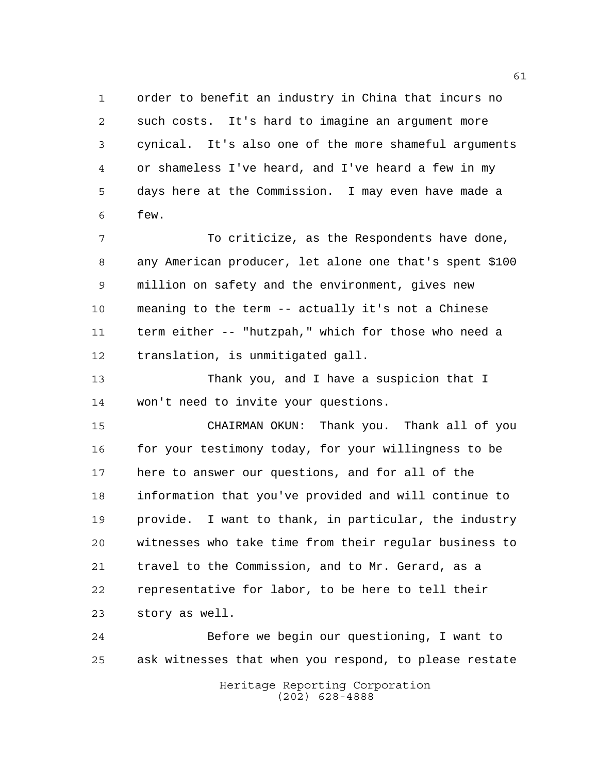order to benefit an industry in China that incurs no such costs. It's hard to imagine an argument more cynical. It's also one of the more shameful arguments or shameless I've heard, and I've heard a few in my days here at the Commission. I may even have made a few.

 To criticize, as the Respondents have done, any American producer, let alone one that's spent \$100 million on safety and the environment, gives new meaning to the term -- actually it's not a Chinese term either -- "hutzpah," which for those who need a translation, is unmitigated gall.

 Thank you, and I have a suspicion that I won't need to invite your questions.

 CHAIRMAN OKUN: Thank you. Thank all of you 16 for your testimony today, for your willingness to be here to answer our questions, and for all of the information that you've provided and will continue to provide. I want to thank, in particular, the industry witnesses who take time from their regular business to travel to the Commission, and to Mr. Gerard, as a representative for labor, to be here to tell their story as well.

Heritage Reporting Corporation Before we begin our questioning, I want to ask witnesses that when you respond, to please restate

(202) 628-4888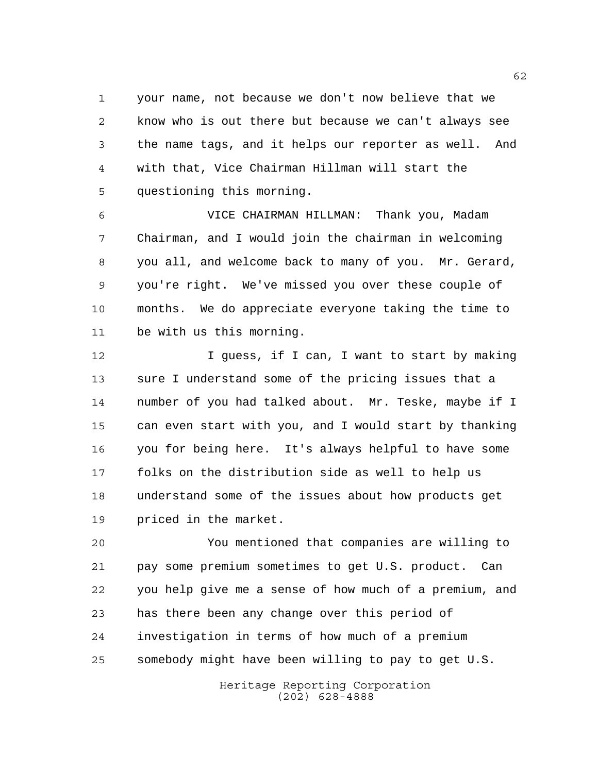your name, not because we don't now believe that we know who is out there but because we can't always see the name tags, and it helps our reporter as well. And with that, Vice Chairman Hillman will start the questioning this morning.

 VICE CHAIRMAN HILLMAN: Thank you, Madam Chairman, and I would join the chairman in welcoming you all, and welcome back to many of you. Mr. Gerard, you're right. We've missed you over these couple of months. We do appreciate everyone taking the time to be with us this morning.

 I guess, if I can, I want to start by making sure I understand some of the pricing issues that a number of you had talked about. Mr. Teske, maybe if I can even start with you, and I would start by thanking you for being here. It's always helpful to have some folks on the distribution side as well to help us understand some of the issues about how products get priced in the market.

 You mentioned that companies are willing to pay some premium sometimes to get U.S. product. Can you help give me a sense of how much of a premium, and has there been any change over this period of investigation in terms of how much of a premium somebody might have been willing to pay to get U.S.

> Heritage Reporting Corporation (202) 628-4888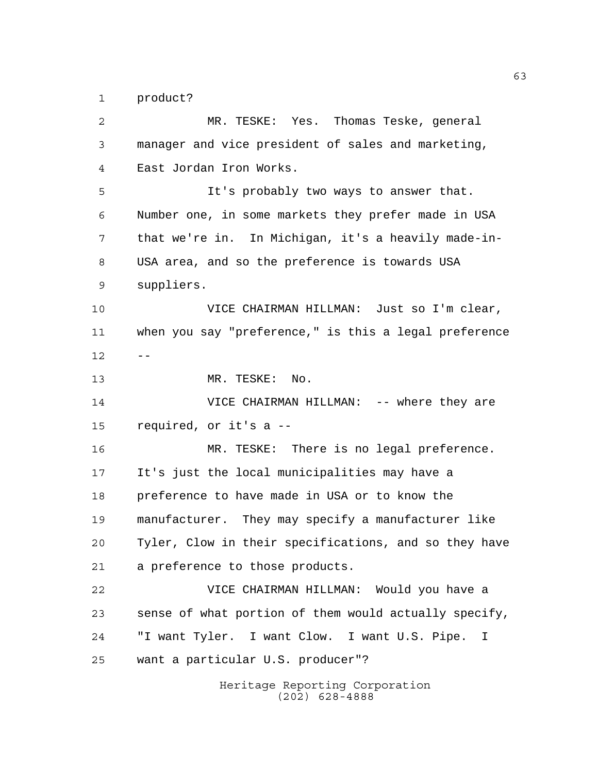product?

Heritage Reporting Corporation (202) 628-4888 MR. TESKE: Yes. Thomas Teske, general manager and vice president of sales and marketing, East Jordan Iron Works. It's probably two ways to answer that. Number one, in some markets they prefer made in USA that we're in. In Michigan, it's a heavily made-in- USA area, and so the preference is towards USA suppliers. VICE CHAIRMAN HILLMAN: Just so I'm clear, when you say "preference," is this a legal preference  $12 - -$  MR. TESKE: No. **VICE CHAIRMAN HILLMAN:** -- where they are required, or it's a -- MR. TESKE: There is no legal preference. It's just the local municipalities may have a preference to have made in USA or to know the manufacturer. They may specify a manufacturer like Tyler, Clow in their specifications, and so they have a preference to those products. VICE CHAIRMAN HILLMAN: Would you have a sense of what portion of them would actually specify, "I want Tyler. I want Clow. I want U.S. Pipe. I want a particular U.S. producer"?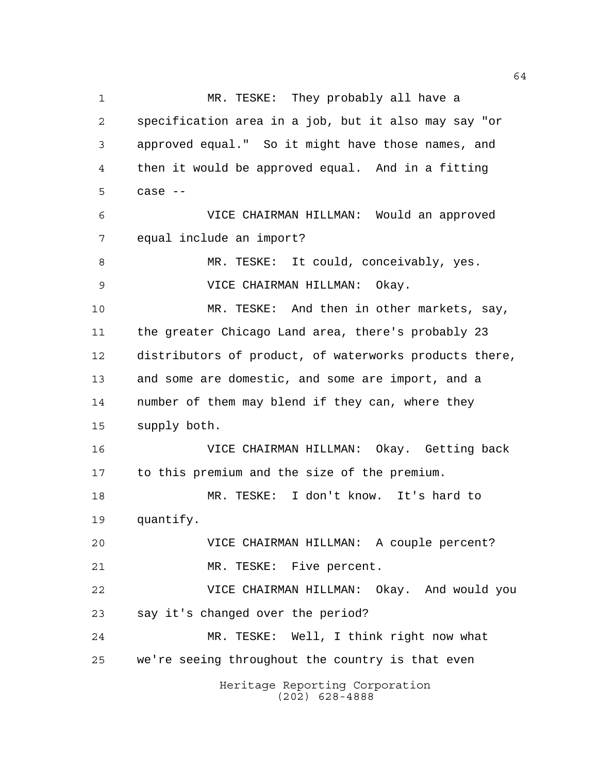Heritage Reporting Corporation (202) 628-4888 MR. TESKE: They probably all have a specification area in a job, but it also may say "or approved equal." So it might have those names, and then it would be approved equal. And in a fitting case  $-$  VICE CHAIRMAN HILLMAN: Would an approved equal include an import? MR. TESKE: It could, conceivably, yes. VICE CHAIRMAN HILLMAN: Okay. MR. TESKE: And then in other markets, say, the greater Chicago Land area, there's probably 23 distributors of product, of waterworks products there, and some are domestic, and some are import, and a number of them may blend if they can, where they supply both. VICE CHAIRMAN HILLMAN: Okay. Getting back to this premium and the size of the premium. MR. TESKE: I don't know. It's hard to quantify. VICE CHAIRMAN HILLMAN: A couple percent? MR. TESKE: Five percent. VICE CHAIRMAN HILLMAN: Okay. And would you say it's changed over the period? MR. TESKE: Well, I think right now what we're seeing throughout the country is that even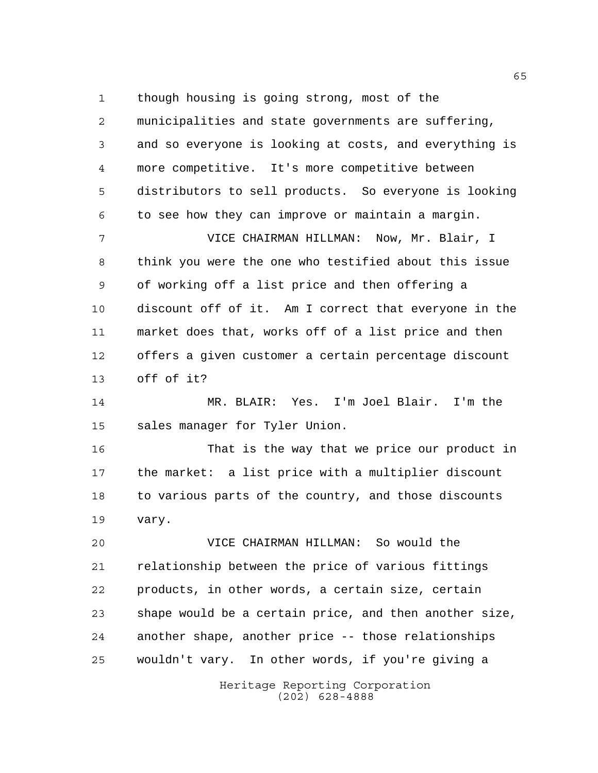though housing is going strong, most of the

 municipalities and state governments are suffering, and so everyone is looking at costs, and everything is more competitive. It's more competitive between distributors to sell products. So everyone is looking to see how they can improve or maintain a margin.

 VICE CHAIRMAN HILLMAN: Now, Mr. Blair, I think you were the one who testified about this issue of working off a list price and then offering a discount off of it. Am I correct that everyone in the market does that, works off of a list price and then offers a given customer a certain percentage discount off of it?

 MR. BLAIR: Yes. I'm Joel Blair. I'm the sales manager for Tyler Union.

 That is the way that we price our product in the market: a list price with a multiplier discount 18 to various parts of the country, and those discounts vary.

 VICE CHAIRMAN HILLMAN: So would the relationship between the price of various fittings products, in other words, a certain size, certain shape would be a certain price, and then another size, another shape, another price -- those relationships wouldn't vary. In other words, if you're giving a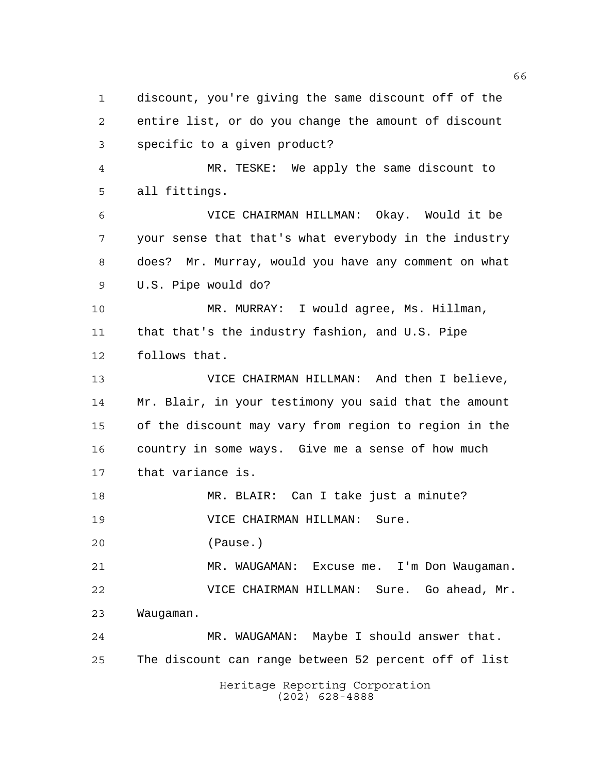Heritage Reporting Corporation discount, you're giving the same discount off of the entire list, or do you change the amount of discount specific to a given product? MR. TESKE: We apply the same discount to all fittings. VICE CHAIRMAN HILLMAN: Okay. Would it be your sense that that's what everybody in the industry does? Mr. Murray, would you have any comment on what U.S. Pipe would do? MR. MURRAY: I would agree, Ms. Hillman, that that's the industry fashion, and U.S. Pipe follows that. VICE CHAIRMAN HILLMAN: And then I believe, Mr. Blair, in your testimony you said that the amount of the discount may vary from region to region in the country in some ways. Give me a sense of how much that variance is. MR. BLAIR: Can I take just a minute? VICE CHAIRMAN HILLMAN: Sure. (Pause.) MR. WAUGAMAN: Excuse me. I'm Don Waugaman. VICE CHAIRMAN HILLMAN: Sure. Go ahead, Mr. Waugaman. MR. WAUGAMAN: Maybe I should answer that. The discount can range between 52 percent off of list

(202) 628-4888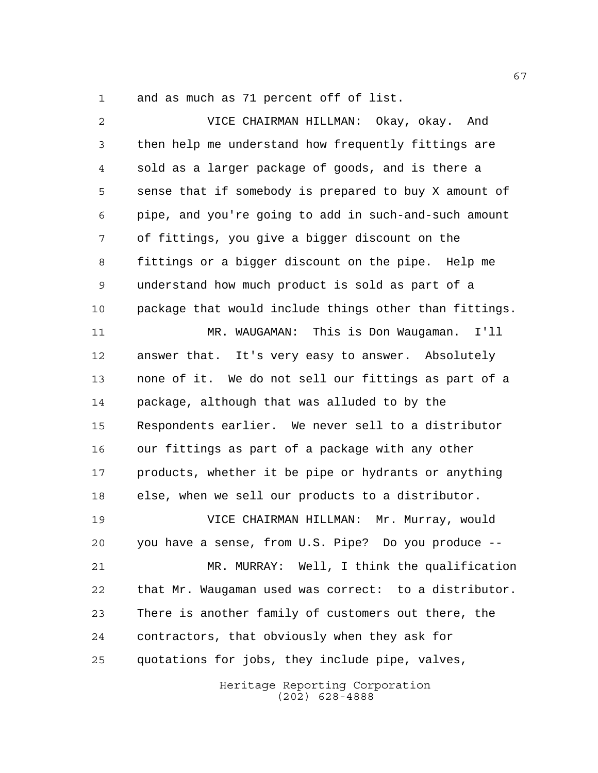and as much as 71 percent off of list.

 VICE CHAIRMAN HILLMAN: Okay, okay. And then help me understand how frequently fittings are sold as a larger package of goods, and is there a sense that if somebody is prepared to buy X amount of pipe, and you're going to add in such-and-such amount of fittings, you give a bigger discount on the fittings or a bigger discount on the pipe. Help me understand how much product is sold as part of a package that would include things other than fittings. MR. WAUGAMAN: This is Don Waugaman. I'll answer that. It's very easy to answer. Absolutely none of it. We do not sell our fittings as part of a package, although that was alluded to by the Respondents earlier. We never sell to a distributor our fittings as part of a package with any other 17 products, whether it be pipe or hydrants or anything else, when we sell our products to a distributor. VICE CHAIRMAN HILLMAN: Mr. Murray, would you have a sense, from U.S. Pipe? Do you produce -- MR. MURRAY: Well, I think the qualification that Mr. Waugaman used was correct: to a distributor. There is another family of customers out there, the contractors, that obviously when they ask for quotations for jobs, they include pipe, valves,

Heritage Reporting Corporation (202) 628-4888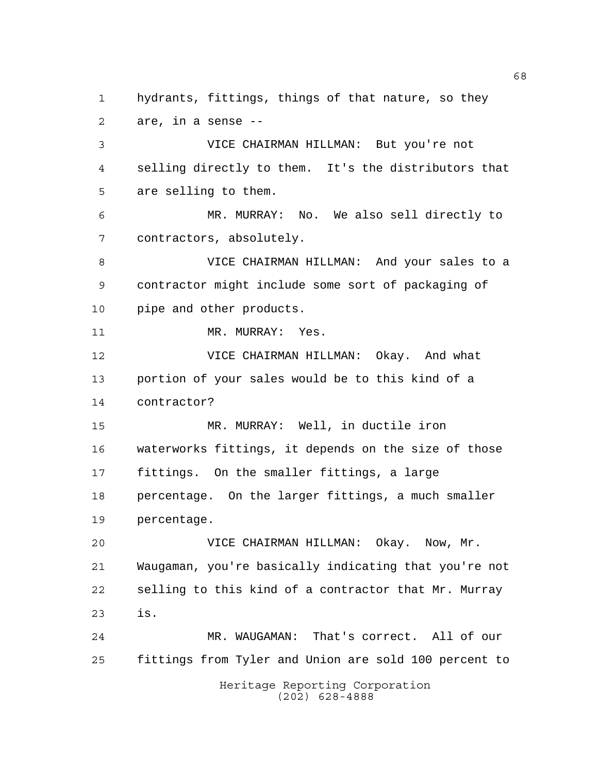Heritage Reporting Corporation hydrants, fittings, things of that nature, so they are, in a sense -- VICE CHAIRMAN HILLMAN: But you're not selling directly to them. It's the distributors that are selling to them. MR. MURRAY: No. We also sell directly to contractors, absolutely. VICE CHAIRMAN HILLMAN: And your sales to a contractor might include some sort of packaging of pipe and other products. 11 MR. MURRAY: Yes. VICE CHAIRMAN HILLMAN: Okay. And what portion of your sales would be to this kind of a contractor? MR. MURRAY: Well, in ductile iron waterworks fittings, it depends on the size of those fittings. On the smaller fittings, a large percentage. On the larger fittings, a much smaller percentage. VICE CHAIRMAN HILLMAN: Okay. Now, Mr. Waugaman, you're basically indicating that you're not selling to this kind of a contractor that Mr. Murray is. MR. WAUGAMAN: That's correct. All of our fittings from Tyler and Union are sold 100 percent to

(202) 628-4888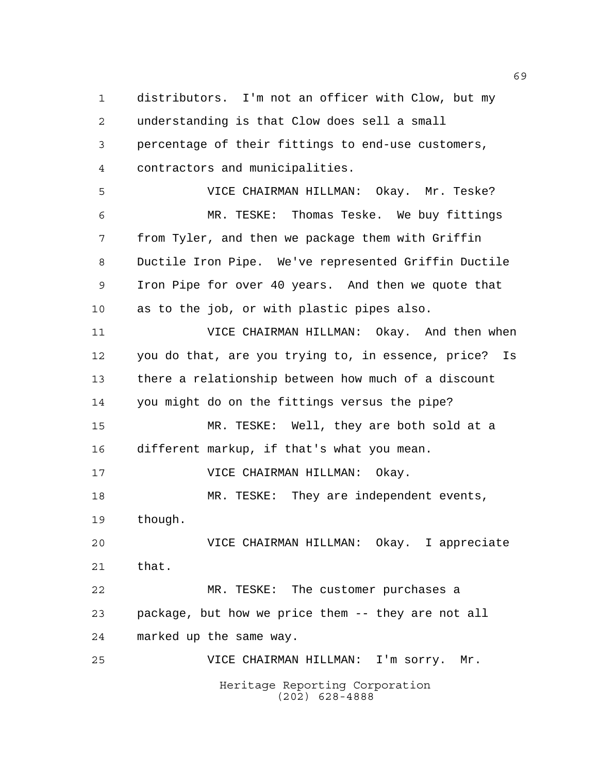distributors. I'm not an officer with Clow, but my understanding is that Clow does sell a small percentage of their fittings to end-use customers, contractors and municipalities.

 VICE CHAIRMAN HILLMAN: Okay. Mr. Teske? MR. TESKE: Thomas Teske. We buy fittings from Tyler, and then we package them with Griffin Ductile Iron Pipe. We've represented Griffin Ductile Iron Pipe for over 40 years. And then we quote that as to the job, or with plastic pipes also.

 VICE CHAIRMAN HILLMAN: Okay. And then when you do that, are you trying to, in essence, price? Is there a relationship between how much of a discount you might do on the fittings versus the pipe? MR. TESKE: Well, they are both sold at a different markup, if that's what you mean. VICE CHAIRMAN HILLMAN: Okay. MR. TESKE: They are independent events, though. VICE CHAIRMAN HILLMAN: Okay. I appreciate that. MR. TESKE: The customer purchases a package, but how we price them -- they are not all

marked up the same way.

Heritage Reporting Corporation (202) 628-4888 VICE CHAIRMAN HILLMAN: I'm sorry. Mr.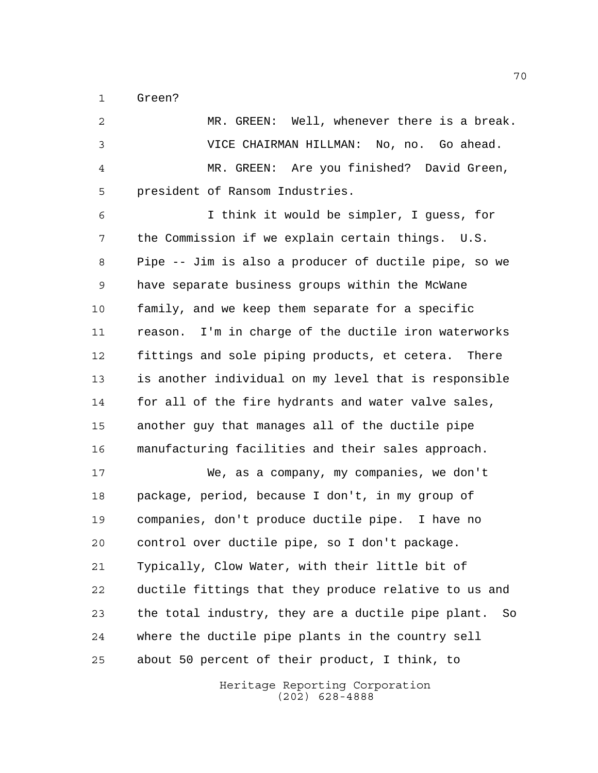Green?

 MR. GREEN: Well, whenever there is a break. VICE CHAIRMAN HILLMAN: No, no. Go ahead. MR. GREEN: Are you finished? David Green, president of Ransom Industries. I think it would be simpler, I guess, for the Commission if we explain certain things. U.S. Pipe -- Jim is also a producer of ductile pipe, so we have separate business groups within the McWane family, and we keep them separate for a specific reason. I'm in charge of the ductile iron waterworks fittings and sole piping products, et cetera. There is another individual on my level that is responsible for all of the fire hydrants and water valve sales, another guy that manages all of the ductile pipe manufacturing facilities and their sales approach. We, as a company, my companies, we don't package, period, because I don't, in my group of companies, don't produce ductile pipe. I have no control over ductile pipe, so I don't package. Typically, Clow Water, with their little bit of ductile fittings that they produce relative to us and the total industry, they are a ductile pipe plant. So where the ductile pipe plants in the country sell about 50 percent of their product, I think, to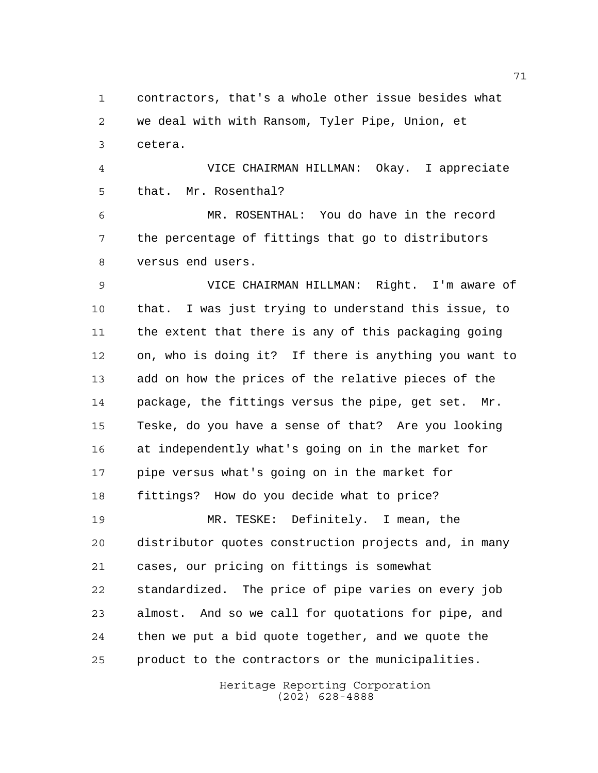contractors, that's a whole other issue besides what we deal with with Ransom, Tyler Pipe, Union, et cetera.

 VICE CHAIRMAN HILLMAN: Okay. I appreciate that. Mr. Rosenthal?

 MR. ROSENTHAL: You do have in the record the percentage of fittings that go to distributors versus end users.

 VICE CHAIRMAN HILLMAN: Right. I'm aware of that. I was just trying to understand this issue, to the extent that there is any of this packaging going on, who is doing it? If there is anything you want to add on how the prices of the relative pieces of the package, the fittings versus the pipe, get set. Mr. Teske, do you have a sense of that? Are you looking at independently what's going on in the market for pipe versus what's going on in the market for fittings? How do you decide what to price? MR. TESKE: Definitely. I mean, the distributor quotes construction projects and, in many cases, our pricing on fittings is somewhat

 standardized. The price of pipe varies on every job almost. And so we call for quotations for pipe, and then we put a bid quote together, and we quote the product to the contractors or the municipalities.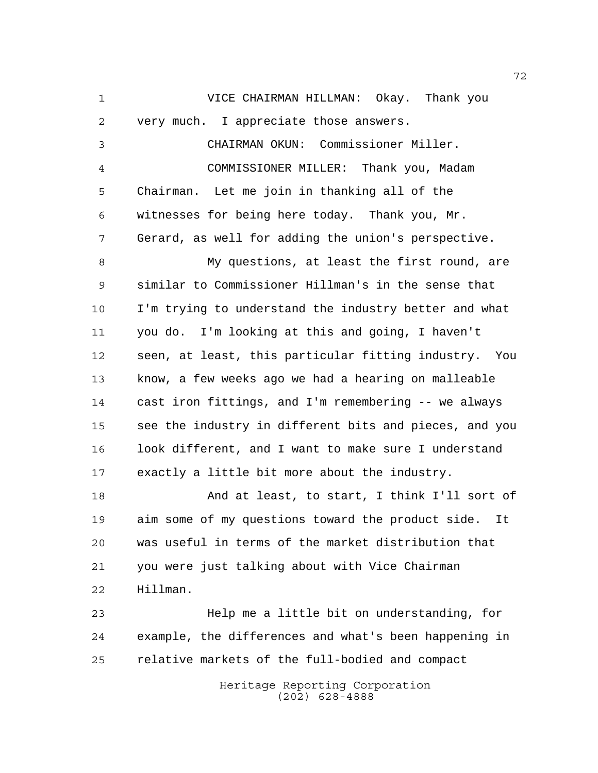Heritage Reporting Corporation VICE CHAIRMAN HILLMAN: Okay. Thank you very much. I appreciate those answers. CHAIRMAN OKUN: Commissioner Miller. COMMISSIONER MILLER: Thank you, Madam Chairman. Let me join in thanking all of the witnesses for being here today. Thank you, Mr. Gerard, as well for adding the union's perspective. My questions, at least the first round, are similar to Commissioner Hillman's in the sense that I'm trying to understand the industry better and what you do. I'm looking at this and going, I haven't seen, at least, this particular fitting industry. You know, a few weeks ago we had a hearing on malleable cast iron fittings, and I'm remembering -- we always see the industry in different bits and pieces, and you look different, and I want to make sure I understand exactly a little bit more about the industry. And at least, to start, I think I'll sort of aim some of my questions toward the product side. It was useful in terms of the market distribution that you were just talking about with Vice Chairman Hillman. Help me a little bit on understanding, for example, the differences and what's been happening in relative markets of the full-bodied and compact

(202) 628-4888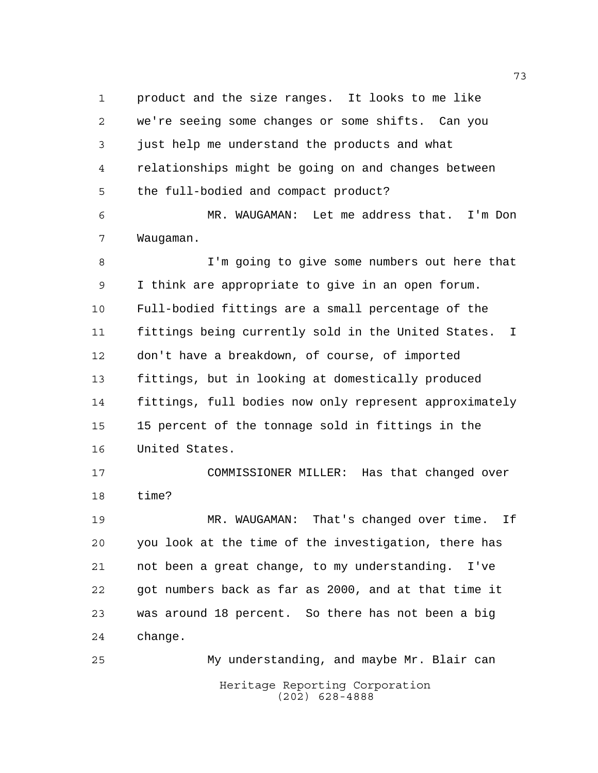product and the size ranges. It looks to me like we're seeing some changes or some shifts. Can you just help me understand the products and what relationships might be going on and changes between the full-bodied and compact product?

 MR. WAUGAMAN: Let me address that. I'm Don Waugaman.

 I'm going to give some numbers out here that I think are appropriate to give in an open forum. Full-bodied fittings are a small percentage of the fittings being currently sold in the United States. I don't have a breakdown, of course, of imported fittings, but in looking at domestically produced fittings, full bodies now only represent approximately 15 percent of the tonnage sold in fittings in the United States.

 COMMISSIONER MILLER: Has that changed over time?

 MR. WAUGAMAN: That's changed over time. If you look at the time of the investigation, there has not been a great change, to my understanding. I've got numbers back as far as 2000, and at that time it was around 18 percent. So there has not been a big change.

Heritage Reporting Corporation (202) 628-4888 My understanding, and maybe Mr. Blair can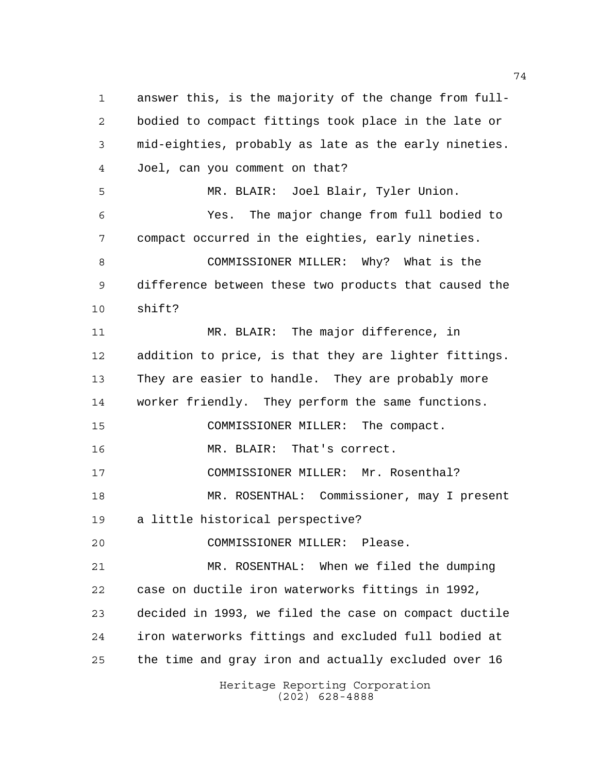Heritage Reporting Corporation (202) 628-4888 answer this, is the majority of the change from full- bodied to compact fittings took place in the late or mid-eighties, probably as late as the early nineties. Joel, can you comment on that? MR. BLAIR: Joel Blair, Tyler Union. Yes. The major change from full bodied to compact occurred in the eighties, early nineties. COMMISSIONER MILLER: Why? What is the difference between these two products that caused the shift? MR. BLAIR: The major difference, in addition to price, is that they are lighter fittings. They are easier to handle. They are probably more worker friendly. They perform the same functions. COMMISSIONER MILLER: The compact. MR. BLAIR: That's correct. COMMISSIONER MILLER: Mr. Rosenthal? MR. ROSENTHAL: Commissioner, may I present a little historical perspective? COMMISSIONER MILLER: Please. MR. ROSENTHAL: When we filed the dumping case on ductile iron waterworks fittings in 1992, decided in 1993, we filed the case on compact ductile iron waterworks fittings and excluded full bodied at the time and gray iron and actually excluded over 16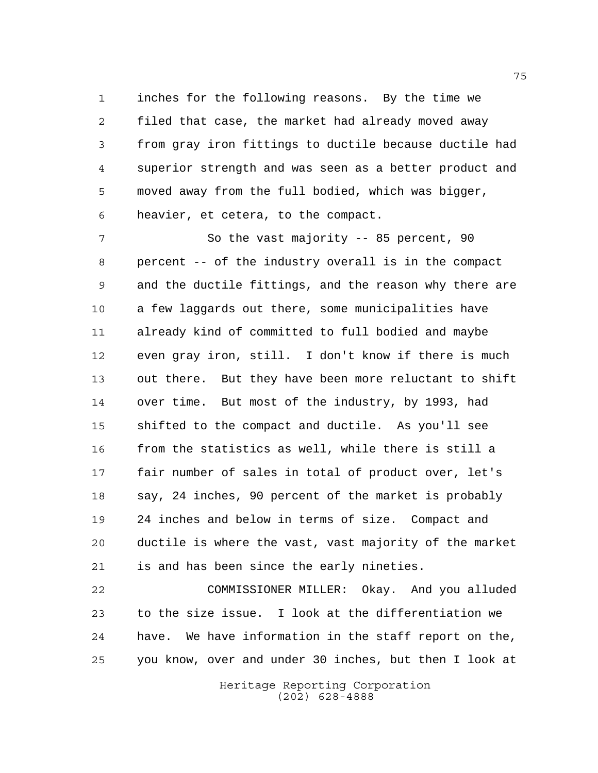inches for the following reasons. By the time we filed that case, the market had already moved away from gray iron fittings to ductile because ductile had superior strength and was seen as a better product and moved away from the full bodied, which was bigger, heavier, et cetera, to the compact.

7 So the vast majority -- 85 percent, 90 percent -- of the industry overall is in the compact and the ductile fittings, and the reason why there are a few laggards out there, some municipalities have already kind of committed to full bodied and maybe even gray iron, still. I don't know if there is much out there. But they have been more reluctant to shift over time. But most of the industry, by 1993, had shifted to the compact and ductile. As you'll see from the statistics as well, while there is still a fair number of sales in total of product over, let's say, 24 inches, 90 percent of the market is probably 24 inches and below in terms of size. Compact and ductile is where the vast, vast majority of the market is and has been since the early nineties.

 COMMISSIONER MILLER: Okay. And you alluded to the size issue. I look at the differentiation we have. We have information in the staff report on the, you know, over and under 30 inches, but then I look at

> Heritage Reporting Corporation (202) 628-4888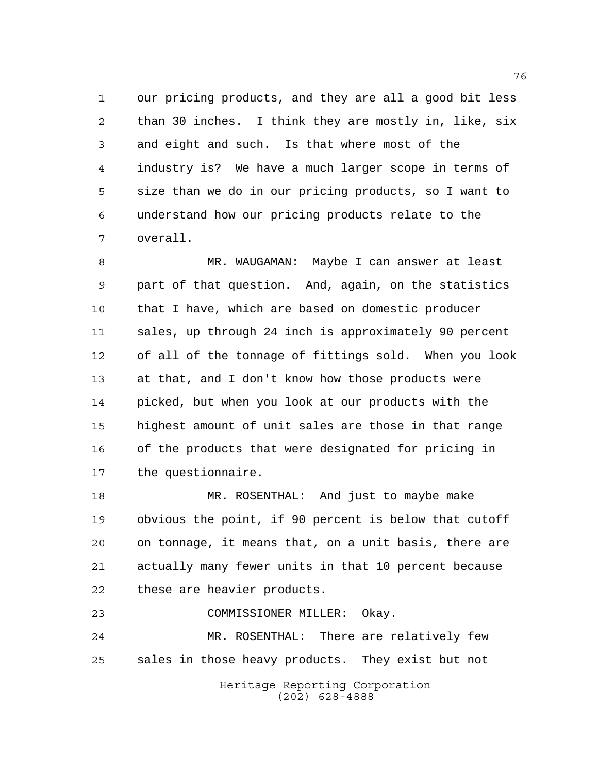our pricing products, and they are all a good bit less than 30 inches. I think they are mostly in, like, six and eight and such. Is that where most of the industry is? We have a much larger scope in terms of size than we do in our pricing products, so I want to understand how our pricing products relate to the overall.

 MR. WAUGAMAN: Maybe I can answer at least part of that question. And, again, on the statistics that I have, which are based on domestic producer sales, up through 24 inch is approximately 90 percent of all of the tonnage of fittings sold. When you look at that, and I don't know how those products were picked, but when you look at our products with the highest amount of unit sales are those in that range of the products that were designated for pricing in the questionnaire.

 MR. ROSENTHAL: And just to maybe make obvious the point, if 90 percent is below that cutoff on tonnage, it means that, on a unit basis, there are actually many fewer units in that 10 percent because these are heavier products.

COMMISSIONER MILLER: Okay.

 MR. ROSENTHAL: There are relatively few sales in those heavy products. They exist but not

> Heritage Reporting Corporation (202) 628-4888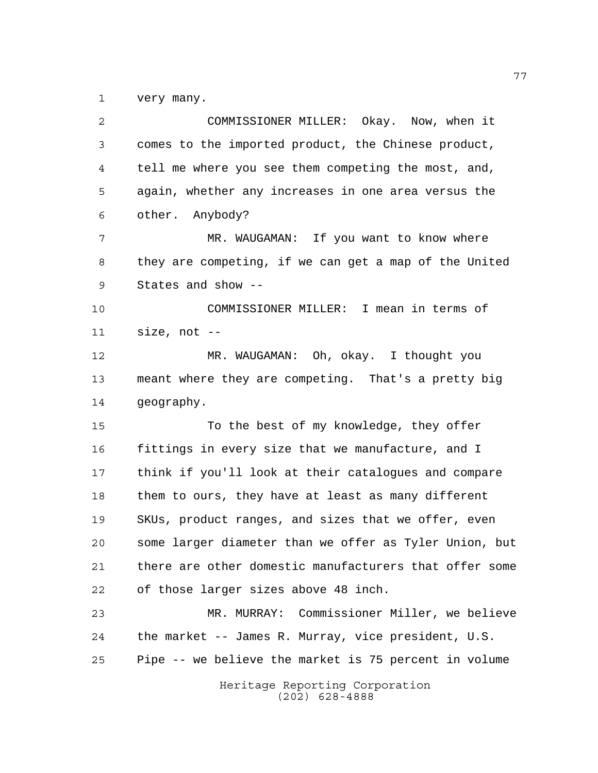very many.

Heritage Reporting Corporation (202) 628-4888 COMMISSIONER MILLER: Okay. Now, when it comes to the imported product, the Chinese product, tell me where you see them competing the most, and, again, whether any increases in one area versus the other. Anybody? MR. WAUGAMAN: If you want to know where they are competing, if we can get a map of the United States and show -- COMMISSIONER MILLER: I mean in terms of size, not -- MR. WAUGAMAN: Oh, okay. I thought you meant where they are competing. That's a pretty big geography. To the best of my knowledge, they offer fittings in every size that we manufacture, and I think if you'll look at their catalogues and compare them to ours, they have at least as many different SKUs, product ranges, and sizes that we offer, even some larger diameter than we offer as Tyler Union, but there are other domestic manufacturers that offer some of those larger sizes above 48 inch. MR. MURRAY: Commissioner Miller, we believe the market -- James R. Murray, vice president, U.S. Pipe -- we believe the market is 75 percent in volume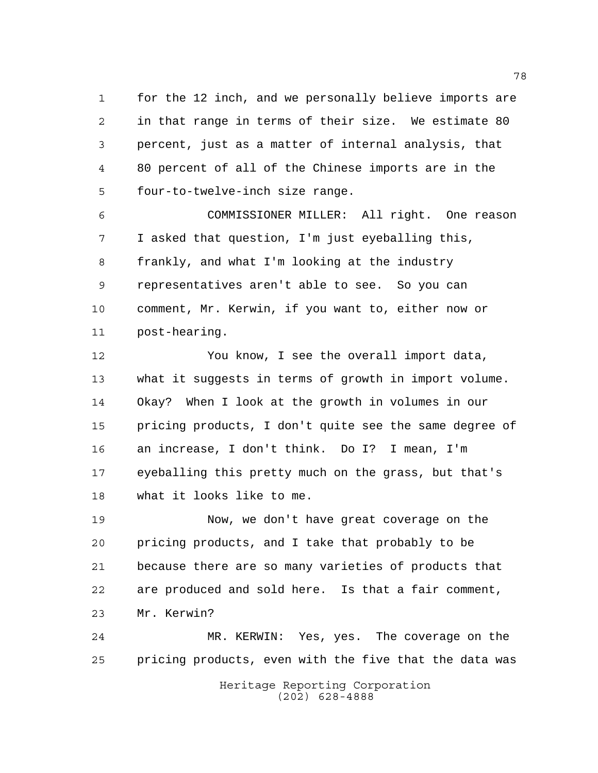for the 12 inch, and we personally believe imports are in that range in terms of their size. We estimate 80 percent, just as a matter of internal analysis, that 80 percent of all of the Chinese imports are in the four-to-twelve-inch size range.

 COMMISSIONER MILLER: All right. One reason I asked that question, I'm just eyeballing this, frankly, and what I'm looking at the industry representatives aren't able to see. So you can comment, Mr. Kerwin, if you want to, either now or post-hearing.

 You know, I see the overall import data, what it suggests in terms of growth in import volume. Okay? When I look at the growth in volumes in our pricing products, I don't quite see the same degree of an increase, I don't think. Do I? I mean, I'm eyeballing this pretty much on the grass, but that's what it looks like to me.

 Now, we don't have great coverage on the pricing products, and I take that probably to be because there are so many varieties of products that are produced and sold here. Is that a fair comment, Mr. Kerwin?

 MR. KERWIN: Yes, yes. The coverage on the pricing products, even with the five that the data was

> Heritage Reporting Corporation (202) 628-4888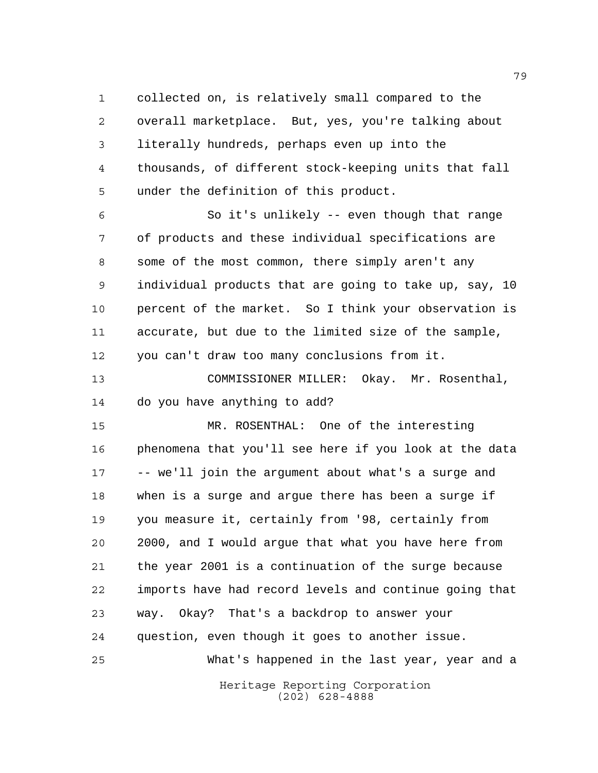collected on, is relatively small compared to the overall marketplace. But, yes, you're talking about literally hundreds, perhaps even up into the thousands, of different stock-keeping units that fall under the definition of this product.

 So it's unlikely -- even though that range of products and these individual specifications are some of the most common, there simply aren't any individual products that are going to take up, say, 10 percent of the market. So I think your observation is accurate, but due to the limited size of the sample, you can't draw too many conclusions from it.

 COMMISSIONER MILLER: Okay. Mr. Rosenthal, do you have anything to add?

 MR. ROSENTHAL: One of the interesting phenomena that you'll see here if you look at the data -- we'll join the argument about what's a surge and when is a surge and argue there has been a surge if you measure it, certainly from '98, certainly from 2000, and I would argue that what you have here from the year 2001 is a continuation of the surge because imports have had record levels and continue going that way. Okay? That's a backdrop to answer your question, even though it goes to another issue. What's happened in the last year, year and a

Heritage Reporting Corporation (202) 628-4888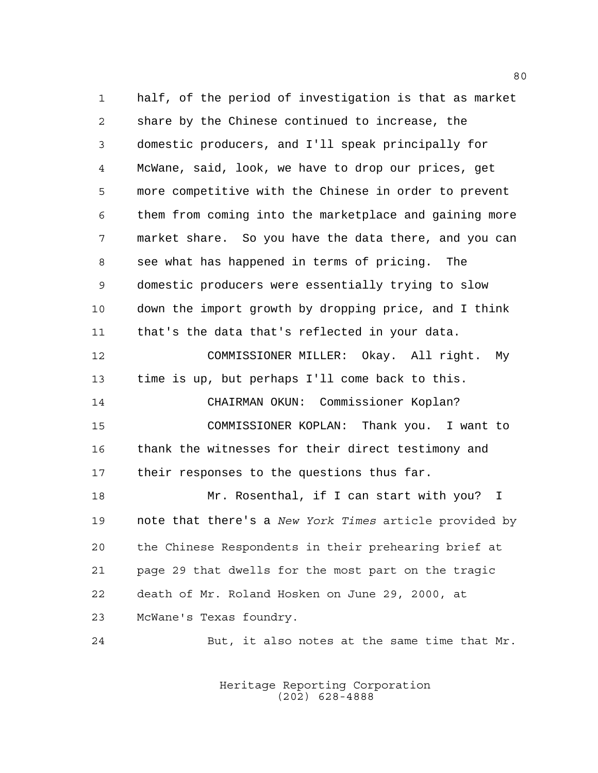half, of the period of investigation is that as market share by the Chinese continued to increase, the domestic producers, and I'll speak principally for McWane, said, look, we have to drop our prices, get more competitive with the Chinese in order to prevent them from coming into the marketplace and gaining more market share. So you have the data there, and you can see what has happened in terms of pricing. The domestic producers were essentially trying to slow down the import growth by dropping price, and I think that's the data that's reflected in your data. COMMISSIONER MILLER: Okay. All right. My time is up, but perhaps I'll come back to this. CHAIRMAN OKUN: Commissioner Koplan? COMMISSIONER KOPLAN: Thank you. I want to 16 thank the witnesses for their direct testimony and their responses to the questions thus far. 18 Mr. Rosenthal, if I can start with you? I note that there's a *New York Times* article provided by the Chinese Respondents in their prehearing brief at page 29 that dwells for the most part on the tragic death of Mr. Roland Hosken on June 29, 2000, at McWane's Texas foundry.

But, it also notes at the same time that Mr.

Heritage Reporting Corporation (202) 628-4888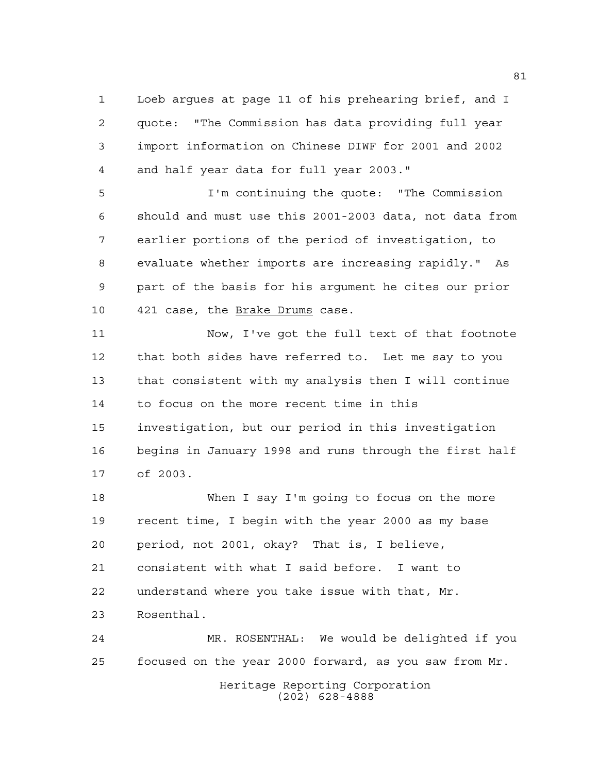Loeb argues at page 11 of his prehearing brief, and I quote: "The Commission has data providing full year import information on Chinese DIWF for 2001 and 2002 and half year data for full year 2003."

 I'm continuing the quote: "The Commission should and must use this 2001-2003 data, not data from earlier portions of the period of investigation, to evaluate whether imports are increasing rapidly." As part of the basis for his argument he cites our prior 10 421 case, the Brake Drums case.

 Now, I've got the full text of that footnote that both sides have referred to. Let me say to you that consistent with my analysis then I will continue to focus on the more recent time in this investigation, but our period in this investigation begins in January 1998 and runs through the first half of 2003.

 When I say I'm going to focus on the more recent time, I begin with the year 2000 as my base period, not 2001, okay? That is, I believe, consistent with what I said before. I want to understand where you take issue with that, Mr. Rosenthal.

Heritage Reporting Corporation MR. ROSENTHAL: We would be delighted if you focused on the year 2000 forward, as you saw from Mr.

(202) 628-4888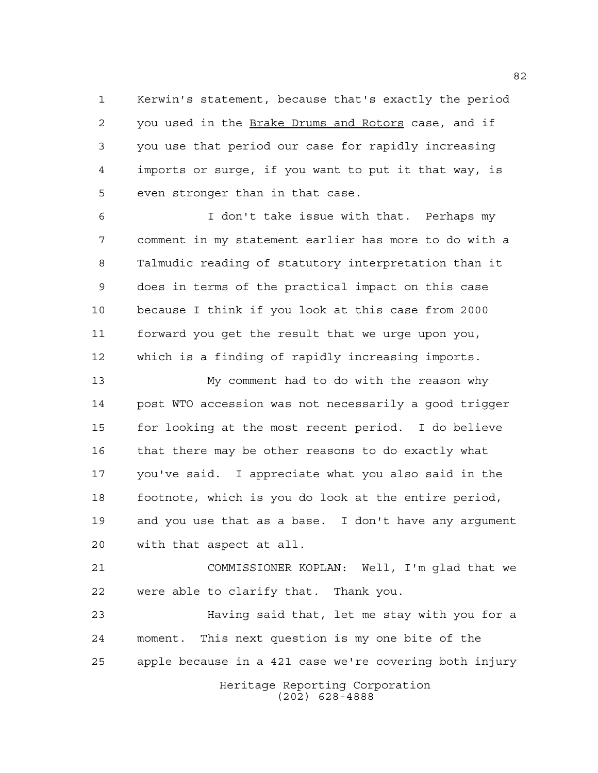Kerwin's statement, because that's exactly the period you used in the Brake Drums and Rotors case, and if you use that period our case for rapidly increasing imports or surge, if you want to put it that way, is even stronger than in that case.

 I don't take issue with that. Perhaps my comment in my statement earlier has more to do with a Talmudic reading of statutory interpretation than it does in terms of the practical impact on this case because I think if you look at this case from 2000 forward you get the result that we urge upon you, which is a finding of rapidly increasing imports.

 My comment had to do with the reason why post WTO accession was not necessarily a good trigger for looking at the most recent period. I do believe that there may be other reasons to do exactly what you've said. I appreciate what you also said in the footnote, which is you do look at the entire period, and you use that as a base. I don't have any argument with that aspect at all.

 COMMISSIONER KOPLAN: Well, I'm glad that we were able to clarify that. Thank you.

Heritage Reporting Corporation Having said that, let me stay with you for a moment. This next question is my one bite of the apple because in a 421 case we're covering both injury

(202) 628-4888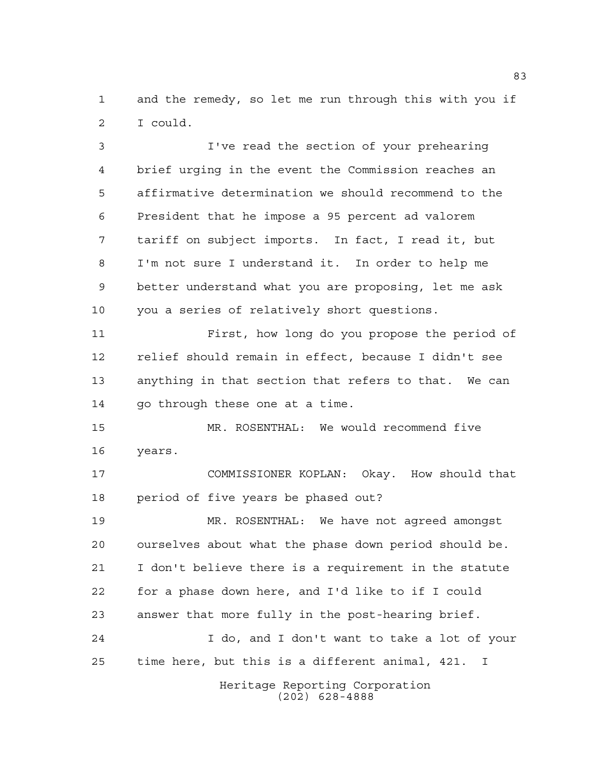and the remedy, so let me run through this with you if I could.

 I've read the section of your prehearing brief urging in the event the Commission reaches an affirmative determination we should recommend to the President that he impose a 95 percent ad valorem tariff on subject imports. In fact, I read it, but I'm not sure I understand it. In order to help me better understand what you are proposing, let me ask you a series of relatively short questions.

 First, how long do you propose the period of relief should remain in effect, because I didn't see anything in that section that refers to that. We can 14 go through these one at a time.

 MR. ROSENTHAL: We would recommend five years.

 COMMISSIONER KOPLAN: Okay. How should that period of five years be phased out?

 MR. ROSENTHAL: We have not agreed amongst ourselves about what the phase down period should be. I don't believe there is a requirement in the statute for a phase down here, and I'd like to if I could answer that more fully in the post-hearing brief. I do, and I don't want to take a lot of your time here, but this is a different animal, 421. I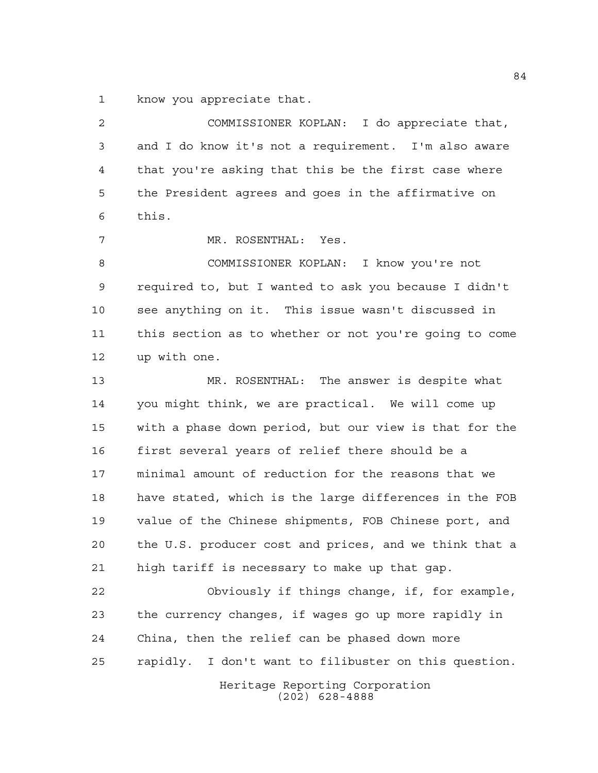know you appreciate that.

Heritage Reporting Corporation (202) 628-4888 COMMISSIONER KOPLAN: I do appreciate that, and I do know it's not a requirement. I'm also aware that you're asking that this be the first case where the President agrees and goes in the affirmative on this. MR. ROSENTHAL: Yes. COMMISSIONER KOPLAN: I know you're not required to, but I wanted to ask you because I didn't see anything on it. This issue wasn't discussed in this section as to whether or not you're going to come up with one. MR. ROSENTHAL: The answer is despite what you might think, we are practical. We will come up with a phase down period, but our view is that for the first several years of relief there should be a minimal amount of reduction for the reasons that we have stated, which is the large differences in the FOB value of the Chinese shipments, FOB Chinese port, and the U.S. producer cost and prices, and we think that a high tariff is necessary to make up that gap. Obviously if things change, if, for example, the currency changes, if wages go up more rapidly in China, then the relief can be phased down more rapidly. I don't want to filibuster on this question.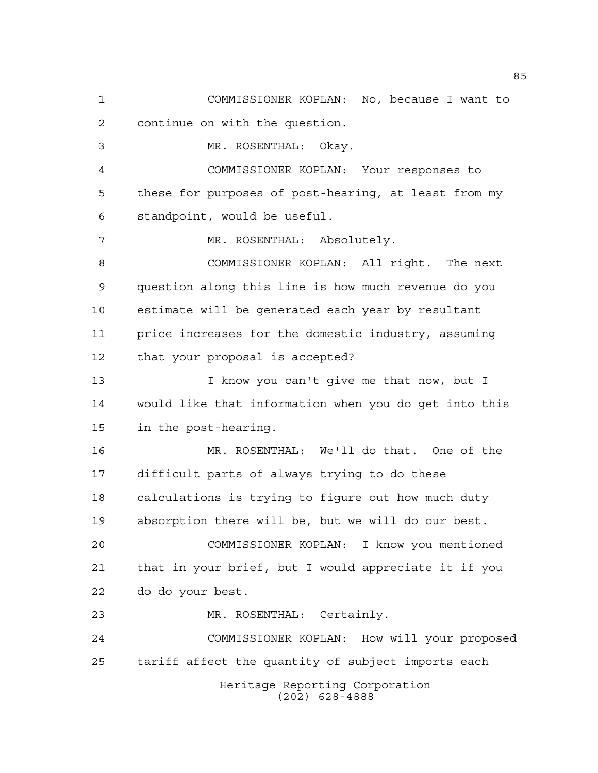Heritage Reporting Corporation (202) 628-4888 COMMISSIONER KOPLAN: No, because I want to continue on with the question. MR. ROSENTHAL: Okay. COMMISSIONER KOPLAN: Your responses to these for purposes of post-hearing, at least from my standpoint, would be useful. 7 MR. ROSENTHAL: Absolutely. COMMISSIONER KOPLAN: All right. The next question along this line is how much revenue do you estimate will be generated each year by resultant price increases for the domestic industry, assuming that your proposal is accepted? 13 I know you can't give me that now, but I would like that information when you do get into this in the post-hearing. MR. ROSENTHAL: We'll do that. One of the difficult parts of always trying to do these calculations is trying to figure out how much duty absorption there will be, but we will do our best. COMMISSIONER KOPLAN: I know you mentioned that in your brief, but I would appreciate it if you do do your best. MR. ROSENTHAL: Certainly. COMMISSIONER KOPLAN: How will your proposed tariff affect the quantity of subject imports each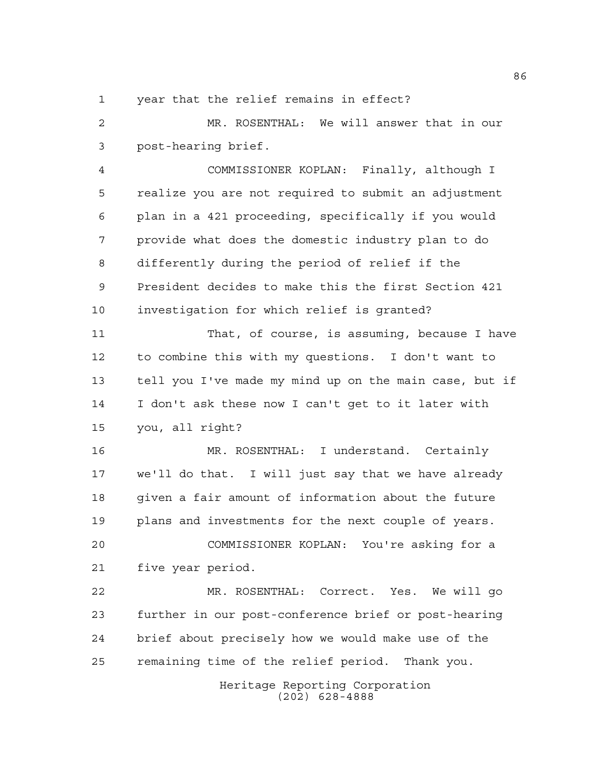## year that the relief remains in effect?

 MR. ROSENTHAL: We will answer that in our post-hearing brief.

 COMMISSIONER KOPLAN: Finally, although I realize you are not required to submit an adjustment plan in a 421 proceeding, specifically if you would provide what does the domestic industry plan to do differently during the period of relief if the President decides to make this the first Section 421 investigation for which relief is granted?

 That, of course, is assuming, because I have to combine this with my questions. I don't want to tell you I've made my mind up on the main case, but if I don't ask these now I can't get to it later with you, all right?

 MR. ROSENTHAL: I understand. Certainly we'll do that. I will just say that we have already given a fair amount of information about the future plans and investments for the next couple of years.

 COMMISSIONER KOPLAN: You're asking for a five year period.

 MR. ROSENTHAL: Correct. Yes. We will go further in our post-conference brief or post-hearing brief about precisely how we would make use of the remaining time of the relief period. Thank you.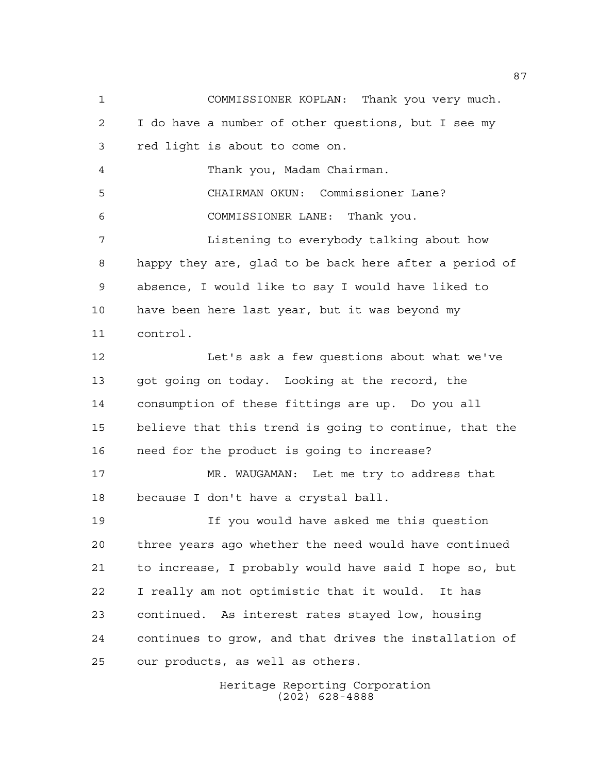COMMISSIONER KOPLAN: Thank you very much. I do have a number of other questions, but I see my red light is about to come on. Thank you, Madam Chairman. CHAIRMAN OKUN: Commissioner Lane? COMMISSIONER LANE: Thank you. Listening to everybody talking about how happy they are, glad to be back here after a period of absence, I would like to say I would have liked to have been here last year, but it was beyond my control. 12 Let's ask a few questions about what we've got going on today. Looking at the record, the consumption of these fittings are up. Do you all believe that this trend is going to continue, that the need for the product is going to increase? MR. WAUGAMAN: Let me try to address that because I don't have a crystal ball. If you would have asked me this question three years ago whether the need would have continued to increase, I probably would have said I hope so, but I really am not optimistic that it would. It has continued. As interest rates stayed low, housing continues to grow, and that drives the installation of our products, as well as others.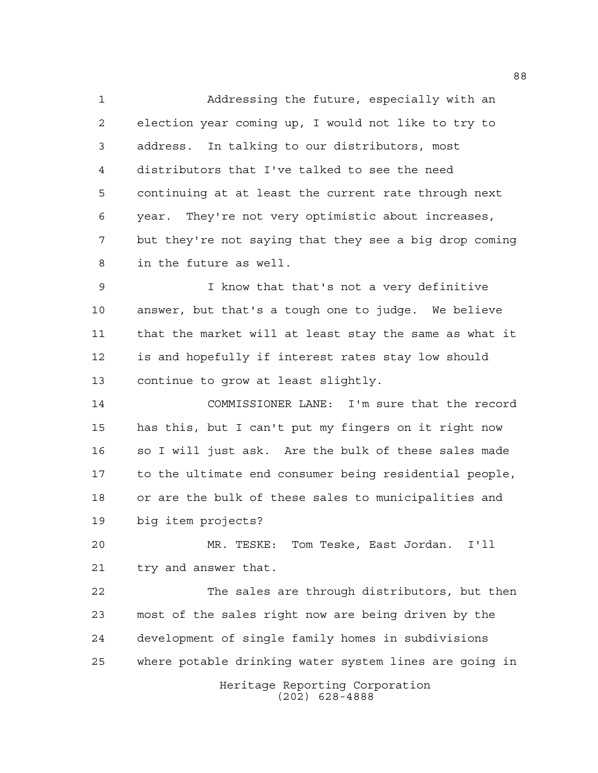Addressing the future, especially with an election year coming up, I would not like to try to address. In talking to our distributors, most distributors that I've talked to see the need continuing at at least the current rate through next year. They're not very optimistic about increases, but they're not saying that they see a big drop coming in the future as well.

 I know that that's not a very definitive answer, but that's a tough one to judge. We believe that the market will at least stay the same as what it is and hopefully if interest rates stay low should continue to grow at least slightly.

 COMMISSIONER LANE: I'm sure that the record has this, but I can't put my fingers on it right now so I will just ask. Are the bulk of these sales made to the ultimate end consumer being residential people, or are the bulk of these sales to municipalities and big item projects?

 MR. TESKE: Tom Teske, East Jordan. I'll try and answer that.

Heritage Reporting Corporation The sales are through distributors, but then most of the sales right now are being driven by the development of single family homes in subdivisions where potable drinking water system lines are going in

(202) 628-4888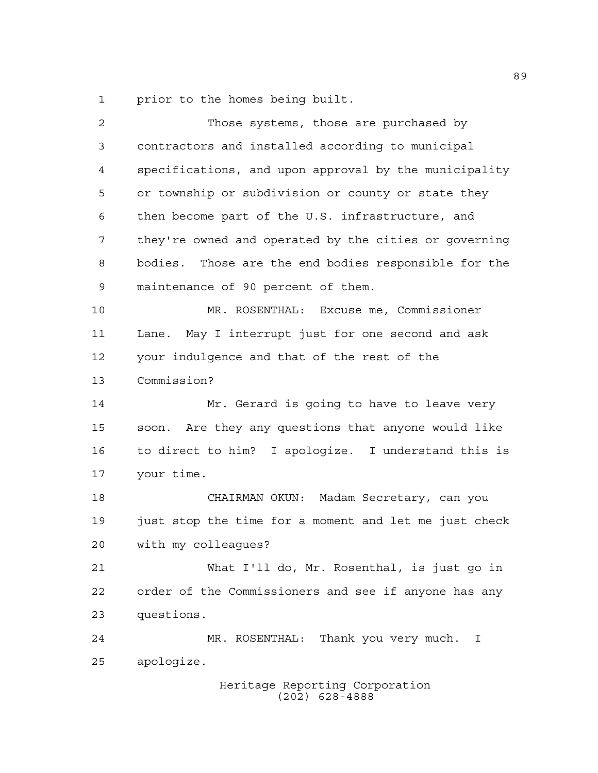prior to the homes being built.

| 2  | Those systems, those are purchased by                 |
|----|-------------------------------------------------------|
| 3  | contractors and installed according to municipal      |
| 4  | specifications, and upon approval by the municipality |
| 5  | or township or subdivision or county or state they    |
| 6  | then become part of the U.S. infrastructure, and      |
| 7  | they're owned and operated by the cities or governing |
| 8  | bodies. Those are the end bodies responsible for the  |
| 9  | maintenance of 90 percent of them.                    |
| 10 | MR. ROSENTHAL: Excuse me, Commissioner                |
| 11 | Lane. May I interrupt just for one second and ask     |
| 12 | your indulgence and that of the rest of the           |
| 13 | Commission?                                           |
| 14 | Mr. Gerard is going to have to leave very             |
| 15 | soon. Are they any questions that anyone would like   |
| 16 | to direct to him? I apologize. I understand this is   |
| 17 | your time.                                            |
| 18 | CHAIRMAN OKUN: Madam Secretary, can you               |
| 19 | just stop the time for a moment and let me just check |
| 20 | with my colleagues?                                   |
| 21 | What I'll do, Mr. Rosenthal, is just go in            |
| 22 | order of the Commissioners and see if anyone has any  |
| 23 | questions.                                            |
| 24 | MR. ROSENTHAL: Thank you very much.<br>I              |
| 25 | apologize.                                            |
|    | Heritage Reporting Corporation<br>$(202)$ 628-4888    |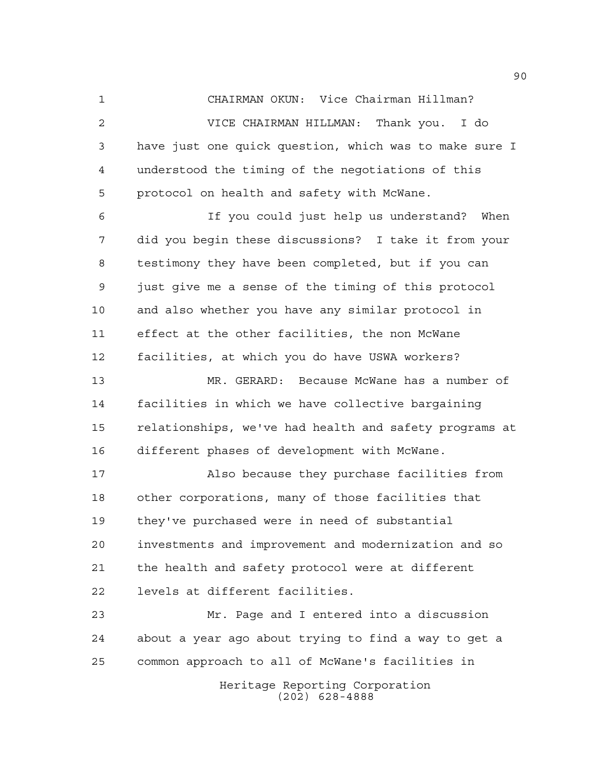CHAIRMAN OKUN: Vice Chairman Hillman? VICE CHAIRMAN HILLMAN: Thank you. I do

 have just one quick question, which was to make sure I understood the timing of the negotiations of this protocol on health and safety with McWane.

 If you could just help us understand? When did you begin these discussions? I take it from your testimony they have been completed, but if you can just give me a sense of the timing of this protocol and also whether you have any similar protocol in effect at the other facilities, the non McWane facilities, at which you do have USWA workers?

 MR. GERARD: Because McWane has a number of facilities in which we have collective bargaining relationships, we've had health and safety programs at different phases of development with McWane.

 Also because they purchase facilities from other corporations, many of those facilities that they've purchased were in need of substantial investments and improvement and modernization and so the health and safety protocol were at different levels at different facilities.

 Mr. Page and I entered into a discussion about a year ago about trying to find a way to get a common approach to all of McWane's facilities in

> Heritage Reporting Corporation (202) 628-4888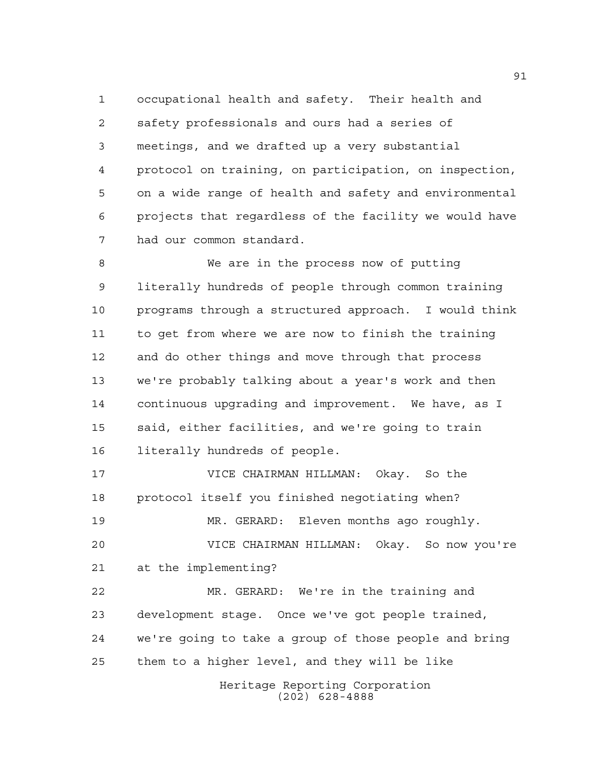occupational health and safety. Their health and safety professionals and ours had a series of meetings, and we drafted up a very substantial protocol on training, on participation, on inspection, on a wide range of health and safety and environmental projects that regardless of the facility we would have had our common standard.

 We are in the process now of putting literally hundreds of people through common training programs through a structured approach. I would think to get from where we are now to finish the training and do other things and move through that process we're probably talking about a year's work and then continuous upgrading and improvement. We have, as I said, either facilities, and we're going to train literally hundreds of people.

 VICE CHAIRMAN HILLMAN: Okay. So the protocol itself you finished negotiating when? MR. GERARD: Eleven months ago roughly.

 VICE CHAIRMAN HILLMAN: Okay. So now you're at the implementing?

 MR. GERARD: We're in the training and development stage. Once we've got people trained, we're going to take a group of those people and bring them to a higher level, and they will be like

> Heritage Reporting Corporation (202) 628-4888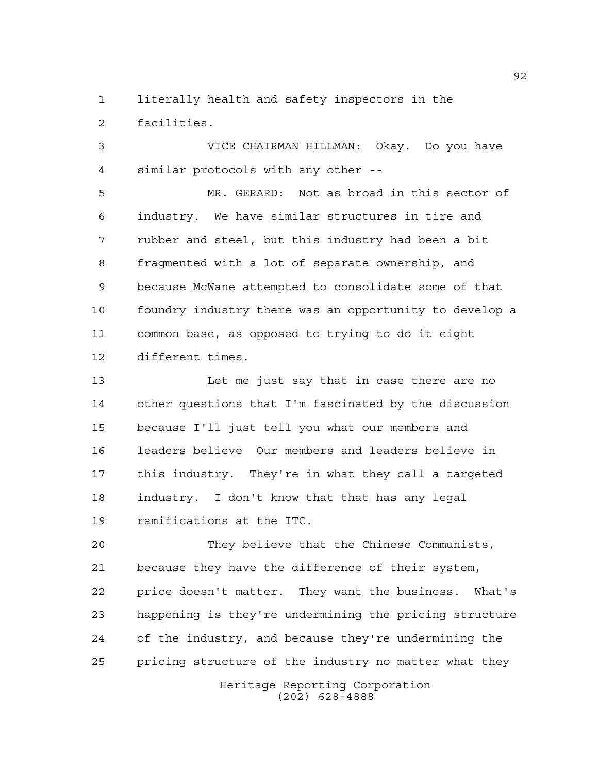literally health and safety inspectors in the facilities.

 VICE CHAIRMAN HILLMAN: Okay. Do you have similar protocols with any other --

 MR. GERARD: Not as broad in this sector of industry. We have similar structures in tire and rubber and steel, but this industry had been a bit fragmented with a lot of separate ownership, and because McWane attempted to consolidate some of that foundry industry there was an opportunity to develop a common base, as opposed to trying to do it eight different times.

 Let me just say that in case there are no other questions that I'm fascinated by the discussion because I'll just tell you what our members and leaders believe Our members and leaders believe in this industry. They're in what they call a targeted industry. I don't know that that has any legal ramifications at the ITC.

 They believe that the Chinese Communists, because they have the difference of their system, price doesn't matter. They want the business. What's happening is they're undermining the pricing structure of the industry, and because they're undermining the pricing structure of the industry no matter what they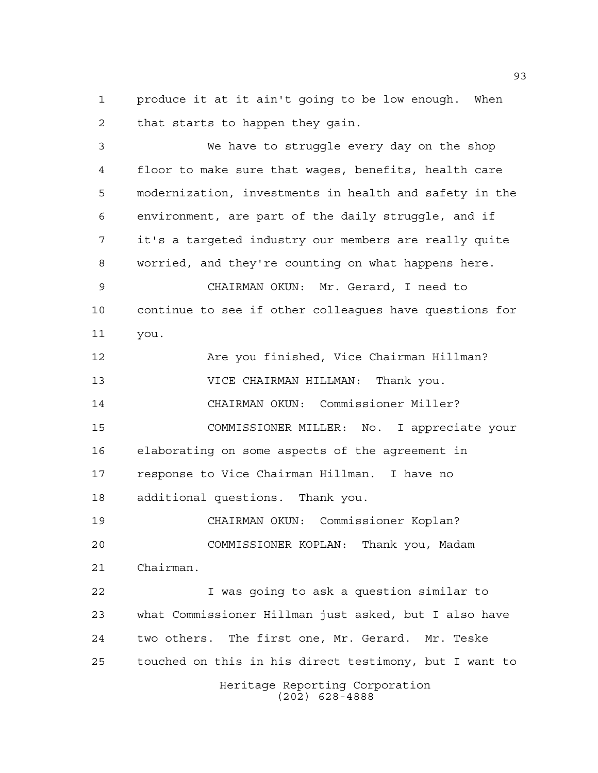produce it at it ain't going to be low enough. When that starts to happen they gain.

 We have to struggle every day on the shop floor to make sure that wages, benefits, health care modernization, investments in health and safety in the environment, are part of the daily struggle, and if it's a targeted industry our members are really quite worried, and they're counting on what happens here. CHAIRMAN OKUN: Mr. Gerard, I need to continue to see if other colleagues have questions for you. Are you finished, Vice Chairman Hillman? VICE CHAIRMAN HILLMAN: Thank you. CHAIRMAN OKUN: Commissioner Miller? COMMISSIONER MILLER: No. I appreciate your elaborating on some aspects of the agreement in response to Vice Chairman Hillman. I have no additional questions. Thank you. CHAIRMAN OKUN: Commissioner Koplan? COMMISSIONER KOPLAN: Thank you, Madam Chairman. I was going to ask a question similar to what Commissioner Hillman just asked, but I also have two others. The first one, Mr. Gerard. Mr. Teske touched on this in his direct testimony, but I want to

> Heritage Reporting Corporation (202) 628-4888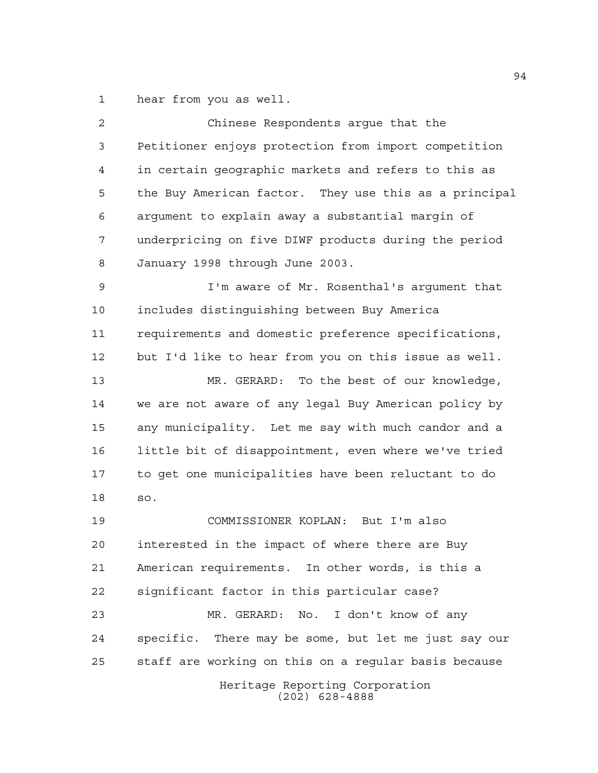hear from you as well.

| 2  | Chinese Respondents arque that the                    |
|----|-------------------------------------------------------|
| 3  | Petitioner enjoys protection from import competition  |
| 4  | in certain geographic markets and refers to this as   |
| 5  | the Buy American factor. They use this as a principal |
| 6  | argument to explain away a substantial margin of      |
| 7  | underpricing on five DIWF products during the period  |
| 8  | January 1998 through June 2003.                       |
| 9  | I'm aware of Mr. Rosenthal's argument that            |
| 10 | includes distinguishing between Buy America           |
| 11 | requirements and domestic preference specifications,  |
| 12 | but I'd like to hear from you on this issue as well.  |
| 13 | MR. GERARD: To the best of our knowledge,             |
| 14 | we are not aware of any legal Buy American policy by  |
| 15 | any municipality. Let me say with much candor and a   |
| 16 | little bit of disappointment, even where we've tried  |
| 17 | to get one municipalities have been reluctant to do   |
| 18 | SO.                                                   |
| 19 | COMMISSIONER KOPLAN: But I'm also                     |
| 20 | interested in the impact of where there are Buy       |
| 21 | American requirements. In other words, is this a      |
| 22 | significant factor in this particular case?           |
| 23 | MR. GERARD: No. I don't know of any                   |
| 24 | specific. There may be some, but let me just say our  |
| 25 | staff are working on this on a regular basis because  |
|    | Heritage Reporting Corporation<br>$(202)$ 628-4888    |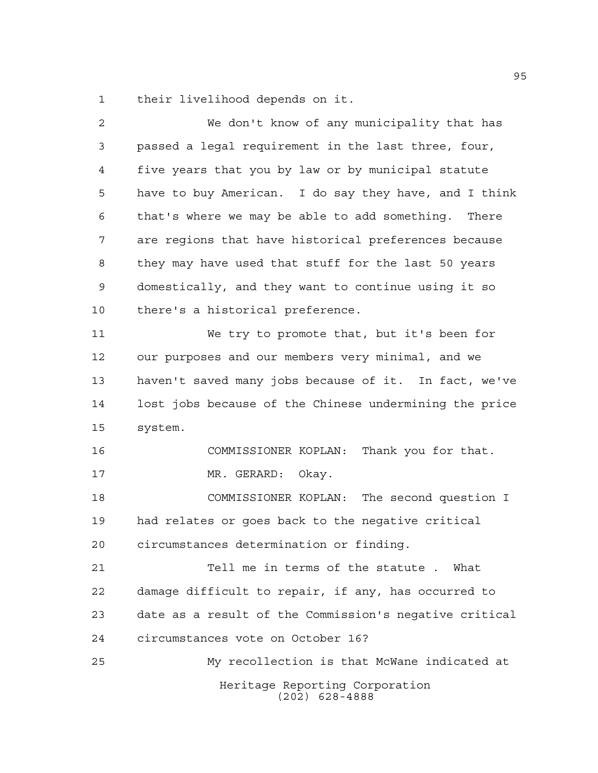their livelihood depends on it.

| 2  | We don't know of any municipality that has             |
|----|--------------------------------------------------------|
| 3  | passed a legal requirement in the last three, four,    |
| 4  | five years that you by law or by municipal statute     |
| 5  | have to buy American. I do say they have, and I think  |
| 6  | that's where we may be able to add something. There    |
| 7  | are regions that have historical preferences because   |
| 8  | they may have used that stuff for the last 50 years    |
| 9  | domestically, and they want to continue using it so    |
| 10 | there's a historical preference.                       |
| 11 | We try to promote that, but it's been for              |
| 12 | our purposes and our members very minimal, and we      |
| 13 | haven't saved many jobs because of it. In fact, we've  |
| 14 | lost jobs because of the Chinese undermining the price |
| 15 | system.                                                |
| 16 | COMMISSIONER KOPLAN: Thank you for that.               |
| 17 | MR. GERARD:<br>Okay.                                   |
| 18 | COMMISSIONER KOPLAN: The second question I             |
| 19 | had relates or goes back to the negative critical      |
| 20 | circumstances determination or finding.                |
| 21 | Tell me in terms of the statute. What                  |
| 22 | damage difficult to repair, if any, has occurred to    |
| 23 | date as a result of the Commission's negative critical |
| 24 | circumstances vote on October 16?                      |
| 25 | My recollection is that McWane indicated at            |
|    | Heritage Reporting Corporation<br>$(202)$ 628-4888     |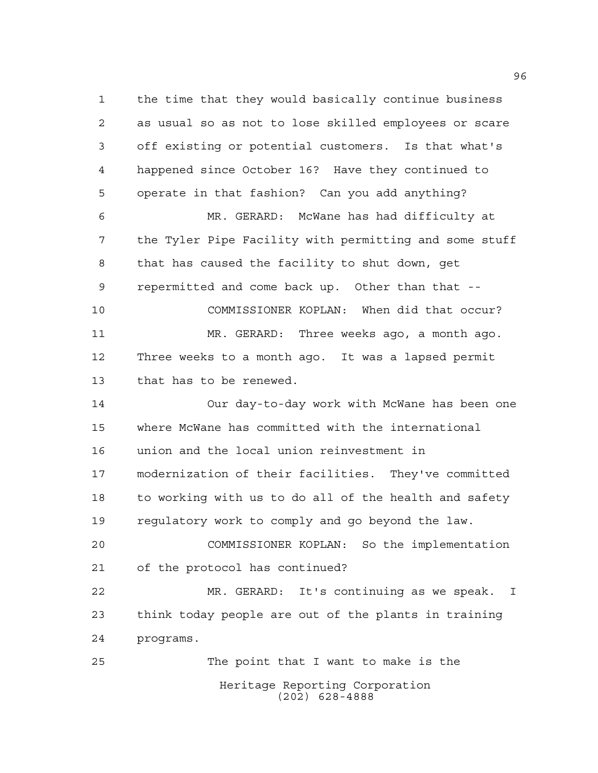Heritage Reporting Corporation (202) 628-4888 the time that they would basically continue business as usual so as not to lose skilled employees or scare off existing or potential customers. Is that what's happened since October 16? Have they continued to operate in that fashion? Can you add anything? MR. GERARD: McWane has had difficulty at the Tyler Pipe Facility with permitting and some stuff that has caused the facility to shut down, get repermitted and come back up. Other than that -- COMMISSIONER KOPLAN: When did that occur? MR. GERARD: Three weeks ago, a month ago. Three weeks to a month ago. It was a lapsed permit that has to be renewed. Our day-to-day work with McWane has been one where McWane has committed with the international union and the local union reinvestment in modernization of their facilities. They've committed to working with us to do all of the health and safety regulatory work to comply and go beyond the law. COMMISSIONER KOPLAN: So the implementation of the protocol has continued? MR. GERARD: It's continuing as we speak. I think today people are out of the plants in training programs. The point that I want to make is the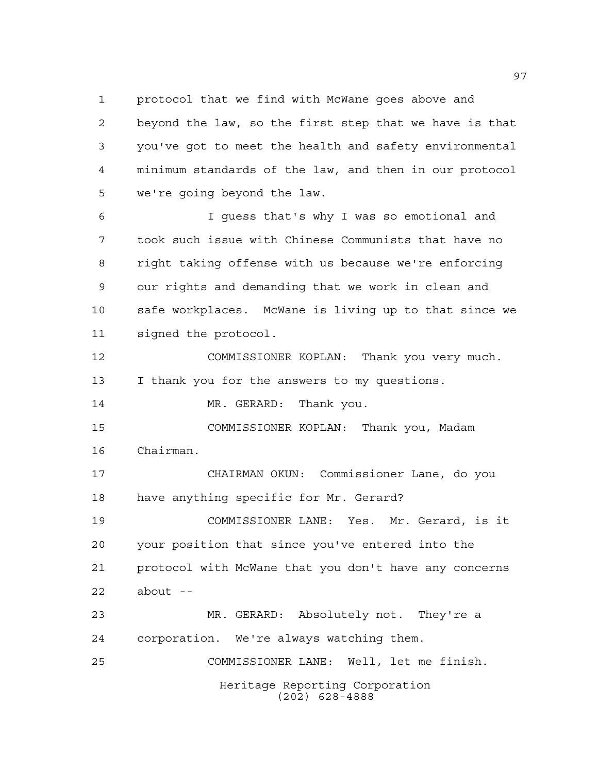protocol that we find with McWane goes above and

 beyond the law, so the first step that we have is that you've got to meet the health and safety environmental minimum standards of the law, and then in our protocol we're going beyond the law.

 I guess that's why I was so emotional and took such issue with Chinese Communists that have no right taking offense with us because we're enforcing our rights and demanding that we work in clean and safe workplaces. McWane is living up to that since we signed the protocol.

 COMMISSIONER KOPLAN: Thank you very much. I thank you for the answers to my questions.

14 MR. GERARD: Thank you.

 COMMISSIONER KOPLAN: Thank you, Madam Chairman.

 CHAIRMAN OKUN: Commissioner Lane, do you have anything specific for Mr. Gerard?

 COMMISSIONER LANE: Yes. Mr. Gerard, is it your position that since you've entered into the protocol with McWane that you don't have any concerns about --

Heritage Reporting Corporation (202) 628-4888 MR. GERARD: Absolutely not. They're a corporation. We're always watching them. COMMISSIONER LANE: Well, let me finish.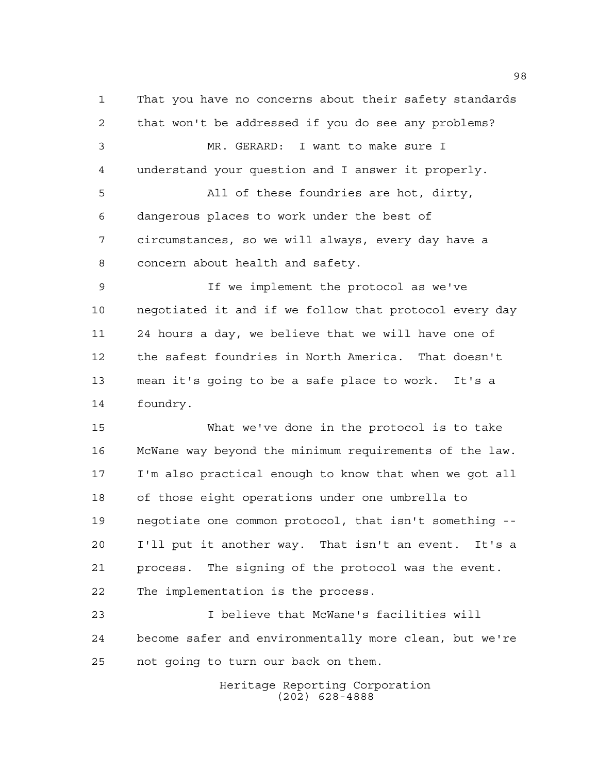That you have no concerns about their safety standards that won't be addressed if you do see any problems? MR. GERARD: I want to make sure I understand your question and I answer it properly. All of these foundries are hot, dirty, dangerous places to work under the best of circumstances, so we will always, every day have a concern about health and safety.

 If we implement the protocol as we've negotiated it and if we follow that protocol every day 24 hours a day, we believe that we will have one of the safest foundries in North America. That doesn't mean it's going to be a safe place to work. It's a foundry.

 What we've done in the protocol is to take McWane way beyond the minimum requirements of the law. I'm also practical enough to know that when we got all of those eight operations under one umbrella to negotiate one common protocol, that isn't something -- I'll put it another way. That isn't an event. It's a process. The signing of the protocol was the event. The implementation is the process.

 I believe that McWane's facilities will become safer and environmentally more clean, but we're not going to turn our back on them.

> Heritage Reporting Corporation (202) 628-4888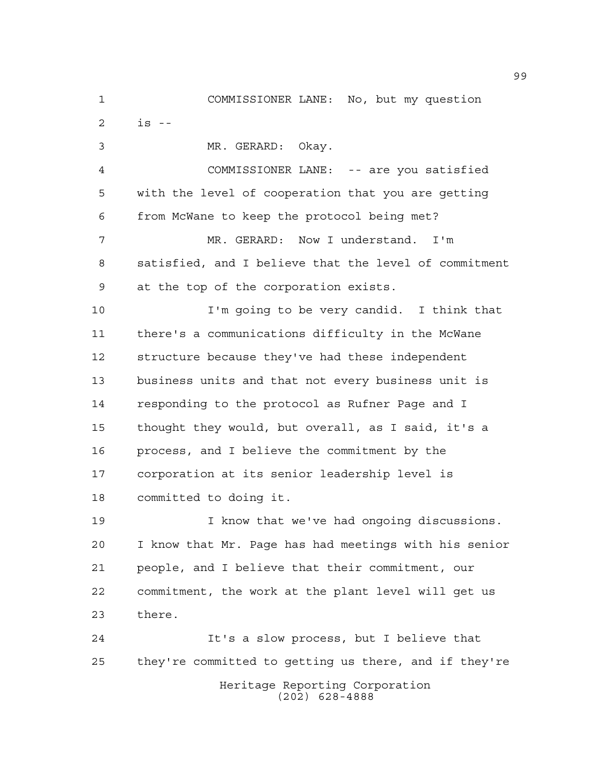Heritage Reporting Corporation COMMISSIONER LANE: No, but my question is -- MR. GERARD: Okay. COMMISSIONER LANE: -- are you satisfied with the level of cooperation that you are getting from McWane to keep the protocol being met? MR. GERARD: Now I understand. I'm satisfied, and I believe that the level of commitment at the top of the corporation exists. I'm going to be very candid. I think that there's a communications difficulty in the McWane structure because they've had these independent business units and that not every business unit is responding to the protocol as Rufner Page and I thought they would, but overall, as I said, it's a process, and I believe the commitment by the corporation at its senior leadership level is committed to doing it. I know that we've had ongoing discussions. I know that Mr. Page has had meetings with his senior people, and I believe that their commitment, our commitment, the work at the plant level will get us there. It's a slow process, but I believe that they're committed to getting us there, and if they're

(202) 628-4888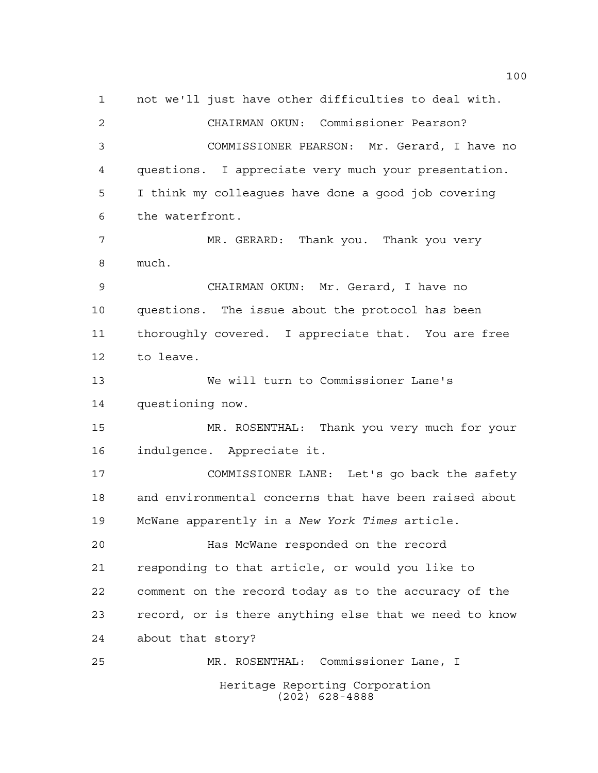Heritage Reporting Corporation (202) 628-4888 not we'll just have other difficulties to deal with. CHAIRMAN OKUN: Commissioner Pearson? COMMISSIONER PEARSON: Mr. Gerard, I have no questions. I appreciate very much your presentation. I think my colleagues have done a good job covering the waterfront. MR. GERARD: Thank you. Thank you very much. CHAIRMAN OKUN: Mr. Gerard, I have no questions. The issue about the protocol has been thoroughly covered. I appreciate that. You are free to leave. We will turn to Commissioner Lane's questioning now. MR. ROSENTHAL: Thank you very much for your indulgence. Appreciate it. COMMISSIONER LANE: Let's go back the safety and environmental concerns that have been raised about McWane apparently in a *New York Times* article. Has McWane responded on the record responding to that article, or would you like to comment on the record today as to the accuracy of the record, or is there anything else that we need to know about that story? MR. ROSENTHAL: Commissioner Lane, I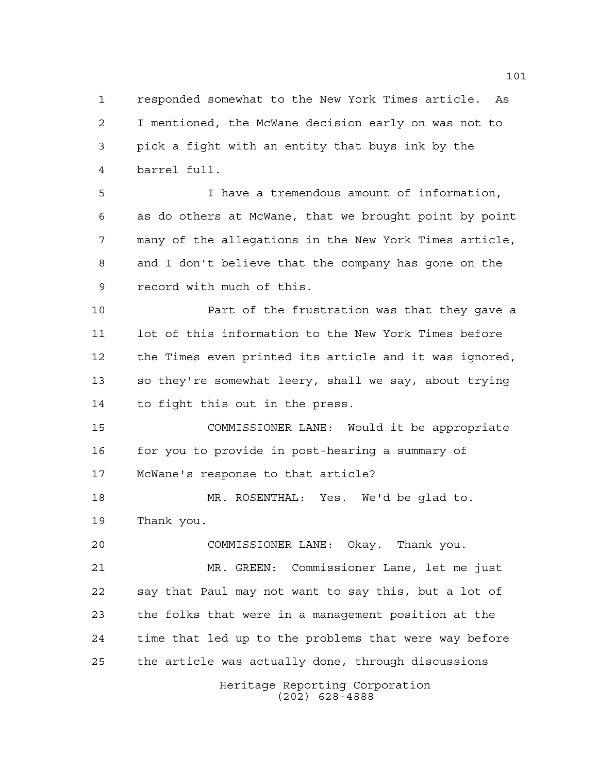responded somewhat to the New York Times article. As I mentioned, the McWane decision early on was not to pick a fight with an entity that buys ink by the barrel full.

 I have a tremendous amount of information, as do others at McWane, that we brought point by point many of the allegations in the New York Times article, and I don't believe that the company has gone on the record with much of this.

 Part of the frustration was that they gave a lot of this information to the New York Times before the Times even printed its article and it was ignored, so they're somewhat leery, shall we say, about trying to fight this out in the press.

 COMMISSIONER LANE: Would it be appropriate 16 for you to provide in post-hearing a summary of McWane's response to that article?

 MR. ROSENTHAL: Yes. We'd be glad to. Thank you.

 COMMISSIONER LANE: Okay. Thank you. MR. GREEN: Commissioner Lane, let me just say that Paul may not want to say this, but a lot of the folks that were in a management position at the time that led up to the problems that were way before the article was actually done, through discussions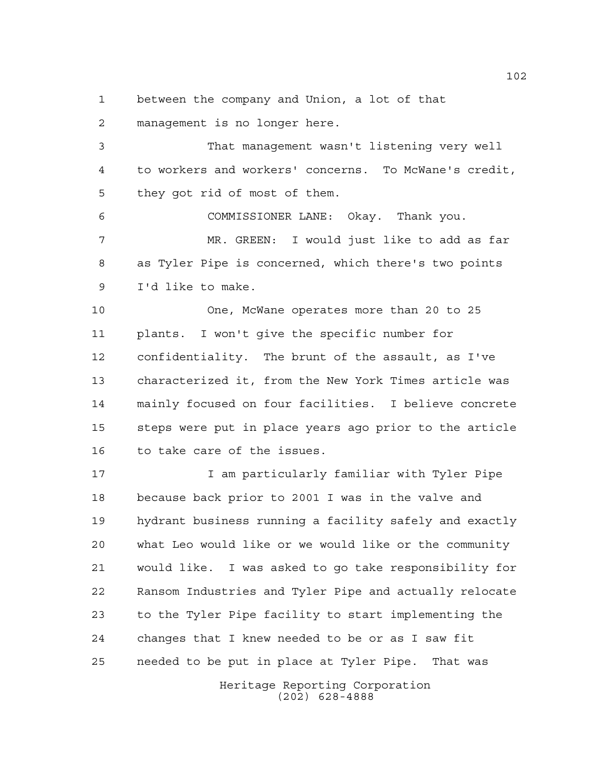between the company and Union, a lot of that

management is no longer here.

 That management wasn't listening very well to workers and workers' concerns. To McWane's credit, they got rid of most of them.

 COMMISSIONER LANE: Okay. Thank you. MR. GREEN: I would just like to add as far as Tyler Pipe is concerned, which there's two points I'd like to make.

 One, McWane operates more than 20 to 25 plants. I won't give the specific number for confidentiality. The brunt of the assault, as I've characterized it, from the New York Times article was mainly focused on four facilities. I believe concrete steps were put in place years ago prior to the article to take care of the issues.

 I am particularly familiar with Tyler Pipe because back prior to 2001 I was in the valve and hydrant business running a facility safely and exactly what Leo would like or we would like or the community would like. I was asked to go take responsibility for Ransom Industries and Tyler Pipe and actually relocate to the Tyler Pipe facility to start implementing the changes that I knew needed to be or as I saw fit needed to be put in place at Tyler Pipe. That was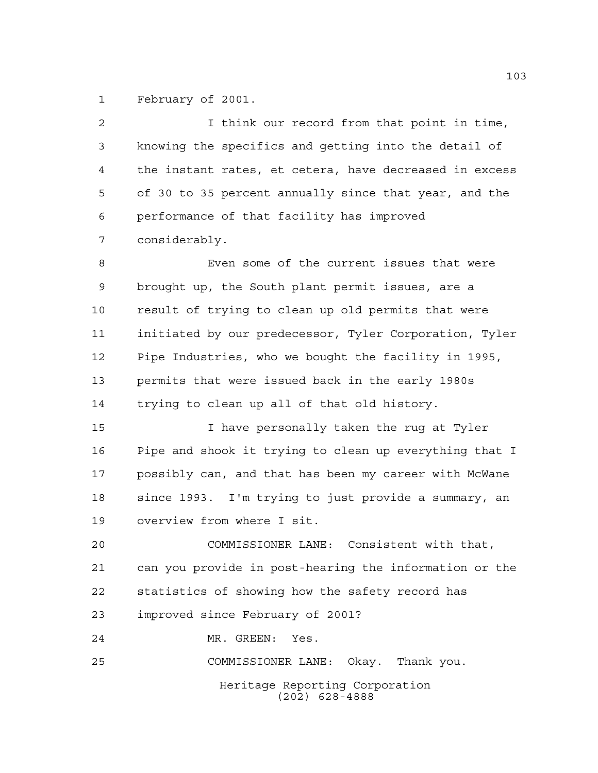February of 2001.

| 2  | I think our record from that point in time,            |
|----|--------------------------------------------------------|
| 3  | knowing the specifics and getting into the detail of   |
| 4  | the instant rates, et cetera, have decreased in excess |
| 5  | of 30 to 35 percent annually since that year, and the  |
| 6  | performance of that facility has improved              |
| 7  | considerably.                                          |
| 8  | Even some of the current issues that were              |
| 9  | brought up, the South plant permit issues, are a       |
| 10 | result of trying to clean up old permits that were     |
| 11 | initiated by our predecessor, Tyler Corporation, Tyler |
| 12 | Pipe Industries, who we bought the facility in 1995,   |
| 13 | permits that were issued back in the early 1980s       |
| 14 | trying to clean up all of that old history.            |
| 15 | I have personally taken the rug at Tyler               |
| 16 | Pipe and shook it trying to clean up everything that I |
| 17 | possibly can, and that has been my career with McWane  |
| 18 | since 1993. I'm trying to just provide a summary, an   |
| 19 | overview from where I sit.                             |
| 20 | COMMISSIONER LANE: Consistent with that,               |
| 21 | can you provide in post-hearing the information or the |
| 22 | statistics of showing how the safety record has        |
| 23 | improved since February of 2001?                       |
| 24 | MR. GREEN:<br>Yes.                                     |
| 25 | COMMISSIONER LANE: Okay. Thank you.                    |
|    | Heritage Reporting Corporation<br>$(202)$ 628-4888     |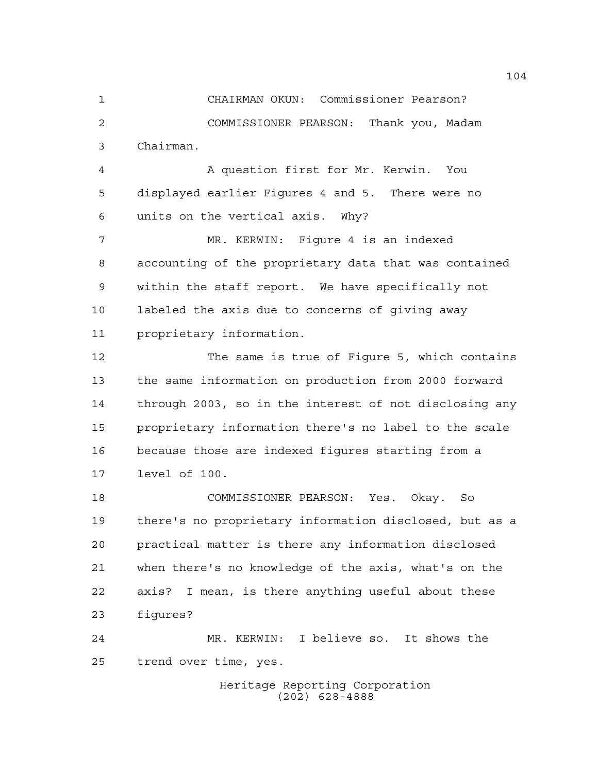CHAIRMAN OKUN: Commissioner Pearson? COMMISSIONER PEARSON: Thank you, Madam Chairman.

 A question first for Mr. Kerwin. You displayed earlier Figures 4 and 5. There were no units on the vertical axis. Why?

 MR. KERWIN: Figure 4 is an indexed accounting of the proprietary data that was contained within the staff report. We have specifically not labeled the axis due to concerns of giving away proprietary information.

 The same is true of Figure 5, which contains the same information on production from 2000 forward through 2003, so in the interest of not disclosing any proprietary information there's no label to the scale because those are indexed figures starting from a level of 100.

 COMMISSIONER PEARSON: Yes. Okay. So there's no proprietary information disclosed, but as a practical matter is there any information disclosed when there's no knowledge of the axis, what's on the axis? I mean, is there anything useful about these figures?

 MR. KERWIN: I believe so. It shows the trend over time, yes.

> Heritage Reporting Corporation (202) 628-4888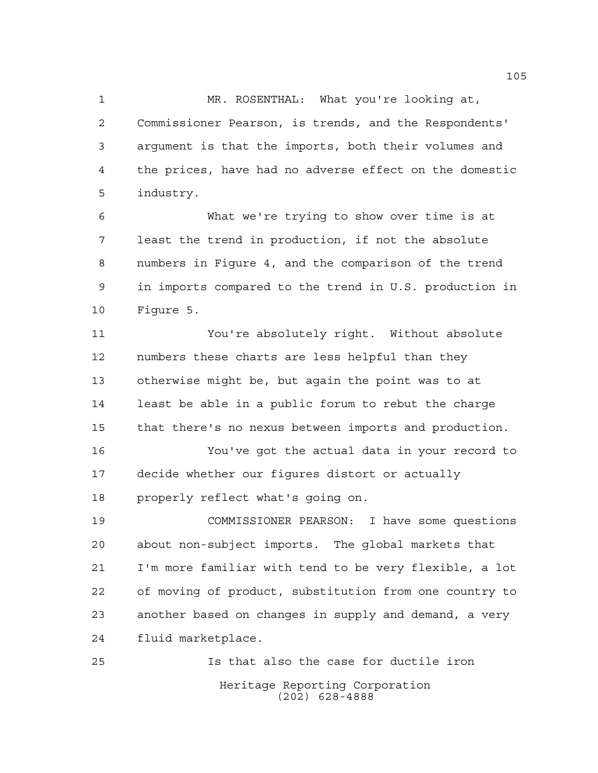MR. ROSENTHAL: What you're looking at, Commissioner Pearson, is trends, and the Respondents' argument is that the imports, both their volumes and the prices, have had no adverse effect on the domestic industry.

 What we're trying to show over time is at least the trend in production, if not the absolute numbers in Figure 4, and the comparison of the trend in imports compared to the trend in U.S. production in Figure 5.

 You're absolutely right. Without absolute numbers these charts are less helpful than they otherwise might be, but again the point was to at least be able in a public forum to rebut the charge that there's no nexus between imports and production.

 You've got the actual data in your record to decide whether our figures distort or actually properly reflect what's going on.

 COMMISSIONER PEARSON: I have some questions about non-subject imports. The global markets that I'm more familiar with tend to be very flexible, a lot of moving of product, substitution from one country to another based on changes in supply and demand, a very fluid marketplace.

Heritage Reporting Corporation (202) 628-4888 Is that also the case for ductile iron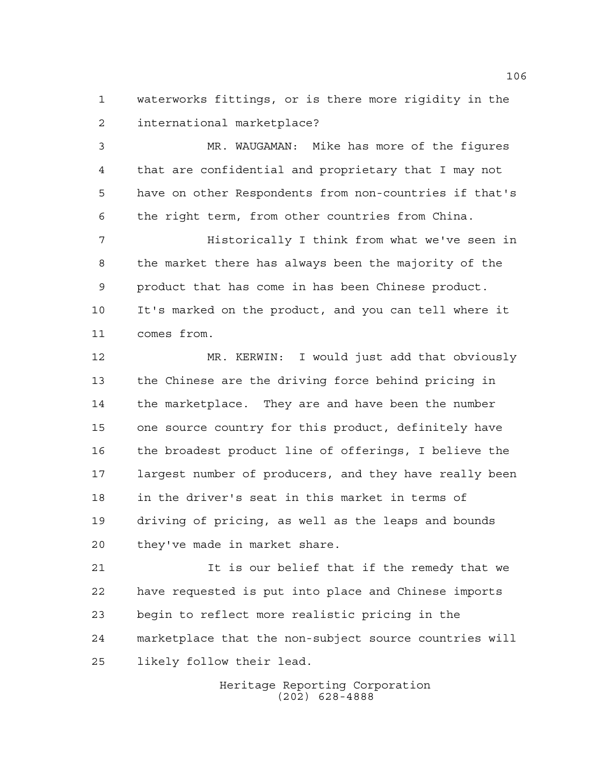waterworks fittings, or is there more rigidity in the international marketplace?

 MR. WAUGAMAN: Mike has more of the figures that are confidential and proprietary that I may not have on other Respondents from non-countries if that's the right term, from other countries from China.

 Historically I think from what we've seen in the market there has always been the majority of the product that has come in has been Chinese product. It's marked on the product, and you can tell where it comes from.

 MR. KERWIN: I would just add that obviously the Chinese are the driving force behind pricing in the marketplace. They are and have been the number one source country for this product, definitely have the broadest product line of offerings, I believe the largest number of producers, and they have really been in the driver's seat in this market in terms of driving of pricing, as well as the leaps and bounds they've made in market share.

21 12 It is our belief that if the remedy that we have requested is put into place and Chinese imports begin to reflect more realistic pricing in the marketplace that the non-subject source countries will likely follow their lead.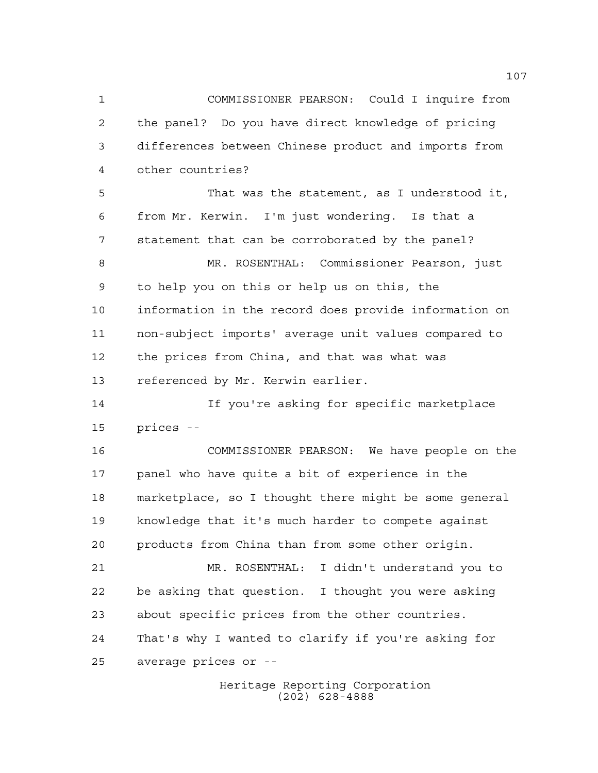the panel? Do you have direct knowledge of pricing differences between Chinese product and imports from other countries? That was the statement, as I understood it, from Mr. Kerwin. I'm just wondering. Is that a statement that can be corroborated by the panel? MR. ROSENTHAL: Commissioner Pearson, just to help you on this or help us on this, the information in the record does provide information on non-subject imports' average unit values compared to the prices from China, and that was what was referenced by Mr. Kerwin earlier. If you're asking for specific marketplace prices -- COMMISSIONER PEARSON: We have people on the panel who have quite a bit of experience in the marketplace, so I thought there might be some general knowledge that it's much harder to compete against products from China than from some other origin. MR. ROSENTHAL: I didn't understand you to be asking that question. I thought you were asking about specific prices from the other countries.

COMMISSIONER PEARSON: Could I inquire from

 That's why I wanted to clarify if you're asking for average prices or --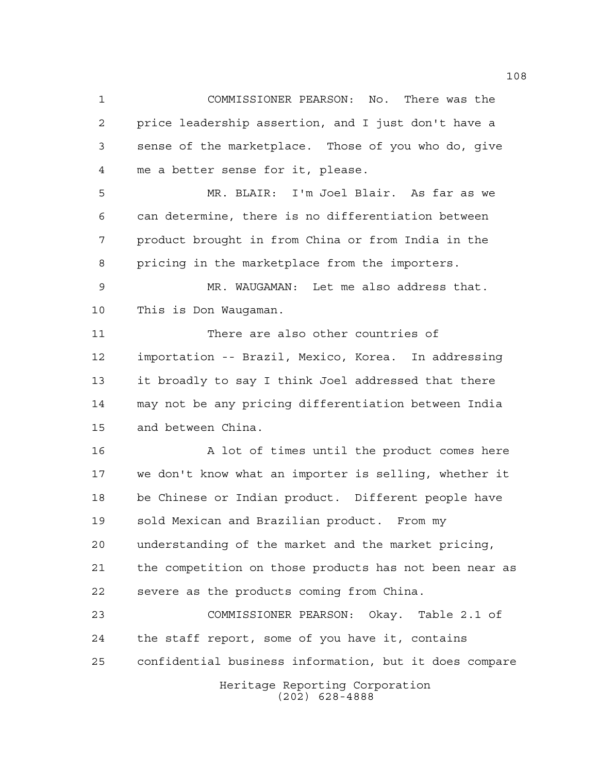COMMISSIONER PEARSON: No. There was the price leadership assertion, and I just don't have a sense of the marketplace. Those of you who do, give me a better sense for it, please.

 MR. BLAIR: I'm Joel Blair. As far as we can determine, there is no differentiation between product brought in from China or from India in the pricing in the marketplace from the importers.

 MR. WAUGAMAN: Let me also address that. This is Don Waugaman.

 There are also other countries of importation -- Brazil, Mexico, Korea. In addressing it broadly to say I think Joel addressed that there may not be any pricing differentiation between India and between China.

16 A lot of times until the product comes here we don't know what an importer is selling, whether it be Chinese or Indian product. Different people have sold Mexican and Brazilian product. From my understanding of the market and the market pricing, the competition on those products has not been near as severe as the products coming from China.

Heritage Reporting Corporation COMMISSIONER PEARSON: Okay. Table 2.1 of the staff report, some of you have it, contains confidential business information, but it does compare

(202) 628-4888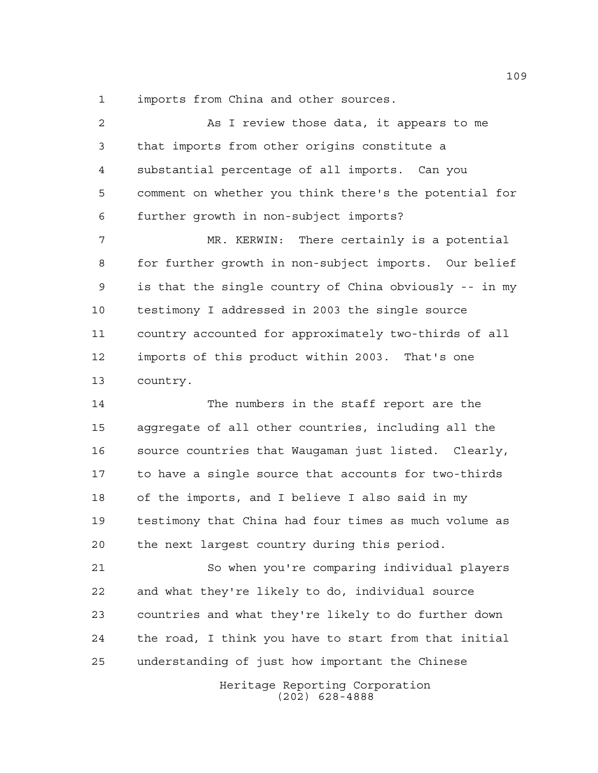imports from China and other sources.

 As I review those data, it appears to me that imports from other origins constitute a substantial percentage of all imports. Can you comment on whether you think there's the potential for further growth in non-subject imports? MR. KERWIN: There certainly is a potential for further growth in non-subject imports. Our belief is that the single country of China obviously -- in my testimony I addressed in 2003 the single source country accounted for approximately two-thirds of all imports of this product within 2003. That's one country. The numbers in the staff report are the

 aggregate of all other countries, including all the source countries that Waugaman just listed. Clearly, to have a single source that accounts for two-thirds of the imports, and I believe I also said in my testimony that China had four times as much volume as the next largest country during this period.

 So when you're comparing individual players and what they're likely to do, individual source countries and what they're likely to do further down the road, I think you have to start from that initial understanding of just how important the Chinese

> Heritage Reporting Corporation (202) 628-4888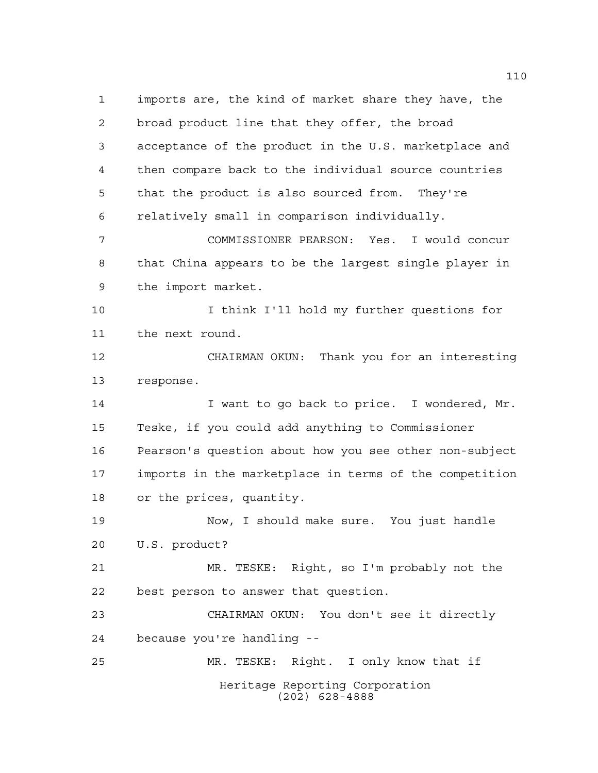Heritage Reporting Corporation (202) 628-4888 imports are, the kind of market share they have, the broad product line that they offer, the broad acceptance of the product in the U.S. marketplace and then compare back to the individual source countries that the product is also sourced from. They're relatively small in comparison individually. COMMISSIONER PEARSON: Yes. I would concur that China appears to be the largest single player in the import market. I think I'll hold my further questions for the next round. CHAIRMAN OKUN: Thank you for an interesting response. 14 I want to go back to price. I wondered, Mr. Teske, if you could add anything to Commissioner Pearson's question about how you see other non-subject imports in the marketplace in terms of the competition or the prices, quantity. Now, I should make sure. You just handle U.S. product? MR. TESKE: Right, so I'm probably not the best person to answer that question. CHAIRMAN OKUN: You don't see it directly because you're handling -- MR. TESKE: Right. I only know that if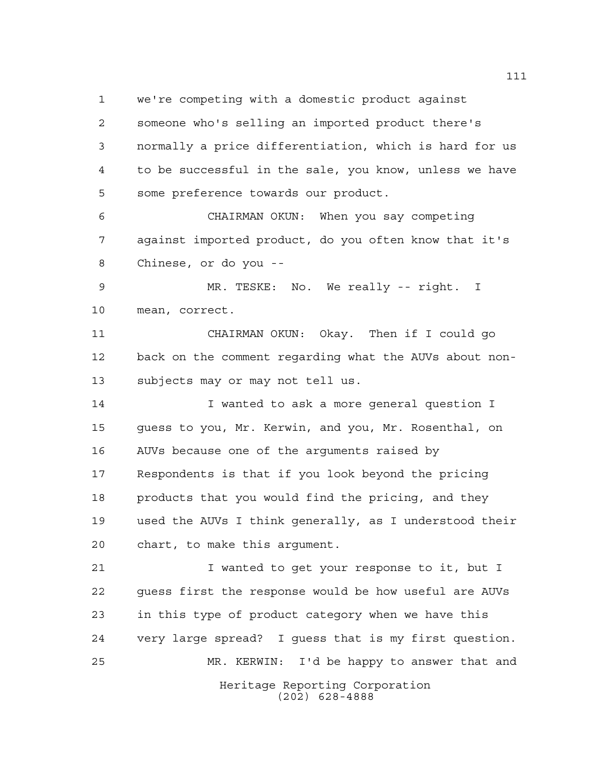we're competing with a domestic product against someone who's selling an imported product there's normally a price differentiation, which is hard for us to be successful in the sale, you know, unless we have some preference towards our product.

 CHAIRMAN OKUN: When you say competing against imported product, do you often know that it's Chinese, or do you --

 MR. TESKE: No. We really -- right. I mean, correct.

 CHAIRMAN OKUN: Okay. Then if I could go back on the comment regarding what the AUVs about non-subjects may or may not tell us.

 I wanted to ask a more general question I guess to you, Mr. Kerwin, and you, Mr. Rosenthal, on AUVs because one of the arguments raised by Respondents is that if you look beyond the pricing 18 products that you would find the pricing, and they used the AUVs I think generally, as I understood their chart, to make this argument.

 I wanted to get your response to it, but I guess first the response would be how useful are AUVs in this type of product category when we have this very large spread? I guess that is my first question. MR. KERWIN: I'd be happy to answer that and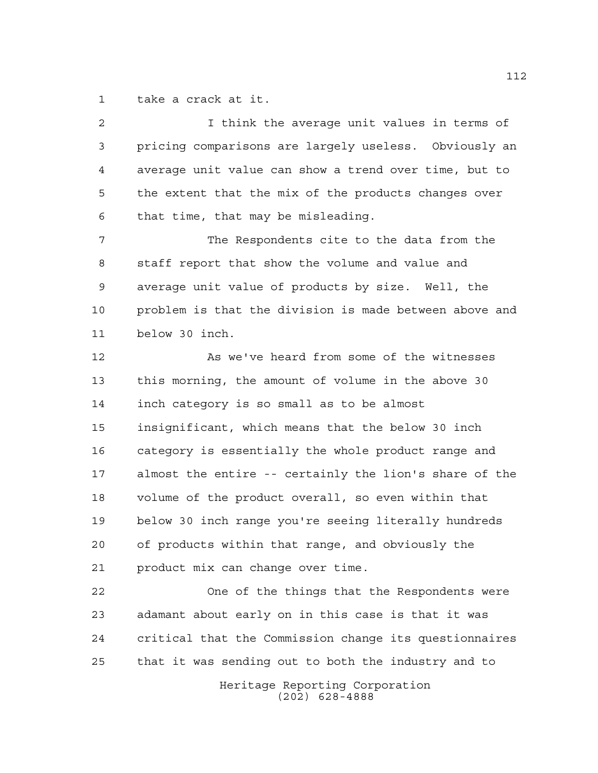take a crack at it.

 I think the average unit values in terms of pricing comparisons are largely useless. Obviously an average unit value can show a trend over time, but to the extent that the mix of the products changes over that time, that may be misleading. The Respondents cite to the data from the staff report that show the volume and value and average unit value of products by size. Well, the problem is that the division is made between above and below 30 inch. As we've heard from some of the witnesses this morning, the amount of volume in the above 30 inch category is so small as to be almost insignificant, which means that the below 30 inch category is essentially the whole product range and almost the entire -- certainly the lion's share of the volume of the product overall, so even within that below 30 inch range you're seeing literally hundreds of products within that range, and obviously the product mix can change over time. One of the things that the Respondents were adamant about early on in this case is that it was critical that the Commission change its questionnaires that it was sending out to both the industry and to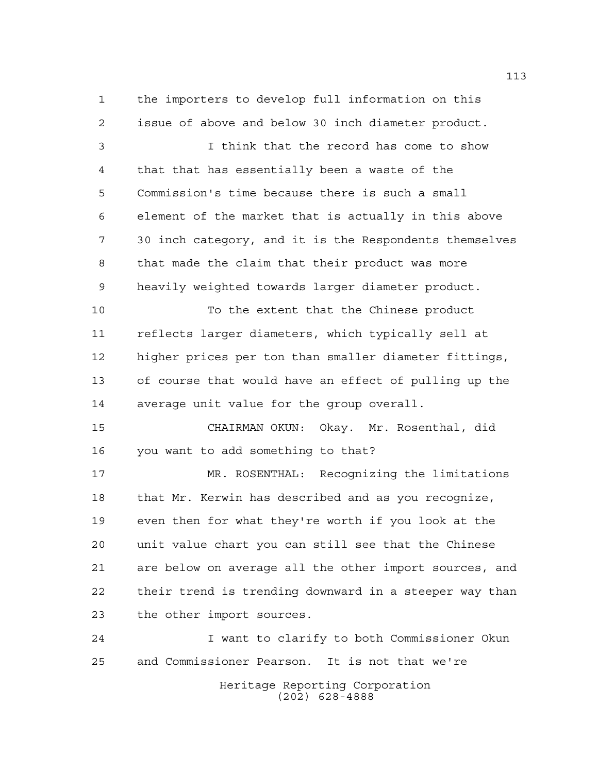the importers to develop full information on this issue of above and below 30 inch diameter product.

 I think that the record has come to show that that has essentially been a waste of the Commission's time because there is such a small element of the market that is actually in this above 30 inch category, and it is the Respondents themselves that made the claim that their product was more heavily weighted towards larger diameter product.

 To the extent that the Chinese product reflects larger diameters, which typically sell at higher prices per ton than smaller diameter fittings, of course that would have an effect of pulling up the average unit value for the group overall.

 CHAIRMAN OKUN: Okay. Mr. Rosenthal, did you want to add something to that?

 MR. ROSENTHAL: Recognizing the limitations that Mr. Kerwin has described and as you recognize, even then for what they're worth if you look at the unit value chart you can still see that the Chinese are below on average all the other import sources, and their trend is trending downward in a steeper way than the other import sources.

Heritage Reporting Corporation (202) 628-4888 I want to clarify to both Commissioner Okun and Commissioner Pearson. It is not that we're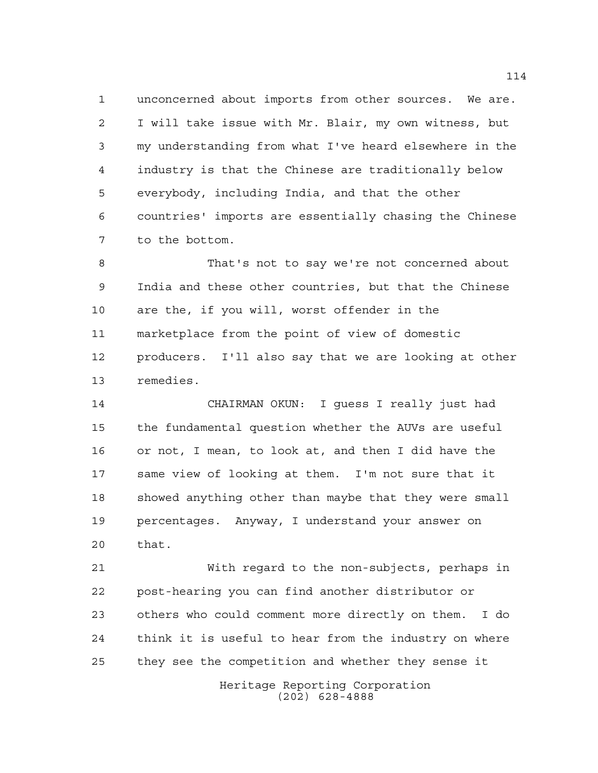unconcerned about imports from other sources. We are. I will take issue with Mr. Blair, my own witness, but my understanding from what I've heard elsewhere in the industry is that the Chinese are traditionally below everybody, including India, and that the other countries' imports are essentially chasing the Chinese to the bottom.

 That's not to say we're not concerned about India and these other countries, but that the Chinese are the, if you will, worst offender in the marketplace from the point of view of domestic producers. I'll also say that we are looking at other remedies.

 CHAIRMAN OKUN: I guess I really just had the fundamental question whether the AUVs are useful or not, I mean, to look at, and then I did have the same view of looking at them. I'm not sure that it showed anything other than maybe that they were small percentages. Anyway, I understand your answer on that.

 With regard to the non-subjects, perhaps in post-hearing you can find another distributor or others who could comment more directly on them. I do think it is useful to hear from the industry on where they see the competition and whether they sense it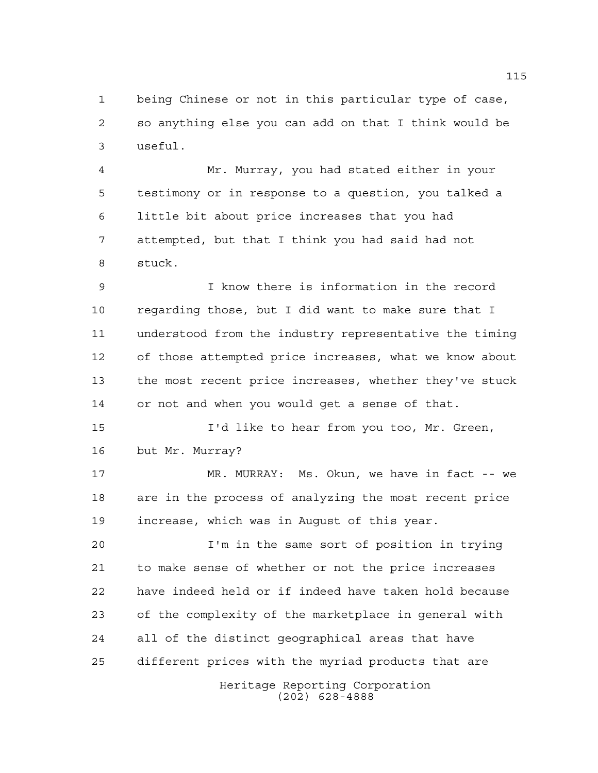being Chinese or not in this particular type of case, so anything else you can add on that I think would be useful.

 Mr. Murray, you had stated either in your testimony or in response to a question, you talked a little bit about price increases that you had attempted, but that I think you had said had not stuck.

 I know there is information in the record regarding those, but I did want to make sure that I understood from the industry representative the timing of those attempted price increases, what we know about the most recent price increases, whether they've stuck or not and when you would get a sense of that.

 I'd like to hear from you too, Mr. Green, but Mr. Murray?

 MR. MURRAY: Ms. Okun, we have in fact -- we are in the process of analyzing the most recent price increase, which was in August of this year.

 I'm in the same sort of position in trying to make sense of whether or not the price increases have indeed held or if indeed have taken hold because of the complexity of the marketplace in general with all of the distinct geographical areas that have different prices with the myriad products that are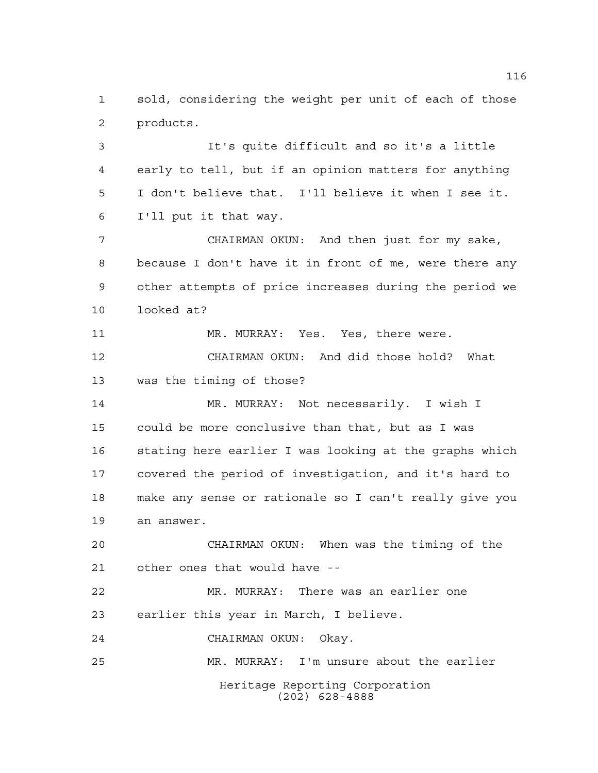sold, considering the weight per unit of each of those products.

 It's quite difficult and so it's a little early to tell, but if an opinion matters for anything I don't believe that. I'll believe it when I see it. I'll put it that way.

 CHAIRMAN OKUN: And then just for my sake, because I don't have it in front of me, were there any other attempts of price increases during the period we looked at?

11 MR. MURRAY: Yes. Yes, there were. CHAIRMAN OKUN: And did those hold? What was the timing of those?

 MR. MURRAY: Not necessarily. I wish I could be more conclusive than that, but as I was stating here earlier I was looking at the graphs which covered the period of investigation, and it's hard to make any sense or rationale so I can't really give you an answer.

 CHAIRMAN OKUN: When was the timing of the other ones that would have --

 MR. MURRAY: There was an earlier one earlier this year in March, I believe.

CHAIRMAN OKUN: Okay.

Heritage Reporting Corporation (202) 628-4888 MR. MURRAY: I'm unsure about the earlier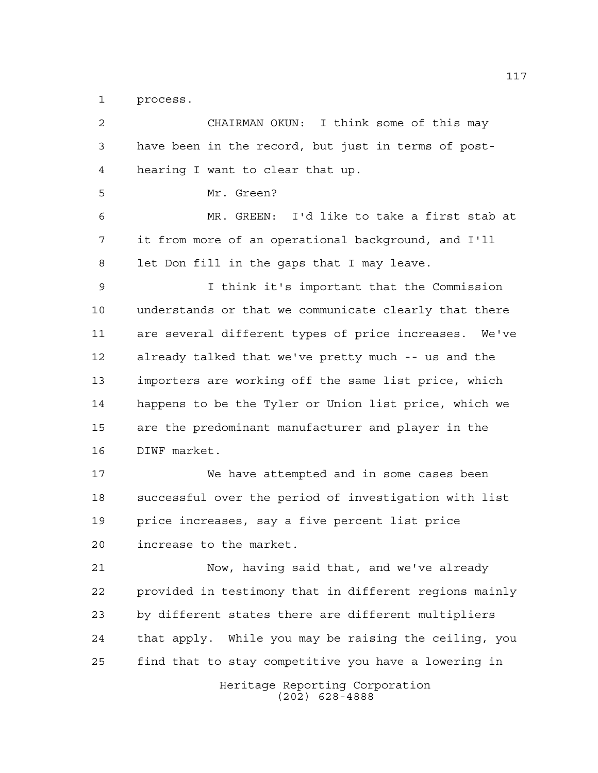process.

Heritage Reporting Corporation (202) 628-4888 CHAIRMAN OKUN: I think some of this may have been in the record, but just in terms of post- hearing I want to clear that up. Mr. Green? MR. GREEN: I'd like to take a first stab at it from more of an operational background, and I'll let Don fill in the gaps that I may leave. I think it's important that the Commission understands or that we communicate clearly that there are several different types of price increases. We've already talked that we've pretty much -- us and the importers are working off the same list price, which happens to be the Tyler or Union list price, which we are the predominant manufacturer and player in the DIWF market. We have attempted and in some cases been successful over the period of investigation with list price increases, say a five percent list price increase to the market. Now, having said that, and we've already provided in testimony that in different regions mainly by different states there are different multipliers that apply. While you may be raising the ceiling, you find that to stay competitive you have a lowering in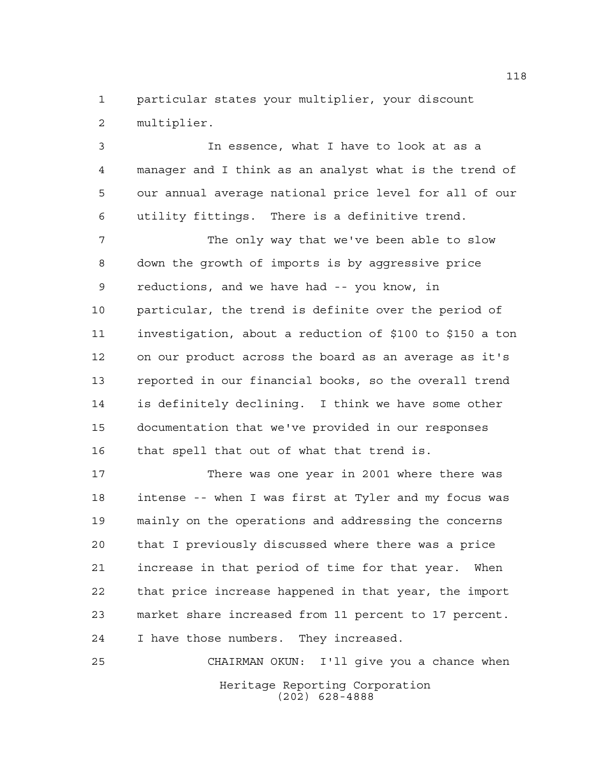particular states your multiplier, your discount multiplier.

 In essence, what I have to look at as a manager and I think as an analyst what is the trend of our annual average national price level for all of our utility fittings. There is a definitive trend.

7 The only way that we've been able to slow down the growth of imports is by aggressive price reductions, and we have had -- you know, in particular, the trend is definite over the period of investigation, about a reduction of \$100 to \$150 a ton on our product across the board as an average as it's reported in our financial books, so the overall trend is definitely declining. I think we have some other documentation that we've provided in our responses that spell that out of what that trend is.

 There was one year in 2001 where there was intense -- when I was first at Tyler and my focus was mainly on the operations and addressing the concerns that I previously discussed where there was a price increase in that period of time for that year. When that price increase happened in that year, the import market share increased from 11 percent to 17 percent. I have those numbers. They increased.

Heritage Reporting Corporation (202) 628-4888 CHAIRMAN OKUN: I'll give you a chance when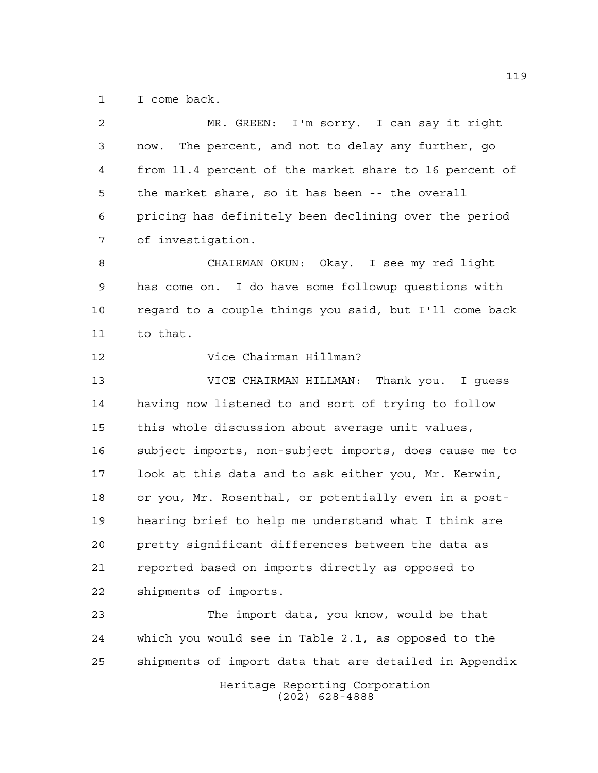I come back.

| 2  | MR. GREEN: I'm sorry. I can say it right               |
|----|--------------------------------------------------------|
| 3  | The percent, and not to delay any further, go<br>now.  |
| 4  | from 11.4 percent of the market share to 16 percent of |
| 5  | the market share, so it has been -- the overall        |
| 6  | pricing has definitely been declining over the period  |
| 7  | of investigation.                                      |
| 8  | CHAIRMAN OKUN: Okay. I see my red light                |
| 9  | has come on. I do have some followup questions with    |
| 10 | regard to a couple things you said, but I'll come back |
| 11 | to that.                                               |
| 12 | Vice Chairman Hillman?                                 |
| 13 | VICE CHAIRMAN HILLMAN: Thank you. I quess              |
| 14 | having now listened to and sort of trying to follow    |
| 15 | this whole discussion about average unit values,       |
| 16 | subject imports, non-subject imports, does cause me to |
| 17 | look at this data and to ask either you, Mr. Kerwin,   |
| 18 | or you, Mr. Rosenthal, or potentially even in a post-  |
| 19 | hearing brief to help me understand what I think are   |
| 20 | pretty significant differences between the data as     |
| 21 | reported based on imports directly as opposed to       |
| 22 | shipments of imports.                                  |
| 23 | The import data, you know, would be that               |
| 24 | which you would see in Table 2.1, as opposed to the    |
| 25 | shipments of import data that are detailed in Appendix |
|    | Heritage Reporting Corporation<br>$(202)$ 628-4888     |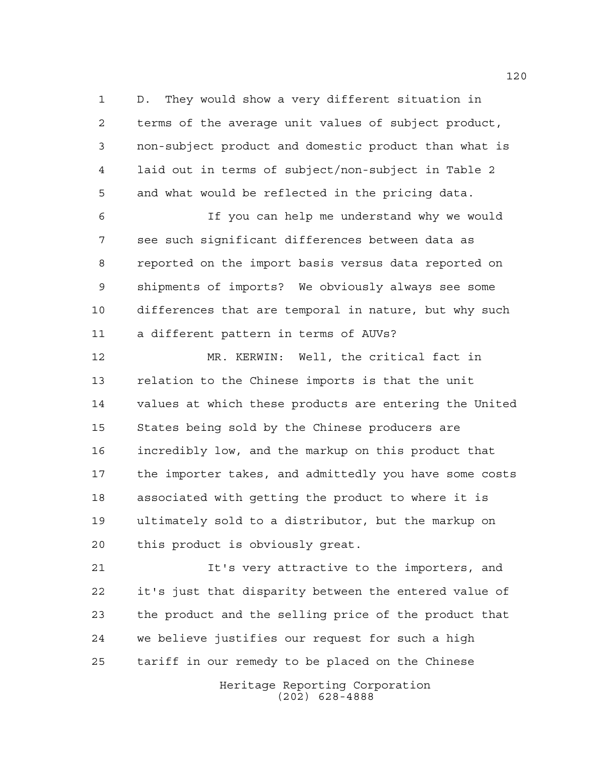D. They would show a very different situation in terms of the average unit values of subject product, non-subject product and domestic product than what is laid out in terms of subject/non-subject in Table 2 and what would be reflected in the pricing data.

 If you can help me understand why we would see such significant differences between data as reported on the import basis versus data reported on shipments of imports? We obviously always see some differences that are temporal in nature, but why such a different pattern in terms of AUVs?

 MR. KERWIN: Well, the critical fact in relation to the Chinese imports is that the unit values at which these products are entering the United States being sold by the Chinese producers are incredibly low, and the markup on this product that the importer takes, and admittedly you have some costs associated with getting the product to where it is ultimately sold to a distributor, but the markup on this product is obviously great.

 It's very attractive to the importers, and it's just that disparity between the entered value of the product and the selling price of the product that we believe justifies our request for such a high tariff in our remedy to be placed on the Chinese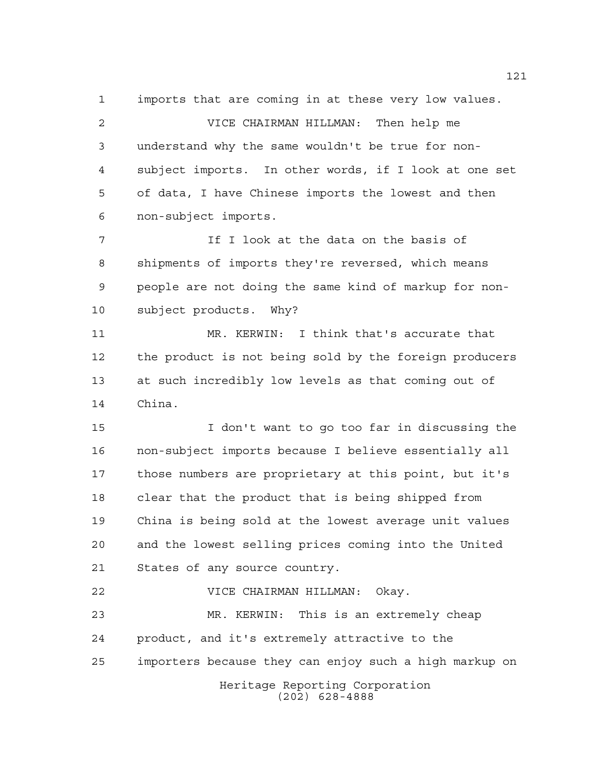imports that are coming in at these very low values.

 VICE CHAIRMAN HILLMAN: Then help me understand why the same wouldn't be true for non- subject imports. In other words, if I look at one set of data, I have Chinese imports the lowest and then non-subject imports.

7 The I look at the data on the basis of shipments of imports they're reversed, which means people are not doing the same kind of markup for non-subject products. Why?

 MR. KERWIN: I think that's accurate that the product is not being sold by the foreign producers at such incredibly low levels as that coming out of China.

 I don't want to go too far in discussing the non-subject imports because I believe essentially all those numbers are proprietary at this point, but it's clear that the product that is being shipped from China is being sold at the lowest average unit values and the lowest selling prices coming into the United States of any source country.

Heritage Reporting Corporation (202) 628-4888 VICE CHAIRMAN HILLMAN: Okay. MR. KERWIN: This is an extremely cheap product, and it's extremely attractive to the importers because they can enjoy such a high markup on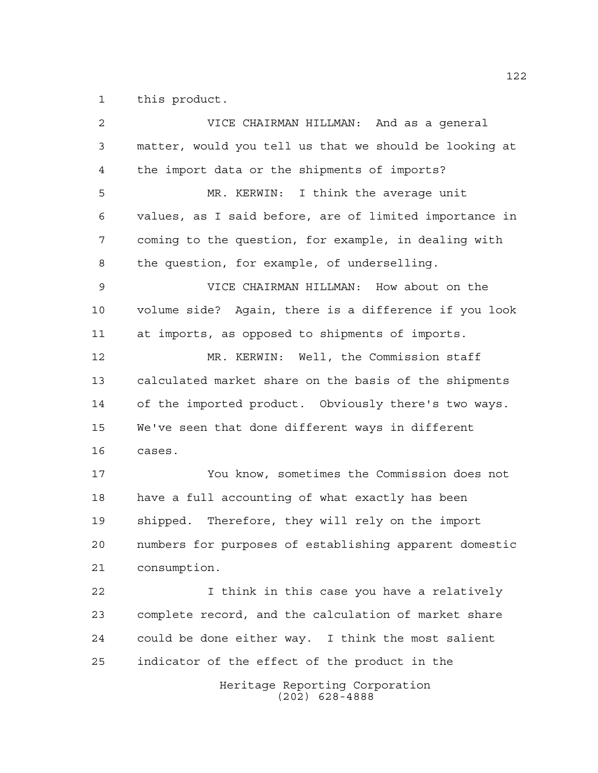this product.

Heritage Reporting Corporation (202) 628-4888 VICE CHAIRMAN HILLMAN: And as a general matter, would you tell us that we should be looking at the import data or the shipments of imports? MR. KERWIN: I think the average unit values, as I said before, are of limited importance in coming to the question, for example, in dealing with the question, for example, of underselling. VICE CHAIRMAN HILLMAN: How about on the volume side? Again, there is a difference if you look at imports, as opposed to shipments of imports. MR. KERWIN: Well, the Commission staff calculated market share on the basis of the shipments of the imported product. Obviously there's two ways. We've seen that done different ways in different cases. You know, sometimes the Commission does not have a full accounting of what exactly has been shipped. Therefore, they will rely on the import numbers for purposes of establishing apparent domestic consumption. I think in this case you have a relatively complete record, and the calculation of market share could be done either way. I think the most salient indicator of the effect of the product in the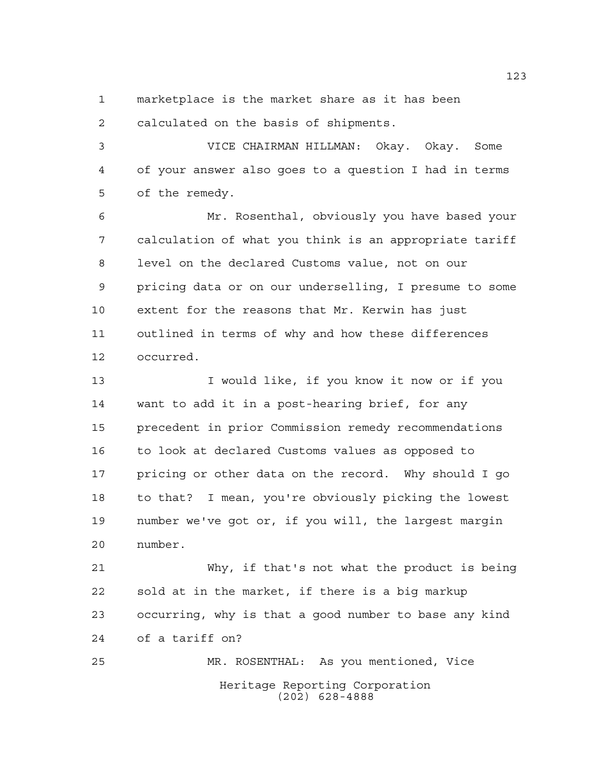marketplace is the market share as it has been

calculated on the basis of shipments.

 VICE CHAIRMAN HILLMAN: Okay. Okay. Some of your answer also goes to a question I had in terms of the remedy.

 Mr. Rosenthal, obviously you have based your calculation of what you think is an appropriate tariff level on the declared Customs value, not on our pricing data or on our underselling, I presume to some extent for the reasons that Mr. Kerwin has just outlined in terms of why and how these differences occurred.

13 I would like, if you know it now or if you want to add it in a post-hearing brief, for any precedent in prior Commission remedy recommendations to look at declared Customs values as opposed to pricing or other data on the record. Why should I go to that? I mean, you're obviously picking the lowest number we've got or, if you will, the largest margin number.

 Why, if that's not what the product is being sold at in the market, if there is a big markup occurring, why is that a good number to base any kind of a tariff on?

Heritage Reporting Corporation (202) 628-4888 MR. ROSENTHAL: As you mentioned, Vice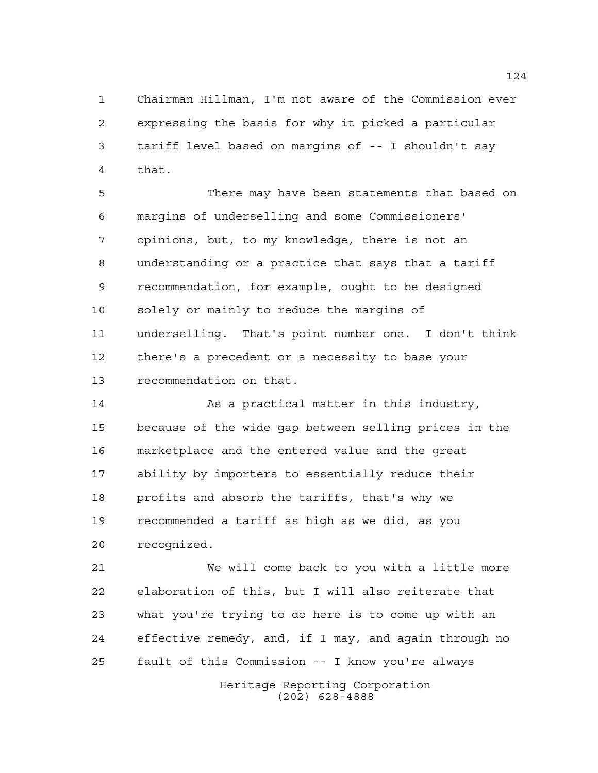Chairman Hillman, I'm not aware of the Commission ever expressing the basis for why it picked a particular tariff level based on margins of -- I shouldn't say that.

 There may have been statements that based on margins of underselling and some Commissioners' opinions, but, to my knowledge, there is not an understanding or a practice that says that a tariff recommendation, for example, ought to be designed solely or mainly to reduce the margins of underselling. That's point number one. I don't think there's a precedent or a necessity to base your recommendation on that.

14 As a practical matter in this industry, because of the wide gap between selling prices in the marketplace and the entered value and the great ability by importers to essentially reduce their profits and absorb the tariffs, that's why we recommended a tariff as high as we did, as you recognized.

 We will come back to you with a little more elaboration of this, but I will also reiterate that what you're trying to do here is to come up with an effective remedy, and, if I may, and again through no fault of this Commission -- I know you're always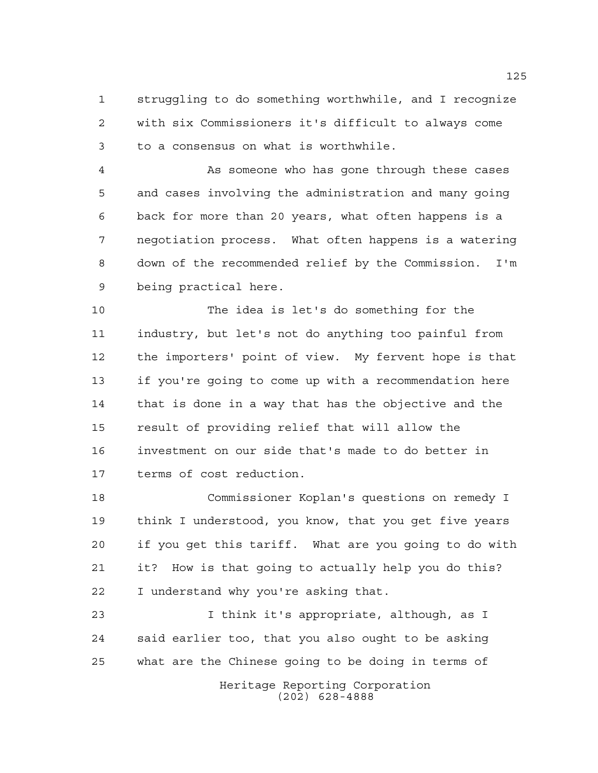struggling to do something worthwhile, and I recognize with six Commissioners it's difficult to always come to a consensus on what is worthwhile.

 As someone who has gone through these cases and cases involving the administration and many going back for more than 20 years, what often happens is a negotiation process. What often happens is a watering down of the recommended relief by the Commission. I'm being practical here.

 The idea is let's do something for the industry, but let's not do anything too painful from the importers' point of view. My fervent hope is that if you're going to come up with a recommendation here that is done in a way that has the objective and the result of providing relief that will allow the investment on our side that's made to do better in terms of cost reduction.

 Commissioner Koplan's questions on remedy I think I understood, you know, that you get five years if you get this tariff. What are you going to do with it? How is that going to actually help you do this? I understand why you're asking that.

 I think it's appropriate, although, as I said earlier too, that you also ought to be asking what are the Chinese going to be doing in terms of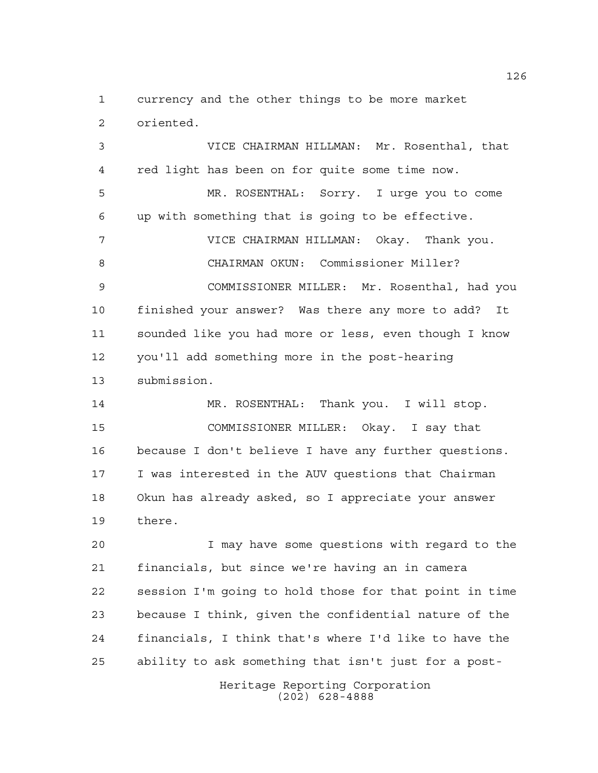currency and the other things to be more market oriented.

 VICE CHAIRMAN HILLMAN: Mr. Rosenthal, that red light has been on for quite some time now. MR. ROSENTHAL: Sorry. I urge you to come up with something that is going to be effective. VICE CHAIRMAN HILLMAN: Okay. Thank you. CHAIRMAN OKUN: Commissioner Miller? COMMISSIONER MILLER: Mr. Rosenthal, had you finished your answer? Was there any more to add? It sounded like you had more or less, even though I know you'll add something more in the post-hearing submission. MR. ROSENTHAL: Thank you. I will stop.

 COMMISSIONER MILLER: Okay. I say that because I don't believe I have any further questions. I was interested in the AUV questions that Chairman Okun has already asked, so I appreciate your answer there.

 I may have some questions with regard to the financials, but since we're having an in camera session I'm going to hold those for that point in time because I think, given the confidential nature of the financials, I think that's where I'd like to have the ability to ask something that isn't just for a post-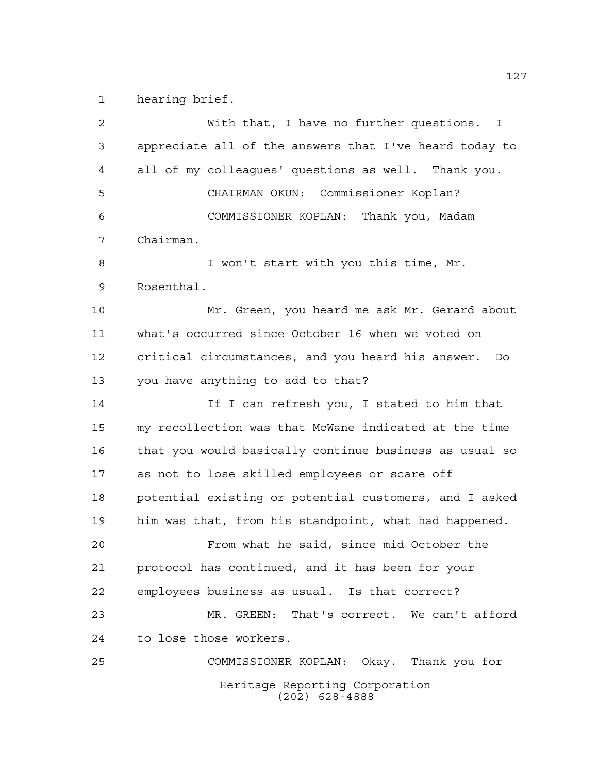hearing brief.

Heritage Reporting Corporation (202) 628-4888 With that, I have no further questions. I appreciate all of the answers that I've heard today to all of my colleagues' questions as well. Thank you. CHAIRMAN OKUN: Commissioner Koplan? COMMISSIONER KOPLAN: Thank you, Madam Chairman. I won't start with you this time, Mr. Rosenthal. Mr. Green, you heard me ask Mr. Gerard about what's occurred since October 16 when we voted on critical circumstances, and you heard his answer. Do you have anything to add to that? If I can refresh you, I stated to him that my recollection was that McWane indicated at the time that you would basically continue business as usual so as not to lose skilled employees or scare off potential existing or potential customers, and I asked him was that, from his standpoint, what had happened. From what he said, since mid October the protocol has continued, and it has been for your employees business as usual. Is that correct? MR. GREEN: That's correct. We can't afford to lose those workers. COMMISSIONER KOPLAN: Okay. Thank you for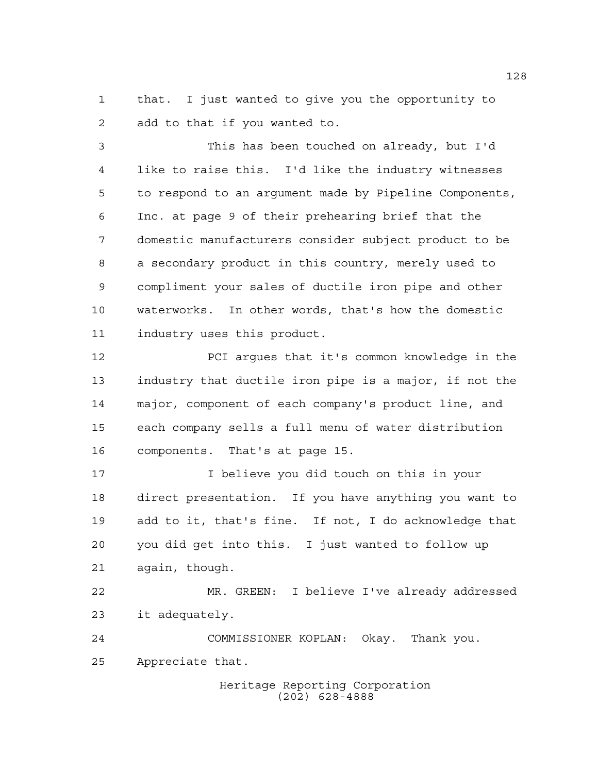that. I just wanted to give you the opportunity to add to that if you wanted to.

 This has been touched on already, but I'd like to raise this. I'd like the industry witnesses to respond to an argument made by Pipeline Components, Inc. at page 9 of their prehearing brief that the domestic manufacturers consider subject product to be a secondary product in this country, merely used to compliment your sales of ductile iron pipe and other waterworks. In other words, that's how the domestic industry uses this product.

 PCI argues that it's common knowledge in the industry that ductile iron pipe is a major, if not the major, component of each company's product line, and each company sells a full menu of water distribution components. That's at page 15.

 I believe you did touch on this in your direct presentation. If you have anything you want to add to it, that's fine. If not, I do acknowledge that you did get into this. I just wanted to follow up again, though.

 MR. GREEN: I believe I've already addressed it adequately.

 COMMISSIONER KOPLAN: Okay. Thank you. Appreciate that.

> Heritage Reporting Corporation (202) 628-4888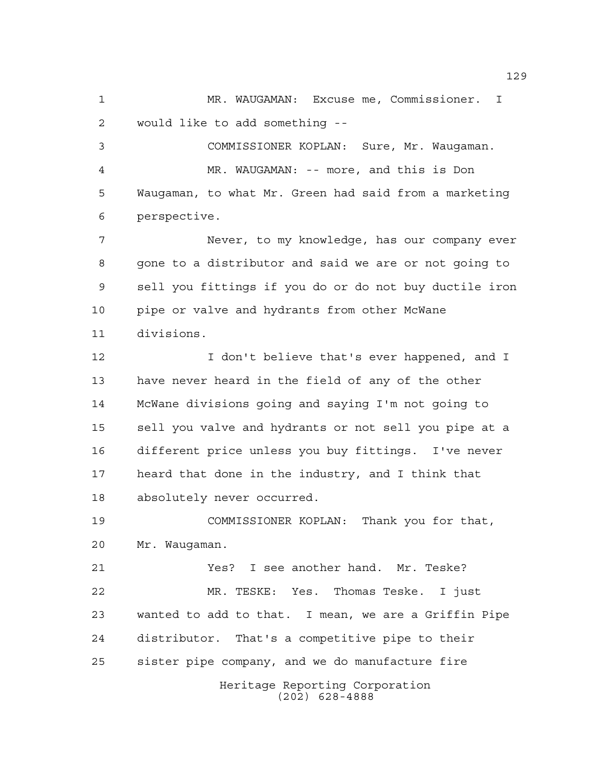MR. WAUGAMAN: Excuse me, Commissioner. I would like to add something --

 COMMISSIONER KOPLAN: Sure, Mr. Waugaman. MR. WAUGAMAN: -- more, and this is Don Waugaman, to what Mr. Green had said from a marketing perspective.

 Never, to my knowledge, has our company ever gone to a distributor and said we are or not going to sell you fittings if you do or do not buy ductile iron pipe or valve and hydrants from other McWane divisions.

**I** don't believe that's ever happened, and I have never heard in the field of any of the other McWane divisions going and saying I'm not going to sell you valve and hydrants or not sell you pipe at a different price unless you buy fittings. I've never heard that done in the industry, and I think that absolutely never occurred.

 COMMISSIONER KOPLAN: Thank you for that, Mr. Waugaman.

Heritage Reporting Corporation Yes? I see another hand. Mr. Teske? MR. TESKE: Yes. Thomas Teske. I just wanted to add to that. I mean, we are a Griffin Pipe distributor. That's a competitive pipe to their sister pipe company, and we do manufacture fire

(202) 628-4888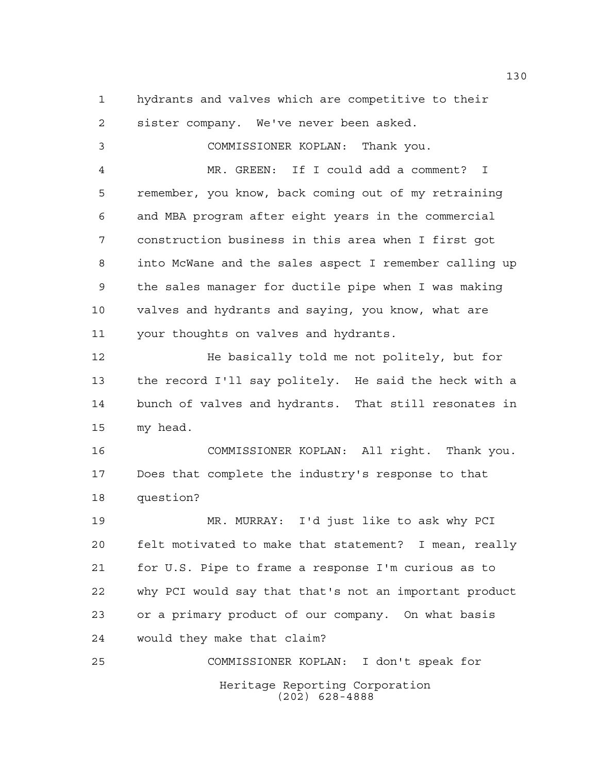hydrants and valves which are competitive to their sister company. We've never been asked.

 COMMISSIONER KOPLAN: Thank you. MR. GREEN: If I could add a comment? I remember, you know, back coming out of my retraining and MBA program after eight years in the commercial construction business in this area when I first got into McWane and the sales aspect I remember calling up the sales manager for ductile pipe when I was making valves and hydrants and saying, you know, what are your thoughts on valves and hydrants. He basically told me not politely, but for the record I'll say politely. He said the heck with a bunch of valves and hydrants. That still resonates in my head. COMMISSIONER KOPLAN: All right. Thank you. Does that complete the industry's response to that question? MR. MURRAY: I'd just like to ask why PCI felt motivated to make that statement? I mean, really for U.S. Pipe to frame a response I'm curious as to why PCI would say that that's not an important product or a primary product of our company. On what basis would they make that claim? COMMISSIONER KOPLAN: I don't speak for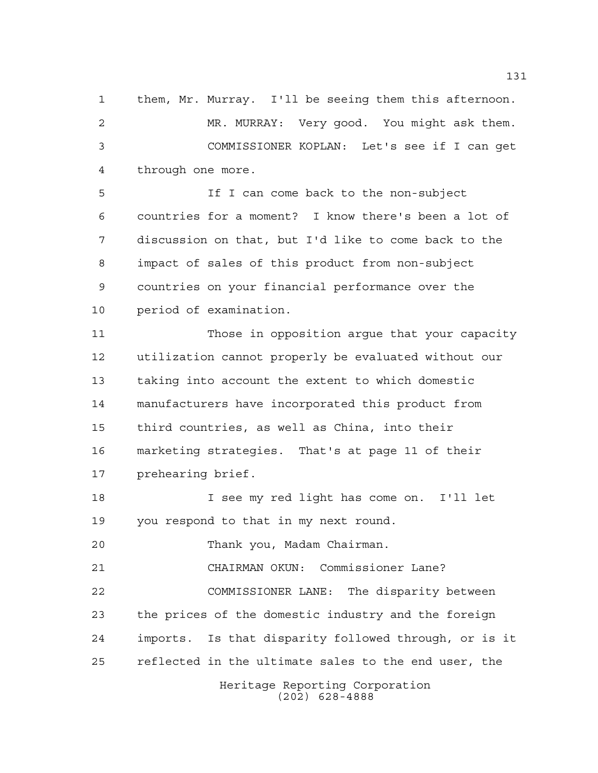them, Mr. Murray. I'll be seeing them this afternoon. MR. MURRAY: Very good. You might ask them. COMMISSIONER KOPLAN: Let's see if I can get through one more.

 If I can come back to the non-subject countries for a moment? I know there's been a lot of discussion on that, but I'd like to come back to the impact of sales of this product from non-subject countries on your financial performance over the period of examination.

 Those in opposition argue that your capacity utilization cannot properly be evaluated without our taking into account the extent to which domestic manufacturers have incorporated this product from third countries, as well as China, into their marketing strategies. That's at page 11 of their prehearing brief.

 I see my red light has come on. I'll let you respond to that in my next round.

Thank you, Madam Chairman.

CHAIRMAN OKUN: Commissioner Lane?

 COMMISSIONER LANE: The disparity between the prices of the domestic industry and the foreign imports. Is that disparity followed through, or is it reflected in the ultimate sales to the end user, the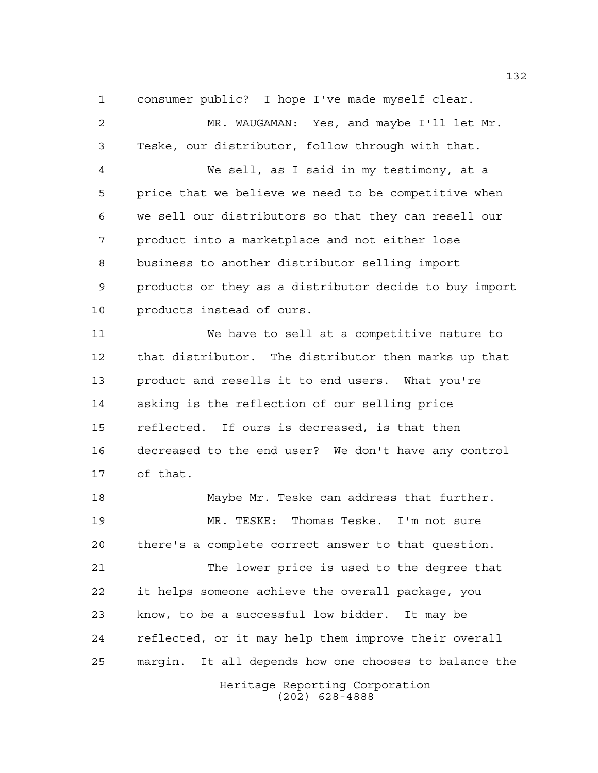consumer public? I hope I've made myself clear.

 MR. WAUGAMAN: Yes, and maybe I'll let Mr. Teske, our distributor, follow through with that. We sell, as I said in my testimony, at a price that we believe we need to be competitive when we sell our distributors so that they can resell our product into a marketplace and not either lose business to another distributor selling import products or they as a distributor decide to buy import products instead of ours. We have to sell at a competitive nature to that distributor. The distributor then marks up that product and resells it to end users. What you're asking is the reflection of our selling price reflected. If ours is decreased, is that then decreased to the end user? We don't have any control of that. 18 Maybe Mr. Teske can address that further. MR. TESKE: Thomas Teske. I'm not sure there's a complete correct answer to that question. The lower price is used to the degree that it helps someone achieve the overall package, you

Heritage Reporting Corporation (202) 628-4888 know, to be a successful low bidder. It may be reflected, or it may help them improve their overall margin. It all depends how one chooses to balance the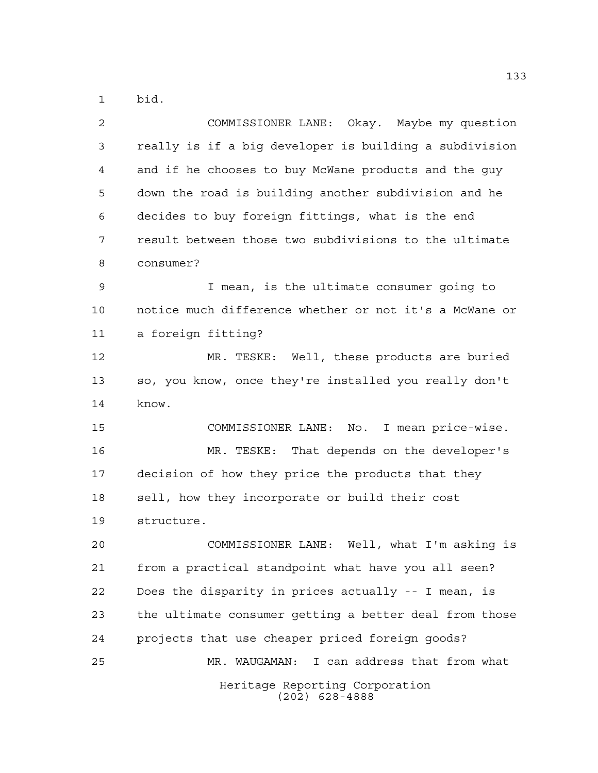bid.

| $\overline{2}$ | COMMISSIONER LANE: Okay. Maybe my question             |
|----------------|--------------------------------------------------------|
| 3              | really is if a big developer is building a subdivision |
| 4              | and if he chooses to buy McWane products and the guy   |
| 5              | down the road is building another subdivision and he   |
| 6              | decides to buy foreign fittings, what is the end       |
| 7              | result between those two subdivisions to the ultimate  |
| 8              | consumer?                                              |
| $\mathsf 9$    | I mean, is the ultimate consumer going to              |
| 10             | notice much difference whether or not it's a McWane or |
| 11             | a foreign fitting?                                     |
| 12             | MR. TESKE: Well, these products are buried             |
| 13             | so, you know, once they're installed you really don't  |
| 14             | know.                                                  |
| 15             | COMMISSIONER LANE: No. I mean price-wise.              |
| 16             | MR. TESKE: That depends on the developer's             |
| 17             | decision of how they price the products that they      |
| 18             | sell, how they incorporate or build their cost         |
| 19             | structure.                                             |
| 20             | Well, what I'm asking is<br>COMMISSIONER LANE:         |
| 21             | from a practical standpoint what have you all seen?    |
| 22             | Does the disparity in prices actually -- I mean, is    |
| 23             | the ultimate consumer getting a better deal from those |
| 24             | projects that use cheaper priced foreign goods?        |
| 25             | I can address that from what<br>MR. WAUGAMAN:          |
|                | Heritage Reporting Corporation<br>$(202)$ 628-4888     |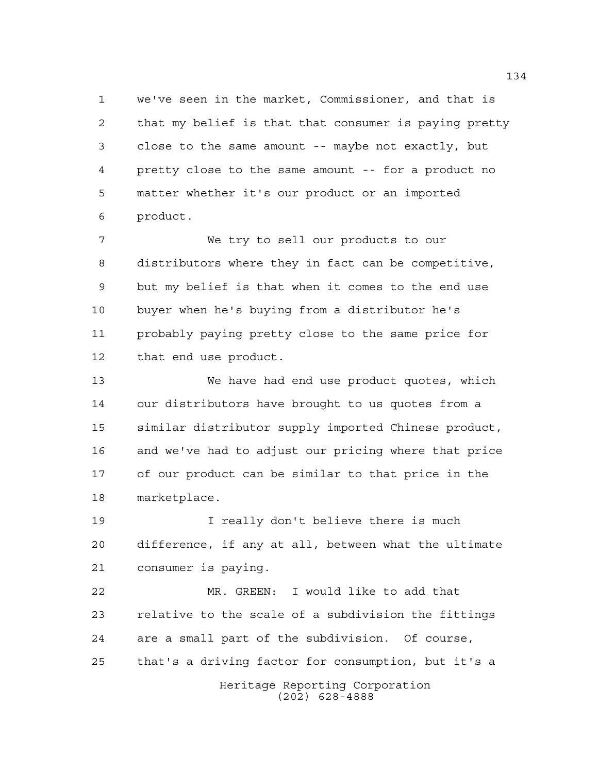we've seen in the market, Commissioner, and that is that my belief is that that consumer is paying pretty close to the same amount -- maybe not exactly, but pretty close to the same amount -- for a product no matter whether it's our product or an imported product.

 We try to sell our products to our distributors where they in fact can be competitive, but my belief is that when it comes to the end use buyer when he's buying from a distributor he's probably paying pretty close to the same price for that end use product.

 We have had end use product quotes, which our distributors have brought to us quotes from a similar distributor supply imported Chinese product, and we've had to adjust our pricing where that price of our product can be similar to that price in the marketplace.

 I really don't believe there is much difference, if any at all, between what the ultimate consumer is paying.

 MR. GREEN: I would like to add that relative to the scale of a subdivision the fittings are a small part of the subdivision. Of course, that's a driving factor for consumption, but it's a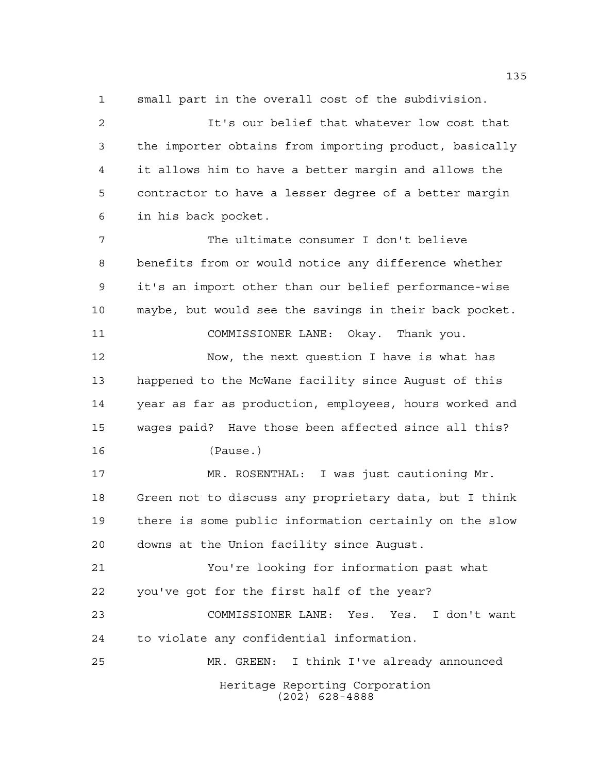small part in the overall cost of the subdivision.

 It's our belief that whatever low cost that the importer obtains from importing product, basically it allows him to have a better margin and allows the contractor to have a lesser degree of a better margin in his back pocket.

 The ultimate consumer I don't believe benefits from or would notice any difference whether it's an import other than our belief performance-wise maybe, but would see the savings in their back pocket. COMMISSIONER LANE: Okay. Thank you.

Now, the next question I have is what has

 happened to the McWane facility since August of this year as far as production, employees, hours worked and wages paid? Have those been affected since all this?

(Pause.)

 MR. ROSENTHAL: I was just cautioning Mr. Green not to discuss any proprietary data, but I think there is some public information certainly on the slow downs at the Union facility since August.

 You're looking for information past what you've got for the first half of the year?

 COMMISSIONER LANE: Yes. Yes. I don't want to violate any confidential information.

Heritage Reporting Corporation (202) 628-4888 MR. GREEN: I think I've already announced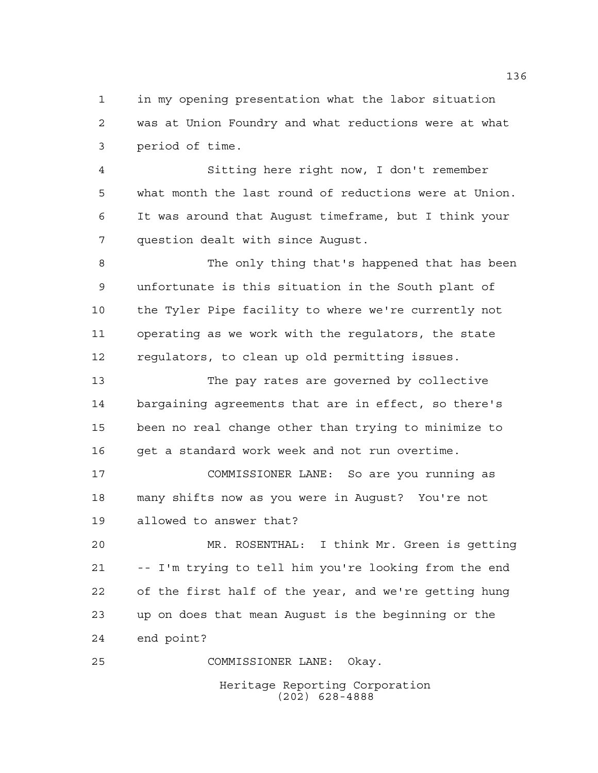in my opening presentation what the labor situation was at Union Foundry and what reductions were at what period of time.

 Sitting here right now, I don't remember what month the last round of reductions were at Union. It was around that August timeframe, but I think your question dealt with since August.

 The only thing that's happened that has been unfortunate is this situation in the South plant of the Tyler Pipe facility to where we're currently not operating as we work with the regulators, the state regulators, to clean up old permitting issues.

 The pay rates are governed by collective bargaining agreements that are in effect, so there's been no real change other than trying to minimize to 16 get a standard work week and not run overtime.

 COMMISSIONER LANE: So are you running as many shifts now as you were in August? You're not allowed to answer that?

 MR. ROSENTHAL: I think Mr. Green is getting -- I'm trying to tell him you're looking from the end of the first half of the year, and we're getting hung up on does that mean August is the beginning or the end point?

COMMISSIONER LANE: Okay.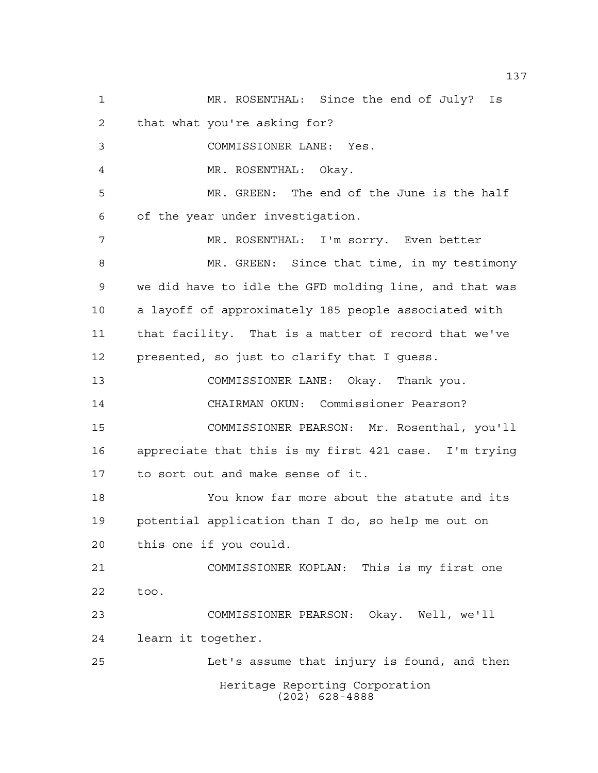Heritage Reporting Corporation (202) 628-4888 MR. ROSENTHAL: Since the end of July? Is that what you're asking for? COMMISSIONER LANE: Yes. MR. ROSENTHAL: Okay. MR. GREEN: The end of the June is the half of the year under investigation. MR. ROSENTHAL: I'm sorry. Even better MR. GREEN: Since that time, in my testimony we did have to idle the GFD molding line, and that was a layoff of approximately 185 people associated with that facility. That is a matter of record that we've presented, so just to clarify that I guess. COMMISSIONER LANE: Okay. Thank you. CHAIRMAN OKUN: Commissioner Pearson? COMMISSIONER PEARSON: Mr. Rosenthal, you'll appreciate that this is my first 421 case. I'm trying to sort out and make sense of it. You know far more about the statute and its potential application than I do, so help me out on this one if you could. COMMISSIONER KOPLAN: This is my first one too. COMMISSIONER PEARSON: Okay. Well, we'll learn it together. Let's assume that injury is found, and then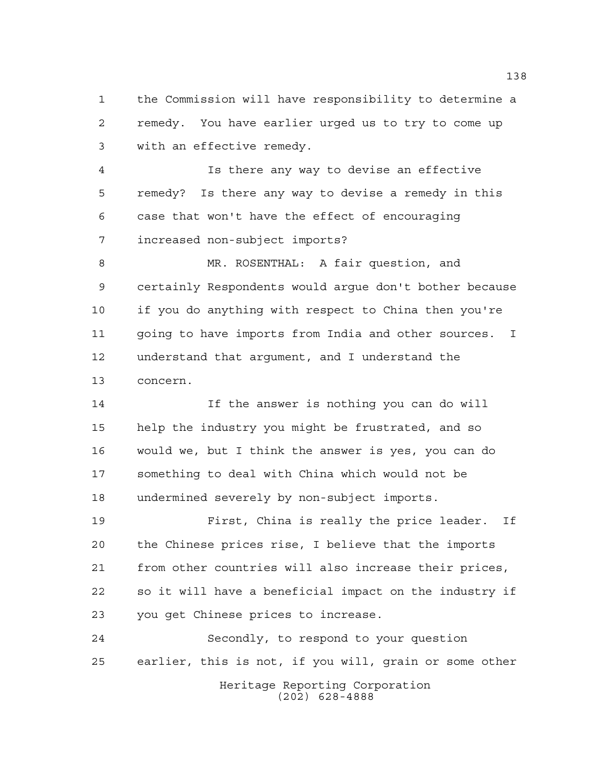the Commission will have responsibility to determine a remedy. You have earlier urged us to try to come up with an effective remedy.

 Is there any way to devise an effective remedy? Is there any way to devise a remedy in this case that won't have the effect of encouraging increased non-subject imports?

 MR. ROSENTHAL: A fair question, and certainly Respondents would argue don't bother because if you do anything with respect to China then you're going to have imports from India and other sources. I understand that argument, and I understand the concern.

 If the answer is nothing you can do will help the industry you might be frustrated, and so would we, but I think the answer is yes, you can do something to deal with China which would not be undermined severely by non-subject imports.

 First, China is really the price leader. If the Chinese prices rise, I believe that the imports from other countries will also increase their prices, so it will have a beneficial impact on the industry if you get Chinese prices to increase.

Heritage Reporting Corporation (202) 628-4888 Secondly, to respond to your question earlier, this is not, if you will, grain or some other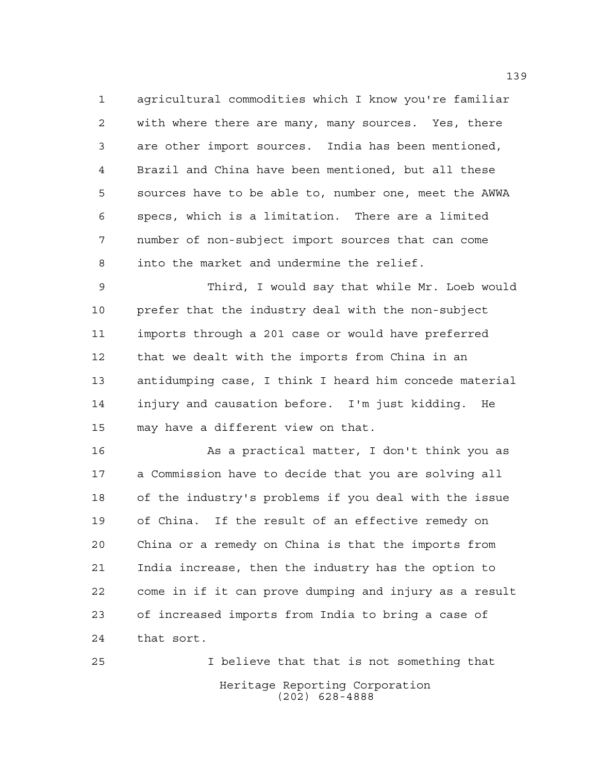agricultural commodities which I know you're familiar with where there are many, many sources. Yes, there are other import sources. India has been mentioned, Brazil and China have been mentioned, but all these sources have to be able to, number one, meet the AWWA specs, which is a limitation. There are a limited number of non-subject import sources that can come into the market and undermine the relief.

 Third, I would say that while Mr. Loeb would prefer that the industry deal with the non-subject imports through a 201 case or would have preferred that we dealt with the imports from China in an antidumping case, I think I heard him concede material injury and causation before. I'm just kidding. He may have a different view on that.

16 As a practical matter, I don't think you as a Commission have to decide that you are solving all of the industry's problems if you deal with the issue of China. If the result of an effective remedy on China or a remedy on China is that the imports from India increase, then the industry has the option to come in if it can prove dumping and injury as a result of increased imports from India to bring a case of that sort.

Heritage Reporting Corporation (202) 628-4888 I believe that that is not something that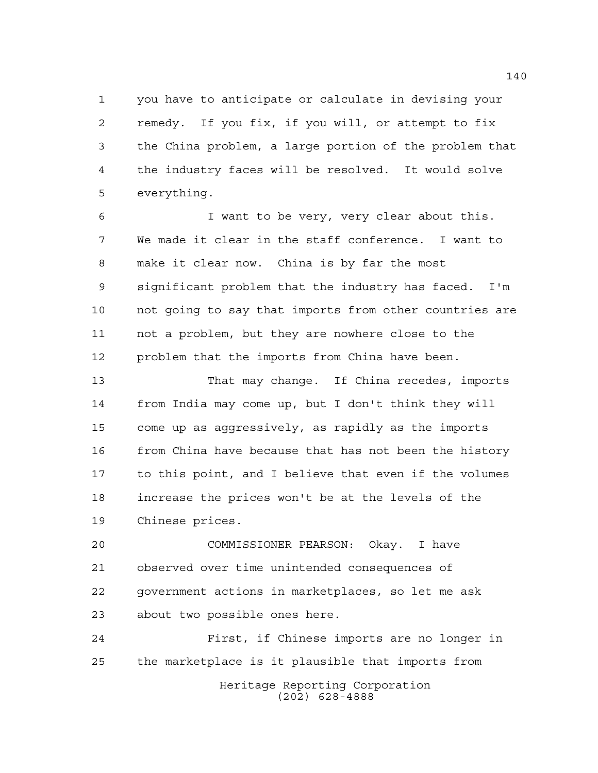you have to anticipate or calculate in devising your remedy. If you fix, if you will, or attempt to fix the China problem, a large portion of the problem that the industry faces will be resolved. It would solve everything.

 I want to be very, very clear about this. We made it clear in the staff conference. I want to make it clear now. China is by far the most significant problem that the industry has faced. I'm not going to say that imports from other countries are not a problem, but they are nowhere close to the problem that the imports from China have been.

 That may change. If China recedes, imports from India may come up, but I don't think they will come up as aggressively, as rapidly as the imports from China have because that has not been the history to this point, and I believe that even if the volumes increase the prices won't be at the levels of the Chinese prices.

 COMMISSIONER PEARSON: Okay. I have observed over time unintended consequences of government actions in marketplaces, so let me ask about two possible ones here.

Heritage Reporting Corporation (202) 628-4888 First, if Chinese imports are no longer in the marketplace is it plausible that imports from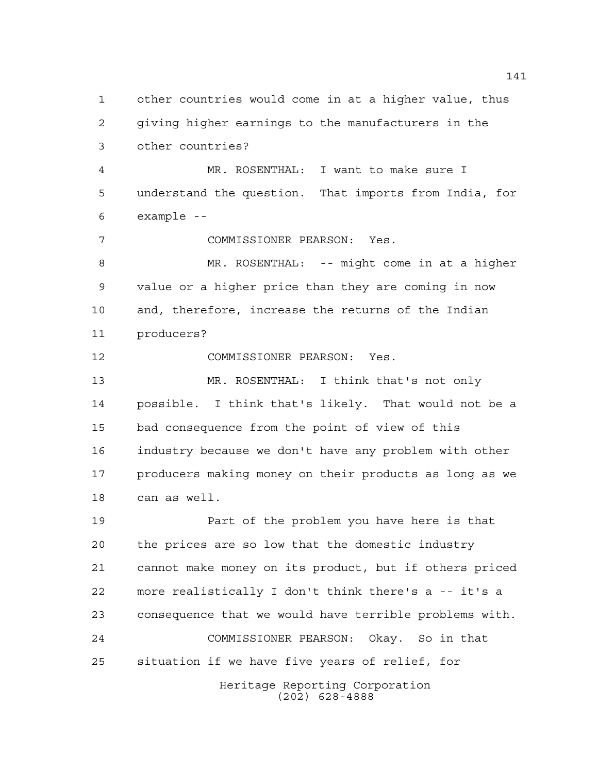Heritage Reporting Corporation (202) 628-4888 other countries would come in at a higher value, thus giving higher earnings to the manufacturers in the other countries? MR. ROSENTHAL: I want to make sure I understand the question. That imports from India, for example -- COMMISSIONER PEARSON: Yes. MR. ROSENTHAL: -- might come in at a higher value or a higher price than they are coming in now and, therefore, increase the returns of the Indian producers? COMMISSIONER PEARSON: Yes. MR. ROSENTHAL: I think that's not only possible. I think that's likely. That would not be a bad consequence from the point of view of this industry because we don't have any problem with other producers making money on their products as long as we can as well. Part of the problem you have here is that the prices are so low that the domestic industry cannot make money on its product, but if others priced more realistically I don't think there's a -- it's a consequence that we would have terrible problems with. COMMISSIONER PEARSON: Okay. So in that situation if we have five years of relief, for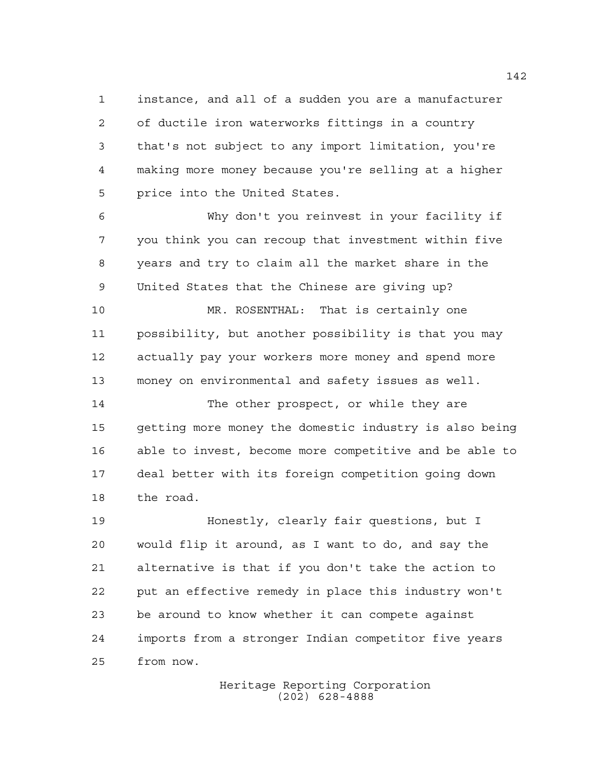instance, and all of a sudden you are a manufacturer of ductile iron waterworks fittings in a country that's not subject to any import limitation, you're making more money because you're selling at a higher price into the United States.

 Why don't you reinvest in your facility if you think you can recoup that investment within five years and try to claim all the market share in the United States that the Chinese are giving up?

 MR. ROSENTHAL: That is certainly one possibility, but another possibility is that you may actually pay your workers more money and spend more money on environmental and safety issues as well.

 The other prospect, or while they are getting more money the domestic industry is also being able to invest, become more competitive and be able to deal better with its foreign competition going down the road.

 Honestly, clearly fair questions, but I would flip it around, as I want to do, and say the alternative is that if you don't take the action to put an effective remedy in place this industry won't be around to know whether it can compete against imports from a stronger Indian competitor five years from now.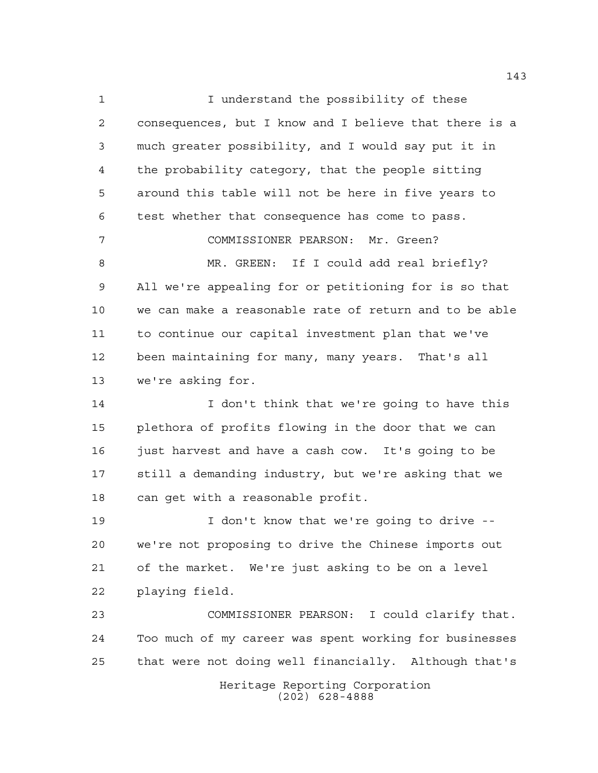I understand the possibility of these consequences, but I know and I believe that there is a much greater possibility, and I would say put it in the probability category, that the people sitting around this table will not be here in five years to test whether that consequence has come to pass. COMMISSIONER PEARSON: Mr. Green? 8 MR. GREEN: If I could add real briefly? All we're appealing for or petitioning for is so that we can make a reasonable rate of return and to be able to continue our capital investment plan that we've been maintaining for many, many years. That's all we're asking for. I don't think that we're going to have this plethora of profits flowing in the door that we can just harvest and have a cash cow. It's going to be still a demanding industry, but we're asking that we can get with a reasonable profit. I don't know that we're going to drive -- we're not proposing to drive the Chinese imports out of the market. We're just asking to be on a level playing field. COMMISSIONER PEARSON: I could clarify that. Too much of my career was spent working for businesses that were not doing well financially. Although that's

> Heritage Reporting Corporation (202) 628-4888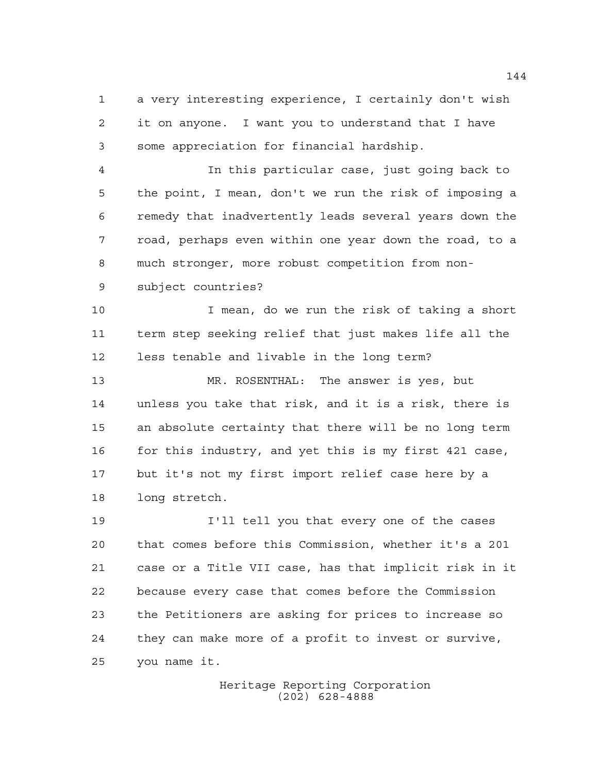a very interesting experience, I certainly don't wish it on anyone. I want you to understand that I have some appreciation for financial hardship.

 In this particular case, just going back to the point, I mean, don't we run the risk of imposing a remedy that inadvertently leads several years down the road, perhaps even within one year down the road, to a much stronger, more robust competition from non-

subject countries?

 I mean, do we run the risk of taking a short term step seeking relief that just makes life all the less tenable and livable in the long term?

 MR. ROSENTHAL: The answer is yes, but unless you take that risk, and it is a risk, there is an absolute certainty that there will be no long term for this industry, and yet this is my first 421 case, but it's not my first import relief case here by a long stretch.

 I'll tell you that every one of the cases that comes before this Commission, whether it's a 201 case or a Title VII case, has that implicit risk in it because every case that comes before the Commission the Petitioners are asking for prices to increase so they can make more of a profit to invest or survive, you name it.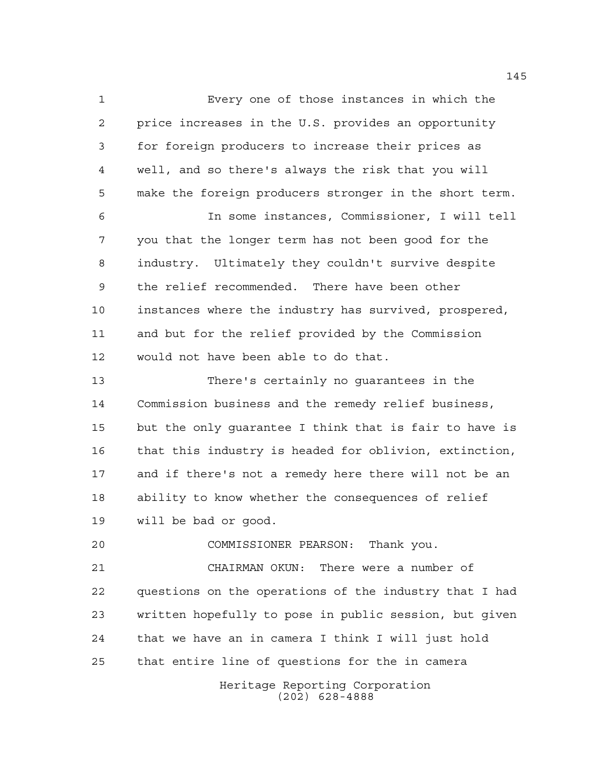Every one of those instances in which the price increases in the U.S. provides an opportunity for foreign producers to increase their prices as well, and so there's always the risk that you will make the foreign producers stronger in the short term. In some instances, Commissioner, I will tell you that the longer term has not been good for the industry. Ultimately they couldn't survive despite the relief recommended. There have been other instances where the industry has survived, prospered, and but for the relief provided by the Commission

 There's certainly no guarantees in the Commission business and the remedy relief business, but the only guarantee I think that is fair to have is that this industry is headed for oblivion, extinction, and if there's not a remedy here there will not be an ability to know whether the consequences of relief will be bad or good.

would not have been able to do that.

 COMMISSIONER PEARSON: Thank you. CHAIRMAN OKUN: There were a number of questions on the operations of the industry that I had written hopefully to pose in public session, but given that we have an in camera I think I will just hold that entire line of questions for the in camera

Heritage Reporting Corporation (202) 628-4888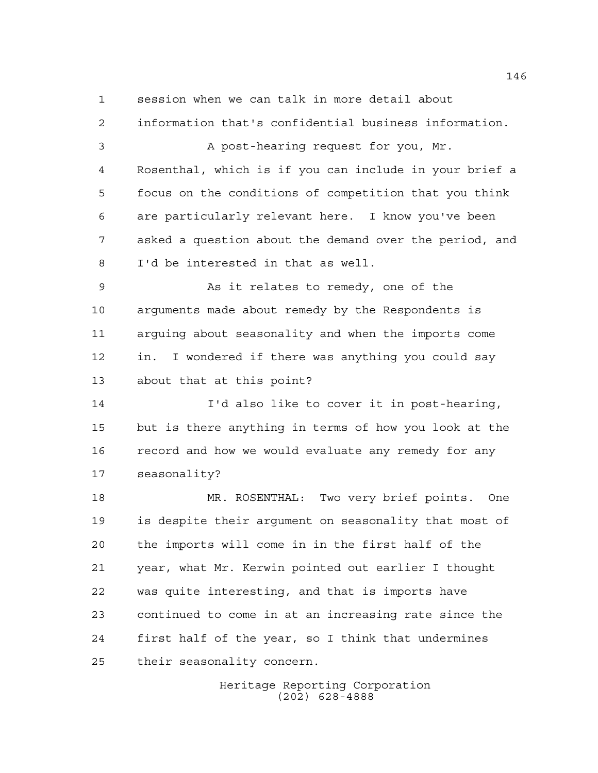session when we can talk in more detail about

 information that's confidential business information. A post-hearing request for you, Mr. Rosenthal, which is if you can include in your brief a focus on the conditions of competition that you think are particularly relevant here. I know you've been asked a question about the demand over the period, and I'd be interested in that as well. 9 As it relates to remedy, one of the

 arguments made about remedy by the Respondents is arguing about seasonality and when the imports come in. I wondered if there was anything you could say about that at this point?

 I'd also like to cover it in post-hearing, but is there anything in terms of how you look at the record and how we would evaluate any remedy for any seasonality?

 MR. ROSENTHAL: Two very brief points. One is despite their argument on seasonality that most of the imports will come in in the first half of the year, what Mr. Kerwin pointed out earlier I thought was quite interesting, and that is imports have continued to come in at an increasing rate since the first half of the year, so I think that undermines their seasonality concern.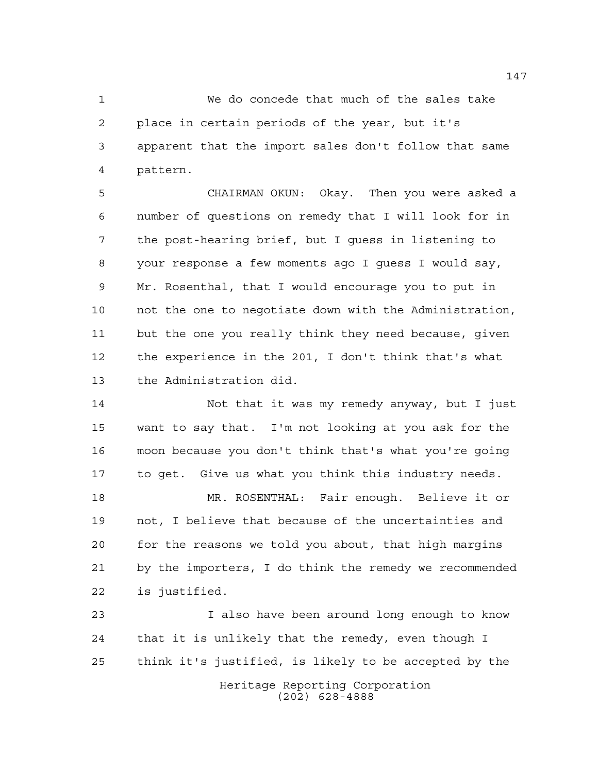We do concede that much of the sales take place in certain periods of the year, but it's apparent that the import sales don't follow that same pattern.

 CHAIRMAN OKUN: Okay. Then you were asked a number of questions on remedy that I will look for in the post-hearing brief, but I guess in listening to your response a few moments ago I guess I would say, Mr. Rosenthal, that I would encourage you to put in not the one to negotiate down with the Administration, but the one you really think they need because, given the experience in the 201, I don't think that's what the Administration did.

 Not that it was my remedy anyway, but I just want to say that. I'm not looking at you ask for the moon because you don't think that's what you're going to get. Give us what you think this industry needs.

 MR. ROSENTHAL: Fair enough. Believe it or not, I believe that because of the uncertainties and for the reasons we told you about, that high margins by the importers, I do think the remedy we recommended is justified.

 I also have been around long enough to know that it is unlikely that the remedy, even though I think it's justified, is likely to be accepted by the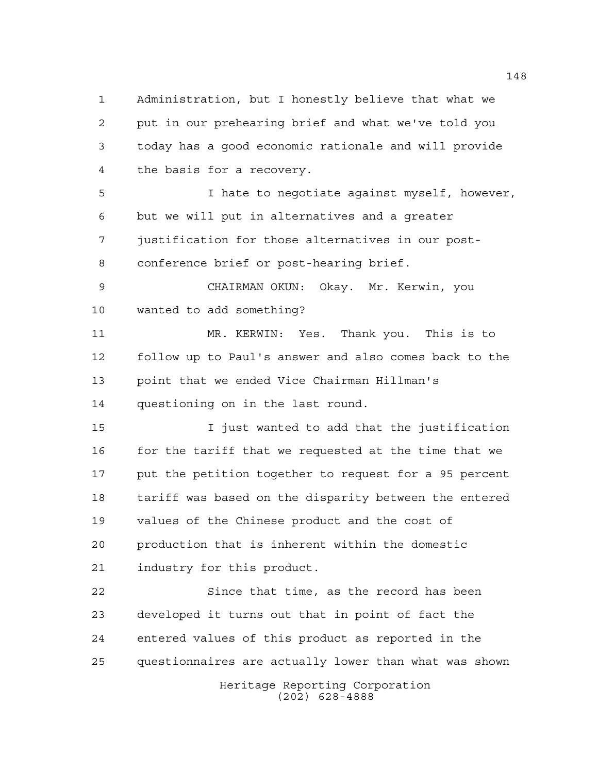Administration, but I honestly believe that what we put in our prehearing brief and what we've told you today has a good economic rationale and will provide the basis for a recovery. I hate to negotiate against myself, however, but we will put in alternatives and a greater justification for those alternatives in our post- conference brief or post-hearing brief. CHAIRMAN OKUN: Okay. Mr. Kerwin, you wanted to add something? MR. KERWIN: Yes. Thank you. This is to

 follow up to Paul's answer and also comes back to the point that we ended Vice Chairman Hillman's questioning on in the last round.

 I just wanted to add that the justification 16 for the tariff that we requested at the time that we put the petition together to request for a 95 percent tariff was based on the disparity between the entered values of the Chinese product and the cost of production that is inherent within the domestic industry for this product.

 Since that time, as the record has been developed it turns out that in point of fact the entered values of this product as reported in the questionnaires are actually lower than what was shown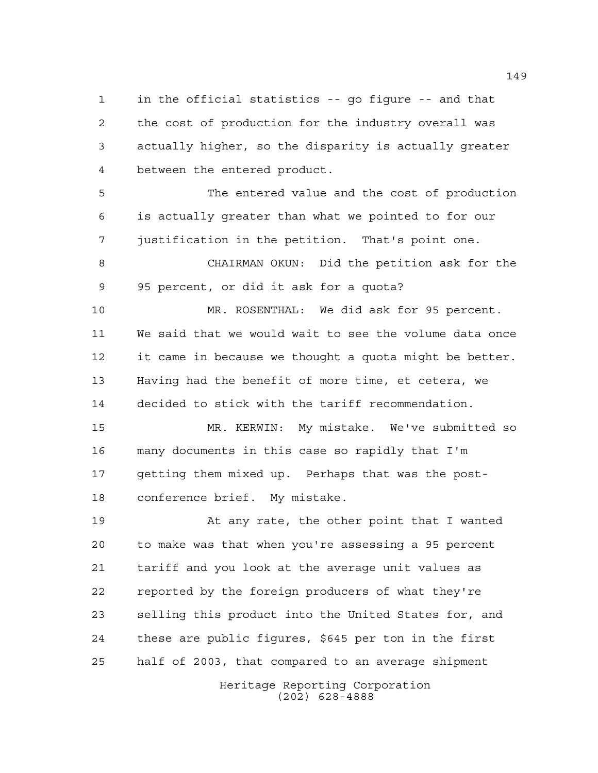in the official statistics -- go figure -- and that the cost of production for the industry overall was actually higher, so the disparity is actually greater between the entered product.

 The entered value and the cost of production is actually greater than what we pointed to for our justification in the petition. That's point one.

 CHAIRMAN OKUN: Did the petition ask for the 95 percent, or did it ask for a quota?

 MR. ROSENTHAL: We did ask for 95 percent. We said that we would wait to see the volume data once it came in because we thought a quota might be better. Having had the benefit of more time, et cetera, we decided to stick with the tariff recommendation.

 MR. KERWIN: My mistake. We've submitted so many documents in this case so rapidly that I'm getting them mixed up. Perhaps that was the post-conference brief. My mistake.

 At any rate, the other point that I wanted to make was that when you're assessing a 95 percent tariff and you look at the average unit values as reported by the foreign producers of what they're selling this product into the United States for, and these are public figures, \$645 per ton in the first half of 2003, that compared to an average shipment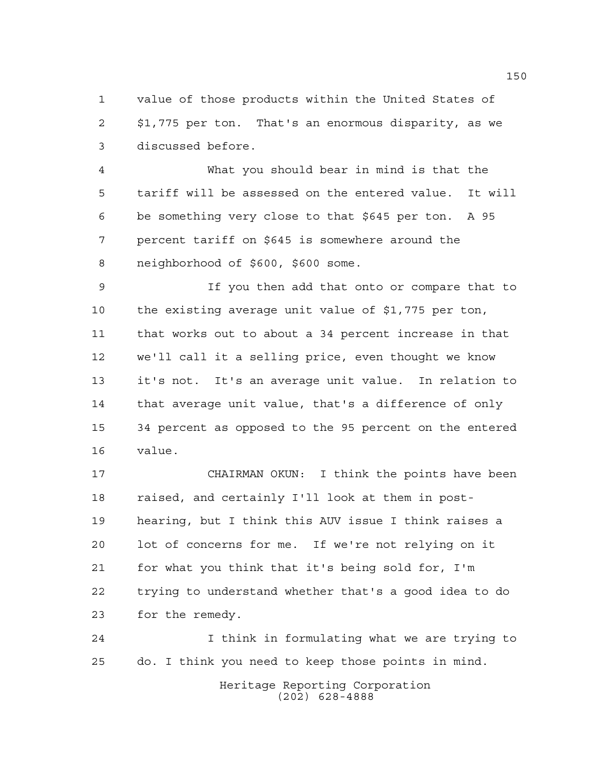value of those products within the United States of \$1,775 per ton. That's an enormous disparity, as we discussed before.

 What you should bear in mind is that the tariff will be assessed on the entered value. It will be something very close to that \$645 per ton. A 95 percent tariff on \$645 is somewhere around the neighborhood of \$600, \$600 some.

 If you then add that onto or compare that to the existing average unit value of \$1,775 per ton, that works out to about a 34 percent increase in that we'll call it a selling price, even thought we know it's not. It's an average unit value. In relation to that average unit value, that's a difference of only 34 percent as opposed to the 95 percent on the entered value.

 CHAIRMAN OKUN: I think the points have been raised, and certainly I'll look at them in post- hearing, but I think this AUV issue I think raises a lot of concerns for me. If we're not relying on it for what you think that it's being sold for, I'm trying to understand whether that's a good idea to do for the remedy.

 I think in formulating what we are trying to do. I think you need to keep those points in mind.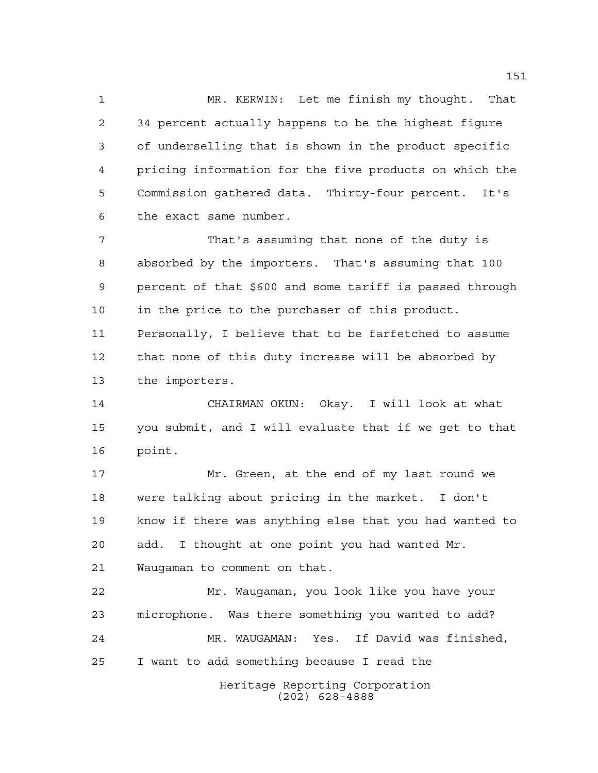MR. KERWIN: Let me finish my thought. That 34 percent actually happens to be the highest figure of underselling that is shown in the product specific pricing information for the five products on which the Commission gathered data. Thirty-four percent. It's the exact same number.

 That's assuming that none of the duty is absorbed by the importers. That's assuming that 100 percent of that \$600 and some tariff is passed through in the price to the purchaser of this product. Personally, I believe that to be farfetched to assume that none of this duty increase will be absorbed by the importers.

 CHAIRMAN OKUN: Okay. I will look at what you submit, and I will evaluate that if we get to that point.

 Mr. Green, at the end of my last round we were talking about pricing in the market. I don't know if there was anything else that you had wanted to add. I thought at one point you had wanted Mr. Waugaman to comment on that.

 Mr. Waugaman, you look like you have your microphone. Was there something you wanted to add? MR. WAUGAMAN: Yes. If David was finished, I want to add something because I read the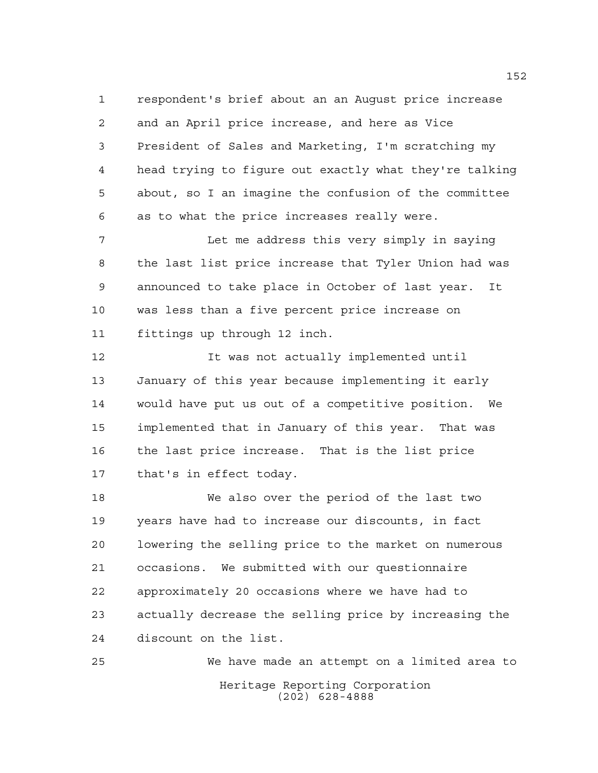respondent's brief about an an August price increase and an April price increase, and here as Vice President of Sales and Marketing, I'm scratching my head trying to figure out exactly what they're talking about, so I an imagine the confusion of the committee as to what the price increases really were.

 Let me address this very simply in saying the last list price increase that Tyler Union had was announced to take place in October of last year. It was less than a five percent price increase on fittings up through 12 inch.

 It was not actually implemented until January of this year because implementing it early would have put us out of a competitive position. We implemented that in January of this year. That was the last price increase. That is the list price that's in effect today.

 We also over the period of the last two years have had to increase our discounts, in fact lowering the selling price to the market on numerous occasions. We submitted with our questionnaire approximately 20 occasions where we have had to actually decrease the selling price by increasing the discount on the list.

Heritage Reporting Corporation (202) 628-4888 We have made an attempt on a limited area to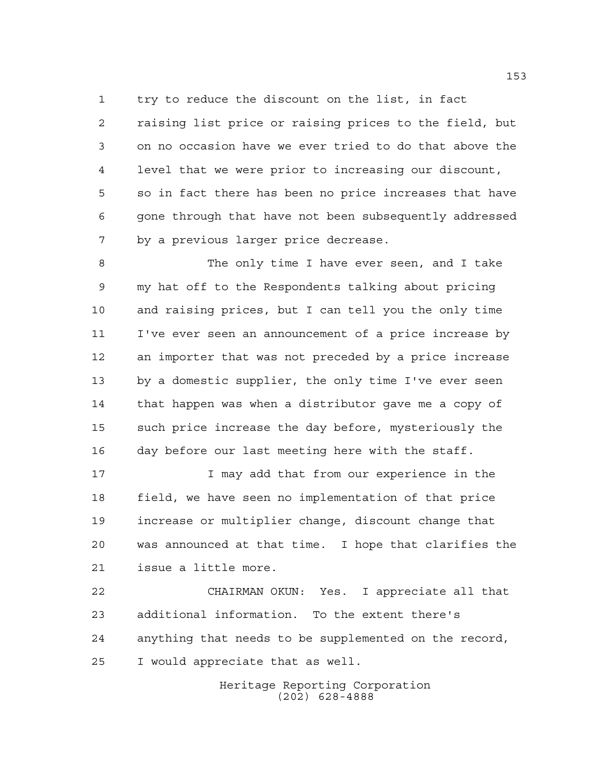try to reduce the discount on the list, in fact raising list price or raising prices to the field, but on no occasion have we ever tried to do that above the level that we were prior to increasing our discount, so in fact there has been no price increases that have gone through that have not been subsequently addressed

by a previous larger price decrease.

 The only time I have ever seen, and I take my hat off to the Respondents talking about pricing and raising prices, but I can tell you the only time I've ever seen an announcement of a price increase by an importer that was not preceded by a price increase by a domestic supplier, the only time I've ever seen that happen was when a distributor gave me a copy of such price increase the day before, mysteriously the day before our last meeting here with the staff.

 I may add that from our experience in the field, we have seen no implementation of that price increase or multiplier change, discount change that was announced at that time. I hope that clarifies the issue a little more.

 CHAIRMAN OKUN: Yes. I appreciate all that additional information. To the extent there's anything that needs to be supplemented on the record, I would appreciate that as well.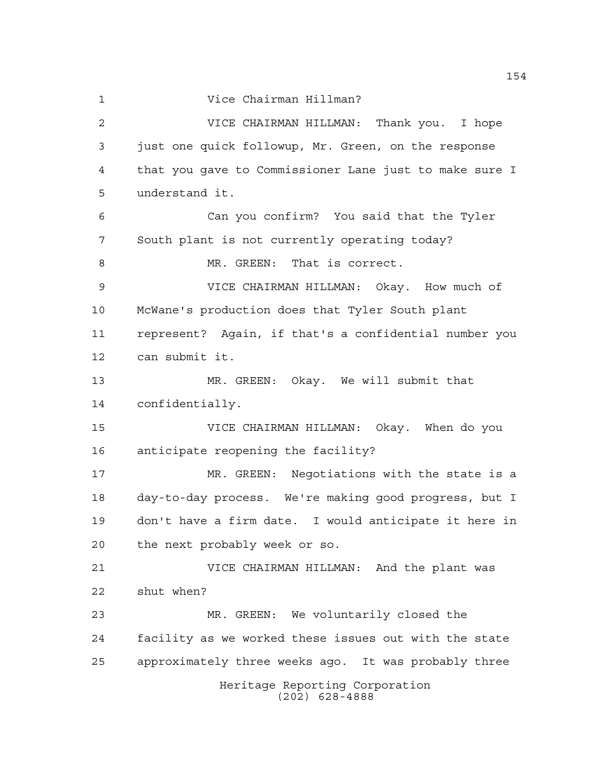Vice Chairman Hillman?

Heritage Reporting Corporation (202) 628-4888 VICE CHAIRMAN HILLMAN: Thank you. I hope just one quick followup, Mr. Green, on the response that you gave to Commissioner Lane just to make sure I understand it. Can you confirm? You said that the Tyler South plant is not currently operating today? 8 MR. GREEN: That is correct. VICE CHAIRMAN HILLMAN: Okay. How much of McWane's production does that Tyler South plant represent? Again, if that's a confidential number you can submit it. MR. GREEN: Okay. We will submit that confidentially. VICE CHAIRMAN HILLMAN: Okay. When do you anticipate reopening the facility? MR. GREEN: Negotiations with the state is a day-to-day process. We're making good progress, but I don't have a firm date. I would anticipate it here in the next probably week or so. VICE CHAIRMAN HILLMAN: And the plant was shut when? MR. GREEN: We voluntarily closed the facility as we worked these issues out with the state approximately three weeks ago. It was probably three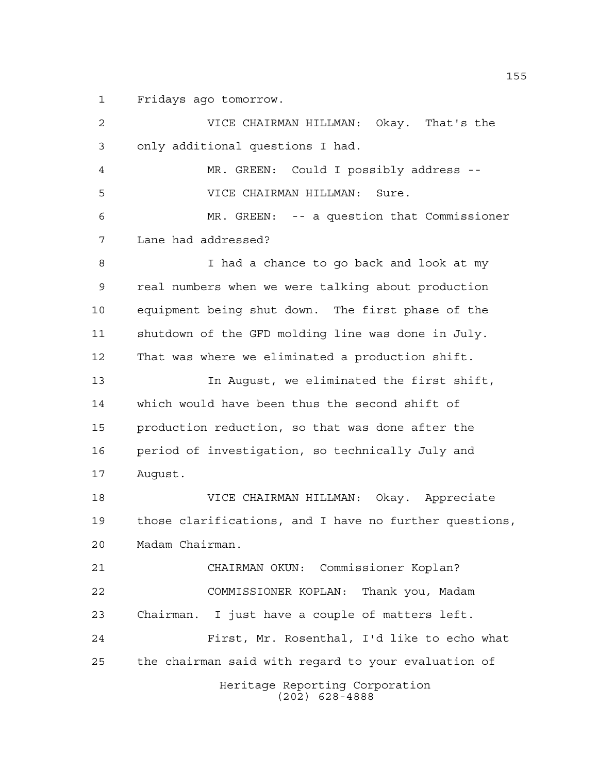Fridays ago tomorrow.

Heritage Reporting Corporation (202) 628-4888 VICE CHAIRMAN HILLMAN: Okay. That's the only additional questions I had. MR. GREEN: Could I possibly address -- VICE CHAIRMAN HILLMAN: Sure. MR. GREEN: -- a question that Commissioner Lane had addressed? I had a chance to go back and look at my real numbers when we were talking about production equipment being shut down. The first phase of the shutdown of the GFD molding line was done in July. That was where we eliminated a production shift. In August, we eliminated the first shift, which would have been thus the second shift of production reduction, so that was done after the period of investigation, so technically July and August. VICE CHAIRMAN HILLMAN: Okay. Appreciate those clarifications, and I have no further questions, Madam Chairman. CHAIRMAN OKUN: Commissioner Koplan? COMMISSIONER KOPLAN: Thank you, Madam Chairman. I just have a couple of matters left. First, Mr. Rosenthal, I'd like to echo what the chairman said with regard to your evaluation of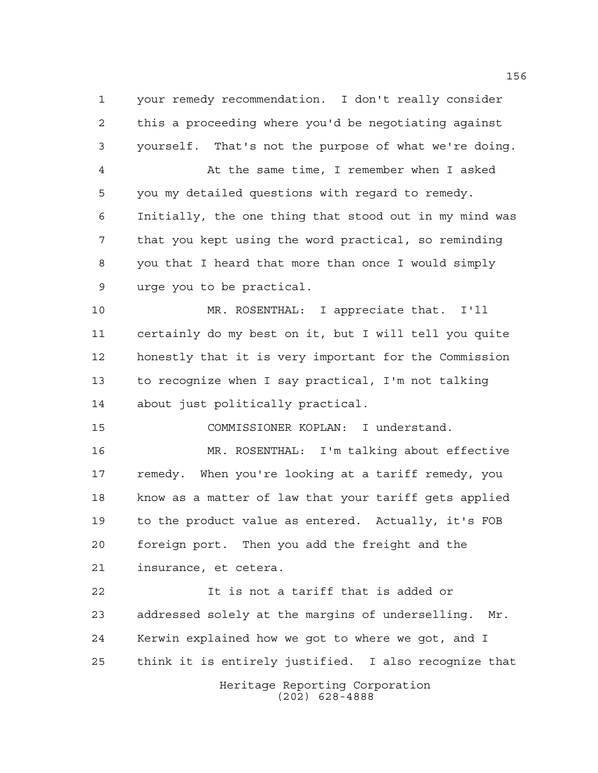your remedy recommendation. I don't really consider this a proceeding where you'd be negotiating against yourself. That's not the purpose of what we're doing. At the same time, I remember when I asked you my detailed questions with regard to remedy. Initially, the one thing that stood out in my mind was that you kept using the word practical, so reminding you that I heard that more than once I would simply urge you to be practical. MR. ROSENTHAL: I appreciate that. I'll certainly do my best on it, but I will tell you quite honestly that it is very important for the Commission to recognize when I say practical, I'm not talking about just politically practical. COMMISSIONER KOPLAN: I understand. MR. ROSENTHAL: I'm talking about effective remedy. When you're looking at a tariff remedy, you know as a matter of law that your tariff gets applied to the product value as entered. Actually, it's FOB foreign port. Then you add the freight and the insurance, et cetera. It is not a tariff that is added or addressed solely at the margins of underselling. Mr. Kerwin explained how we got to where we got, and I

think it is entirely justified. I also recognize that

Heritage Reporting Corporation (202) 628-4888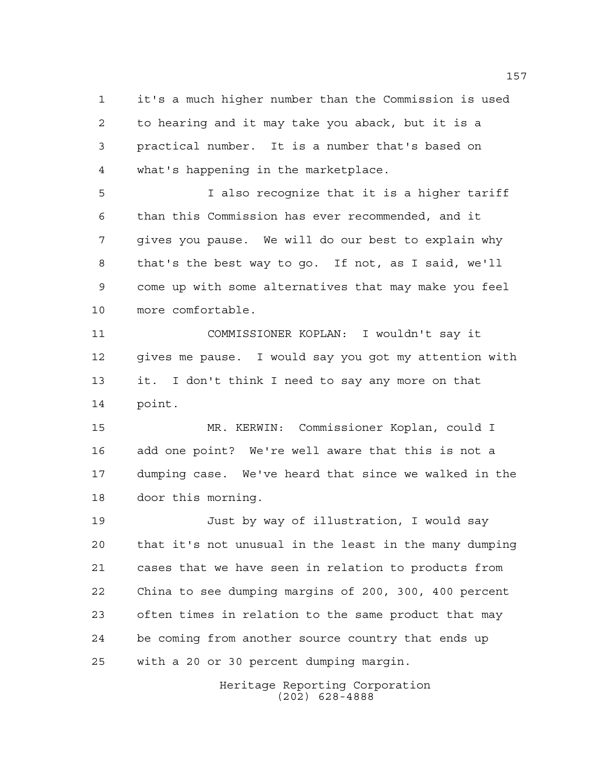it's a much higher number than the Commission is used to hearing and it may take you aback, but it is a practical number. It is a number that's based on what's happening in the marketplace.

 I also recognize that it is a higher tariff than this Commission has ever recommended, and it gives you pause. We will do our best to explain why that's the best way to go. If not, as I said, we'll come up with some alternatives that may make you feel more comfortable.

 COMMISSIONER KOPLAN: I wouldn't say it gives me pause. I would say you got my attention with it. I don't think I need to say any more on that point.

 MR. KERWIN: Commissioner Koplan, could I add one point? We're well aware that this is not a dumping case. We've heard that since we walked in the door this morning.

 Just by way of illustration, I would say that it's not unusual in the least in the many dumping cases that we have seen in relation to products from China to see dumping margins of 200, 300, 400 percent often times in relation to the same product that may be coming from another source country that ends up with a 20 or 30 percent dumping margin.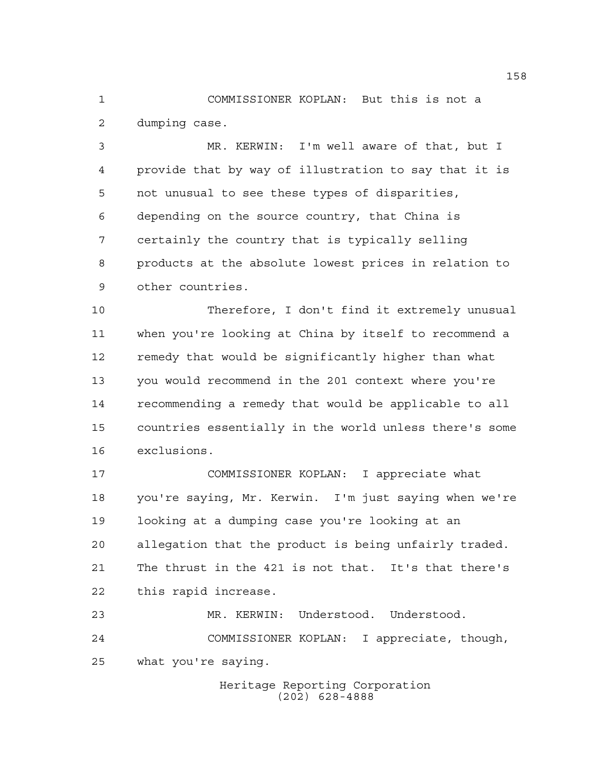COMMISSIONER KOPLAN: But this is not a dumping case.

 MR. KERWIN: I'm well aware of that, but I provide that by way of illustration to say that it is not unusual to see these types of disparities, depending on the source country, that China is certainly the country that is typically selling products at the absolute lowest prices in relation to other countries.

 Therefore, I don't find it extremely unusual when you're looking at China by itself to recommend a remedy that would be significantly higher than what you would recommend in the 201 context where you're recommending a remedy that would be applicable to all countries essentially in the world unless there's some exclusions.

 COMMISSIONER KOPLAN: I appreciate what you're saying, Mr. Kerwin. I'm just saying when we're looking at a dumping case you're looking at an allegation that the product is being unfairly traded. The thrust in the 421 is not that. It's that there's this rapid increase.

 MR. KERWIN: Understood. Understood. COMMISSIONER KOPLAN: I appreciate, though, what you're saying.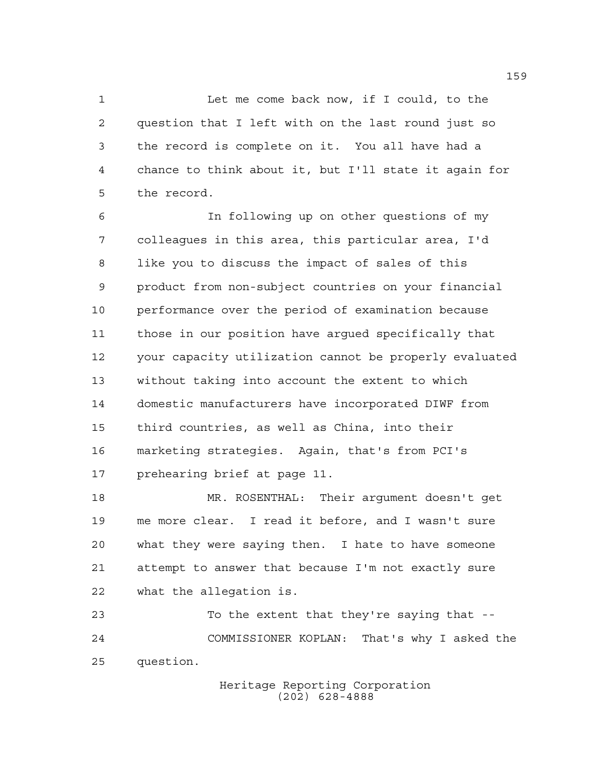Let me come back now, if I could, to the question that I left with on the last round just so the record is complete on it. You all have had a chance to think about it, but I'll state it again for the record.

 In following up on other questions of my colleagues in this area, this particular area, I'd like you to discuss the impact of sales of this product from non-subject countries on your financial performance over the period of examination because those in our position have argued specifically that your capacity utilization cannot be properly evaluated without taking into account the extent to which domestic manufacturers have incorporated DIWF from third countries, as well as China, into their marketing strategies. Again, that's from PCI's prehearing brief at page 11.

 MR. ROSENTHAL: Their argument doesn't get me more clear. I read it before, and I wasn't sure what they were saying then. I hate to have someone attempt to answer that because I'm not exactly sure what the allegation is.

 To the extent that they're saying that -- COMMISSIONER KOPLAN: That's why I asked the question.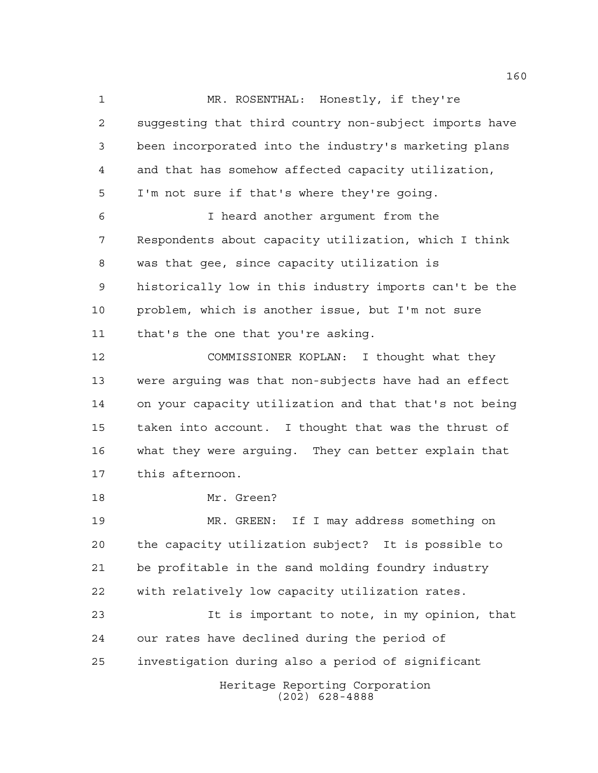1 MR. ROSENTHAL: Honestly, if they're suggesting that third country non-subject imports have been incorporated into the industry's marketing plans and that has somehow affected capacity utilization, I'm not sure if that's where they're going. I heard another argument from the Respondents about capacity utilization, which I think was that gee, since capacity utilization is historically low in this industry imports can't be the problem, which is another issue, but I'm not sure that's the one that you're asking. COMMISSIONER KOPLAN: I thought what they were arguing was that non-subjects have had an effect on your capacity utilization and that that's not being taken into account. I thought that was the thrust of what they were arguing. They can better explain that this afternoon. Mr. Green? MR. GREEN: If I may address something on the capacity utilization subject? It is possible to be profitable in the sand molding foundry industry with relatively low capacity utilization rates. It is important to note, in my opinion, that our rates have declined during the period of investigation during also a period of significant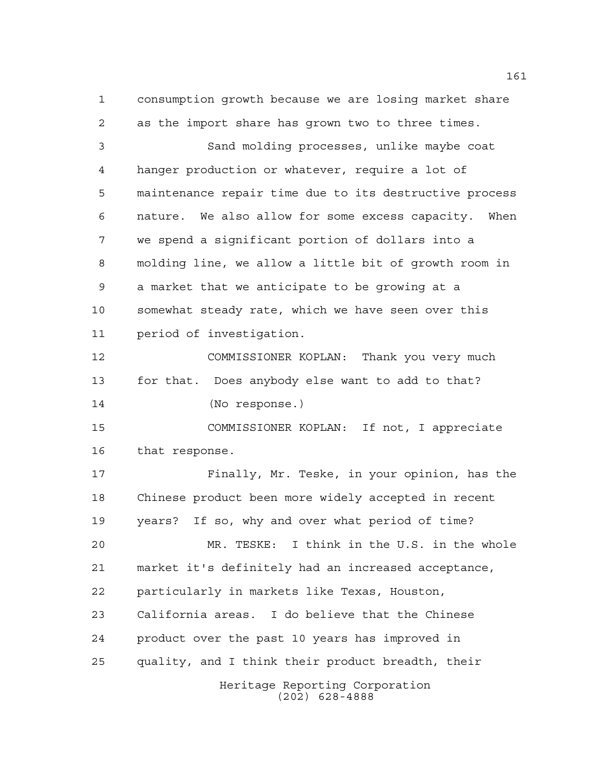consumption growth because we are losing market share as the import share has grown two to three times. Sand molding processes, unlike maybe coat hanger production or whatever, require a lot of maintenance repair time due to its destructive process nature. We also allow for some excess capacity. When we spend a significant portion of dollars into a molding line, we allow a little bit of growth room in a market that we anticipate to be growing at a somewhat steady rate, which we have seen over this period of investigation. COMMISSIONER KOPLAN: Thank you very much for that. Does anybody else want to add to that? (No response.) COMMISSIONER KOPLAN: If not, I appreciate that response. Finally, Mr. Teske, in your opinion, has the Chinese product been more widely accepted in recent years? If so, why and over what period of time? MR. TESKE: I think in the U.S. in the whole market it's definitely had an increased acceptance, particularly in markets like Texas, Houston, California areas. I do believe that the Chinese product over the past 10 years has improved in quality, and I think their product breadth, their

> Heritage Reporting Corporation (202) 628-4888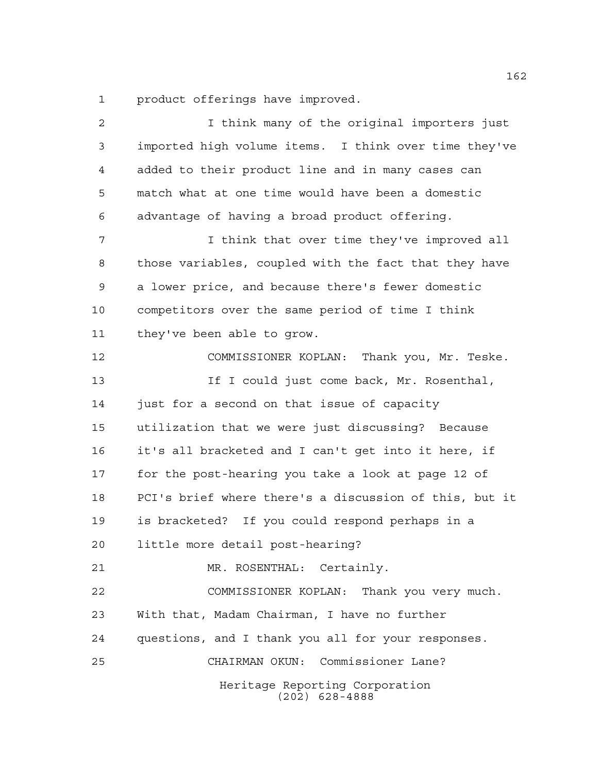product offerings have improved.

Heritage Reporting Corporation (202) 628-4888 2 1 I think many of the original importers just imported high volume items. I think over time they've added to their product line and in many cases can match what at one time would have been a domestic advantage of having a broad product offering. I think that over time they've improved all those variables, coupled with the fact that they have a lower price, and because there's fewer domestic competitors over the same period of time I think they've been able to grow. COMMISSIONER KOPLAN: Thank you, Mr. Teske. 13 13 If I could just come back, Mr. Rosenthal, just for a second on that issue of capacity utilization that we were just discussing? Because it's all bracketed and I can't get into it here, if for the post-hearing you take a look at page 12 of PCI's brief where there's a discussion of this, but it is bracketed? If you could respond perhaps in a little more detail post-hearing? MR. ROSENTHAL: Certainly. COMMISSIONER KOPLAN: Thank you very much. With that, Madam Chairman, I have no further questions, and I thank you all for your responses. CHAIRMAN OKUN: Commissioner Lane?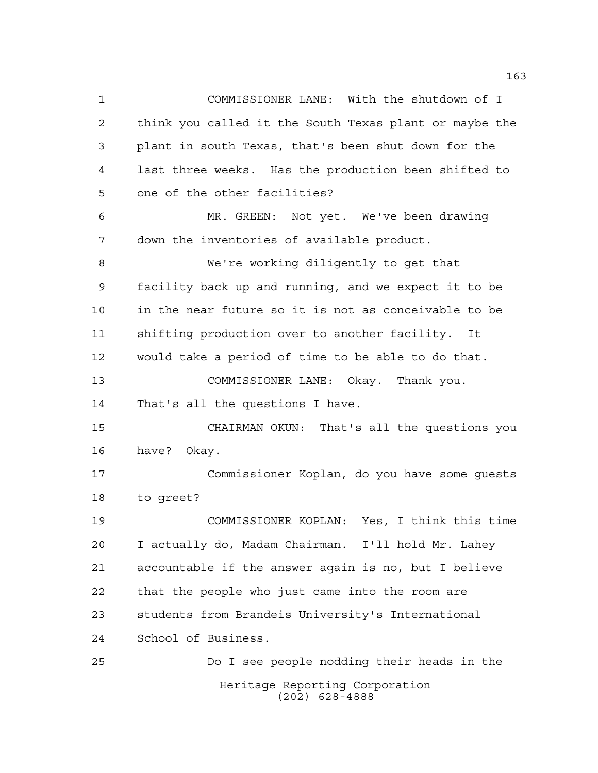Heritage Reporting Corporation (202) 628-4888 COMMISSIONER LANE: With the shutdown of I think you called it the South Texas plant or maybe the plant in south Texas, that's been shut down for the last three weeks. Has the production been shifted to one of the other facilities? MR. GREEN: Not yet. We've been drawing down the inventories of available product. We're working diligently to get that facility back up and running, and we expect it to be in the near future so it is not as conceivable to be shifting production over to another facility. It would take a period of time to be able to do that. COMMISSIONER LANE: Okay. Thank you. That's all the questions I have. CHAIRMAN OKUN: That's all the questions you have? Okay. Commissioner Koplan, do you have some guests to greet? COMMISSIONER KOPLAN: Yes, I think this time I actually do, Madam Chairman. I'll hold Mr. Lahey accountable if the answer again is no, but I believe that the people who just came into the room are students from Brandeis University's International School of Business. Do I see people nodding their heads in the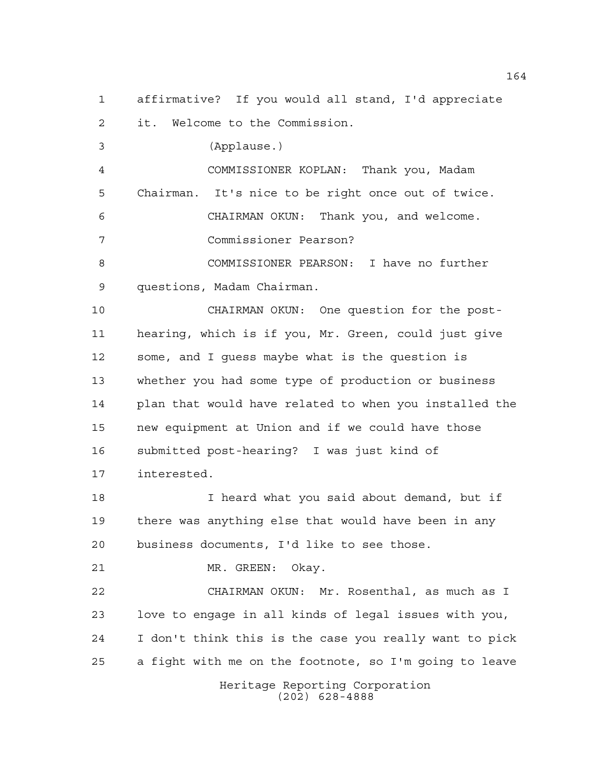affirmative? If you would all stand, I'd appreciate

it. Welcome to the Commission.

(Applause.)

 COMMISSIONER KOPLAN: Thank you, Madam Chairman. It's nice to be right once out of twice. CHAIRMAN OKUN: Thank you, and welcome. Commissioner Pearson?

 COMMISSIONER PEARSON: I have no further questions, Madam Chairman.

 CHAIRMAN OKUN: One question for the post- hearing, which is if you, Mr. Green, could just give some, and I guess maybe what is the question is whether you had some type of production or business plan that would have related to when you installed the new equipment at Union and if we could have those submitted post-hearing? I was just kind of interested.

 I heard what you said about demand, but if there was anything else that would have been in any business documents, I'd like to see those.

MR. GREEN: Okay.

 CHAIRMAN OKUN: Mr. Rosenthal, as much as I love to engage in all kinds of legal issues with you, I don't think this is the case you really want to pick a fight with me on the footnote, so I'm going to leave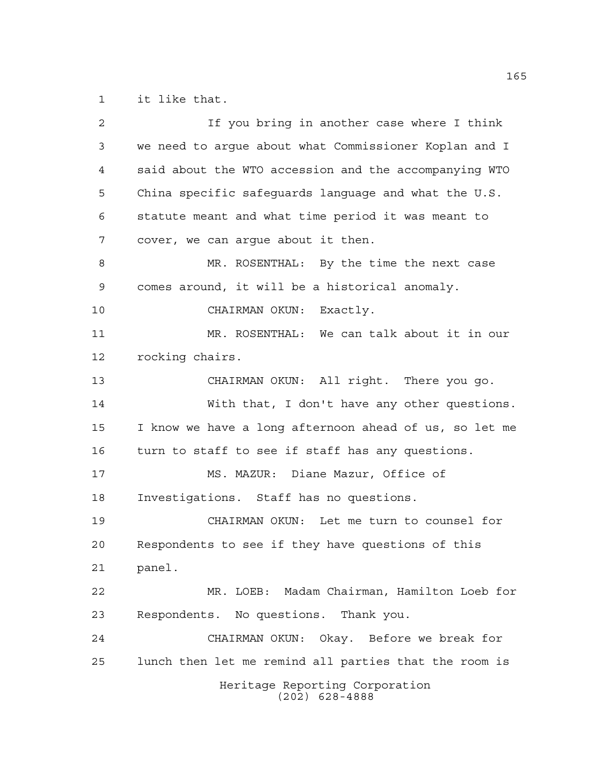it like that.

| $\overline{a}$ | If you bring in another case where I think             |
|----------------|--------------------------------------------------------|
| 3              | we need to argue about what Commissioner Koplan and I  |
| 4              | said about the WTO accession and the accompanying WTO  |
| 5              | China specific safequards language and what the U.S.   |
| 6              | statute meant and what time period it was meant to     |
| 7              | cover, we can argue about it then.                     |
| 8              | MR. ROSENTHAL: By the time the next case               |
| 9              | comes around, it will be a historical anomaly.         |
| 10             | CHAIRMAN OKUN: Exactly.                                |
| 11             | MR. ROSENTHAL: We can talk about it in our             |
| 12             | rocking chairs.                                        |
| 13             | CHAIRMAN OKUN: All right. There you go.                |
| 14             | With that, I don't have any other questions.           |
| 15             | I know we have a long afternoon ahead of us, so let me |
| 16             | turn to staff to see if staff has any questions.       |
| 17             | MS. MAZUR: Diane Mazur, Office of                      |
| 18             | Investigations. Staff has no questions.                |
| 19             | CHAIRMAN OKUN: Let me turn to counsel for              |
| 20             | Respondents to see if they have questions of this      |
| 21             | panel.                                                 |
| 22             | MR. LOEB: Madam Chairman, Hamilton Loeb for            |
| 23             | Respondents. No questions. Thank you.                  |
| 24             | CHAIRMAN OKUN: Okay. Before we break for               |
| 25             | lunch then let me remind all parties that the room is  |
|                | Heritage Reporting Corporation<br>$(202)$ 628-4888     |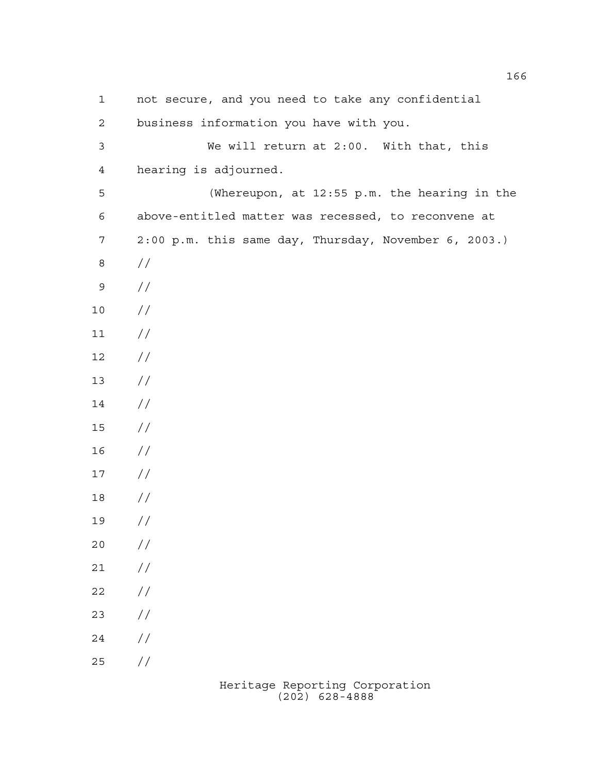not secure, and you need to take any confidential business information you have with you. We will return at 2:00. With that, this hearing is adjourned. (Whereupon, at 12:55 p.m. the hearing in the above-entitled matter was recessed, to reconvene at 2:00 p.m. this same day, Thursday, November 6, 2003.) // //  $10 /$  $11 /$  $12 /$  //  $14 /$  // // // // //  $20 / /$  $21 /$  $22 / /$  //  $24 /$ //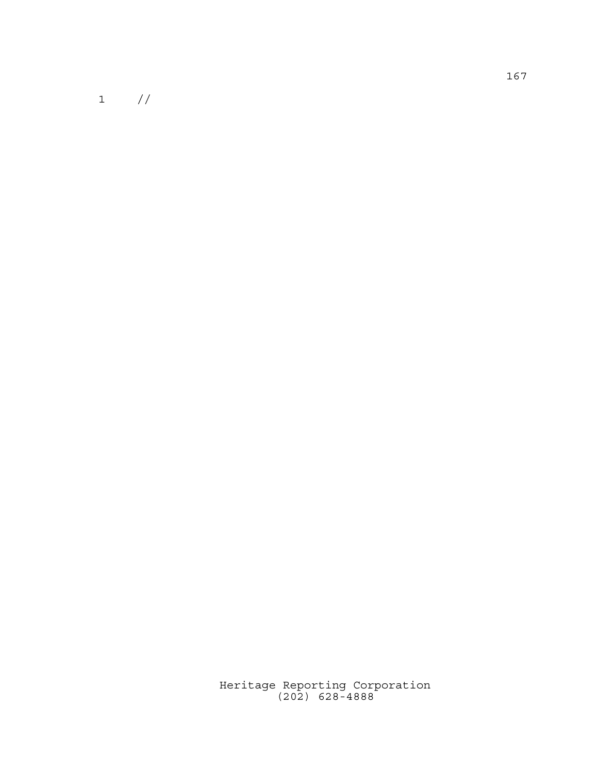$\begin{matrix} 1 & & \end{matrix} \begin{matrix} \end{matrix} \end{matrix}$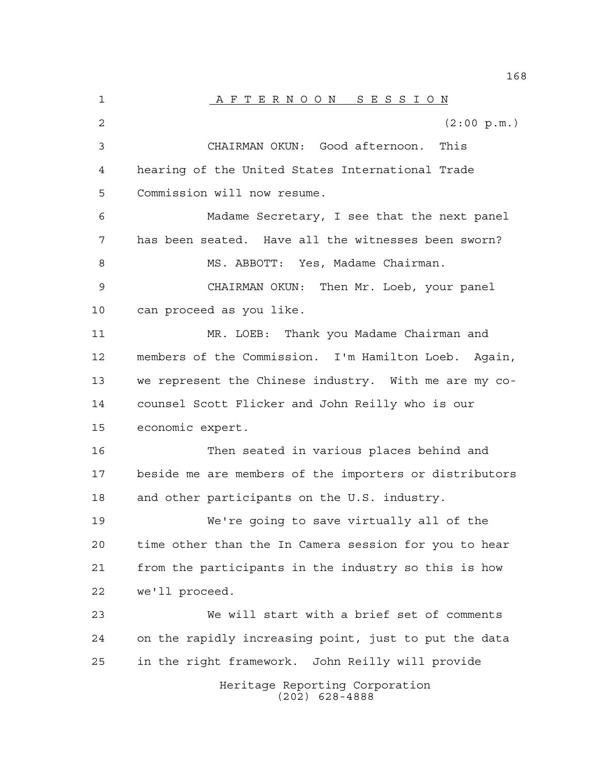Heritage Reporting Corporation (202) 628-4888 1 A F T E R N O O N S E S S I O N  $(2:00 \text{ p.m.})$  CHAIRMAN OKUN: Good afternoon. This hearing of the United States International Trade Commission will now resume. Madame Secretary, I see that the next panel has been seated. Have all the witnesses been sworn? 8 MS. ABBOTT: Yes, Madame Chairman. CHAIRMAN OKUN: Then Mr. Loeb, your panel can proceed as you like. MR. LOEB: Thank you Madame Chairman and members of the Commission. I'm Hamilton Loeb. Again, we represent the Chinese industry. With me are my co- counsel Scott Flicker and John Reilly who is our economic expert. Then seated in various places behind and beside me are members of the importers or distributors and other participants on the U.S. industry. We're going to save virtually all of the time other than the In Camera session for you to hear from the participants in the industry so this is how we'll proceed. We will start with a brief set of comments on the rapidly increasing point, just to put the data in the right framework. John Reilly will provide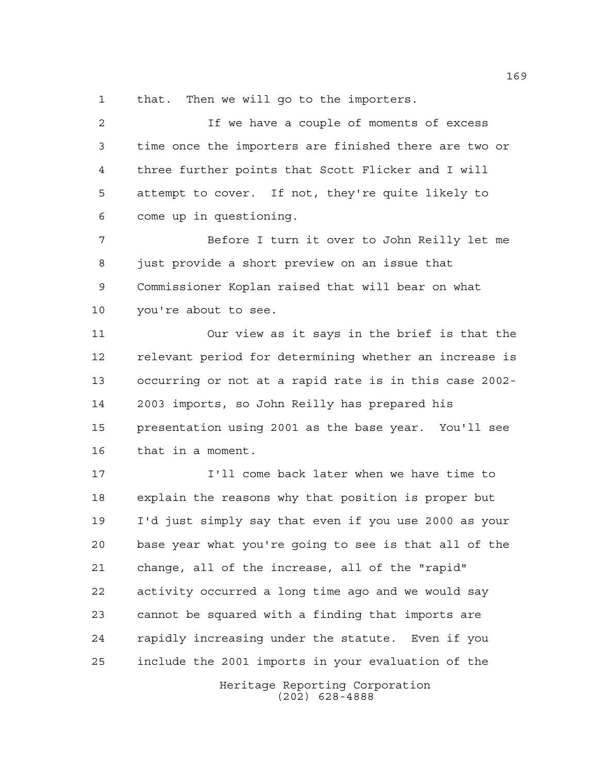that. Then we will go to the importers.

 If we have a couple of moments of excess time once the importers are finished there are two or three further points that Scott Flicker and I will attempt to cover. If not, they're quite likely to come up in questioning.

 Before I turn it over to John Reilly let me 8 just provide a short preview on an issue that Commissioner Koplan raised that will bear on what you're about to see.

 Our view as it says in the brief is that the relevant period for determining whether an increase is occurring or not at a rapid rate is in this case 2002- 2003 imports, so John Reilly has prepared his presentation using 2001 as the base year. You'll see that in a moment.

 I'll come back later when we have time to explain the reasons why that position is proper but I'd just simply say that even if you use 2000 as your base year what you're going to see is that all of the change, all of the increase, all of the "rapid" activity occurred a long time ago and we would say cannot be squared with a finding that imports are rapidly increasing under the statute. Even if you include the 2001 imports in your evaluation of the

Heritage Reporting Corporation (202) 628-4888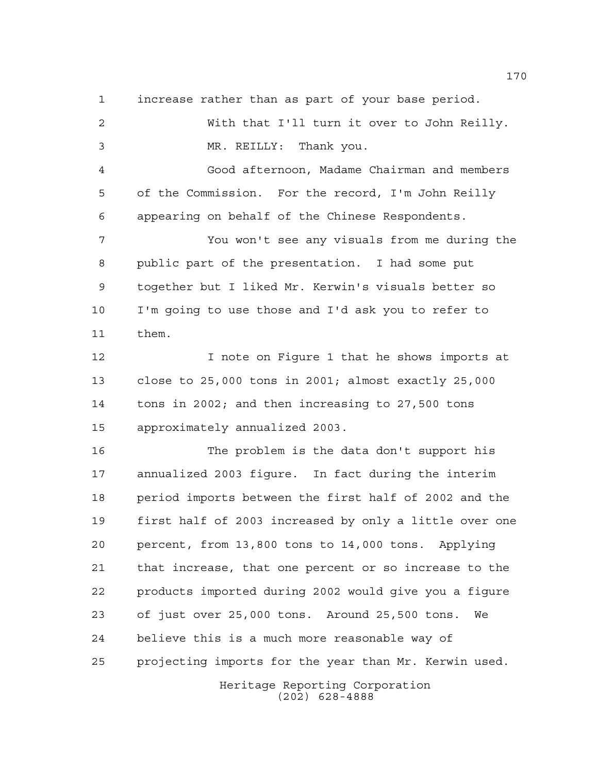increase rather than as part of your base period.

 With that I'll turn it over to John Reilly. MR. REILLY: Thank you. Good afternoon, Madame Chairman and members of the Commission. For the record, I'm John Reilly appearing on behalf of the Chinese Respondents. You won't see any visuals from me during the public part of the presentation. I had some put together but I liked Mr. Kerwin's visuals better so I'm going to use those and I'd ask you to refer to them. I note on Figure 1 that he shows imports at close to 25,000 tons in 2001; almost exactly 25,000 tons in 2002; and then increasing to 27,500 tons approximately annualized 2003. The problem is the data don't support his annualized 2003 figure. In fact during the interim period imports between the first half of 2002 and the first half of 2003 increased by only a little over one percent, from 13,800 tons to 14,000 tons. Applying that increase, that one percent or so increase to the products imported during 2002 would give you a figure of just over 25,000 tons. Around 25,500 tons. We believe this is a much more reasonable way of projecting imports for the year than Mr. Kerwin used.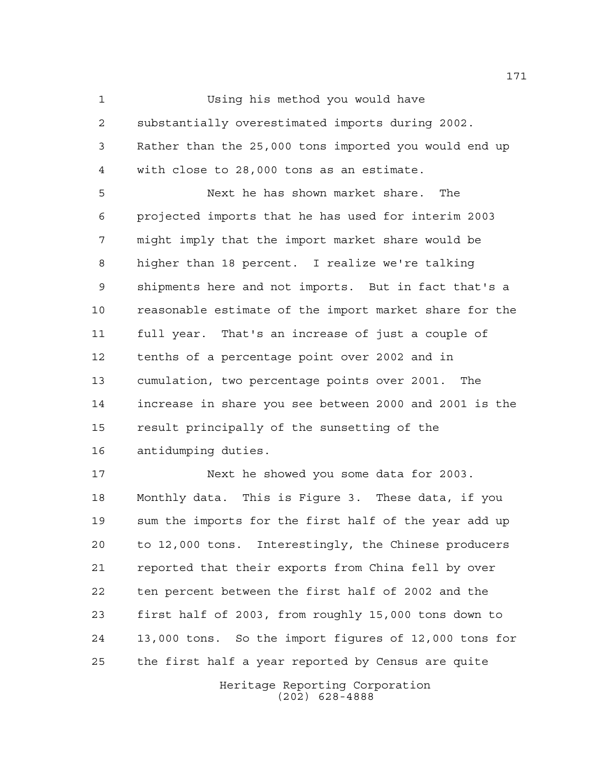Using his method you would have

 substantially overestimated imports during 2002. Rather than the 25,000 tons imported you would end up with close to 28,000 tons as an estimate.

 Next he has shown market share. The projected imports that he has used for interim 2003 might imply that the import market share would be higher than 18 percent. I realize we're talking shipments here and not imports. But in fact that's a reasonable estimate of the import market share for the full year. That's an increase of just a couple of tenths of a percentage point over 2002 and in cumulation, two percentage points over 2001. The increase in share you see between 2000 and 2001 is the result principally of the sunsetting of the antidumping duties.

 Next he showed you some data for 2003. Monthly data. This is Figure 3. These data, if you sum the imports for the first half of the year add up to 12,000 tons. Interestingly, the Chinese producers reported that their exports from China fell by over ten percent between the first half of 2002 and the first half of 2003, from roughly 15,000 tons down to 13,000 tons. So the import figures of 12,000 tons for the first half a year reported by Census are quite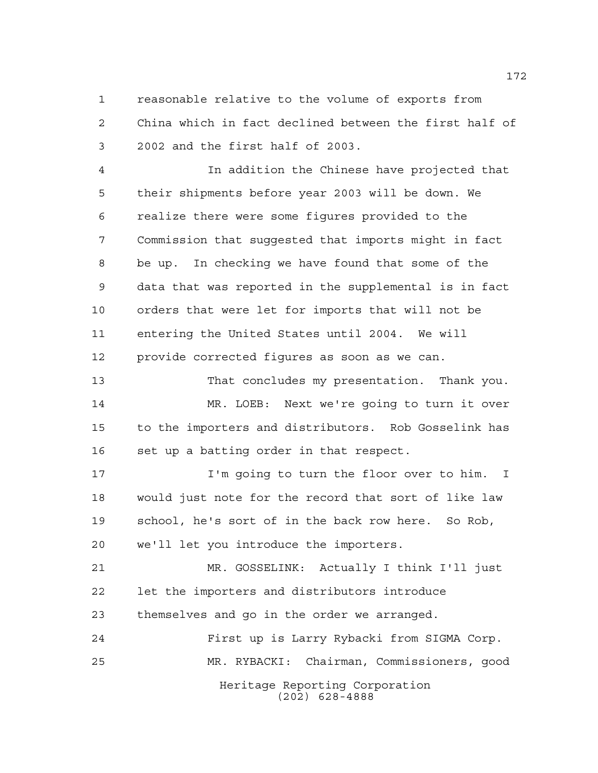reasonable relative to the volume of exports from China which in fact declined between the first half of 2002 and the first half of 2003.

 In addition the Chinese have projected that their shipments before year 2003 will be down. We realize there were some figures provided to the Commission that suggested that imports might in fact be up. In checking we have found that some of the data that was reported in the supplemental is in fact orders that were let for imports that will not be entering the United States until 2004. We will provide corrected figures as soon as we can.

 That concludes my presentation. Thank you. MR. LOEB: Next we're going to turn it over to the importers and distributors. Rob Gosselink has set up a batting order in that respect.

 I'm going to turn the floor over to him. I would just note for the record that sort of like law school, he's sort of in the back row here. So Rob, we'll let you introduce the importers.

 MR. GOSSELINK: Actually I think I'll just let the importers and distributors introduce themselves and go in the order we arranged.

Heritage Reporting Corporation (202) 628-4888 First up is Larry Rybacki from SIGMA Corp. MR. RYBACKI: Chairman, Commissioners, good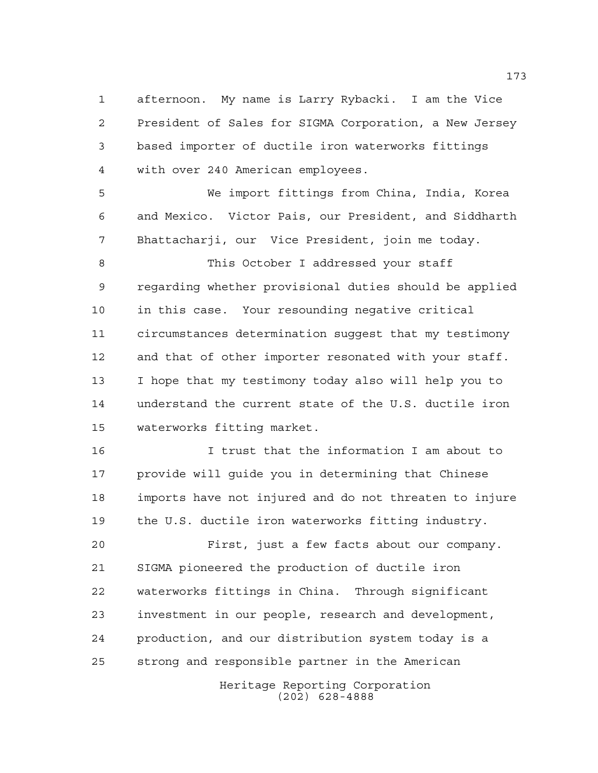afternoon. My name is Larry Rybacki. I am the Vice President of Sales for SIGMA Corporation, a New Jersey based importer of ductile iron waterworks fittings with over 240 American employees.

 We import fittings from China, India, Korea and Mexico. Victor Pais, our President, and Siddharth Bhattacharji, our Vice President, join me today.

8 This October I addressed your staff regarding whether provisional duties should be applied in this case. Your resounding negative critical circumstances determination suggest that my testimony and that of other importer resonated with your staff. I hope that my testimony today also will help you to understand the current state of the U.S. ductile iron waterworks fitting market.

 I trust that the information I am about to provide will guide you in determining that Chinese imports have not injured and do not threaten to injure the U.S. ductile iron waterworks fitting industry.

 First, just a few facts about our company. SIGMA pioneered the production of ductile iron waterworks fittings in China. Through significant investment in our people, research and development, production, and our distribution system today is a strong and responsible partner in the American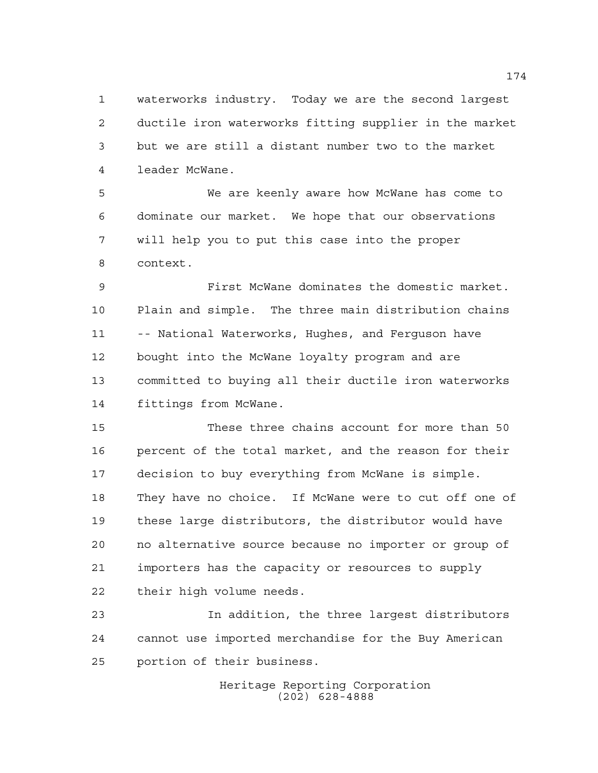waterworks industry. Today we are the second largest ductile iron waterworks fitting supplier in the market but we are still a distant number two to the market leader McWane.

 We are keenly aware how McWane has come to dominate our market. We hope that our observations will help you to put this case into the proper context.

 First McWane dominates the domestic market. Plain and simple. The three main distribution chains -- National Waterworks, Hughes, and Ferguson have bought into the McWane loyalty program and are committed to buying all their ductile iron waterworks fittings from McWane.

 These three chains account for more than 50 percent of the total market, and the reason for their decision to buy everything from McWane is simple. They have no choice. If McWane were to cut off one of these large distributors, the distributor would have no alternative source because no importer or group of importers has the capacity or resources to supply their high volume needs.

 In addition, the three largest distributors cannot use imported merchandise for the Buy American portion of their business.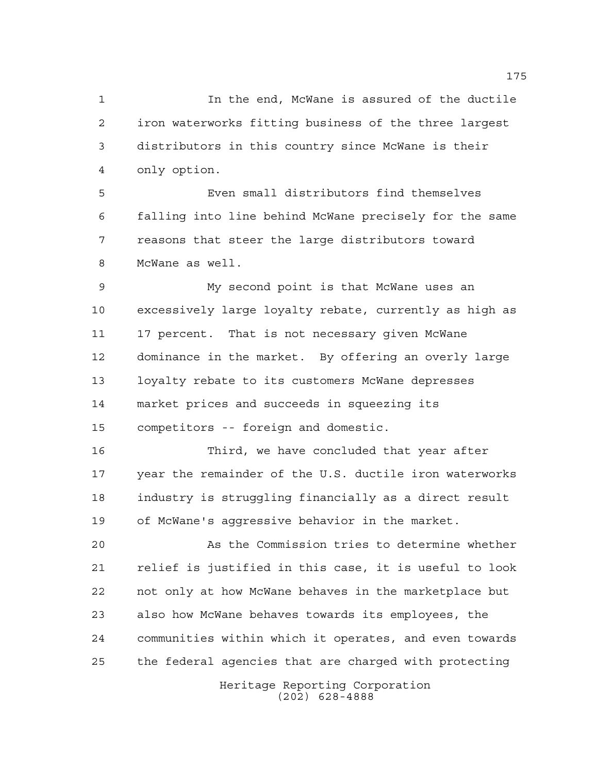In the end, McWane is assured of the ductile iron waterworks fitting business of the three largest distributors in this country since McWane is their only option.

 Even small distributors find themselves falling into line behind McWane precisely for the same reasons that steer the large distributors toward McWane as well.

 My second point is that McWane uses an excessively large loyalty rebate, currently as high as 17 percent. That is not necessary given McWane dominance in the market. By offering an overly large loyalty rebate to its customers McWane depresses market prices and succeeds in squeezing its competitors -- foreign and domestic.

 Third, we have concluded that year after year the remainder of the U.S. ductile iron waterworks industry is struggling financially as a direct result of McWane's aggressive behavior in the market.

 As the Commission tries to determine whether relief is justified in this case, it is useful to look not only at how McWane behaves in the marketplace but also how McWane behaves towards its employees, the communities within which it operates, and even towards the federal agencies that are charged with protecting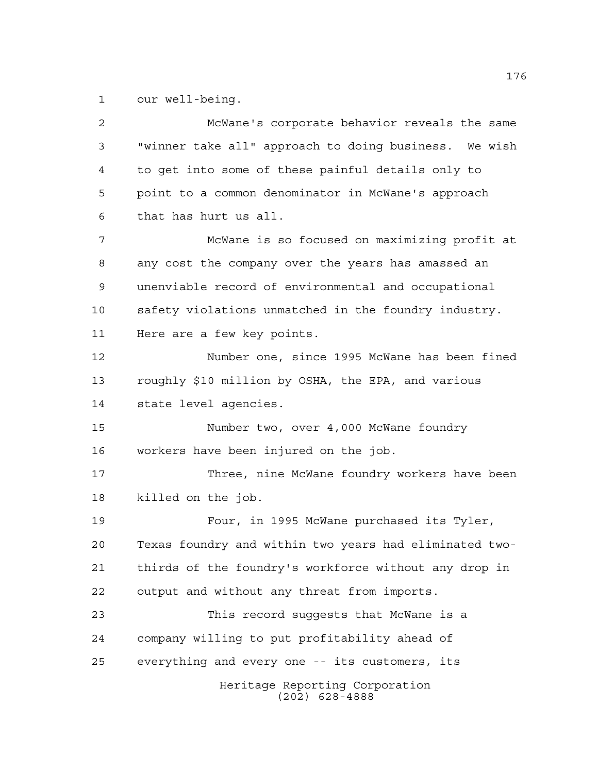our well-being.

Heritage Reporting Corporation (202) 628-4888 McWane's corporate behavior reveals the same "winner take all" approach to doing business. We wish to get into some of these painful details only to point to a common denominator in McWane's approach that has hurt us all. McWane is so focused on maximizing profit at any cost the company over the years has amassed an unenviable record of environmental and occupational safety violations unmatched in the foundry industry. Here are a few key points. Number one, since 1995 McWane has been fined roughly \$10 million by OSHA, the EPA, and various state level agencies. Number two, over 4,000 McWane foundry workers have been injured on the job. Three, nine McWane foundry workers have been killed on the job. Four, in 1995 McWane purchased its Tyler, Texas foundry and within two years had eliminated two- thirds of the foundry's workforce without any drop in output and without any threat from imports. This record suggests that McWane is a company willing to put profitability ahead of everything and every one -- its customers, its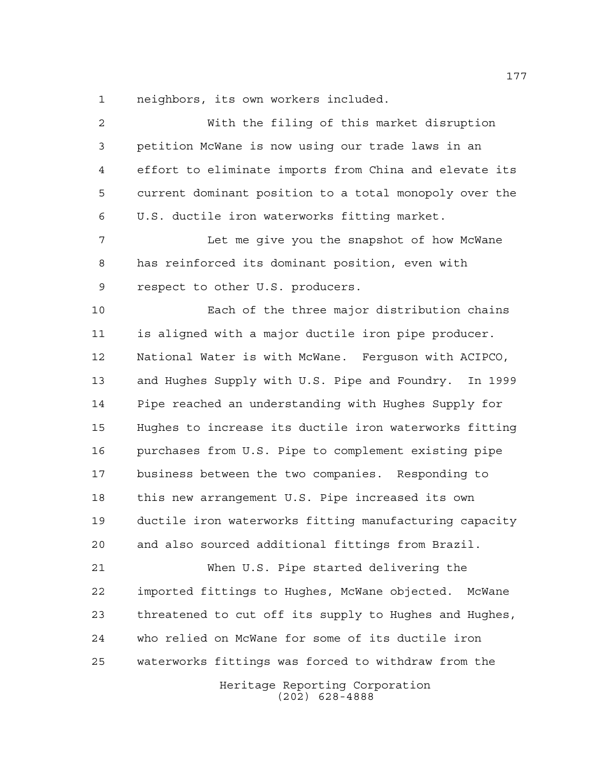neighbors, its own workers included.

Heritage Reporting Corporation (202) 628-4888 With the filing of this market disruption petition McWane is now using our trade laws in an effort to eliminate imports from China and elevate its current dominant position to a total monopoly over the U.S. ductile iron waterworks fitting market. Let me give you the snapshot of how McWane has reinforced its dominant position, even with respect to other U.S. producers. Each of the three major distribution chains is aligned with a major ductile iron pipe producer. National Water is with McWane. Ferguson with ACIPCO, and Hughes Supply with U.S. Pipe and Foundry. In 1999 Pipe reached an understanding with Hughes Supply for Hughes to increase its ductile iron waterworks fitting purchases from U.S. Pipe to complement existing pipe business between the two companies. Responding to this new arrangement U.S. Pipe increased its own ductile iron waterworks fitting manufacturing capacity and also sourced additional fittings from Brazil. When U.S. Pipe started delivering the imported fittings to Hughes, McWane objected. McWane threatened to cut off its supply to Hughes and Hughes, who relied on McWane for some of its ductile iron waterworks fittings was forced to withdraw from the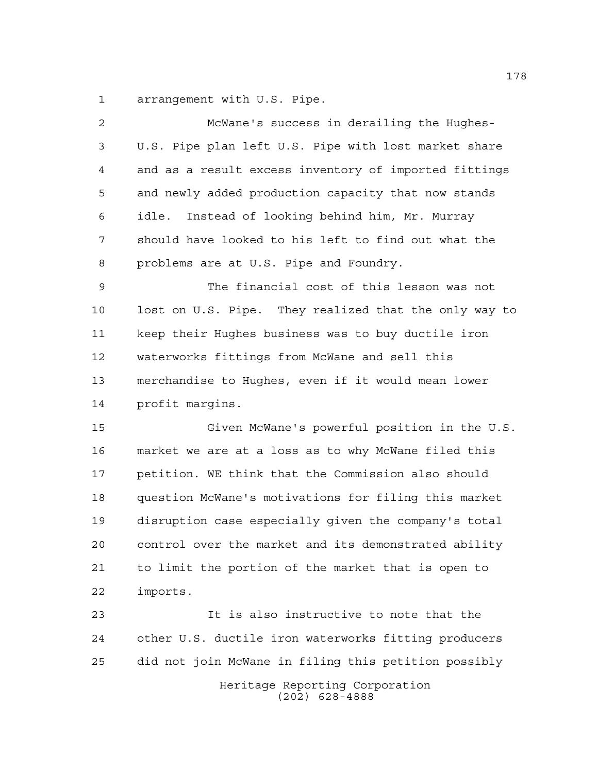arrangement with U.S. Pipe.

| $\overline{a}$ | McWane's success in derailing the Hughes-             |
|----------------|-------------------------------------------------------|
| 3              | U.S. Pipe plan left U.S. Pipe with lost market share  |
| 4              | and as a result excess inventory of imported fittings |
| 5              | and newly added production capacity that now stands   |
| 6              | Instead of looking behind him, Mr. Murray<br>idle.    |
| 7              | should have looked to his left to find out what the   |
| 8              | problems are at U.S. Pipe and Foundry.                |
| $\mathsf 9$    | The financial cost of this lesson was not             |
| 10             | lost on U.S. Pipe. They realized that the only way to |
| 11             | keep their Hughes business was to buy ductile iron    |
| 12             | waterworks fittings from McWane and sell this         |
| 13             | merchandise to Hughes, even if it would mean lower    |
| 14             | profit margins.                                       |
| 15             | Given McWane's powerful position in the U.S.          |
| 16             | market we are at a loss as to why McWane filed this   |
| 17             | petition. WE think that the Commission also should    |
| 18             | question McWane's motivations for filing this market  |
| 19             | disruption case especially given the company's total  |
| 20             | control over the market and its demonstrated ability  |
| 21             | to limit the portion of the market that is open to    |
| 22             | imports.                                              |
| 23             | It is also instructive to note that the               |
| 24             | other U.S. ductile iron waterworks fitting producers  |
| 25             | did not join McWane in filing this petition possibly  |
|                | Heritage Reporting Corporation<br>$(202)$ 628-4888    |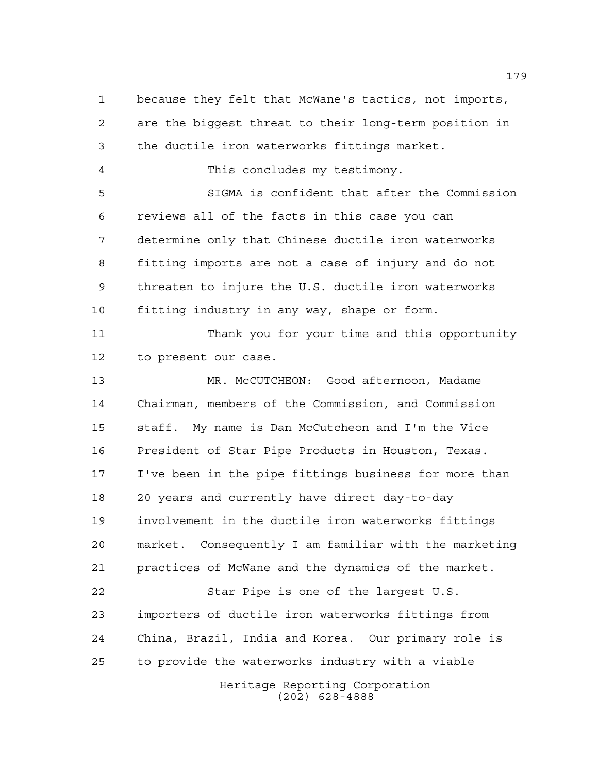Heritage Reporting Corporation (202) 628-4888 because they felt that McWane's tactics, not imports, are the biggest threat to their long-term position in the ductile iron waterworks fittings market. This concludes my testimony. SIGMA is confident that after the Commission reviews all of the facts in this case you can determine only that Chinese ductile iron waterworks fitting imports are not a case of injury and do not threaten to injure the U.S. ductile iron waterworks fitting industry in any way, shape or form. Thank you for your time and this opportunity to present our case. MR. McCUTCHEON: Good afternoon, Madame Chairman, members of the Commission, and Commission staff. My name is Dan McCutcheon and I'm the Vice President of Star Pipe Products in Houston, Texas. I've been in the pipe fittings business for more than 20 years and currently have direct day-to-day involvement in the ductile iron waterworks fittings market. Consequently I am familiar with the marketing practices of McWane and the dynamics of the market. Star Pipe is one of the largest U.S. importers of ductile iron waterworks fittings from China, Brazil, India and Korea. Our primary role is to provide the waterworks industry with a viable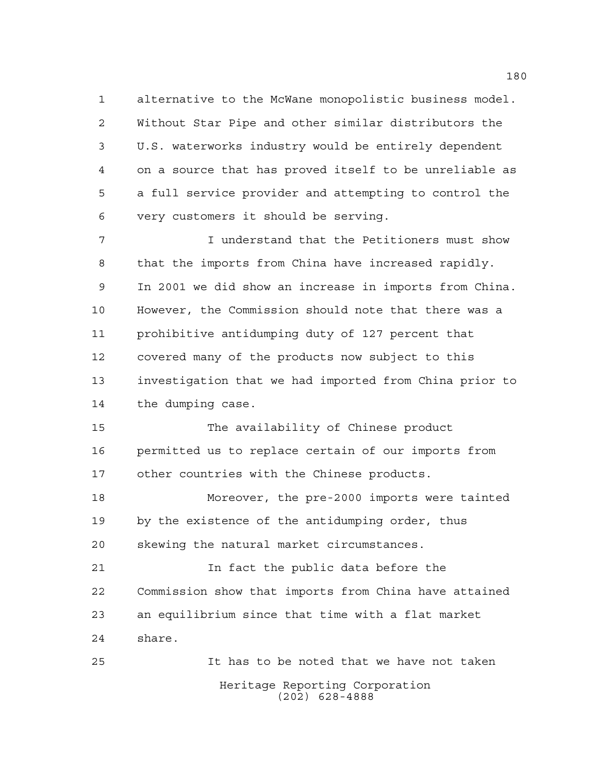alternative to the McWane monopolistic business model. Without Star Pipe and other similar distributors the U.S. waterworks industry would be entirely dependent on a source that has proved itself to be unreliable as a full service provider and attempting to control the very customers it should be serving.

 I understand that the Petitioners must show that the imports from China have increased rapidly. In 2001 we did show an increase in imports from China. However, the Commission should note that there was a prohibitive antidumping duty of 127 percent that covered many of the products now subject to this investigation that we had imported from China prior to the dumping case.

 The availability of Chinese product permitted us to replace certain of our imports from other countries with the Chinese products.

 Moreover, the pre-2000 imports were tainted by the existence of the antidumping order, thus skewing the natural market circumstances.

 In fact the public data before the Commission show that imports from China have attained an equilibrium since that time with a flat market share.

Heritage Reporting Corporation (202) 628-4888 It has to be noted that we have not taken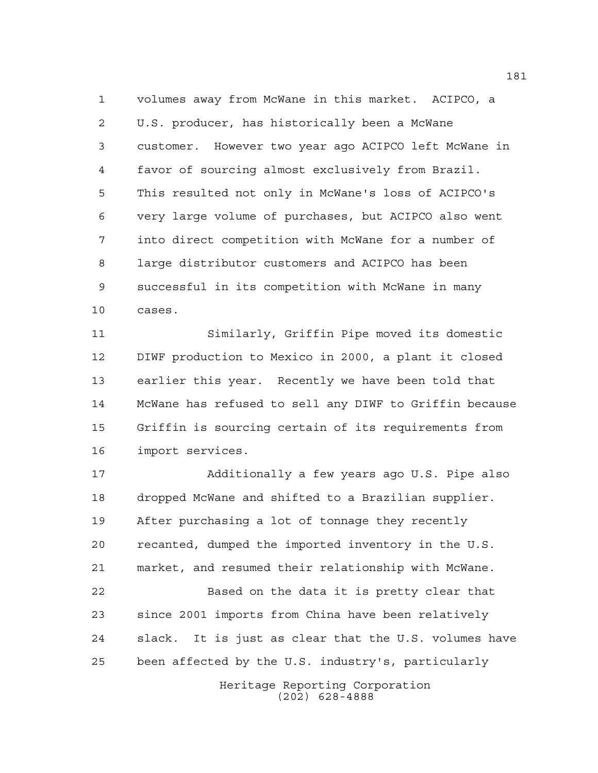volumes away from McWane in this market. ACIPCO, a U.S. producer, has historically been a McWane customer. However two year ago ACIPCO left McWane in favor of sourcing almost exclusively from Brazil. This resulted not only in McWane's loss of ACIPCO's very large volume of purchases, but ACIPCO also went into direct competition with McWane for a number of large distributor customers and ACIPCO has been successful in its competition with McWane in many cases.

 Similarly, Griffin Pipe moved its domestic DIWF production to Mexico in 2000, a plant it closed earlier this year. Recently we have been told that McWane has refused to sell any DIWF to Griffin because Griffin is sourcing certain of its requirements from import services.

 Additionally a few years ago U.S. Pipe also dropped McWane and shifted to a Brazilian supplier. After purchasing a lot of tonnage they recently recanted, dumped the imported inventory in the U.S. market, and resumed their relationship with McWane. Based on the data it is pretty clear that since 2001 imports from China have been relatively slack. It is just as clear that the U.S. volumes have been affected by the U.S. industry's, particularly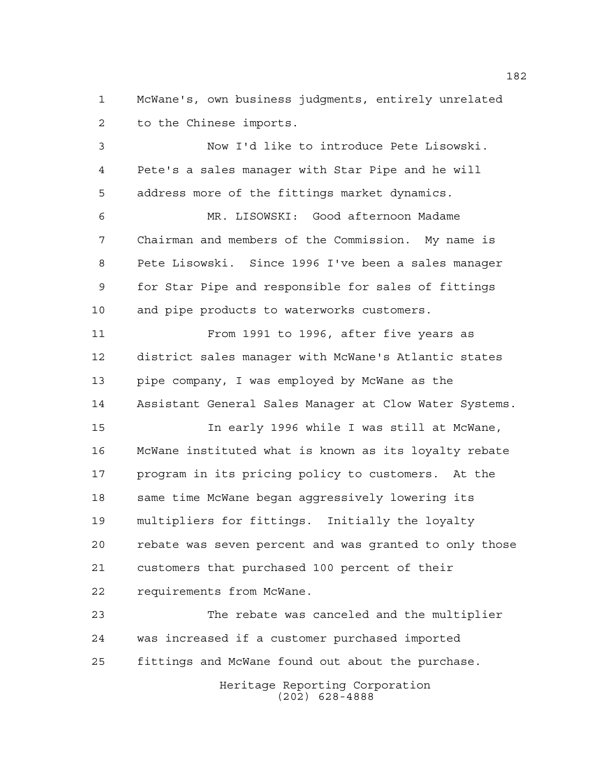McWane's, own business judgments, entirely unrelated to the Chinese imports.

 Now I'd like to introduce Pete Lisowski. Pete's a sales manager with Star Pipe and he will address more of the fittings market dynamics.

 MR. LISOWSKI: Good afternoon Madame Chairman and members of the Commission. My name is Pete Lisowski. Since 1996 I've been a sales manager for Star Pipe and responsible for sales of fittings and pipe products to waterworks customers.

 From 1991 to 1996, after five years as district sales manager with McWane's Atlantic states pipe company, I was employed by McWane as the Assistant General Sales Manager at Clow Water Systems.

 In early 1996 while I was still at McWane, McWane instituted what is known as its loyalty rebate program in its pricing policy to customers. At the same time McWane began aggressively lowering its multipliers for fittings. Initially the loyalty rebate was seven percent and was granted to only those customers that purchased 100 percent of their requirements from McWane.

 The rebate was canceled and the multiplier was increased if a customer purchased imported fittings and McWane found out about the purchase.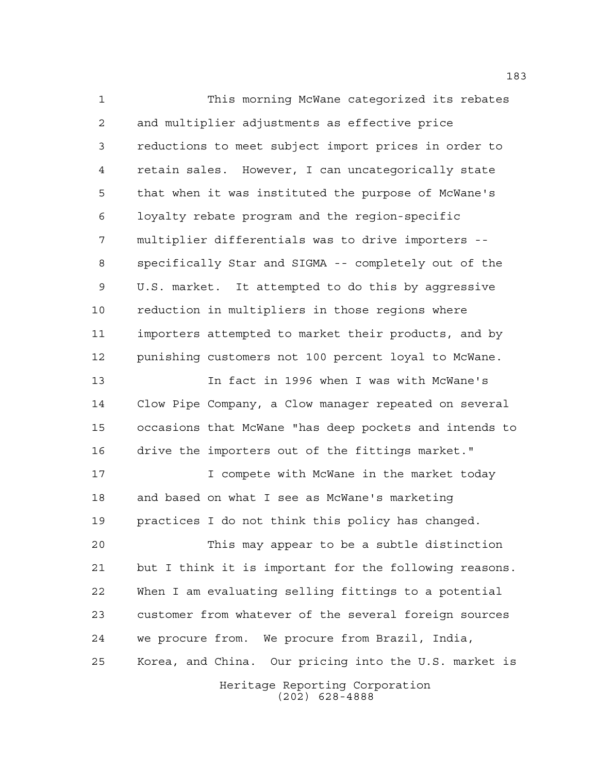This morning McWane categorized its rebates and multiplier adjustments as effective price reductions to meet subject import prices in order to retain sales. However, I can uncategorically state that when it was instituted the purpose of McWane's loyalty rebate program and the region-specific multiplier differentials was to drive importers -- specifically Star and SIGMA -- completely out of the U.S. market. It attempted to do this by aggressive reduction in multipliers in those regions where importers attempted to market their products, and by punishing customers not 100 percent loyal to McWane.

 In fact in 1996 when I was with McWane's Clow Pipe Company, a Clow manager repeated on several occasions that McWane "has deep pockets and intends to drive the importers out of the fittings market."

**I** compete with McWane in the market today and based on what I see as McWane's marketing practices I do not think this policy has changed.

 This may appear to be a subtle distinction but I think it is important for the following reasons. When I am evaluating selling fittings to a potential customer from whatever of the several foreign sources we procure from. We procure from Brazil, India, Korea, and China. Our pricing into the U.S. market is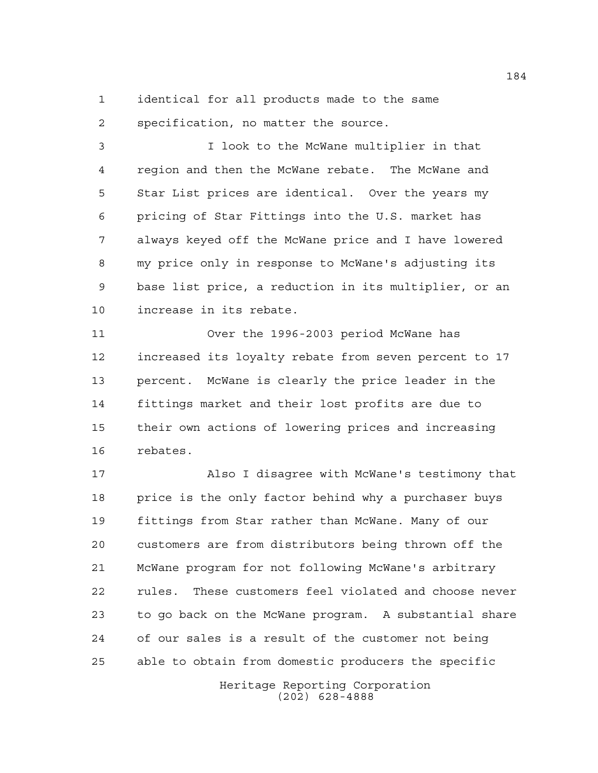identical for all products made to the same specification, no matter the source.

 I look to the McWane multiplier in that region and then the McWane rebate. The McWane and Star List prices are identical. Over the years my pricing of Star Fittings into the U.S. market has always keyed off the McWane price and I have lowered my price only in response to McWane's adjusting its base list price, a reduction in its multiplier, or an increase in its rebate.

 Over the 1996-2003 period McWane has increased its loyalty rebate from seven percent to 17 percent. McWane is clearly the price leader in the fittings market and their lost profits are due to their own actions of lowering prices and increasing rebates.

 Also I disagree with McWane's testimony that 18 price is the only factor behind why a purchaser buys fittings from Star rather than McWane. Many of our customers are from distributors being thrown off the McWane program for not following McWane's arbitrary rules. These customers feel violated and choose never to go back on the McWane program. A substantial share of our sales is a result of the customer not being able to obtain from domestic producers the specific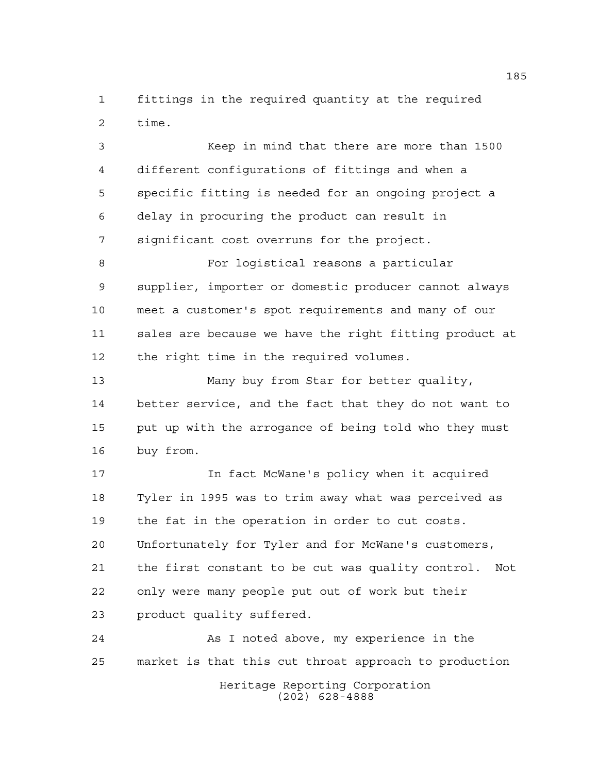fittings in the required quantity at the required time.

 Keep in mind that there are more than 1500 different configurations of fittings and when a specific fitting is needed for an ongoing project a delay in procuring the product can result in significant cost overruns for the project.

 For logistical reasons a particular supplier, importer or domestic producer cannot always meet a customer's spot requirements and many of our sales are because we have the right fitting product at the right time in the required volumes.

 Many buy from Star for better quality, better service, and the fact that they do not want to put up with the arrogance of being told who they must buy from.

 In fact McWane's policy when it acquired Tyler in 1995 was to trim away what was perceived as the fat in the operation in order to cut costs. Unfortunately for Tyler and for McWane's customers, the first constant to be cut was quality control. Not only were many people put out of work but their product quality suffered.

 As I noted above, my experience in the market is that this cut throat approach to production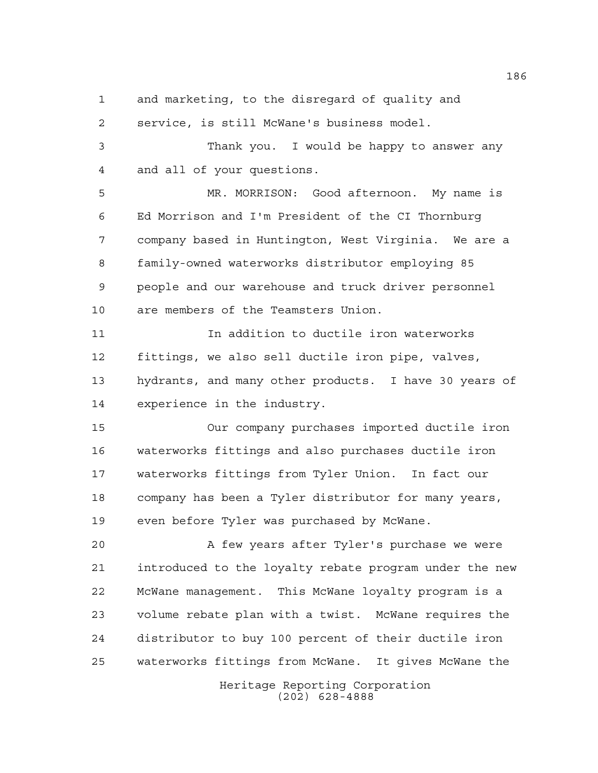and marketing, to the disregard of quality and

service, is still McWane's business model.

 Thank you. I would be happy to answer any and all of your questions.

 MR. MORRISON: Good afternoon. My name is Ed Morrison and I'm President of the CI Thornburg company based in Huntington, West Virginia. We are a family-owned waterworks distributor employing 85 people and our warehouse and truck driver personnel are members of the Teamsters Union.

 In addition to ductile iron waterworks fittings, we also sell ductile iron pipe, valves, hydrants, and many other products. I have 30 years of experience in the industry.

 Our company purchases imported ductile iron waterworks fittings and also purchases ductile iron waterworks fittings from Tyler Union. In fact our company has been a Tyler distributor for many years, even before Tyler was purchased by McWane.

20 A few years after Tyler's purchase we were introduced to the loyalty rebate program under the new McWane management. This McWane loyalty program is a volume rebate plan with a twist. McWane requires the distributor to buy 100 percent of their ductile iron waterworks fittings from McWane. It gives McWane the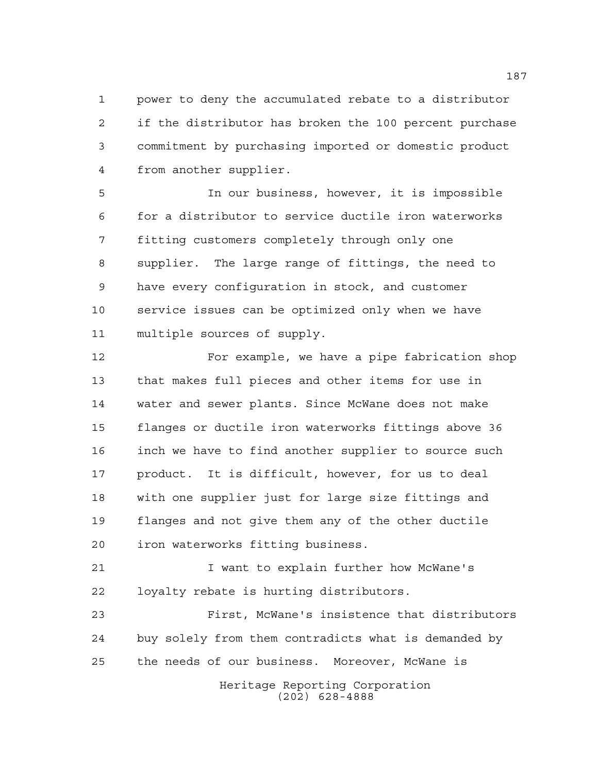power to deny the accumulated rebate to a distributor if the distributor has broken the 100 percent purchase commitment by purchasing imported or domestic product from another supplier.

 In our business, however, it is impossible for a distributor to service ductile iron waterworks fitting customers completely through only one supplier. The large range of fittings, the need to have every configuration in stock, and customer service issues can be optimized only when we have multiple sources of supply.

 For example, we have a pipe fabrication shop that makes full pieces and other items for use in water and sewer plants. Since McWane does not make flanges or ductile iron waterworks fittings above 36 inch we have to find another supplier to source such product. It is difficult, however, for us to deal with one supplier just for large size fittings and flanges and not give them any of the other ductile iron waterworks fitting business.

 I want to explain further how McWane's loyalty rebate is hurting distributors.

 First, McWane's insistence that distributors buy solely from them contradicts what is demanded by the needs of our business. Moreover, McWane is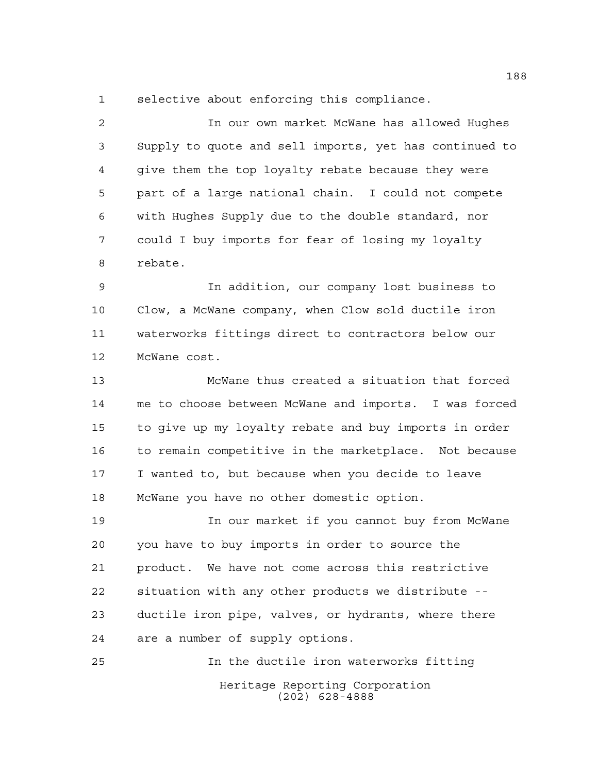selective about enforcing this compliance.

 In our own market McWane has allowed Hughes Supply to quote and sell imports, yet has continued to give them the top loyalty rebate because they were part of a large national chain. I could not compete with Hughes Supply due to the double standard, nor could I buy imports for fear of losing my loyalty rebate.

 In addition, our company lost business to Clow, a McWane company, when Clow sold ductile iron waterworks fittings direct to contractors below our McWane cost.

 McWane thus created a situation that forced me to choose between McWane and imports. I was forced to give up my loyalty rebate and buy imports in order to remain competitive in the marketplace. Not because I wanted to, but because when you decide to leave McWane you have no other domestic option.

 In our market if you cannot buy from McWane you have to buy imports in order to source the product. We have not come across this restrictive situation with any other products we distribute -- ductile iron pipe, valves, or hydrants, where there are a number of supply options.

Heritage Reporting Corporation (202) 628-4888 In the ductile iron waterworks fitting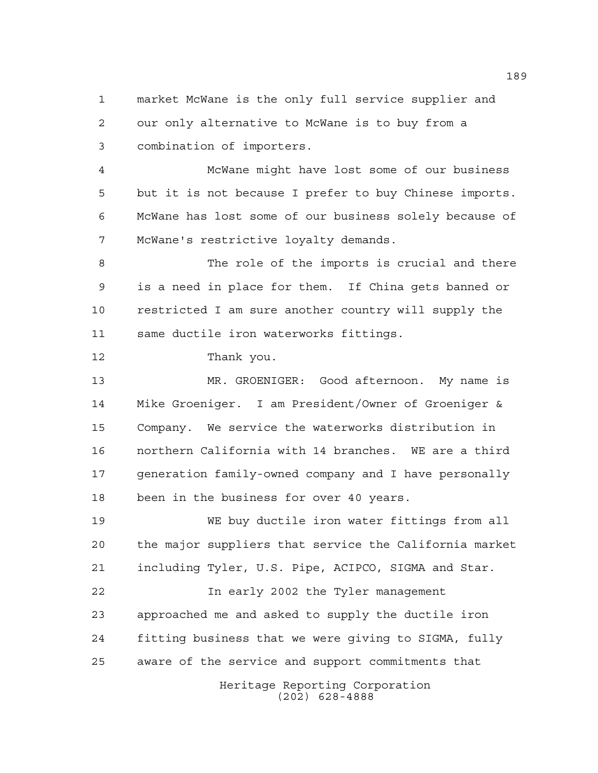market McWane is the only full service supplier and our only alternative to McWane is to buy from a combination of importers.

 McWane might have lost some of our business but it is not because I prefer to buy Chinese imports. McWane has lost some of our business solely because of McWane's restrictive loyalty demands.

 The role of the imports is crucial and there is a need in place for them. If China gets banned or restricted I am sure another country will supply the same ductile iron waterworks fittings.

Thank you.

 MR. GROENIGER: Good afternoon. My name is Mike Groeniger. I am President/Owner of Groeniger & Company. We service the waterworks distribution in northern California with 14 branches. WE are a third generation family-owned company and I have personally been in the business for over 40 years.

 WE buy ductile iron water fittings from all the major suppliers that service the California market including Tyler, U.S. Pipe, ACIPCO, SIGMA and Star.

 In early 2002 the Tyler management approached me and asked to supply the ductile iron fitting business that we were giving to SIGMA, fully aware of the service and support commitments that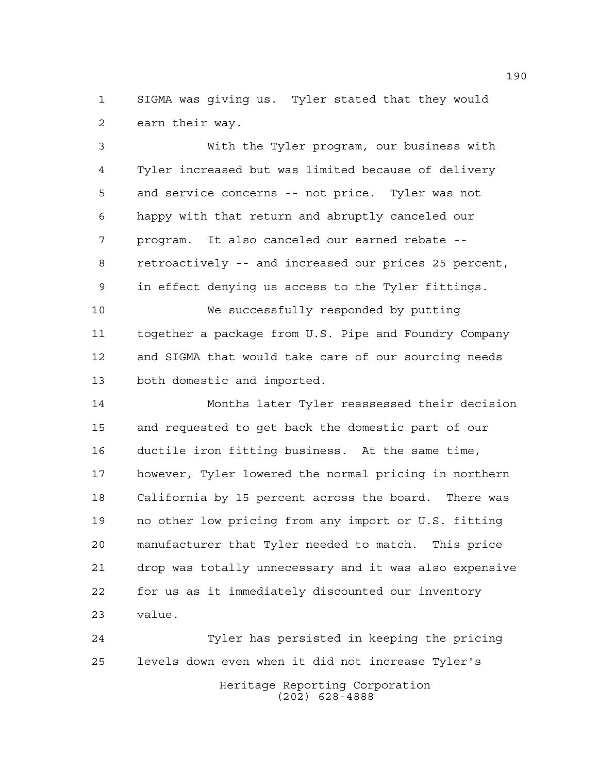SIGMA was giving us. Tyler stated that they would earn their way.

 With the Tyler program, our business with Tyler increased but was limited because of delivery and service concerns -- not price. Tyler was not happy with that return and abruptly canceled our program. It also canceled our earned rebate -- retroactively -- and increased our prices 25 percent, in effect denying us access to the Tyler fittings.

 We successfully responded by putting together a package from U.S. Pipe and Foundry Company and SIGMA that would take care of our sourcing needs both domestic and imported.

 Months later Tyler reassessed their decision and requested to get back the domestic part of our ductile iron fitting business. At the same time, however, Tyler lowered the normal pricing in northern California by 15 percent across the board. There was no other low pricing from any import or U.S. fitting manufacturer that Tyler needed to match. This price drop was totally unnecessary and it was also expensive for us as it immediately discounted our inventory value.

Heritage Reporting Corporation (202) 628-4888 Tyler has persisted in keeping the pricing levels down even when it did not increase Tyler's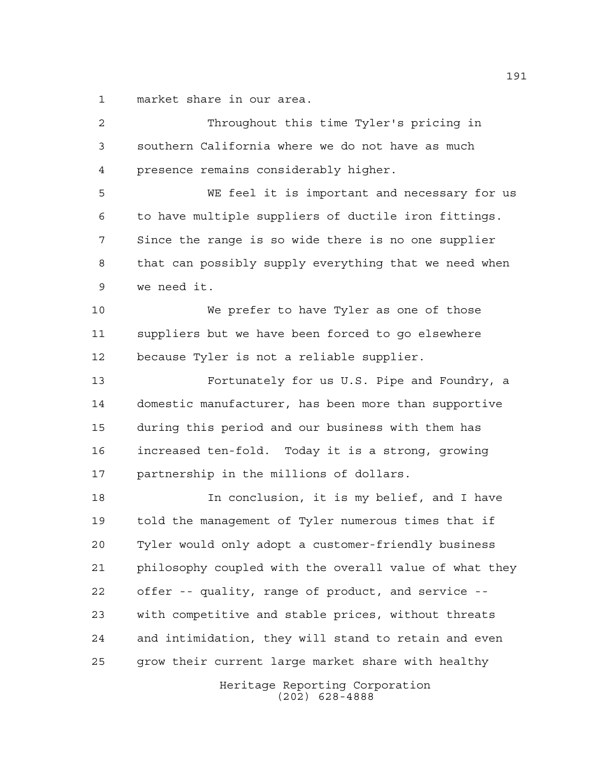market share in our area.

Heritage Reporting Corporation Throughout this time Tyler's pricing in southern California where we do not have as much presence remains considerably higher. WE feel it is important and necessary for us to have multiple suppliers of ductile iron fittings. Since the range is so wide there is no one supplier that can possibly supply everything that we need when we need it. We prefer to have Tyler as one of those suppliers but we have been forced to go elsewhere because Tyler is not a reliable supplier. Fortunately for us U.S. Pipe and Foundry, a domestic manufacturer, has been more than supportive during this period and our business with them has increased ten-fold. Today it is a strong, growing partnership in the millions of dollars. In conclusion, it is my belief, and I have told the management of Tyler numerous times that if Tyler would only adopt a customer-friendly business philosophy coupled with the overall value of what they offer -- quality, range of product, and service -- with competitive and stable prices, without threats and intimidation, they will stand to retain and even grow their current large market share with healthy

(202) 628-4888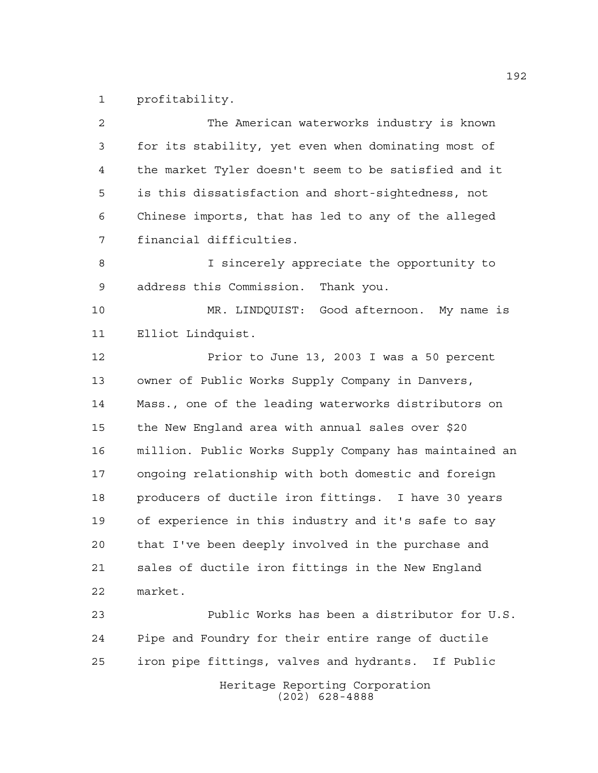profitability.

| 2  | The American waterworks industry is known              |
|----|--------------------------------------------------------|
| 3  | for its stability, yet even when dominating most of    |
| 4  | the market Tyler doesn't seem to be satisfied and it   |
| 5  | is this dissatisfaction and short-sightedness, not     |
| 6  | Chinese imports, that has led to any of the alleged    |
| 7  | financial difficulties.                                |
| 8  | I sincerely appreciate the opportunity to              |
| 9  | address this Commission. Thank you.                    |
| 10 | MR. LINDQUIST: Good afternoon. My name is              |
| 11 | Elliot Lindquist.                                      |
| 12 | Prior to June 13, 2003 I was a 50 percent              |
| 13 | owner of Public Works Supply Company in Danvers,       |
| 14 | Mass., one of the leading waterworks distributors on   |
| 15 | the New England area with annual sales over \$20       |
| 16 | million. Public Works Supply Company has maintained an |
| 17 | ongoing relationship with both domestic and foreign    |
| 18 | producers of ductile iron fittings. I have 30 years    |
| 19 | of experience in this industry and it's safe to say    |
| 20 | that I've been deeply involved in the purchase and     |
| 21 | sales of ductile iron fittings in the New England      |
| 22 | market.                                                |
| 23 | Public Works has been a distributor for U.S.           |
| 24 | Pipe and Foundry for their entire range of ductile     |
| 25 | iron pipe fittings, valves and hydrants. If Public     |
|    | Heritage Reporting Corporation<br>$(202)$ 628-4888     |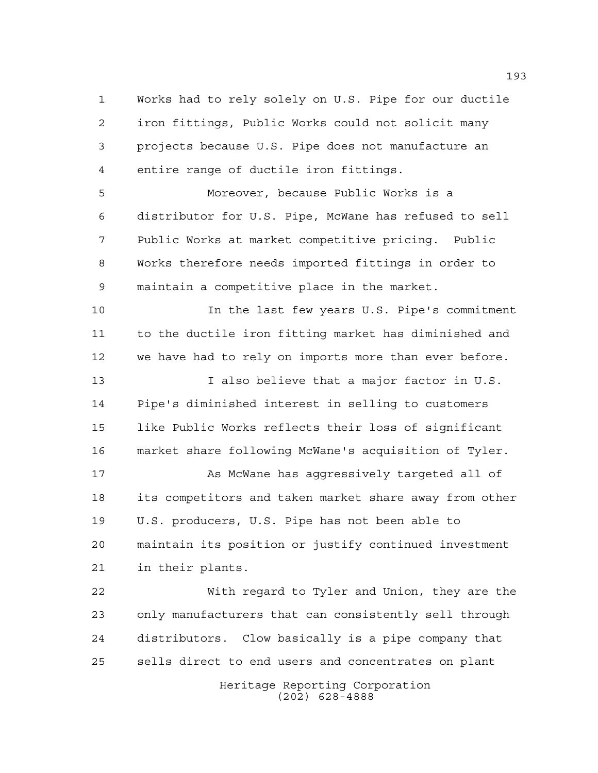Works had to rely solely on U.S. Pipe for our ductile iron fittings, Public Works could not solicit many projects because U.S. Pipe does not manufacture an entire range of ductile iron fittings.

 Moreover, because Public Works is a distributor for U.S. Pipe, McWane has refused to sell Public Works at market competitive pricing. Public Works therefore needs imported fittings in order to maintain a competitive place in the market.

 In the last few years U.S. Pipe's commitment to the ductile iron fitting market has diminished and we have had to rely on imports more than ever before.

13 I also believe that a major factor in U.S. Pipe's diminished interest in selling to customers like Public Works reflects their loss of significant market share following McWane's acquisition of Tyler.

17 As McWane has aqqressively targeted all of its competitors and taken market share away from other U.S. producers, U.S. Pipe has not been able to maintain its position or justify continued investment in their plants.

 With regard to Tyler and Union, they are the only manufacturers that can consistently sell through distributors. Clow basically is a pipe company that sells direct to end users and concentrates on plant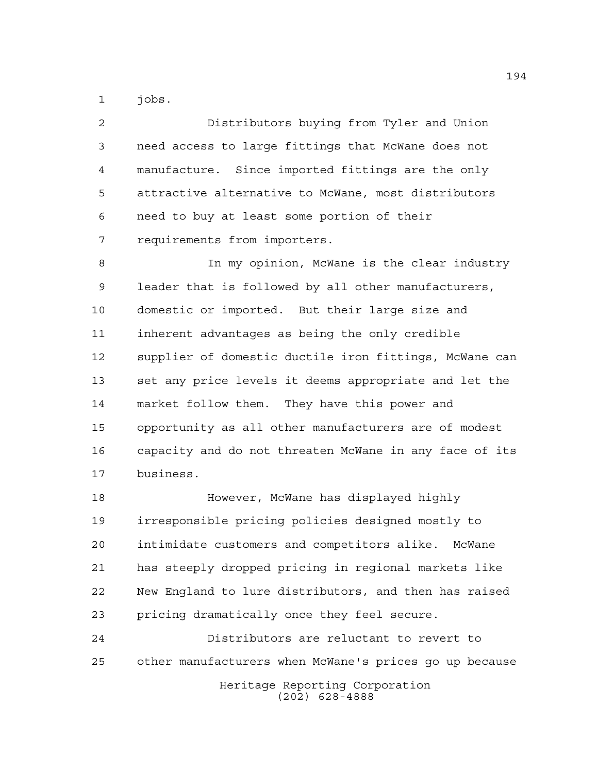jobs.

 Distributors buying from Tyler and Union need access to large fittings that McWane does not manufacture. Since imported fittings are the only attractive alternative to McWane, most distributors need to buy at least some portion of their requirements from importers. In my opinion, McWane is the clear industry

 leader that is followed by all other manufacturers, domestic or imported. But their large size and inherent advantages as being the only credible supplier of domestic ductile iron fittings, McWane can set any price levels it deems appropriate and let the market follow them. They have this power and opportunity as all other manufacturers are of modest capacity and do not threaten McWane in any face of its business.

 However, McWane has displayed highly irresponsible pricing policies designed mostly to intimidate customers and competitors alike. McWane has steeply dropped pricing in regional markets like New England to lure distributors, and then has raised pricing dramatically once they feel secure.

Heritage Reporting Corporation (202) 628-4888 Distributors are reluctant to revert to other manufacturers when McWane's prices go up because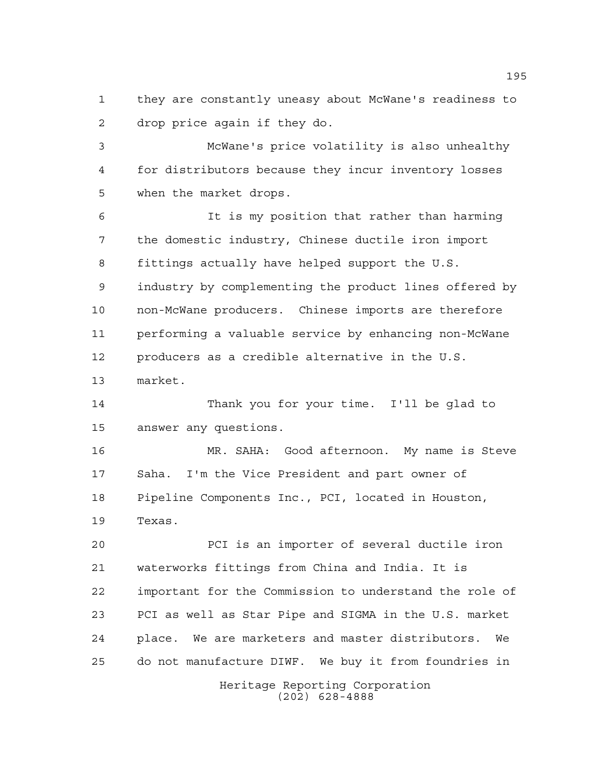they are constantly uneasy about McWane's readiness to drop price again if they do.

 McWane's price volatility is also unhealthy for distributors because they incur inventory losses when the market drops.

 It is my position that rather than harming the domestic industry, Chinese ductile iron import fittings actually have helped support the U.S. industry by complementing the product lines offered by non-McWane producers. Chinese imports are therefore performing a valuable service by enhancing non-McWane producers as a credible alternative in the U.S. market.

 Thank you for your time. I'll be glad to answer any questions.

 MR. SAHA: Good afternoon. My name is Steve Saha. I'm the Vice President and part owner of Pipeline Components Inc., PCI, located in Houston, Texas.

 PCI is an importer of several ductile iron waterworks fittings from China and India. It is important for the Commission to understand the role of PCI as well as Star Pipe and SIGMA in the U.S. market place. We are marketers and master distributors. We do not manufacture DIWF. We buy it from foundries in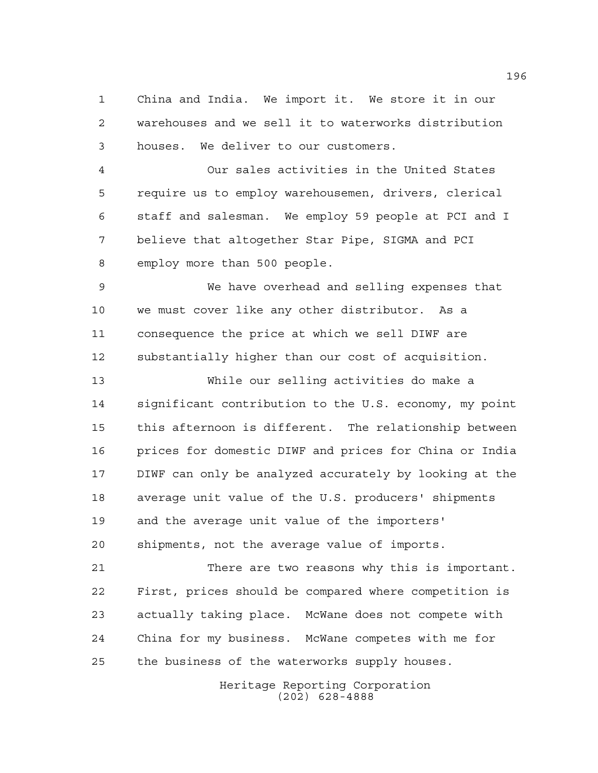China and India. We import it. We store it in our warehouses and we sell it to waterworks distribution houses. We deliver to our customers.

 Our sales activities in the United States require us to employ warehousemen, drivers, clerical staff and salesman. We employ 59 people at PCI and I believe that altogether Star Pipe, SIGMA and PCI employ more than 500 people.

 We have overhead and selling expenses that we must cover like any other distributor. As a consequence the price at which we sell DIWF are substantially higher than our cost of acquisition.

 While our selling activities do make a significant contribution to the U.S. economy, my point this afternoon is different. The relationship between prices for domestic DIWF and prices for China or India DIWF can only be analyzed accurately by looking at the average unit value of the U.S. producers' shipments and the average unit value of the importers' shipments, not the average value of imports.

 There are two reasons why this is important. First, prices should be compared where competition is actually taking place. McWane does not compete with China for my business. McWane competes with me for the business of the waterworks supply houses.

> Heritage Reporting Corporation (202) 628-4888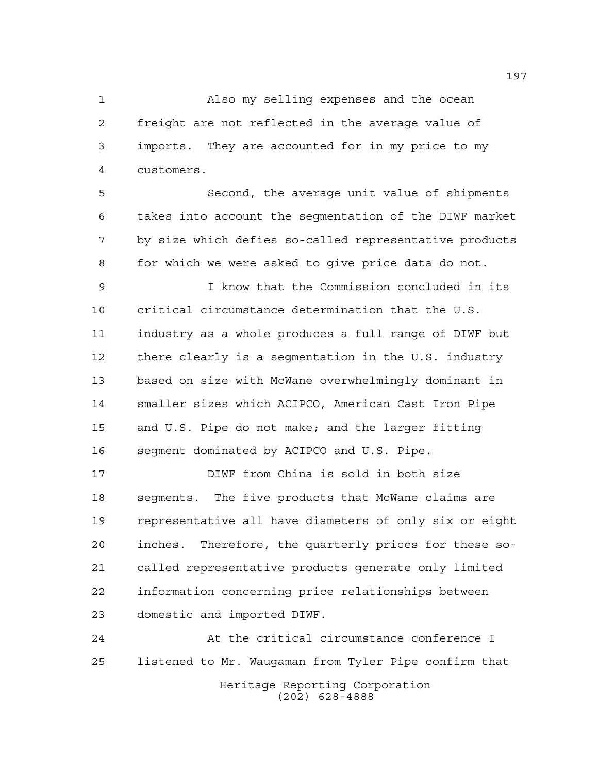Also my selling expenses and the ocean freight are not reflected in the average value of imports. They are accounted for in my price to my customers.

 Second, the average unit value of shipments takes into account the segmentation of the DIWF market by size which defies so-called representative products for which we were asked to give price data do not.

 I know that the Commission concluded in its critical circumstance determination that the U.S. industry as a whole produces a full range of DIWF but there clearly is a segmentation in the U.S. industry based on size with McWane overwhelmingly dominant in smaller sizes which ACIPCO, American Cast Iron Pipe and U.S. Pipe do not make; and the larger fitting segment dominated by ACIPCO and U.S. Pipe.

 DIWF from China is sold in both size segments. The five products that McWane claims are representative all have diameters of only six or eight inches. Therefore, the quarterly prices for these so- called representative products generate only limited information concerning price relationships between domestic and imported DIWF.

Heritage Reporting Corporation (202) 628-4888 At the critical circumstance conference I listened to Mr. Waugaman from Tyler Pipe confirm that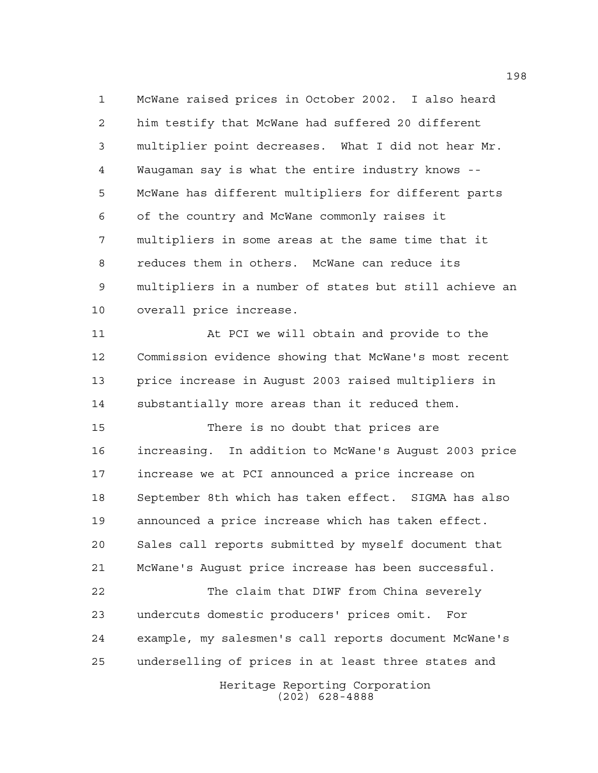McWane raised prices in October 2002. I also heard him testify that McWane had suffered 20 different multiplier point decreases. What I did not hear Mr. Waugaman say is what the entire industry knows -- McWane has different multipliers for different parts of the country and McWane commonly raises it multipliers in some areas at the same time that it reduces them in others. McWane can reduce its multipliers in a number of states but still achieve an overall price increase.

 At PCI we will obtain and provide to the Commission evidence showing that McWane's most recent price increase in August 2003 raised multipliers in substantially more areas than it reduced them.

 There is no doubt that prices are increasing. In addition to McWane's August 2003 price increase we at PCI announced a price increase on September 8th which has taken effect. SIGMA has also announced a price increase which has taken effect. Sales call reports submitted by myself document that McWane's August price increase has been successful.

 The claim that DIWF from China severely undercuts domestic producers' prices omit. For example, my salesmen's call reports document McWane's underselling of prices in at least three states and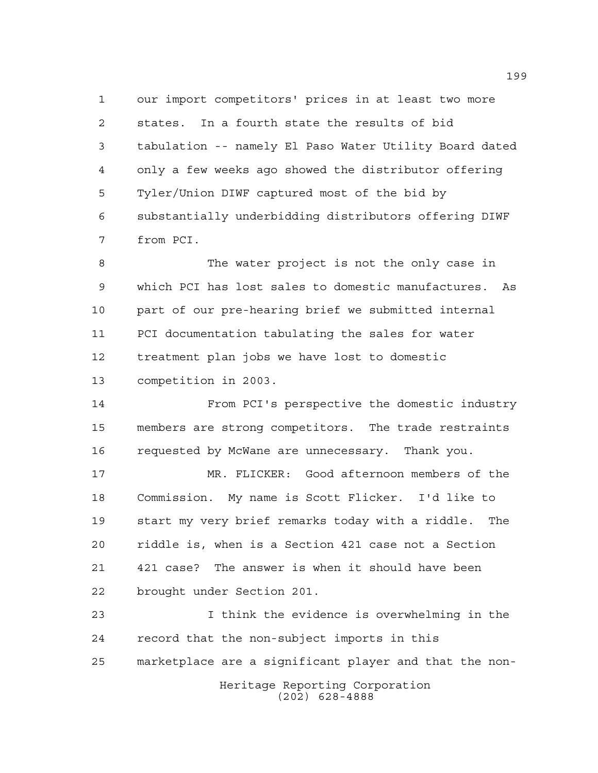our import competitors' prices in at least two more states. In a fourth state the results of bid tabulation -- namely El Paso Water Utility Board dated only a few weeks ago showed the distributor offering Tyler/Union DIWF captured most of the bid by substantially underbidding distributors offering DIWF from PCI.

 The water project is not the only case in which PCI has lost sales to domestic manufactures. As part of our pre-hearing brief we submitted internal PCI documentation tabulating the sales for water treatment plan jobs we have lost to domestic competition in 2003.

 From PCI's perspective the domestic industry members are strong competitors. The trade restraints requested by McWane are unnecessary. Thank you.

 MR. FLICKER: Good afternoon members of the Commission. My name is Scott Flicker. I'd like to start my very brief remarks today with a riddle. The riddle is, when is a Section 421 case not a Section 421 case? The answer is when it should have been brought under Section 201.

Heritage Reporting Corporation I think the evidence is overwhelming in the record that the non-subject imports in this marketplace are a significant player and that the non-

(202) 628-4888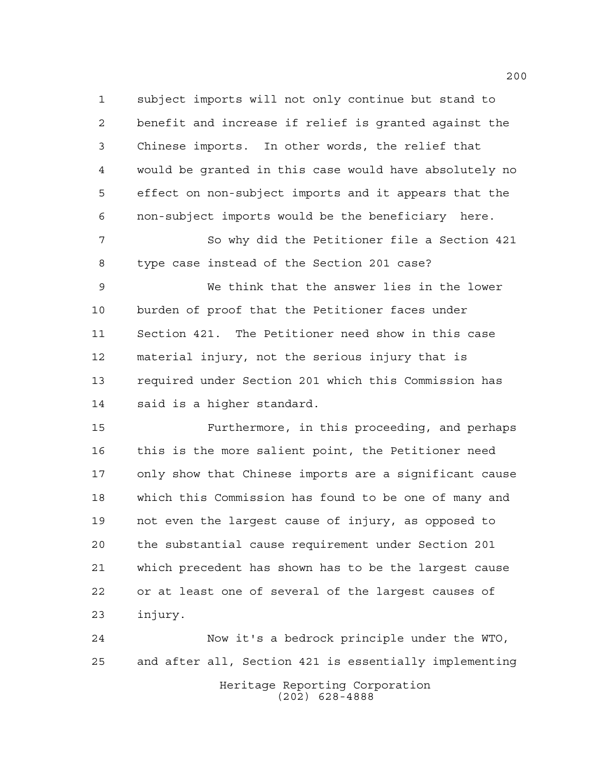subject imports will not only continue but stand to benefit and increase if relief is granted against the Chinese imports. In other words, the relief that would be granted in this case would have absolutely no effect on non-subject imports and it appears that the non-subject imports would be the beneficiary here.

 So why did the Petitioner file a Section 421 type case instead of the Section 201 case?

 We think that the answer lies in the lower burden of proof that the Petitioner faces under Section 421. The Petitioner need show in this case material injury, not the serious injury that is required under Section 201 which this Commission has said is a higher standard.

 Furthermore, in this proceeding, and perhaps this is the more salient point, the Petitioner need only show that Chinese imports are a significant cause which this Commission has found to be one of many and not even the largest cause of injury, as opposed to the substantial cause requirement under Section 201 which precedent has shown has to be the largest cause or at least one of several of the largest causes of injury.

Heritage Reporting Corporation (202) 628-4888 Now it's a bedrock principle under the WTO, and after all, Section 421 is essentially implementing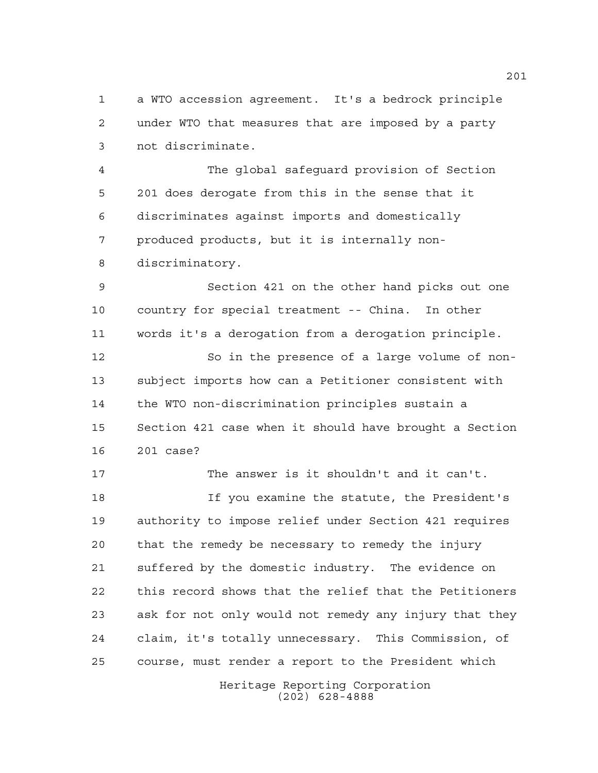a WTO accession agreement. It's a bedrock principle under WTO that measures that are imposed by a party not discriminate.

 The global safeguard provision of Section 201 does derogate from this in the sense that it discriminates against imports and domestically produced products, but it is internally non-discriminatory.

 Section 421 on the other hand picks out one country for special treatment -- China. In other words it's a derogation from a derogation principle.

 So in the presence of a large volume of non- subject imports how can a Petitioner consistent with the WTO non-discrimination principles sustain a Section 421 case when it should have brought a Section 201 case?

 The answer is it shouldn't and it can't. If you examine the statute, the President's authority to impose relief under Section 421 requires that the remedy be necessary to remedy the injury suffered by the domestic industry. The evidence on this record shows that the relief that the Petitioners ask for not only would not remedy any injury that they claim, it's totally unnecessary. This Commission, of course, must render a report to the President which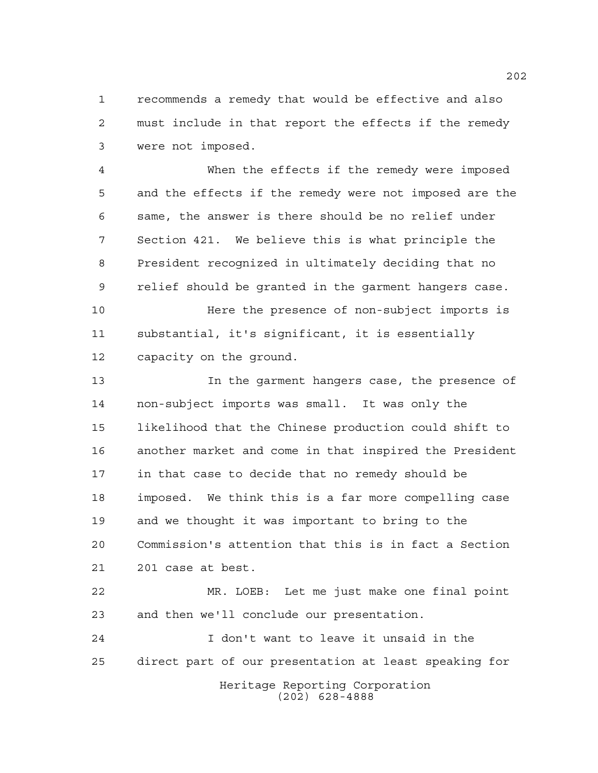recommends a remedy that would be effective and also must include in that report the effects if the remedy were not imposed.

 When the effects if the remedy were imposed and the effects if the remedy were not imposed are the same, the answer is there should be no relief under Section 421. We believe this is what principle the President recognized in ultimately deciding that no relief should be granted in the garment hangers case.

 Here the presence of non-subject imports is substantial, it's significant, it is essentially capacity on the ground.

 In the garment hangers case, the presence of non-subject imports was small. It was only the likelihood that the Chinese production could shift to another market and come in that inspired the President in that case to decide that no remedy should be imposed. We think this is a far more compelling case and we thought it was important to bring to the Commission's attention that this is in fact a Section 201 case at best.

 MR. LOEB: Let me just make one final point and then we'll conclude our presentation.

Heritage Reporting Corporation I don't want to leave it unsaid in the direct part of our presentation at least speaking for

(202) 628-4888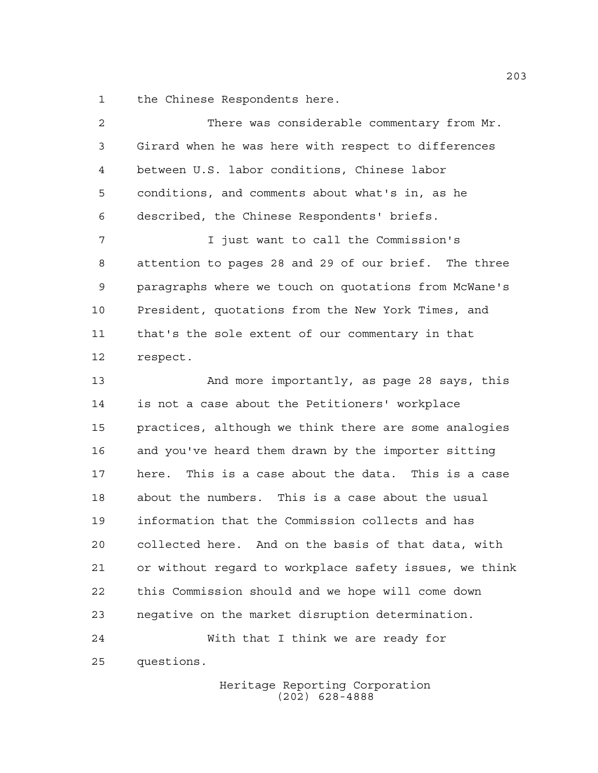the Chinese Respondents here.

| 2  | There was considerable commentary from Mr.             |
|----|--------------------------------------------------------|
| 3  | Girard when he was here with respect to differences    |
| 4  | between U.S. labor conditions, Chinese labor           |
| 5  | conditions, and comments about what's in, as he        |
| 6  | described, the Chinese Respondents' briefs.            |
| 7  | I just want to call the Commission's                   |
| 8  | attention to pages 28 and 29 of our brief. The three   |
| 9  | paragraphs where we touch on quotations from McWane's  |
| 10 | President, quotations from the New York Times, and     |
| 11 | that's the sole extent of our commentary in that       |
| 12 | respect.                                               |
| 13 | And more importantly, as page 28 says, this            |
| 14 | is not a case about the Petitioners' workplace         |
| 15 | practices, although we think there are some analogies  |
| 16 | and you've heard them drawn by the importer sitting    |
| 17 | This is a case about the data. This is a case<br>here. |
| 18 | about the numbers. This is a case about the usual      |
| 19 | information that the Commission collects and has       |
| 20 | collected here. And on the basis of that data, with    |
| 21 | or without regard to workplace safety issues, we think |
| 22 | this Commission should and we hope will come down      |
| 23 | negative on the market disruption determination.       |
| 24 | With that I think we are ready for                     |
| 25 | questions.                                             |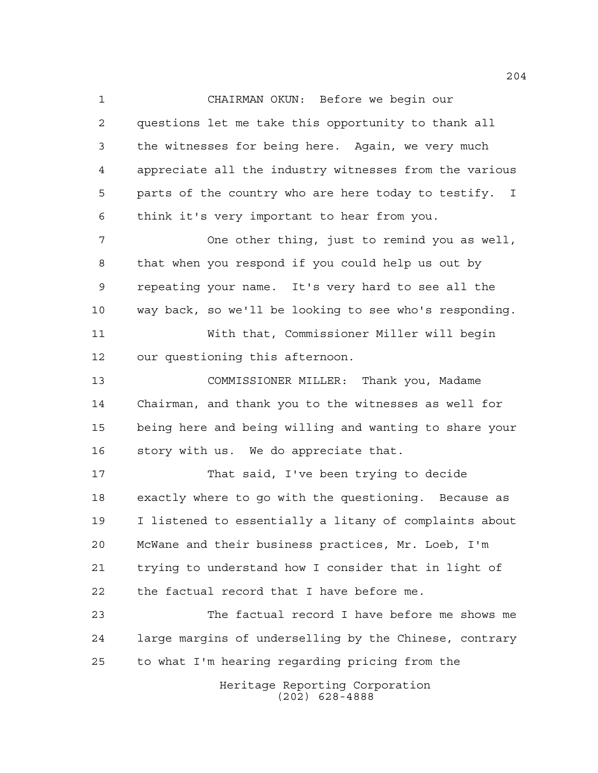CHAIRMAN OKUN: Before we begin our questions let me take this opportunity to thank all the witnesses for being here. Again, we very much appreciate all the industry witnesses from the various parts of the country who are here today to testify. I think it's very important to hear from you.

 One other thing, just to remind you as well, that when you respond if you could help us out by repeating your name. It's very hard to see all the way back, so we'll be looking to see who's responding.

 With that, Commissioner Miller will begin our questioning this afternoon.

 COMMISSIONER MILLER: Thank you, Madame Chairman, and thank you to the witnesses as well for being here and being willing and wanting to share your story with us. We do appreciate that.

 That said, I've been trying to decide exactly where to go with the questioning. Because as I listened to essentially a litany of complaints about McWane and their business practices, Mr. Loeb, I'm trying to understand how I consider that in light of the factual record that I have before me.

 The factual record I have before me shows me large margins of underselling by the Chinese, contrary to what I'm hearing regarding pricing from the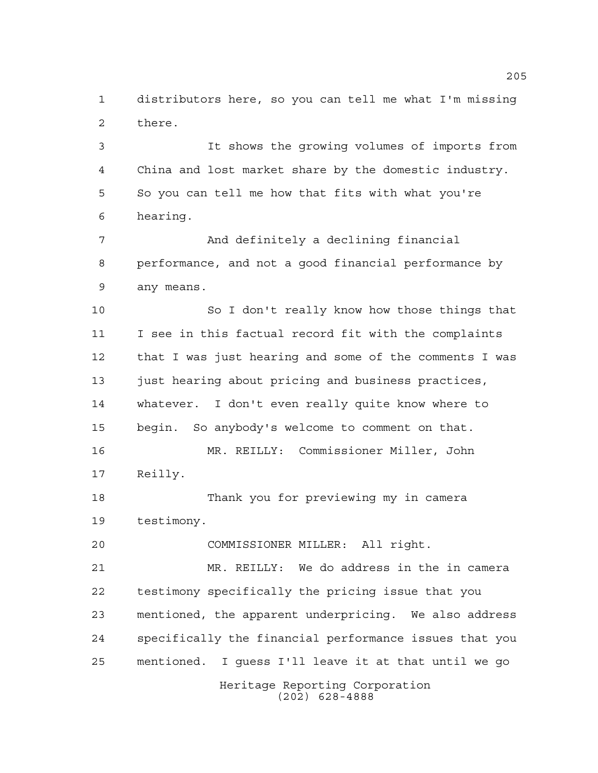distributors here, so you can tell me what I'm missing there.

 It shows the growing volumes of imports from China and lost market share by the domestic industry. So you can tell me how that fits with what you're hearing.

 And definitely a declining financial performance, and not a good financial performance by any means.

 So I don't really know how those things that I see in this factual record fit with the complaints that I was just hearing and some of the comments I was just hearing about pricing and business practices, whatever. I don't even really quite know where to begin. So anybody's welcome to comment on that. MR. REILLY: Commissioner Miller, John Reilly.

 Thank you for previewing my in camera testimony.

COMMISSIONER MILLER: All right.

 MR. REILLY: We do address in the in camera testimony specifically the pricing issue that you mentioned, the apparent underpricing. We also address specifically the financial performance issues that you mentioned. I guess I'll leave it at that until we go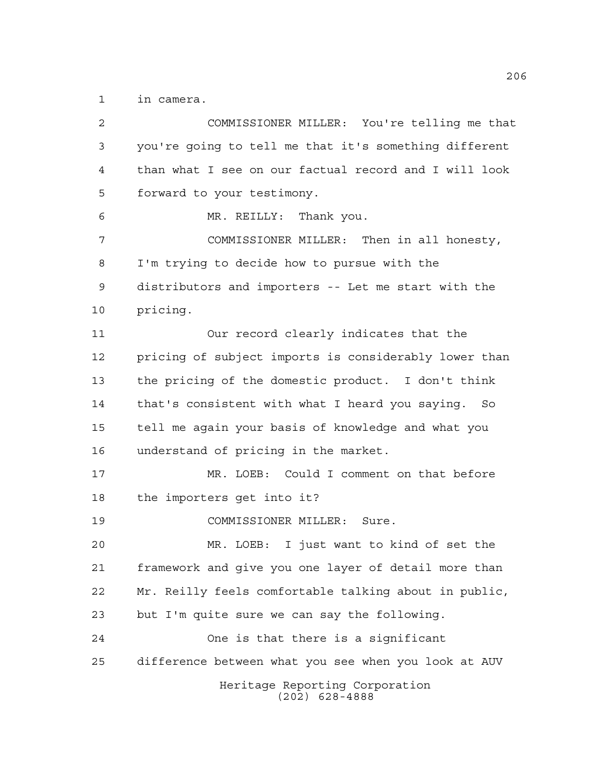in camera.

| 2  | COMMISSIONER MILLER: You're telling me that           |
|----|-------------------------------------------------------|
| 3  | you're going to tell me that it's something different |
| 4  | than what I see on our factual record and I will look |
| 5  | forward to your testimony.                            |
| 6  | MR. REILLY: Thank you.                                |
| 7  | COMMISSIONER MILLER: Then in all honesty,             |
| 8  | I'm trying to decide how to pursue with the           |
| 9  | distributors and importers -- Let me start with the   |
| 10 | pricing.                                              |
| 11 | Our record clearly indicates that the                 |
| 12 | pricing of subject imports is considerably lower than |
| 13 | the pricing of the domestic product. I don't think    |
| 14 | that's consistent with what I heard you saying. So    |
| 15 | tell me again your basis of knowledge and what you    |
| 16 | understand of pricing in the market.                  |
| 17 | MR. LOEB: Could I comment on that before              |
| 18 | the importers get into it?                            |
| 19 | COMMISSIONER MILLER: Sure.                            |
| 20 | MR. LOEB: I just want to kind of set the              |
| 21 | framework and give you one layer of detail more than  |
| 22 | Mr. Reilly feels comfortable talking about in public, |
| 23 | but I'm quite sure we can say the following.          |
| 24 | One is that there is a significant                    |
| 25 | difference between what you see when you look at AUV  |
|    | Heritage Reporting Corporation<br>$(202)$ 628-4888    |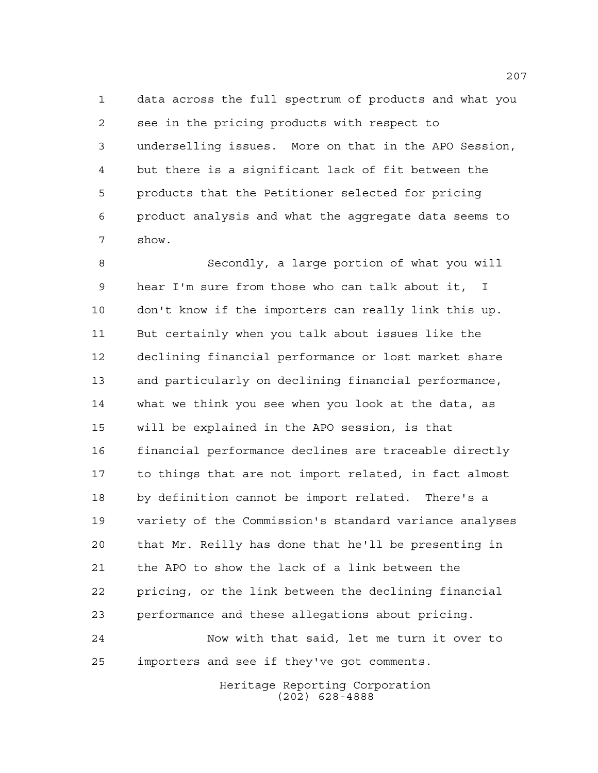data across the full spectrum of products and what you see in the pricing products with respect to underselling issues. More on that in the APO Session, but there is a significant lack of fit between the products that the Petitioner selected for pricing product analysis and what the aggregate data seems to show.

 Secondly, a large portion of what you will hear I'm sure from those who can talk about it, I don't know if the importers can really link this up. But certainly when you talk about issues like the declining financial performance or lost market share and particularly on declining financial performance, what we think you see when you look at the data, as will be explained in the APO session, is that financial performance declines are traceable directly to things that are not import related, in fact almost by definition cannot be import related. There's a variety of the Commission's standard variance analyses that Mr. Reilly has done that he'll be presenting in the APO to show the lack of a link between the pricing, or the link between the declining financial performance and these allegations about pricing. Now with that said, let me turn it over to

importers and see if they've got comments.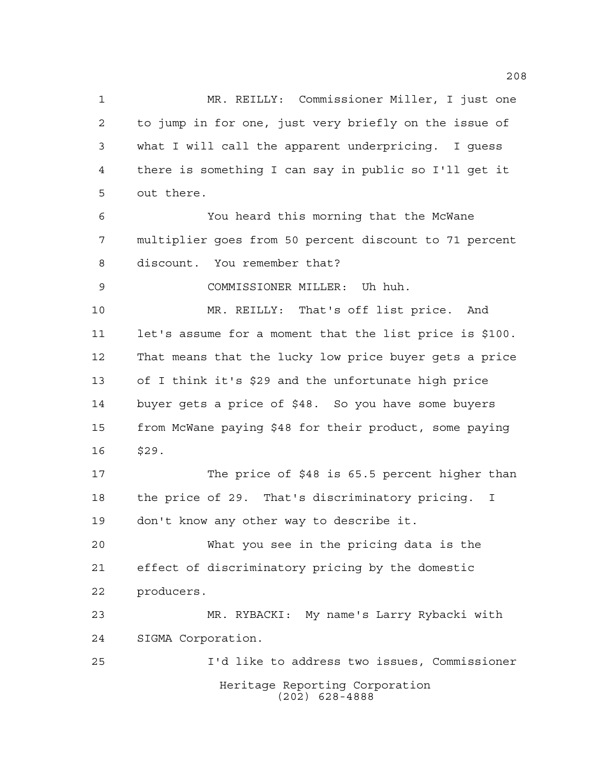Heritage Reporting Corporation (202) 628-4888 MR. REILLY: Commissioner Miller, I just one to jump in for one, just very briefly on the issue of what I will call the apparent underpricing. I guess there is something I can say in public so I'll get it out there. You heard this morning that the McWane multiplier goes from 50 percent discount to 71 percent discount. You remember that? COMMISSIONER MILLER: Uh huh. MR. REILLY: That's off list price. And let's assume for a moment that the list price is \$100. That means that the lucky low price buyer gets a price of I think it's \$29 and the unfortunate high price buyer gets a price of \$48. So you have some buyers from McWane paying \$48 for their product, some paying \$29. The price of \$48 is 65.5 percent higher than the price of 29. That's discriminatory pricing. I don't know any other way to describe it. What you see in the pricing data is the effect of discriminatory pricing by the domestic producers. MR. RYBACKI: My name's Larry Rybacki with SIGMA Corporation. I'd like to address two issues, Commissioner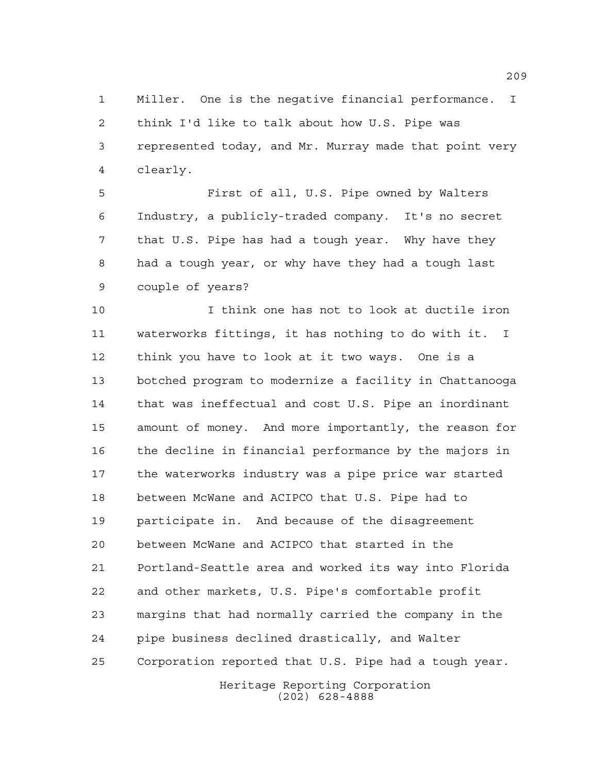Miller. One is the negative financial performance. I think I'd like to talk about how U.S. Pipe was represented today, and Mr. Murray made that point very clearly.

 First of all, U.S. Pipe owned by Walters Industry, a publicly-traded company. It's no secret that U.S. Pipe has had a tough year. Why have they had a tough year, or why have they had a tough last couple of years?

 I think one has not to look at ductile iron waterworks fittings, it has nothing to do with it. I think you have to look at it two ways. One is a botched program to modernize a facility in Chattanooga that was ineffectual and cost U.S. Pipe an inordinant amount of money. And more importantly, the reason for the decline in financial performance by the majors in the waterworks industry was a pipe price war started between McWane and ACIPCO that U.S. Pipe had to participate in. And because of the disagreement between McWane and ACIPCO that started in the Portland-Seattle area and worked its way into Florida and other markets, U.S. Pipe's comfortable profit margins that had normally carried the company in the pipe business declined drastically, and Walter Corporation reported that U.S. Pipe had a tough year.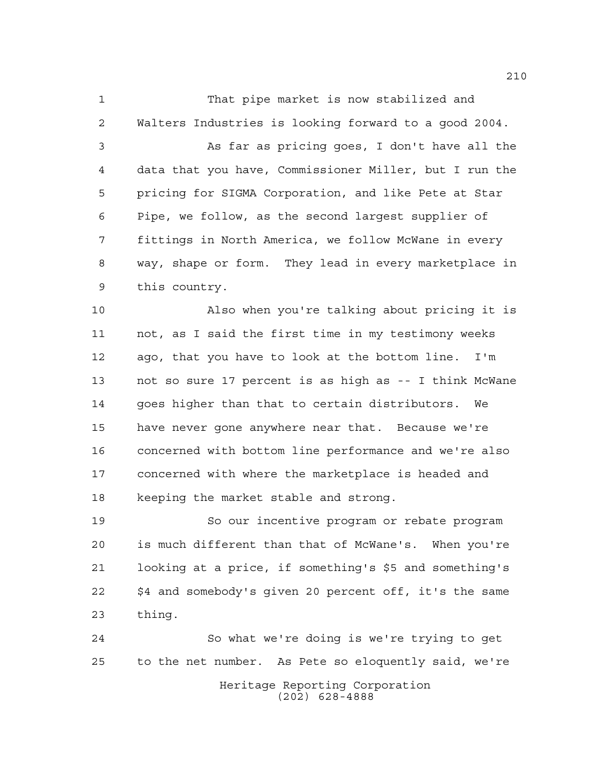That pipe market is now stabilized and Walters Industries is looking forward to a good 2004. As far as pricing goes, I don't have all the data that you have, Commissioner Miller, but I run the pricing for SIGMA Corporation, and like Pete at Star Pipe, we follow, as the second largest supplier of fittings in North America, we follow McWane in every way, shape or form. They lead in every marketplace in this country.

 Also when you're talking about pricing it is not, as I said the first time in my testimony weeks ago, that you have to look at the bottom line. I'm not so sure 17 percent is as high as -- I think McWane goes higher than that to certain distributors. We have never gone anywhere near that. Because we're concerned with bottom line performance and we're also concerned with where the marketplace is headed and keeping the market stable and strong.

 So our incentive program or rebate program is much different than that of McWane's. When you're looking at a price, if something's \$5 and something's \$4 and somebody's given 20 percent off, it's the same thing.

Heritage Reporting Corporation (202) 628-4888 So what we're doing is we're trying to get to the net number. As Pete so eloquently said, we're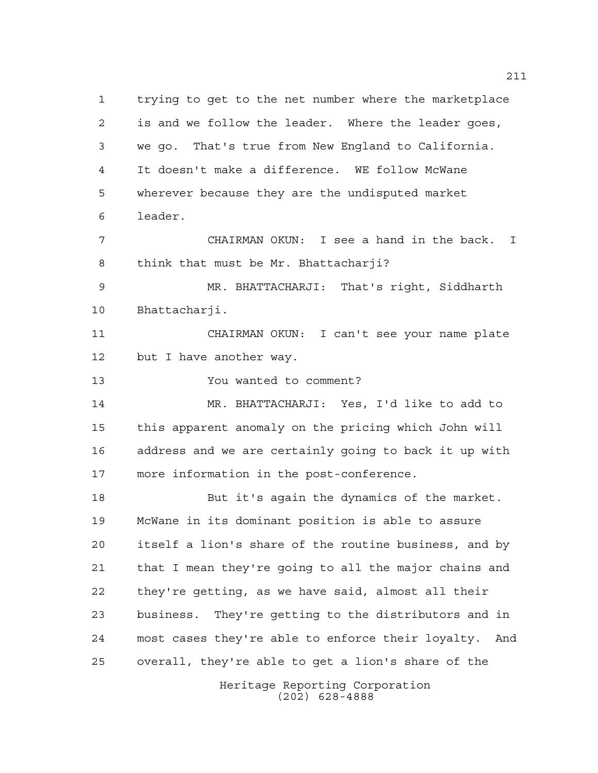trying to get to the net number where the marketplace is and we follow the leader. Where the leader goes, we go. That's true from New England to California. It doesn't make a difference. WE follow McWane wherever because they are the undisputed market leader. CHAIRMAN OKUN: I see a hand in the back. I think that must be Mr. Bhattacharji? MR. BHATTACHARJI: That's right, Siddharth Bhattacharji. CHAIRMAN OKUN: I can't see your name plate but I have another way. You wanted to comment? MR. BHATTACHARJI: Yes, I'd like to add to this apparent anomaly on the pricing which John will address and we are certainly going to back it up with more information in the post-conference. But it's again the dynamics of the market. McWane in its dominant position is able to assure itself a lion's share of the routine business, and by that I mean they're going to all the major chains and they're getting, as we have said, almost all their business. They're getting to the distributors and in most cases they're able to enforce their loyalty. And overall, they're able to get a lion's share of the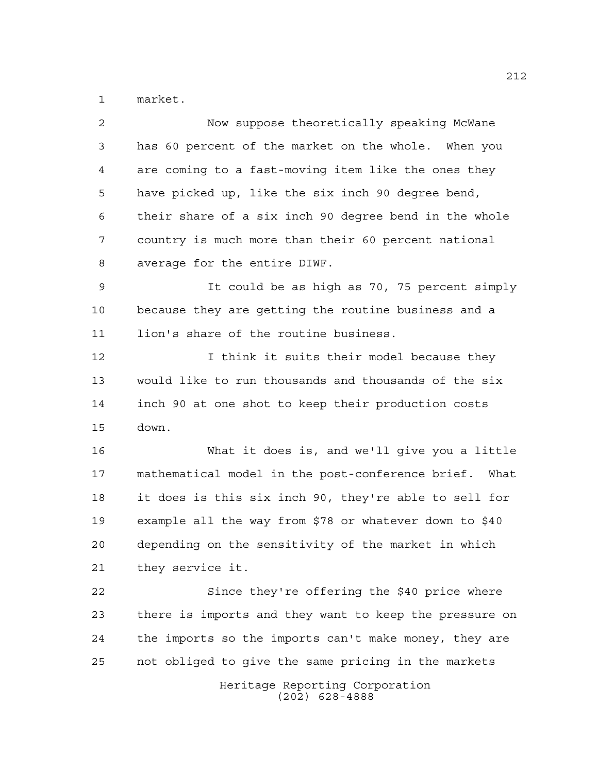market.

| $\overline{2}$ | Now suppose theoretically speaking McWane              |
|----------------|--------------------------------------------------------|
| 3              | has 60 percent of the market on the whole. When you    |
| $\overline{4}$ | are coming to a fast-moving item like the ones they    |
| 5              | have picked up, like the six inch 90 degree bend,      |
| 6              | their share of a six inch 90 degree bend in the whole  |
| 7              | country is much more than their 60 percent national    |
| 8              | average for the entire DIWF.                           |
| $\mathsf 9$    | It could be as high as 70, 75 percent simply           |
| 10             | because they are getting the routine business and a    |
| 11             | lion's share of the routine business.                  |
| 12             | I think it suits their model because they              |
| 13             | would like to run thousands and thousands of the six   |
| 14             | inch 90 at one shot to keep their production costs     |
| 15             | down.                                                  |
| 16             | What it does is, and we'll give you a little           |
| 17             | mathematical model in the post-conference brief. What  |
| 18             | it does is this six inch 90, they're able to sell for  |
| 19             | example all the way from \$78 or whatever down to \$40 |
| 20             | depending on the sensitivity of the market in which    |
| 21             | they service it.                                       |
| 22             | Since they're offering the \$40 price where            |
| 23             | there is imports and they want to keep the pressure on |
| 24             | the imports so the imports can't make money, they are  |
| 25             | not obliged to give the same pricing in the markets    |
|                | Heritage Reporting Corporation<br>$(202)$ 628-4888     |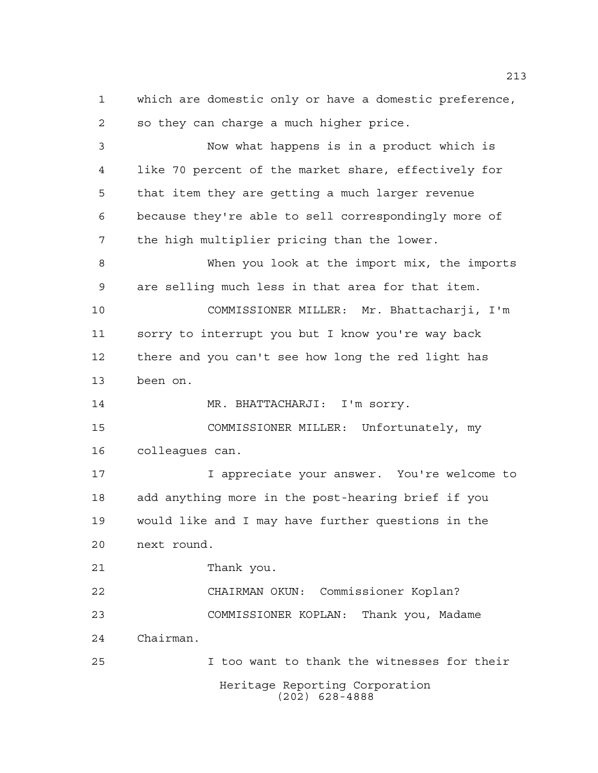Heritage Reporting Corporation so they can charge a much higher price. Now what happens is in a product which is like 70 percent of the market share, effectively for that item they are getting a much larger revenue because they're able to sell correspondingly more of the high multiplier pricing than the lower. When you look at the import mix, the imports are selling much less in that area for that item. COMMISSIONER MILLER: Mr. Bhattacharji, I'm sorry to interrupt you but I know you're way back there and you can't see how long the red light has been on. 14 MR. BHATTACHARJI: I'm sorry. COMMISSIONER MILLER: Unfortunately, my colleagues can. I appreciate your answer. You're welcome to add anything more in the post-hearing brief if you would like and I may have further questions in the next round. Thank you. CHAIRMAN OKUN: Commissioner Koplan? COMMISSIONER KOPLAN: Thank you, Madame Chairman. I too want to thank the witnesses for their

which are domestic only or have a domestic preference,

(202) 628-4888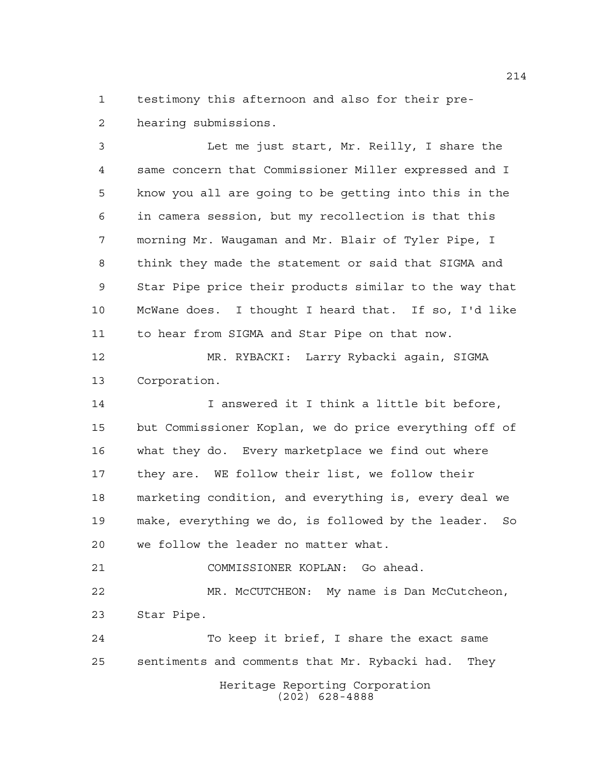testimony this afternoon and also for their pre-hearing submissions.

 Let me just start, Mr. Reilly, I share the same concern that Commissioner Miller expressed and I know you all are going to be getting into this in the in camera session, but my recollection is that this morning Mr. Waugaman and Mr. Blair of Tyler Pipe, I think they made the statement or said that SIGMA and Star Pipe price their products similar to the way that McWane does. I thought I heard that. If so, I'd like to hear from SIGMA and Star Pipe on that now. MR. RYBACKI: Larry Rybacki again, SIGMA Corporation. I answered it I think a little bit before, but Commissioner Koplan, we do price everything off of what they do. Every marketplace we find out where they are. WE follow their list, we follow their marketing condition, and everything is, every deal we make, everything we do, is followed by the leader. So

we follow the leader no matter what.

 COMMISSIONER KOPLAN: Go ahead. MR. McCUTCHEON: My name is Dan McCutcheon, Star Pipe.

Heritage Reporting Corporation (202) 628-4888 To keep it brief, I share the exact same sentiments and comments that Mr. Rybacki had. They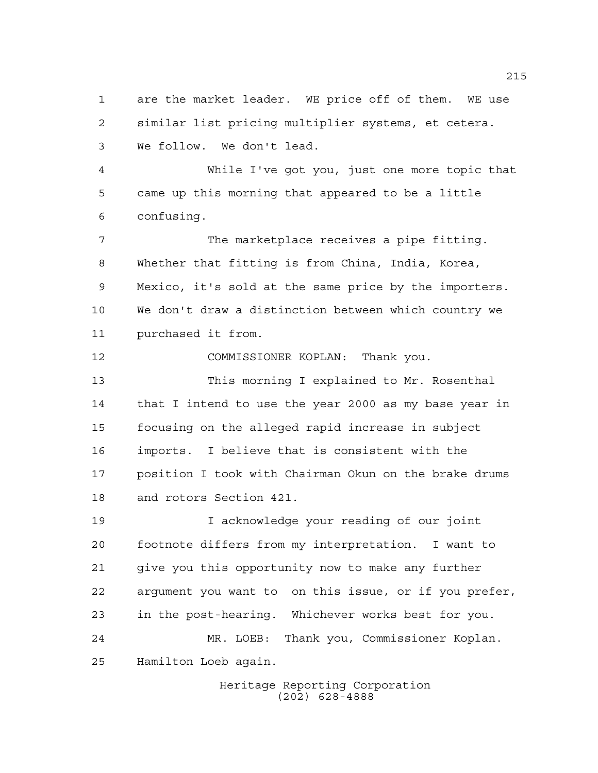are the market leader. WE price off of them. WE use similar list pricing multiplier systems, et cetera. We follow. We don't lead.

 While I've got you, just one more topic that came up this morning that appeared to be a little confusing.

 The marketplace receives a pipe fitting. Whether that fitting is from China, India, Korea, Mexico, it's sold at the same price by the importers. We don't draw a distinction between which country we purchased it from.

COMMISSIONER KOPLAN: Thank you.

 This morning I explained to Mr. Rosenthal 14 that I intend to use the year 2000 as my base year in focusing on the alleged rapid increase in subject imports. I believe that is consistent with the position I took with Chairman Okun on the brake drums and rotors Section 421.

 I acknowledge your reading of our joint footnote differs from my interpretation. I want to give you this opportunity now to make any further argument you want to on this issue, or if you prefer, in the post-hearing. Whichever works best for you. MR. LOEB: Thank you, Commissioner Koplan. Hamilton Loeb again.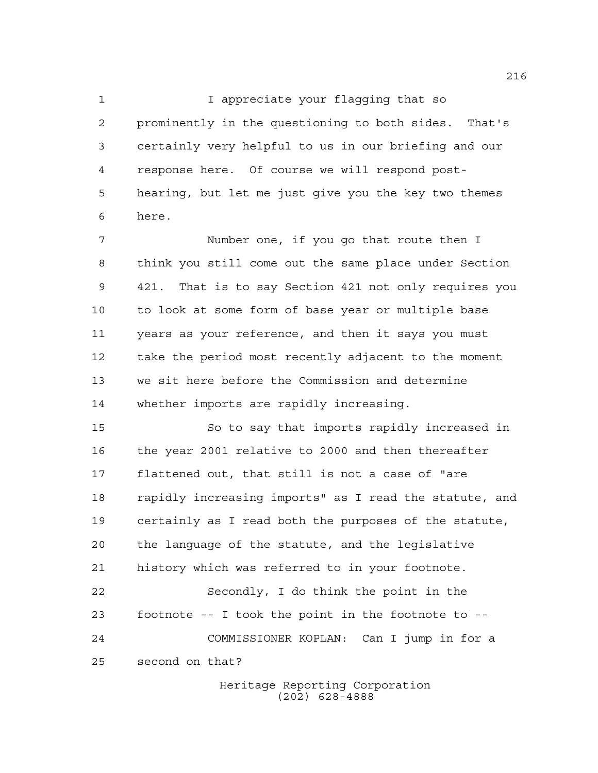1 I appreciate your flagging that so prominently in the questioning to both sides. That's certainly very helpful to us in our briefing and our response here. Of course we will respond post- hearing, but let me just give you the key two themes here.

 Number one, if you go that route then I think you still come out the same place under Section 421. That is to say Section 421 not only requires you to look at some form of base year or multiple base years as your reference, and then it says you must take the period most recently adjacent to the moment we sit here before the Commission and determine whether imports are rapidly increasing.

 So to say that imports rapidly increased in the year 2001 relative to 2000 and then thereafter flattened out, that still is not a case of "are rapidly increasing imports" as I read the statute, and certainly as I read both the purposes of the statute, the language of the statute, and the legislative history which was referred to in your footnote. Secondly, I do think the point in the footnote -- I took the point in the footnote to -- COMMISSIONER KOPLAN: Can I jump in for a second on that?

> Heritage Reporting Corporation (202) 628-4888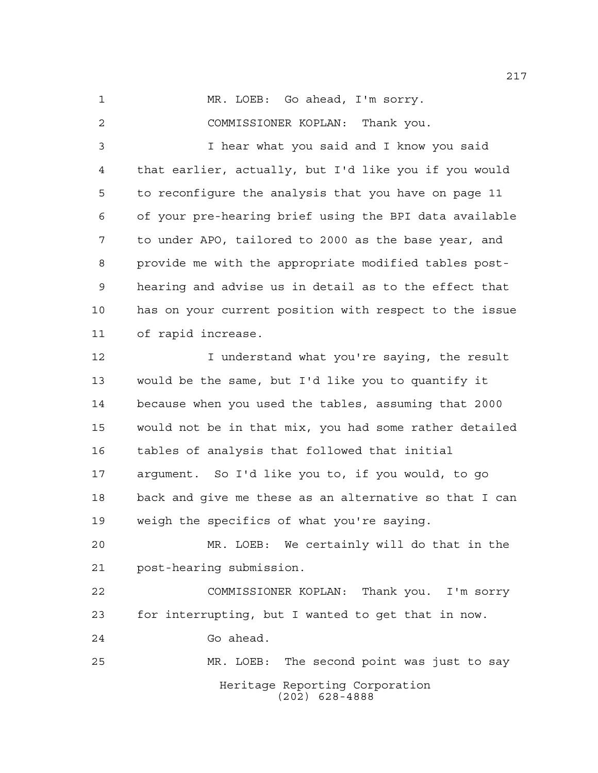MR. LOEB: Go ahead, I'm sorry.

COMMISSIONER KOPLAN: Thank you.

 I hear what you said and I know you said that earlier, actually, but I'd like you if you would to reconfigure the analysis that you have on page 11 of your pre-hearing brief using the BPI data available to under APO, tailored to 2000 as the base year, and provide me with the appropriate modified tables post- hearing and advise us in detail as to the effect that has on your current position with respect to the issue of rapid increase.

**I** understand what you're saying, the result would be the same, but I'd like you to quantify it because when you used the tables, assuming that 2000 would not be in that mix, you had some rather detailed tables of analysis that followed that initial argument. So I'd like you to, if you would, to go back and give me these as an alternative so that I can weigh the specifics of what you're saying.

 MR. LOEB: We certainly will do that in the post-hearing submission.

 COMMISSIONER KOPLAN: Thank you. I'm sorry for interrupting, but I wanted to get that in now. Go ahead.

Heritage Reporting Corporation (202) 628-4888 MR. LOEB: The second point was just to say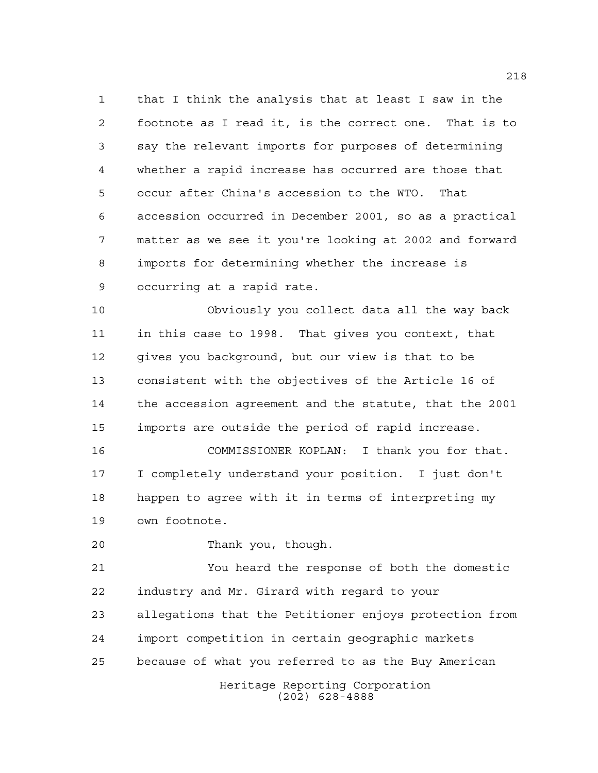that I think the analysis that at least I saw in the footnote as I read it, is the correct one. That is to say the relevant imports for purposes of determining whether a rapid increase has occurred are those that occur after China's accession to the WTO. That accession occurred in December 2001, so as a practical matter as we see it you're looking at 2002 and forward imports for determining whether the increase is occurring at a rapid rate.

 Obviously you collect data all the way back in this case to 1998. That gives you context, that gives you background, but our view is that to be consistent with the objectives of the Article 16 of the accession agreement and the statute, that the 2001 imports are outside the period of rapid increase.

 COMMISSIONER KOPLAN: I thank you for that. I completely understand your position. I just don't happen to agree with it in terms of interpreting my own footnote.

Thank you, though.

 You heard the response of both the domestic industry and Mr. Girard with regard to your allegations that the Petitioner enjoys protection from import competition in certain geographic markets because of what you referred to as the Buy American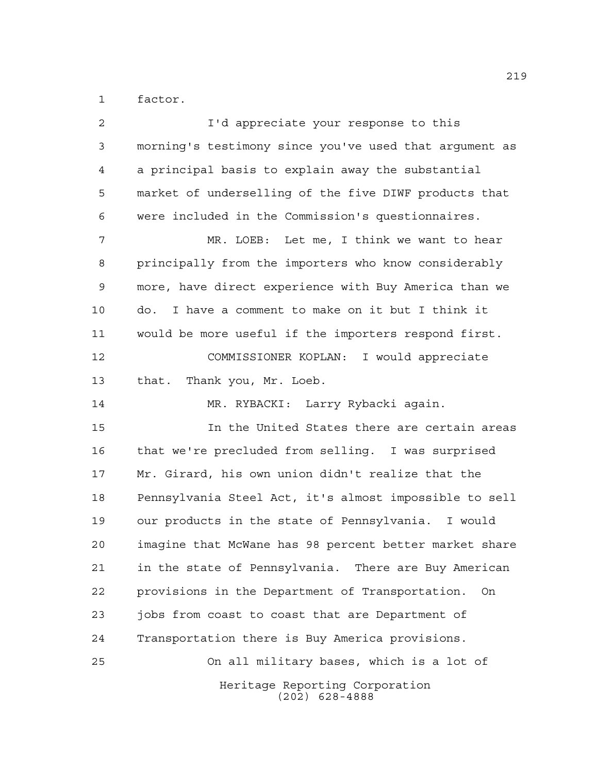factor.

| $\overline{c}$ | I'd appreciate your response to this                    |
|----------------|---------------------------------------------------------|
| 3              | morning's testimony since you've used that argument as  |
| 4              | a principal basis to explain away the substantial       |
| 5              | market of underselling of the five DIWF products that   |
| 6              | were included in the Commission's questionnaires.       |
| 7              | MR. LOEB: Let me, I think we want to hear               |
| 8              | principally from the importers who know considerably    |
| $\mathsf 9$    | more, have direct experience with Buy America than we   |
| 10             | I have a comment to make on it but I think it<br>do.    |
| 11             | would be more useful if the importers respond first.    |
| 12             | COMMISSIONER KOPLAN: I would appreciate                 |
| 13             | that. Thank you, Mr. Loeb.                              |
| 14             | MR. RYBACKI: Larry Rybacki again.                       |
| 15             | In the United States there are certain areas            |
| 16             | that we're precluded from selling. I was surprised      |
| 17             | Mr. Girard, his own union didn't realize that the       |
| 18             | Pennsylvania Steel Act, it's almost impossible to sell  |
| 19             | our products in the state of Pennsylvania. I would      |
| 20             | imagine that McWane has 98 percent better market share  |
| 21             | in the state of Pennsylvania. There are Buy American    |
| 22             | provisions in the Department of Transportation.<br>- On |
| 23             | jobs from coast to coast that are Department of         |
| 24             | Transportation there is Buy America provisions.         |
| 25             | On all military bases, which is a lot of                |
|                | Heritage Reporting Corporation<br>$(202)$ 628-4888      |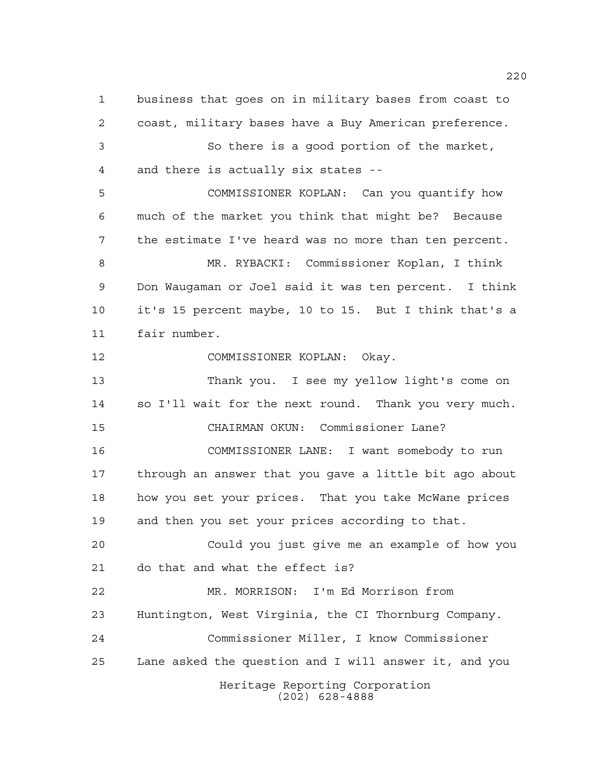business that goes on in military bases from coast to coast, military bases have a Buy American preference. So there is a good portion of the market, and there is actually six states -- COMMISSIONER KOPLAN: Can you quantify how much of the market you think that might be? Because the estimate I've heard was no more than ten percent. MR. RYBACKI: Commissioner Koplan, I think Don Waugaman or Joel said it was ten percent. I think it's 15 percent maybe, 10 to 15. But I think that's a fair number. COMMISSIONER KOPLAN: Okay. Thank you. I see my yellow light's come on so I'll wait for the next round. Thank you very much. CHAIRMAN OKUN: Commissioner Lane? COMMISSIONER LANE: I want somebody to run through an answer that you gave a little bit ago about how you set your prices. That you take McWane prices and then you set your prices according to that. Could you just give me an example of how you do that and what the effect is? MR. MORRISON: I'm Ed Morrison from Huntington, West Virginia, the CI Thornburg Company. Commissioner Miller, I know Commissioner Lane asked the question and I will answer it, and you

> Heritage Reporting Corporation (202) 628-4888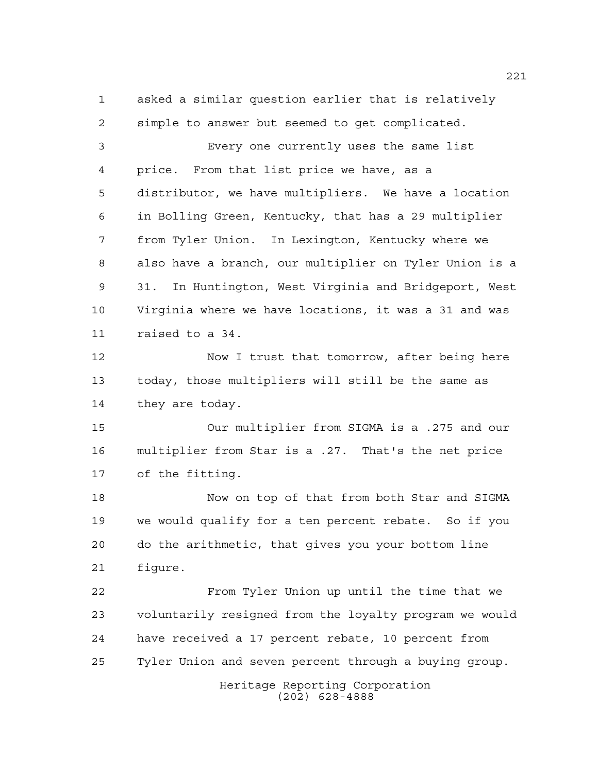Heritage Reporting Corporation (202) 628-4888 asked a similar question earlier that is relatively simple to answer but seemed to get complicated. Every one currently uses the same list price. From that list price we have, as a distributor, we have multipliers. We have a location in Bolling Green, Kentucky, that has a 29 multiplier from Tyler Union. In Lexington, Kentucky where we also have a branch, our multiplier on Tyler Union is a 31. In Huntington, West Virginia and Bridgeport, West Virginia where we have locations, it was a 31 and was raised to a 34. 12 Now I trust that tomorrow, after being here today, those multipliers will still be the same as they are today. Our multiplier from SIGMA is a .275 and our multiplier from Star is a .27. That's the net price of the fitting. Now on top of that from both Star and SIGMA we would qualify for a ten percent rebate. So if you do the arithmetic, that gives you your bottom line figure. From Tyler Union up until the time that we voluntarily resigned from the loyalty program we would have received a 17 percent rebate, 10 percent from Tyler Union and seven percent through a buying group.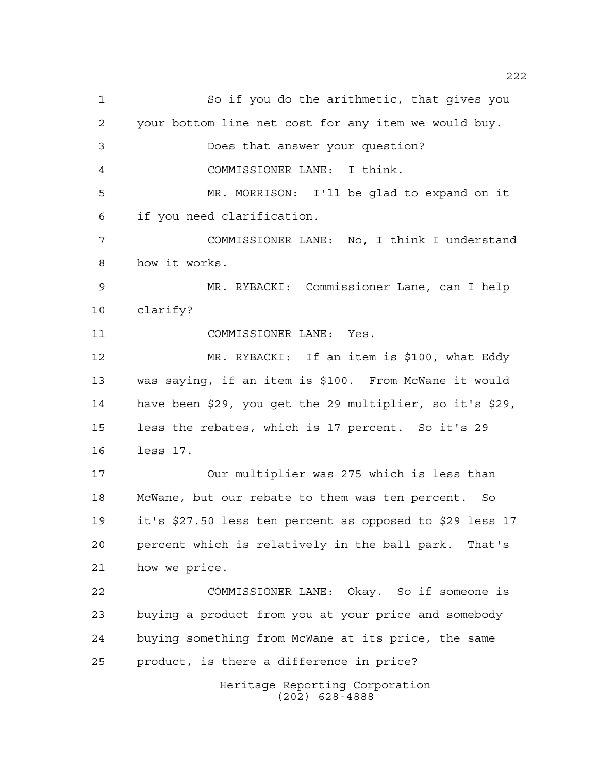Heritage Reporting Corporation (202) 628-4888 So if you do the arithmetic, that gives you your bottom line net cost for any item we would buy. Does that answer your question? COMMISSIONER LANE: I think. MR. MORRISON: I'll be glad to expand on it if you need clarification. COMMISSIONER LANE: No, I think I understand how it works. MR. RYBACKI: Commissioner Lane, can I help clarify? COMMISSIONER LANE: Yes. MR. RYBACKI: If an item is \$100, what Eddy was saying, if an item is \$100. From McWane it would have been \$29, you get the 29 multiplier, so it's \$29, less the rebates, which is 17 percent. So it's 29 less 17. Our multiplier was 275 which is less than McWane, but our rebate to them was ten percent. So it's \$27.50 less ten percent as opposed to \$29 less 17 percent which is relatively in the ball park. That's how we price. COMMISSIONER LANE: Okay. So if someone is buying a product from you at your price and somebody buying something from McWane at its price, the same product, is there a difference in price?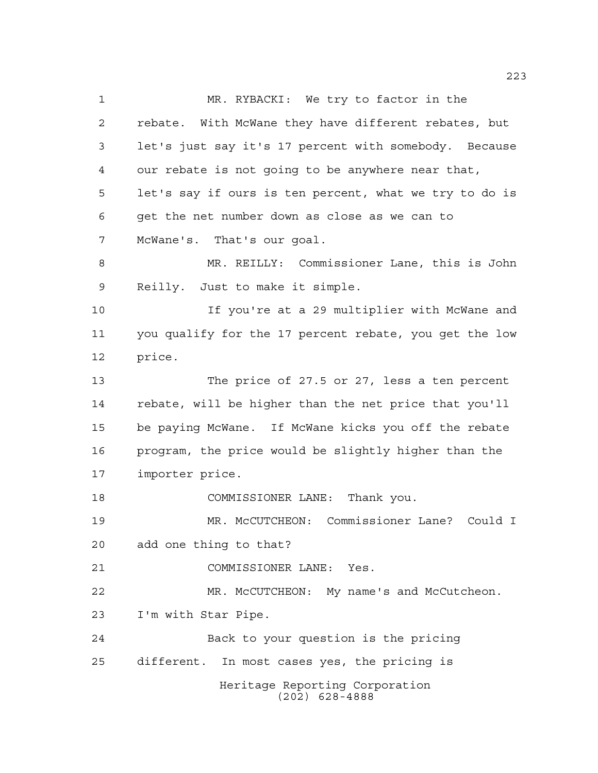Heritage Reporting Corporation (202) 628-4888 MR. RYBACKI: We try to factor in the rebate. With McWane they have different rebates, but let's just say it's 17 percent with somebody. Because our rebate is not going to be anywhere near that, let's say if ours is ten percent, what we try to do is get the net number down as close as we can to McWane's. That's our goal. MR. REILLY: Commissioner Lane, this is John Reilly. Just to make it simple. If you're at a 29 multiplier with McWane and you qualify for the 17 percent rebate, you get the low price. The price of 27.5 or 27, less a ten percent rebate, will be higher than the net price that you'll be paying McWane. If McWane kicks you off the rebate program, the price would be slightly higher than the importer price. COMMISSIONER LANE: Thank you. MR. McCUTCHEON: Commissioner Lane? Could I add one thing to that? COMMISSIONER LANE: Yes. MR. McCUTCHEON: My name's and McCutcheon. I'm with Star Pipe. Back to your question is the pricing different. In most cases yes, the pricing is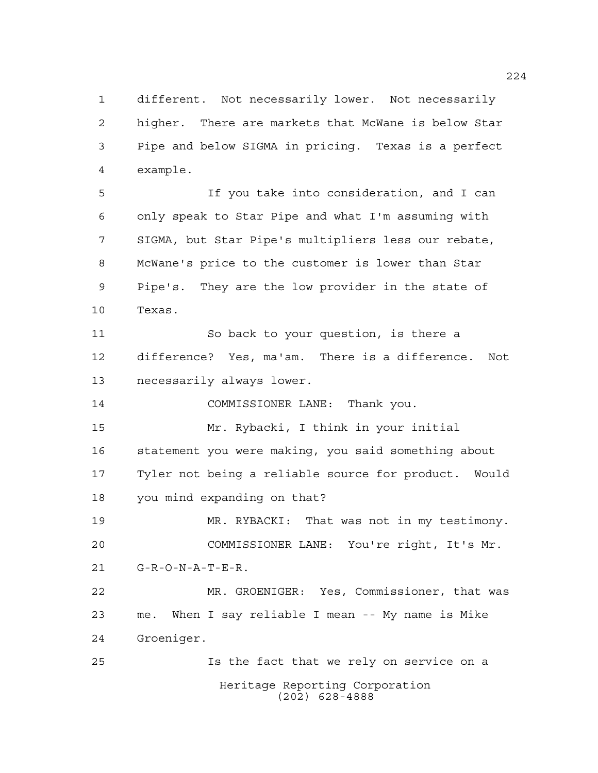different. Not necessarily lower. Not necessarily higher. There are markets that McWane is below Star Pipe and below SIGMA in pricing. Texas is a perfect example.

 If you take into consideration, and I can only speak to Star Pipe and what I'm assuming with SIGMA, but Star Pipe's multipliers less our rebate, McWane's price to the customer is lower than Star Pipe's. They are the low provider in the state of Texas. So back to your question, is there a difference? Yes, ma'am. There is a difference. Not necessarily always lower. COMMISSIONER LANE: Thank you. Mr. Rybacki, I think in your initial

 statement you were making, you said something about Tyler not being a reliable source for product. Would you mind expanding on that?

 MR. RYBACKI: That was not in my testimony. COMMISSIONER LANE: You're right, It's Mr. G-R-O-N-A-T-E-R.

 MR. GROENIGER: Yes, Commissioner, that was me. When I say reliable I mean -- My name is Mike Groeniger.

Heritage Reporting Corporation (202) 628-4888 Is the fact that we rely on service on a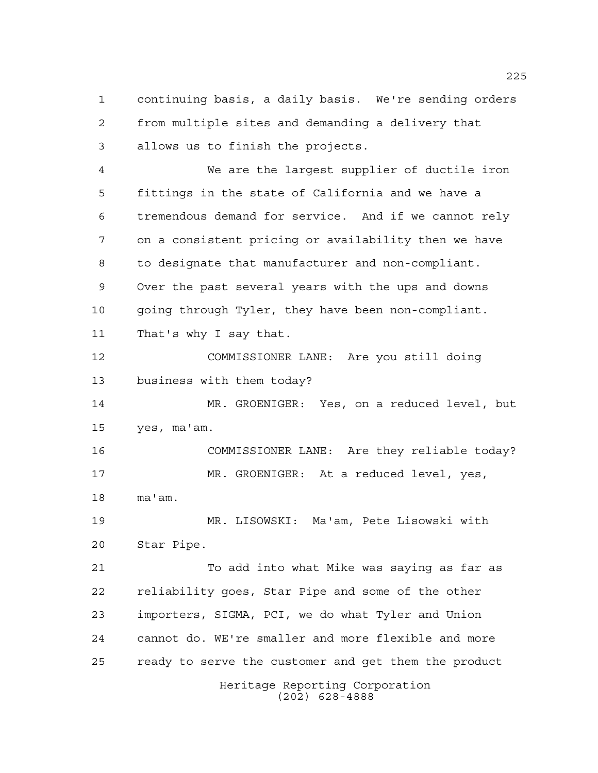continuing basis, a daily basis. We're sending orders from multiple sites and demanding a delivery that allows us to finish the projects.

 We are the largest supplier of ductile iron fittings in the state of California and we have a tremendous demand for service. And if we cannot rely on a consistent pricing or availability then we have to designate that manufacturer and non-compliant. Over the past several years with the ups and downs going through Tyler, they have been non-compliant. That's why I say that.

 COMMISSIONER LANE: Are you still doing business with them today?

 MR. GROENIGER: Yes, on a reduced level, but yes, ma'am.

 COMMISSIONER LANE: Are they reliable today? MR. GROENIGER: At a reduced level, yes, ma'am.

 MR. LISOWSKI: Ma'am, Pete Lisowski with Star Pipe.

Heritage Reporting Corporation To add into what Mike was saying as far as reliability goes, Star Pipe and some of the other importers, SIGMA, PCI, we do what Tyler and Union cannot do. WE're smaller and more flexible and more ready to serve the customer and get them the product

(202) 628-4888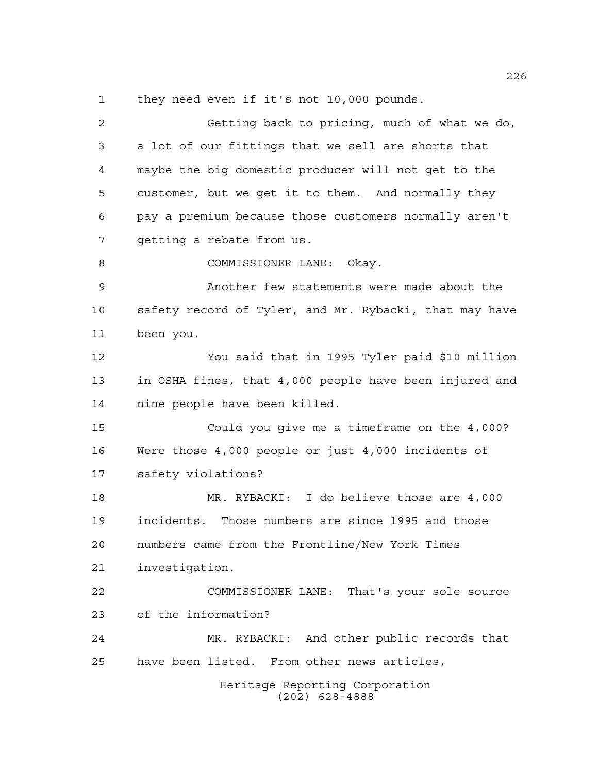1 they need even if it's not 10,000 pounds.

Heritage Reporting Corporation (202) 628-4888 Getting back to pricing, much of what we do, a lot of our fittings that we sell are shorts that maybe the big domestic producer will not get to the customer, but we get it to them. And normally they pay a premium because those customers normally aren't getting a rebate from us. COMMISSIONER LANE: Okay. Another few statements were made about the safety record of Tyler, and Mr. Rybacki, that may have been you. You said that in 1995 Tyler paid \$10 million in OSHA fines, that 4,000 people have been injured and nine people have been killed. Could you give me a timeframe on the 4,000? Were those 4,000 people or just 4,000 incidents of safety violations? MR. RYBACKI: I do believe those are 4,000 incidents. Those numbers are since 1995 and those numbers came from the Frontline/New York Times investigation. COMMISSIONER LANE: That's your sole source of the information? MR. RYBACKI: And other public records that have been listed. From other news articles,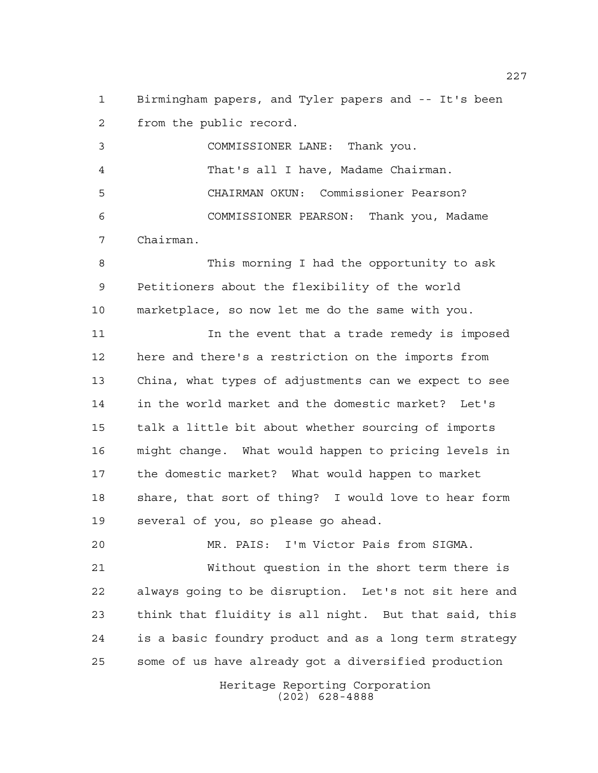Birmingham papers, and Tyler papers and -- It's been from the public record.

 COMMISSIONER LANE: Thank you. That's all I have, Madame Chairman. CHAIRMAN OKUN: Commissioner Pearson? COMMISSIONER PEARSON: Thank you, Madame Chairman.

 This morning I had the opportunity to ask Petitioners about the flexibility of the world marketplace, so now let me do the same with you.

11 11 In the event that a trade remedy is imposed here and there's a restriction on the imports from China, what types of adjustments can we expect to see in the world market and the domestic market? Let's talk a little bit about whether sourcing of imports might change. What would happen to pricing levels in the domestic market? What would happen to market share, that sort of thing? I would love to hear form several of you, so please go ahead.

 MR. PAIS: I'm Victor Pais from SIGMA. Without question in the short term there is always going to be disruption. Let's not sit here and think that fluidity is all night. But that said, this is a basic foundry product and as a long term strategy some of us have already got a diversified production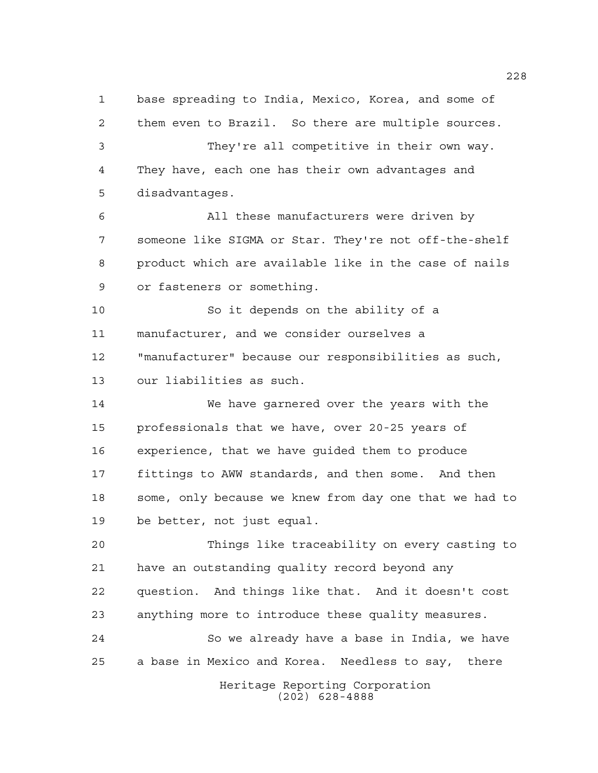base spreading to India, Mexico, Korea, and some of them even to Brazil. So there are multiple sources. They're all competitive in their own way. They have, each one has their own advantages and disadvantages. All these manufacturers were driven by someone like SIGMA or Star. They're not off-the-shelf product which are available like in the case of nails or fasteners or something. So it depends on the ability of a manufacturer, and we consider ourselves a "manufacturer" because our responsibilities as such, our liabilities as such. We have garnered over the years with the professionals that we have, over 20-25 years of experience, that we have guided them to produce fittings to AWW standards, and then some. And then some, only because we knew from day one that we had to be better, not just equal. Things like traceability on every casting to have an outstanding quality record beyond any question. And things like that. And it doesn't cost anything more to introduce these quality measures. So we already have a base in India, we have a base in Mexico and Korea. Needless to say, there

Heritage Reporting Corporation (202) 628-4888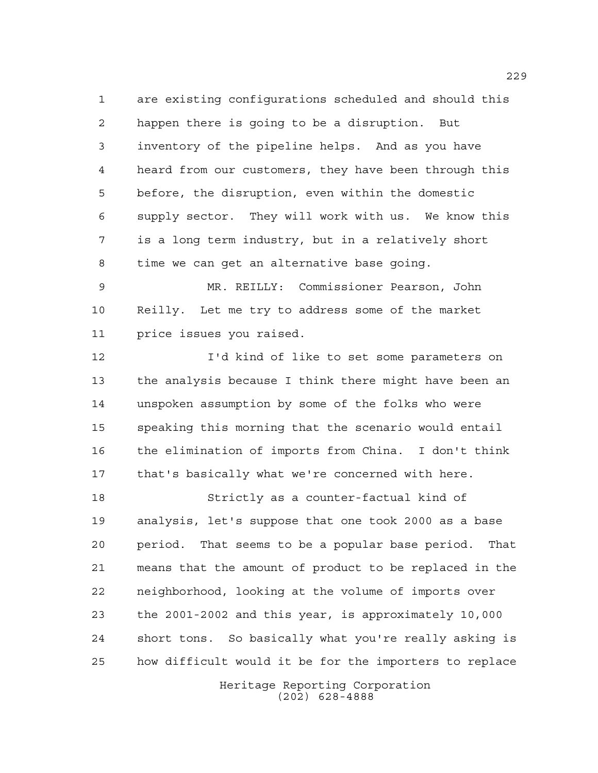are existing configurations scheduled and should this happen there is going to be a disruption. But inventory of the pipeline helps. And as you have heard from our customers, they have been through this before, the disruption, even within the domestic supply sector. They will work with us. We know this is a long term industry, but in a relatively short time we can get an alternative base going.

 MR. REILLY: Commissioner Pearson, John Reilly. Let me try to address some of the market price issues you raised.

 I'd kind of like to set some parameters on the analysis because I think there might have been an unspoken assumption by some of the folks who were speaking this morning that the scenario would entail the elimination of imports from China. I don't think that's basically what we're concerned with here.

 Strictly as a counter-factual kind of analysis, let's suppose that one took 2000 as a base period. That seems to be a popular base period. That means that the amount of product to be replaced in the neighborhood, looking at the volume of imports over the 2001-2002 and this year, is approximately 10,000 short tons. So basically what you're really asking is how difficult would it be for the importers to replace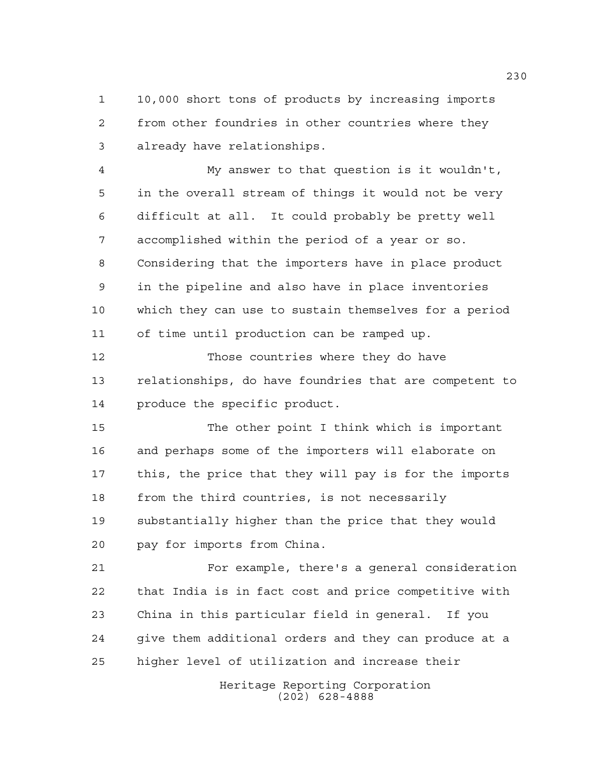10,000 short tons of products by increasing imports from other foundries in other countries where they already have relationships.

 My answer to that question is it wouldn't, in the overall stream of things it would not be very difficult at all. It could probably be pretty well accomplished within the period of a year or so. Considering that the importers have in place product in the pipeline and also have in place inventories which they can use to sustain themselves for a period of time until production can be ramped up.

 Those countries where they do have relationships, do have foundries that are competent to produce the specific product.

 The other point I think which is important and perhaps some of the importers will elaborate on this, the price that they will pay is for the imports from the third countries, is not necessarily substantially higher than the price that they would pay for imports from China.

 For example, there's a general consideration that India is in fact cost and price competitive with China in this particular field in general. If you give them additional orders and they can produce at a higher level of utilization and increase their

> Heritage Reporting Corporation (202) 628-4888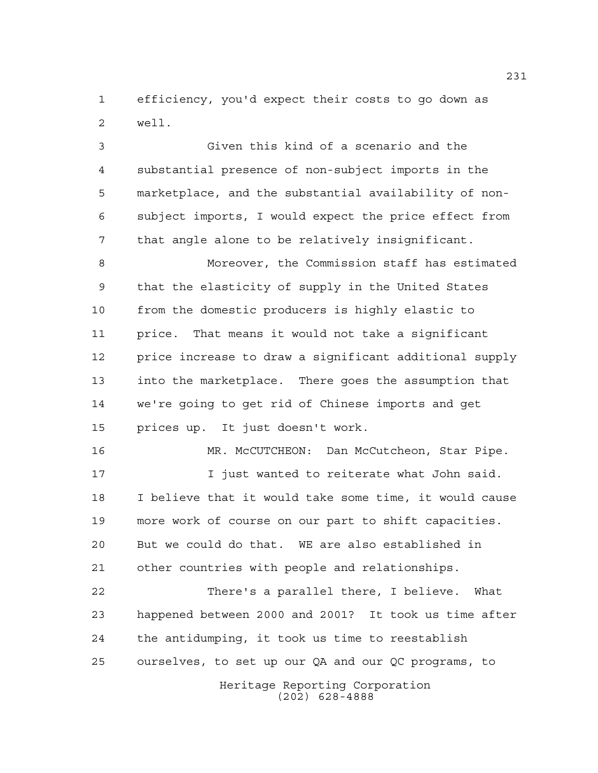efficiency, you'd expect their costs to go down as well.

 Given this kind of a scenario and the substantial presence of non-subject imports in the marketplace, and the substantial availability of non- subject imports, I would expect the price effect from that angle alone to be relatively insignificant.

 Moreover, the Commission staff has estimated that the elasticity of supply in the United States from the domestic producers is highly elastic to price. That means it would not take a significant price increase to draw a significant additional supply into the marketplace. There goes the assumption that we're going to get rid of Chinese imports and get prices up. It just doesn't work.

16 MR. McCUTCHEON: Dan McCutcheon, Star Pipe. I just wanted to reiterate what John said. I believe that it would take some time, it would cause more work of course on our part to shift capacities. But we could do that. WE are also established in other countries with people and relationships.

 There's a parallel there, I believe. What happened between 2000 and 2001? It took us time after the antidumping, it took us time to reestablish ourselves, to set up our QA and our QC programs, to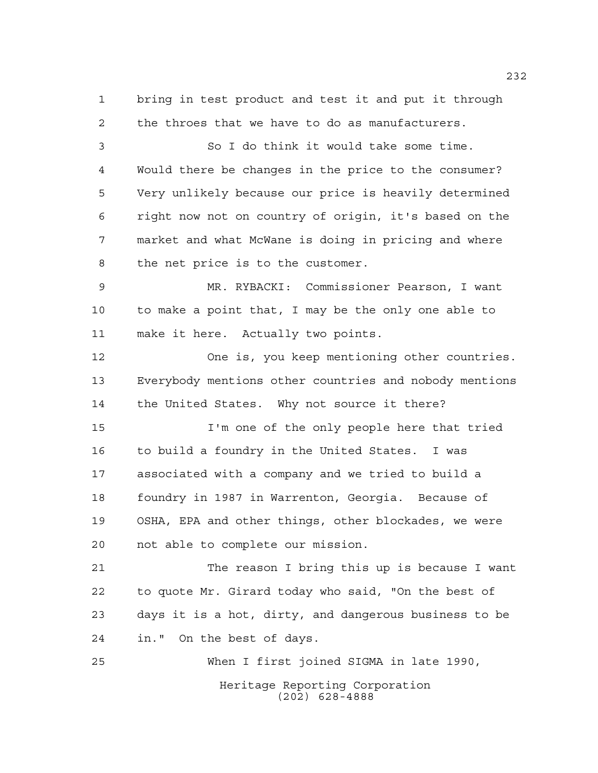bring in test product and test it and put it through the throes that we have to do as manufacturers.

 So I do think it would take some time. Would there be changes in the price to the consumer? Very unlikely because our price is heavily determined right now not on country of origin, it's based on the market and what McWane is doing in pricing and where the net price is to the customer.

 MR. RYBACKI: Commissioner Pearson, I want to make a point that, I may be the only one able to make it here. Actually two points.

 One is, you keep mentioning other countries. Everybody mentions other countries and nobody mentions the United States. Why not source it there?

 I'm one of the only people here that tried to build a foundry in the United States. I was associated with a company and we tried to build a foundry in 1987 in Warrenton, Georgia. Because of OSHA, EPA and other things, other blockades, we were not able to complete our mission.

 The reason I bring this up is because I want to quote Mr. Girard today who said, "On the best of days it is a hot, dirty, and dangerous business to be in." On the best of days.

Heritage Reporting Corporation (202) 628-4888 When I first joined SIGMA in late 1990,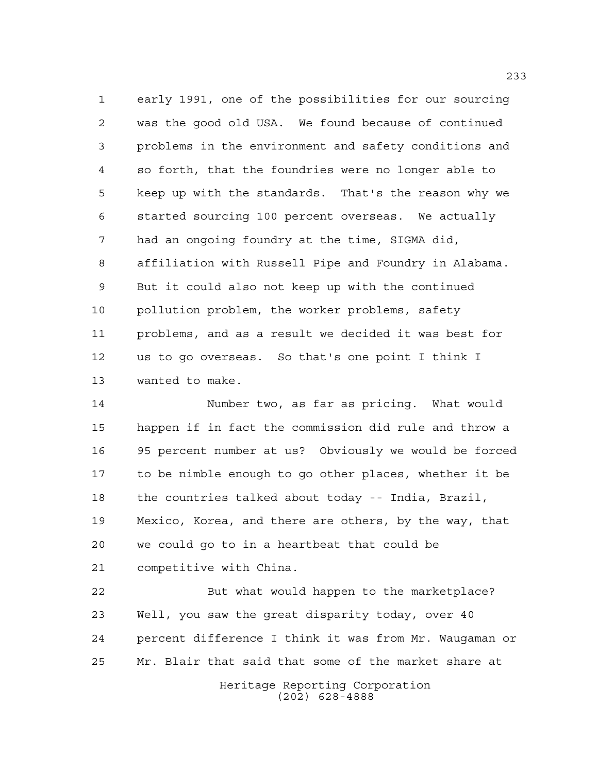early 1991, one of the possibilities for our sourcing was the good old USA. We found because of continued problems in the environment and safety conditions and so forth, that the foundries were no longer able to keep up with the standards. That's the reason why we started sourcing 100 percent overseas. We actually had an ongoing foundry at the time, SIGMA did, affiliation with Russell Pipe and Foundry in Alabama. But it could also not keep up with the continued pollution problem, the worker problems, safety problems, and as a result we decided it was best for us to go overseas. So that's one point I think I wanted to make.

 Number two, as far as pricing. What would happen if in fact the commission did rule and throw a 95 percent number at us? Obviously we would be forced to be nimble enough to go other places, whether it be the countries talked about today -- India, Brazil, Mexico, Korea, and there are others, by the way, that we could go to in a heartbeat that could be competitive with China.

 But what would happen to the marketplace? Well, you saw the great disparity today, over 40 percent difference I think it was from Mr. Waugaman or Mr. Blair that said that some of the market share at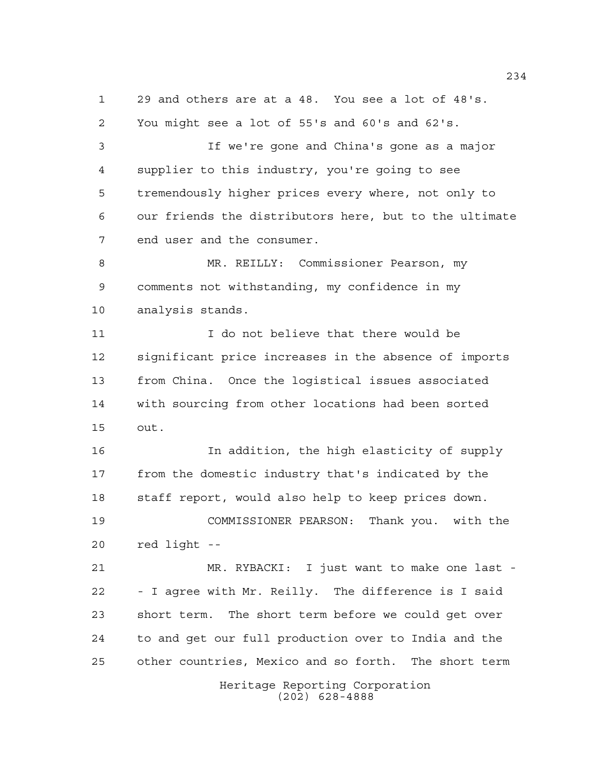29 and others are at a 48. You see a lot of 48's. You might see a lot of 55's and 60's and 62's.

 If we're gone and China's gone as a major supplier to this industry, you're going to see tremendously higher prices every where, not only to our friends the distributors here, but to the ultimate end user and the consumer.

 MR. REILLY: Commissioner Pearson, my comments not withstanding, my confidence in my analysis stands.

 I do not believe that there would be significant price increases in the absence of imports from China. Once the logistical issues associated with sourcing from other locations had been sorted out.

 In addition, the high elasticity of supply from the domestic industry that's indicated by the staff report, would also help to keep prices down.

 COMMISSIONER PEARSON: Thank you. with the red light --

 MR. RYBACKI: I just want to make one last - - I agree with Mr. Reilly. The difference is I said short term. The short term before we could get over to and get our full production over to India and the other countries, Mexico and so forth. The short term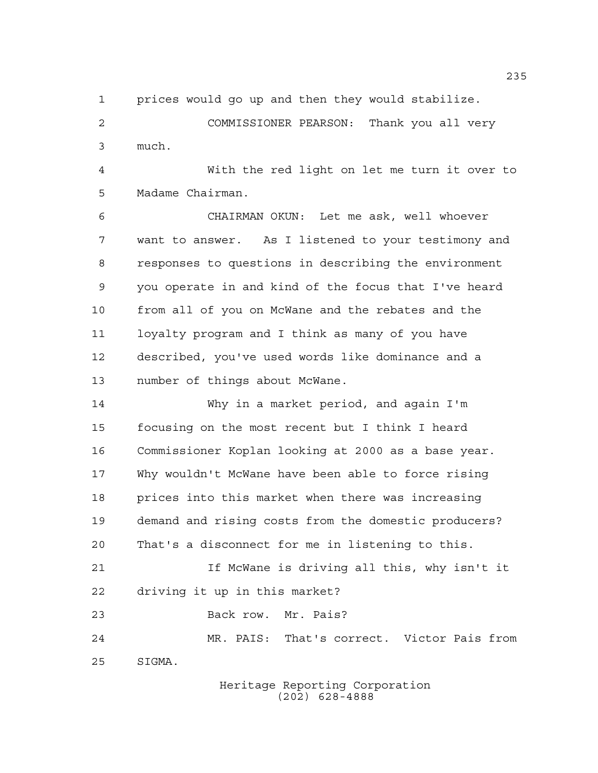prices would go up and then they would stabilize.

 COMMISSIONER PEARSON: Thank you all very much.

 With the red light on let me turn it over to Madame Chairman.

 CHAIRMAN OKUN: Let me ask, well whoever want to answer. As I listened to your testimony and responses to questions in describing the environment you operate in and kind of the focus that I've heard from all of you on McWane and the rebates and the loyalty program and I think as many of you have described, you've used words like dominance and a number of things about McWane.

 Why in a market period, and again I'm focusing on the most recent but I think I heard Commissioner Koplan looking at 2000 as a base year. Why wouldn't McWane have been able to force rising prices into this market when there was increasing demand and rising costs from the domestic producers? That's a disconnect for me in listening to this. If McWane is driving all this, why isn't it driving it up in this market? Back row. Mr. Pais? MR. PAIS: That's correct. Victor Pais from SIGMA.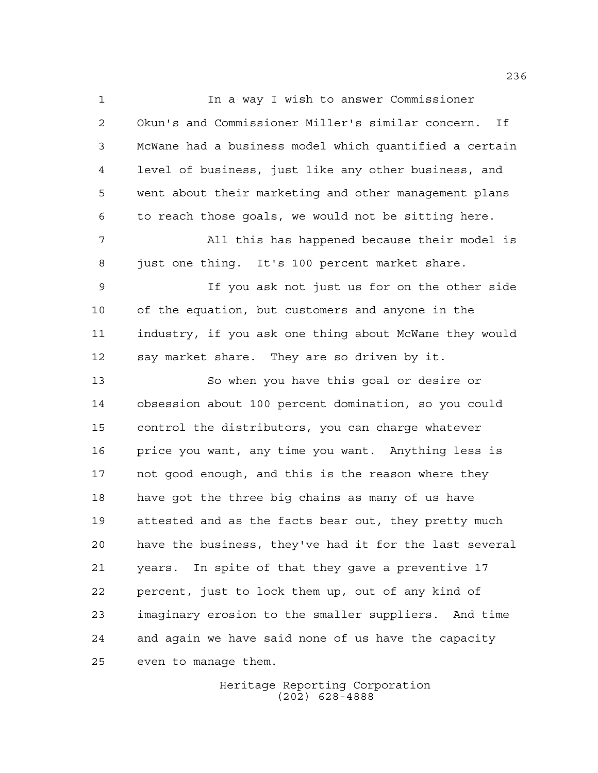In a way I wish to answer Commissioner Okun's and Commissioner Miller's similar concern. If McWane had a business model which quantified a certain level of business, just like any other business, and went about their marketing and other management plans to reach those goals, we would not be sitting here. All this has happened because their model is just one thing. It's 100 percent market share. If you ask not just us for on the other side of the equation, but customers and anyone in the industry, if you ask one thing about McWane they would say market share. They are so driven by it. So when you have this goal or desire or obsession about 100 percent domination, so you could control the distributors, you can charge whatever price you want, any time you want. Anything less is not good enough, and this is the reason where they have got the three big chains as many of us have attested and as the facts bear out, they pretty much have the business, they've had it for the last several years. In spite of that they gave a preventive 17 percent, just to lock them up, out of any kind of imaginary erosion to the smaller suppliers. And time and again we have said none of us have the capacity even to manage them.

> Heritage Reporting Corporation (202) 628-4888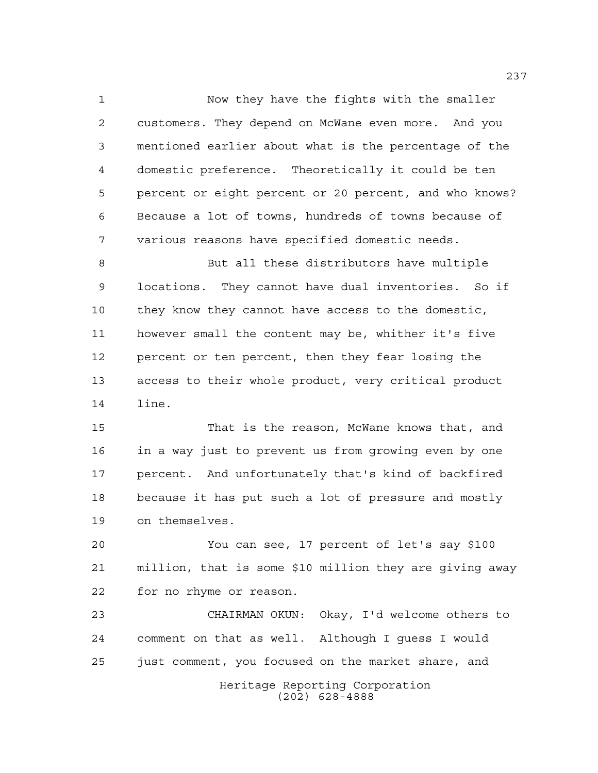Now they have the fights with the smaller customers. They depend on McWane even more. And you mentioned earlier about what is the percentage of the domestic preference. Theoretically it could be ten percent or eight percent or 20 percent, and who knows? Because a lot of towns, hundreds of towns because of various reasons have specified domestic needs.

 But all these distributors have multiple locations. They cannot have dual inventories. So if they know they cannot have access to the domestic, however small the content may be, whither it's five percent or ten percent, then they fear losing the access to their whole product, very critical product line.

 That is the reason, McWane knows that, and in a way just to prevent us from growing even by one percent. And unfortunately that's kind of backfired because it has put such a lot of pressure and mostly on themselves.

 You can see, 17 percent of let's say \$100 million, that is some \$10 million they are giving away for no rhyme or reason.

Heritage Reporting Corporation (202) 628-4888 CHAIRMAN OKUN: Okay, I'd welcome others to comment on that as well. Although I guess I would just comment, you focused on the market share, and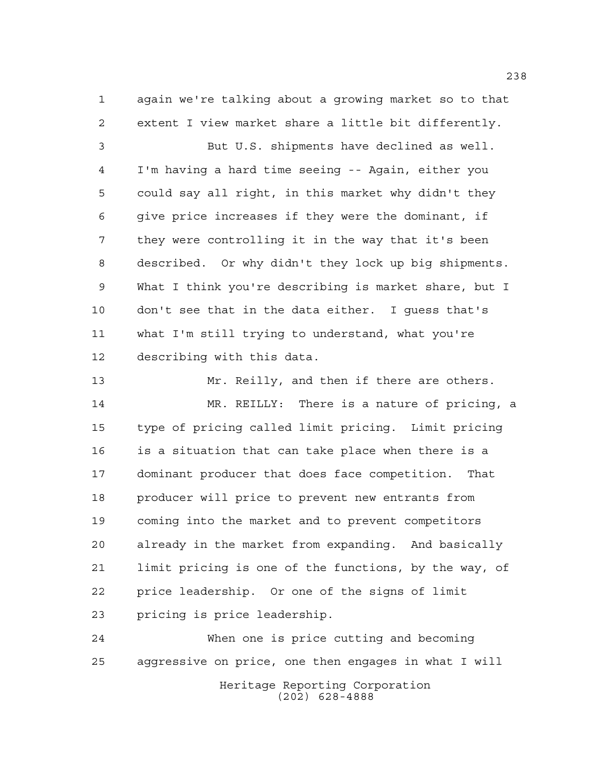again we're talking about a growing market so to that extent I view market share a little bit differently.

 But U.S. shipments have declined as well. I'm having a hard time seeing -- Again, either you could say all right, in this market why didn't they give price increases if they were the dominant, if they were controlling it in the way that it's been described. Or why didn't they lock up big shipments. What I think you're describing is market share, but I don't see that in the data either. I guess that's what I'm still trying to understand, what you're describing with this data.

 Mr. Reilly, and then if there are others. MR. REILLY: There is a nature of pricing, a type of pricing called limit pricing. Limit pricing is a situation that can take place when there is a dominant producer that does face competition. That producer will price to prevent new entrants from coming into the market and to prevent competitors already in the market from expanding. And basically limit pricing is one of the functions, by the way, of price leadership. Or one of the signs of limit pricing is price leadership.

Heritage Reporting Corporation (202) 628-4888 When one is price cutting and becoming aggressive on price, one then engages in what I will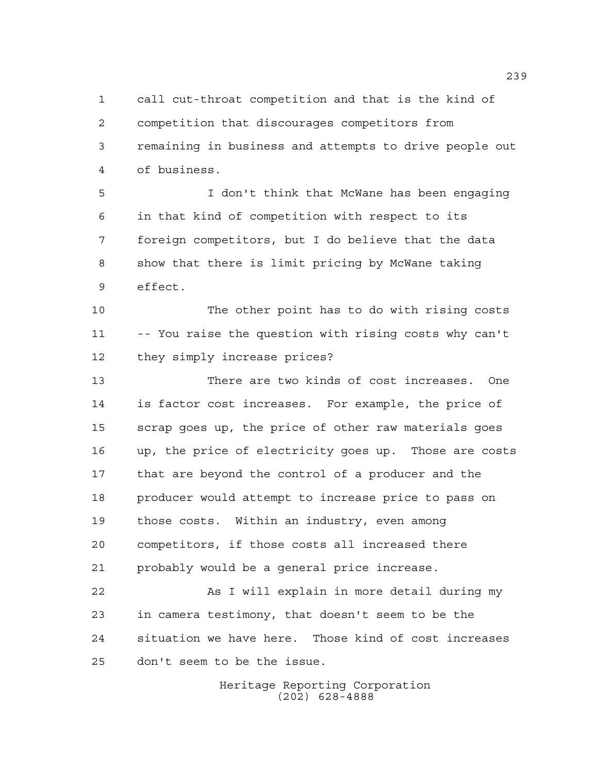call cut-throat competition and that is the kind of competition that discourages competitors from remaining in business and attempts to drive people out of business.

 I don't think that McWane has been engaging in that kind of competition with respect to its foreign competitors, but I do believe that the data show that there is limit pricing by McWane taking effect.

 The other point has to do with rising costs -- You raise the question with rising costs why can't they simply increase prices?

 There are two kinds of cost increases. One is factor cost increases. For example, the price of scrap goes up, the price of other raw materials goes up, the price of electricity goes up. Those are costs that are beyond the control of a producer and the producer would attempt to increase price to pass on those costs. Within an industry, even among competitors, if those costs all increased there probably would be a general price increase.

22 As I will explain in more detail during my in camera testimony, that doesn't seem to be the situation we have here. Those kind of cost increases don't seem to be the issue.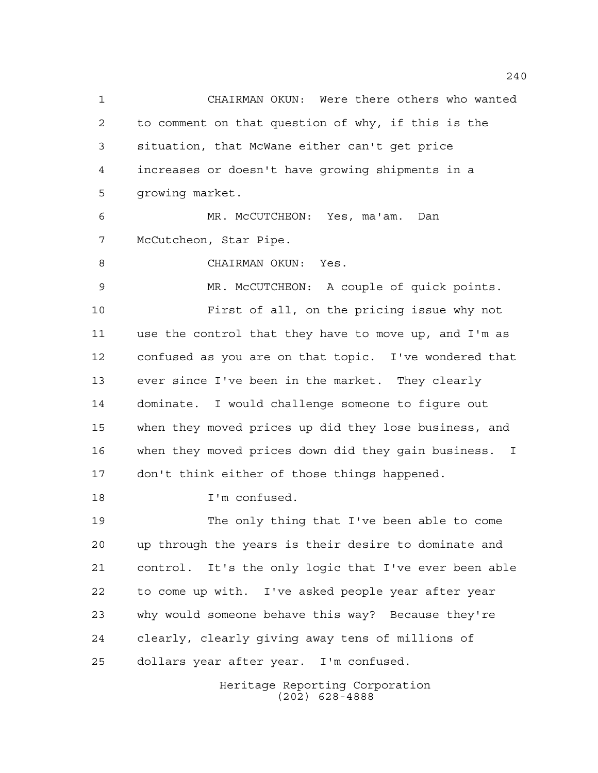Heritage Reporting Corporation CHAIRMAN OKUN: Were there others who wanted to comment on that question of why, if this is the situation, that McWane either can't get price increases or doesn't have growing shipments in a growing market. MR. McCUTCHEON: Yes, ma'am. Dan McCutcheon, Star Pipe. CHAIRMAN OKUN: Yes. MR. McCUTCHEON: A couple of quick points. First of all, on the pricing issue why not use the control that they have to move up, and I'm as confused as you are on that topic. I've wondered that ever since I've been in the market. They clearly dominate. I would challenge someone to figure out when they moved prices up did they lose business, and when they moved prices down did they gain business. I don't think either of those things happened. I'm confused. The only thing that I've been able to come up through the years is their desire to dominate and control. It's the only logic that I've ever been able to come up with. I've asked people year after year why would someone behave this way? Because they're clearly, clearly giving away tens of millions of dollars year after year. I'm confused.

(202) 628-4888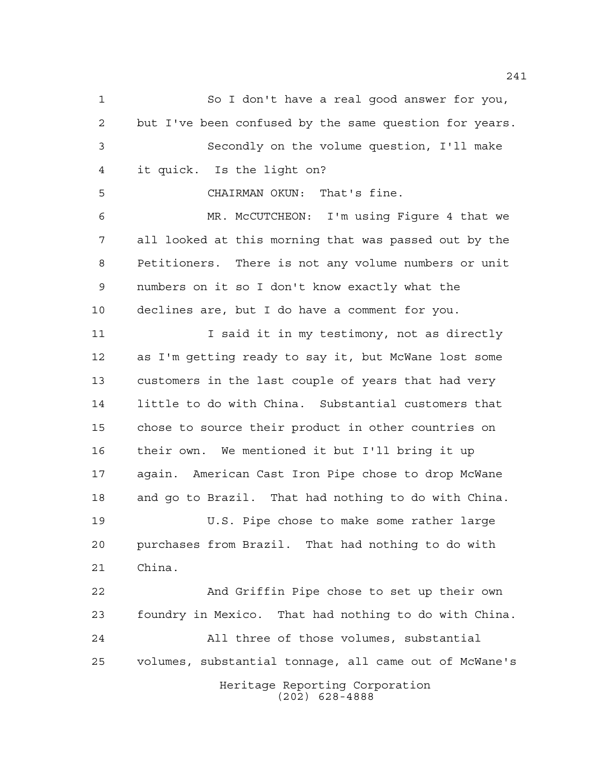Heritage Reporting Corporation (202) 628-4888 So I don't have a real good answer for you, but I've been confused by the same question for years. Secondly on the volume question, I'll make it quick. Is the light on? CHAIRMAN OKUN: That's fine. MR. McCUTCHEON: I'm using Figure 4 that we all looked at this morning that was passed out by the Petitioners. There is not any volume numbers or unit numbers on it so I don't know exactly what the declines are, but I do have a comment for you. 11 11 I said it in my testimony, not as directly as I'm getting ready to say it, but McWane lost some customers in the last couple of years that had very little to do with China. Substantial customers that chose to source their product in other countries on their own. We mentioned it but I'll bring it up again. American Cast Iron Pipe chose to drop McWane and go to Brazil. That had nothing to do with China. U.S. Pipe chose to make some rather large purchases from Brazil. That had nothing to do with China. And Griffin Pipe chose to set up their own foundry in Mexico. That had nothing to do with China. All three of those volumes, substantial volumes, substantial tonnage, all came out of McWane's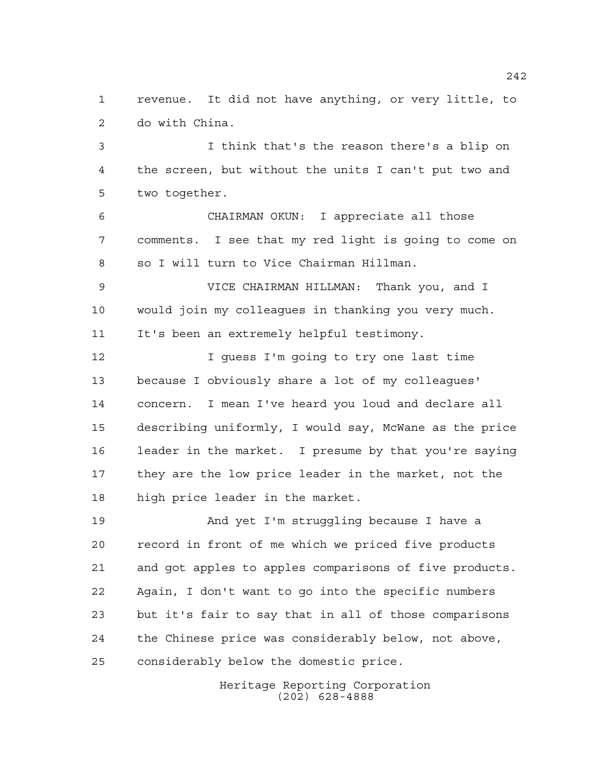revenue. It did not have anything, or very little, to do with China.

 I think that's the reason there's a blip on the screen, but without the units I can't put two and two together.

 CHAIRMAN OKUN: I appreciate all those comments. I see that my red light is going to come on so I will turn to Vice Chairman Hillman.

 VICE CHAIRMAN HILLMAN: Thank you, and I would join my colleagues in thanking you very much. It's been an extremely helpful testimony.

 I guess I'm going to try one last time because I obviously share a lot of my colleagues' concern. I mean I've heard you loud and declare all describing uniformly, I would say, McWane as the price leader in the market. I presume by that you're saying they are the low price leader in the market, not the high price leader in the market.

 And yet I'm struggling because I have a record in front of me which we priced five products and got apples to apples comparisons of five products. Again, I don't want to go into the specific numbers but it's fair to say that in all of those comparisons the Chinese price was considerably below, not above, considerably below the domestic price.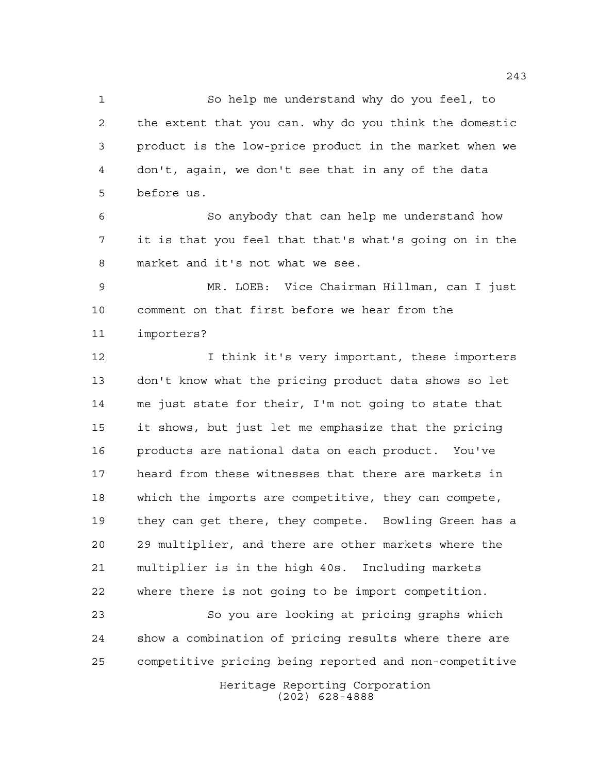So help me understand why do you feel, to the extent that you can. why do you think the domestic product is the low-price product in the market when we don't, again, we don't see that in any of the data before us.

 So anybody that can help me understand how it is that you feel that that's what's going on in the market and it's not what we see.

 MR. LOEB: Vice Chairman Hillman, can I just comment on that first before we hear from the importers?

 I think it's very important, these importers don't know what the pricing product data shows so let me just state for their, I'm not going to state that it shows, but just let me emphasize that the pricing products are national data on each product. You've heard from these witnesses that there are markets in which the imports are competitive, they can compete, they can get there, they compete. Bowling Green has a 29 multiplier, and there are other markets where the multiplier is in the high 40s. Including markets where there is not going to be import competition.

 So you are looking at pricing graphs which show a combination of pricing results where there are competitive pricing being reported and non-competitive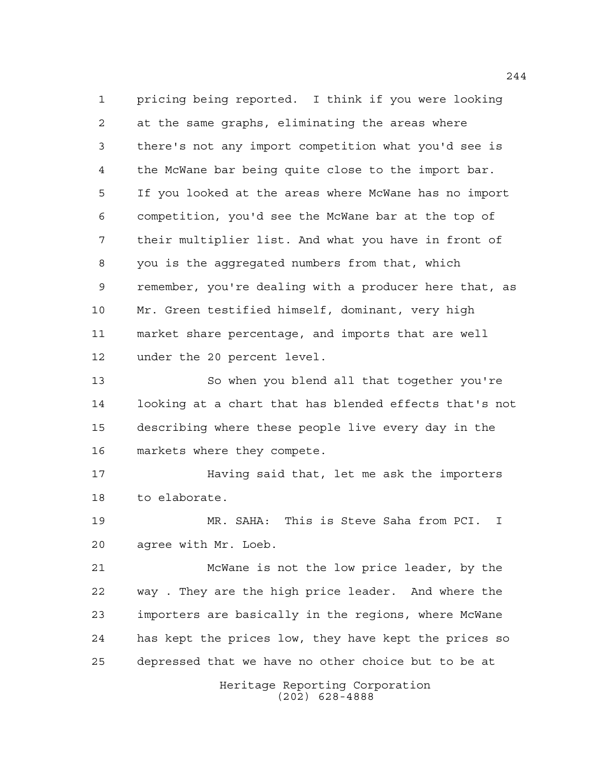pricing being reported. I think if you were looking at the same graphs, eliminating the areas where there's not any import competition what you'd see is the McWane bar being quite close to the import bar. If you looked at the areas where McWane has no import competition, you'd see the McWane bar at the top of their multiplier list. And what you have in front of you is the aggregated numbers from that, which remember, you're dealing with a producer here that, as Mr. Green testified himself, dominant, very high market share percentage, and imports that are well under the 20 percent level.

 So when you blend all that together you're looking at a chart that has blended effects that's not describing where these people live every day in the markets where they compete.

 Having said that, let me ask the importers to elaborate.

 MR. SAHA: This is Steve Saha from PCI. I agree with Mr. Loeb.

 McWane is not the low price leader, by the way . They are the high price leader. And where the importers are basically in the regions, where McWane has kept the prices low, they have kept the prices so depressed that we have no other choice but to be at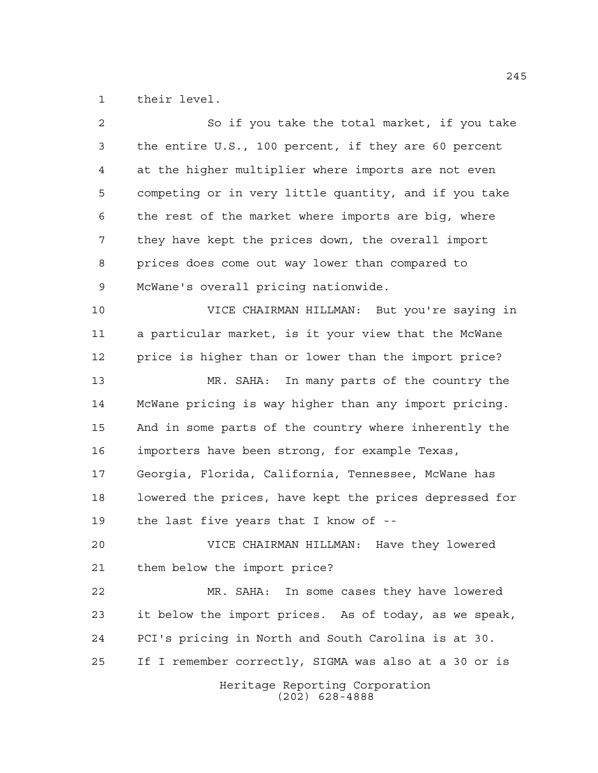their level.

| $\overline{a}$ | So if you take the total market, if you take           |
|----------------|--------------------------------------------------------|
| 3              | the entire U.S., 100 percent, if they are 60 percent   |
| $\overline{4}$ | at the higher multiplier where imports are not even    |
| 5              | competing or in very little quantity, and if you take  |
| 6              | the rest of the market where imports are big, where    |
| 7              | they have kept the prices down, the overall import     |
| 8              | prices does come out way lower than compared to        |
| 9              | McWane's overall pricing nationwide.                   |
| 10             | VICE CHAIRMAN HILLMAN: But you're saying in            |
| 11             | a particular market, is it your view that the McWane   |
| 12             | price is higher than or lower than the import price?   |
| 13             | MR. SAHA: In many parts of the country the             |
| 14             | McWane pricing is way higher than any import pricing.  |
| 15             | And in some parts of the country where inherently the  |
| 16             | importers have been strong, for example Texas,         |
| 17             | Georgia, Florida, California, Tennessee, McWane has    |
| 18             | lowered the prices, have kept the prices depressed for |
| 19             | the last five years that I know of --                  |
| 20             | VICE CHAIRMAN HILLMAN: Have they lowered               |
| 21             | them below the import price?                           |
| 22             | In some cases they have lowered<br>MR. SAHA:           |
| 23             | it below the import prices. As of today, as we speak,  |
| 24             | PCI's pricing in North and South Carolina is at 30.    |
| 25             | If I remember correctly, SIGMA was also at a 30 or is  |
|                | Heritage Reporting Corporation<br>$(202)$ 628-4888     |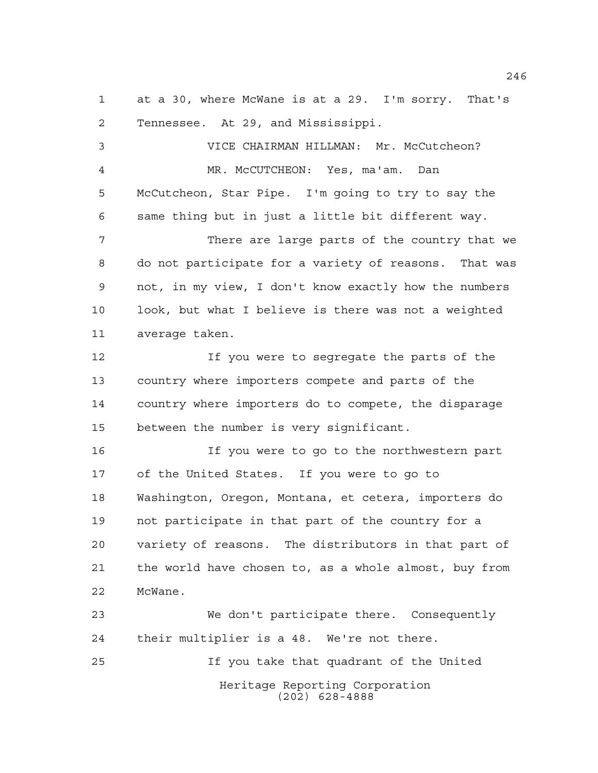at a 30, where McWane is at a 29. I'm sorry. That's Tennessee. At 29, and Mississippi.

 VICE CHAIRMAN HILLMAN: Mr. McCutcheon? MR. McCUTCHEON: Yes, ma'am. Dan McCutcheon, Star Pipe. I'm going to try to say the same thing but in just a little bit different way. There are large parts of the country that we do not participate for a variety of reasons. That was not, in my view, I don't know exactly how the numbers

 look, but what I believe is there was not a weighted average taken.

 If you were to segregate the parts of the country where importers compete and parts of the country where importers do to compete, the disparage between the number is very significant.

 If you were to go to the northwestern part of the United States. If you were to go to Washington, Oregon, Montana, et cetera, importers do not participate in that part of the country for a variety of reasons. The distributors in that part of the world have chosen to, as a whole almost, buy from McWane.

Heritage Reporting Corporation (202) 628-4888 We don't participate there. Consequently their multiplier is a 48. We're not there. If you take that quadrant of the United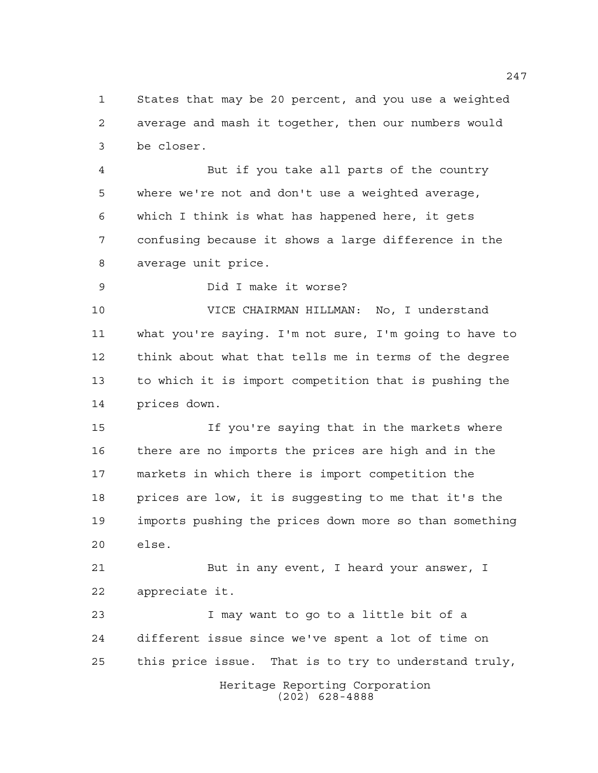States that may be 20 percent, and you use a weighted average and mash it together, then our numbers would be closer.

 But if you take all parts of the country where we're not and don't use a weighted average, which I think is what has happened here, it gets confusing because it shows a large difference in the average unit price.

Did I make it worse?

 VICE CHAIRMAN HILLMAN: No, I understand what you're saying. I'm not sure, I'm going to have to think about what that tells me in terms of the degree to which it is import competition that is pushing the prices down.

 If you're saying that in the markets where there are no imports the prices are high and in the markets in which there is import competition the prices are low, it is suggesting to me that it's the imports pushing the prices down more so than something else.

 But in any event, I heard your answer, I appreciate it.

 I may want to go to a little bit of a different issue since we've spent a lot of time on this price issue. That is to try to understand truly,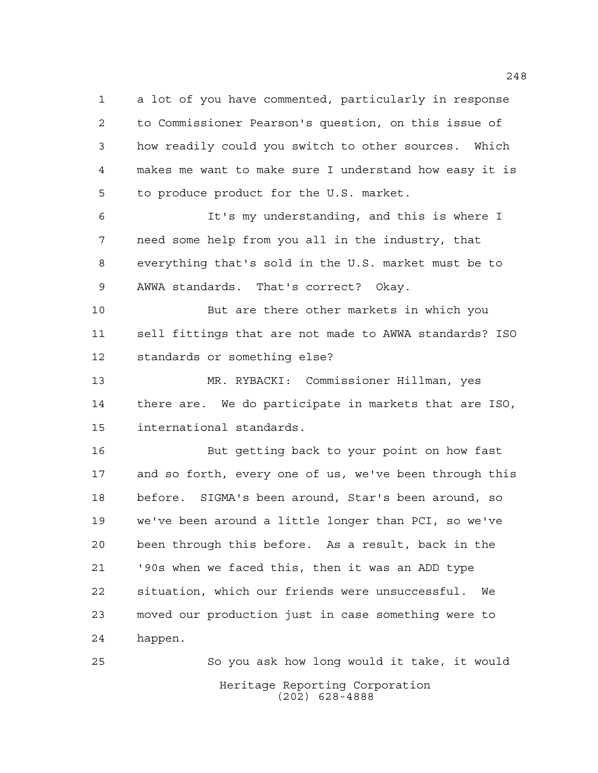a lot of you have commented, particularly in response to Commissioner Pearson's question, on this issue of how readily could you switch to other sources. Which makes me want to make sure I understand how easy it is to produce product for the U.S. market.

 It's my understanding, and this is where I need some help from you all in the industry, that everything that's sold in the U.S. market must be to AWWA standards. That's correct? Okay.

 But are there other markets in which you sell fittings that are not made to AWWA standards? ISO standards or something else?

 MR. RYBACKI: Commissioner Hillman, yes there are. We do participate in markets that are ISO, international standards.

 But getting back to your point on how fast and so forth, every one of us, we've been through this before. SIGMA's been around, Star's been around, so we've been around a little longer than PCI, so we've been through this before. As a result, back in the '90s when we faced this, then it was an ADD type situation, which our friends were unsuccessful. We moved our production just in case something were to happen.

Heritage Reporting Corporation (202) 628-4888 So you ask how long would it take, it would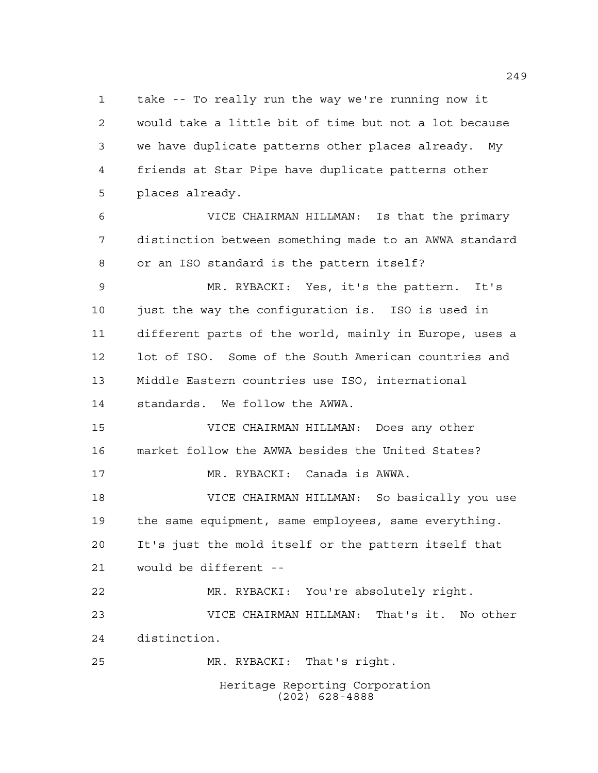take -- To really run the way we're running now it would take a little bit of time but not a lot because we have duplicate patterns other places already. My friends at Star Pipe have duplicate patterns other places already.

 VICE CHAIRMAN HILLMAN: Is that the primary distinction between something made to an AWWA standard or an ISO standard is the pattern itself?

 MR. RYBACKI: Yes, it's the pattern. It's just the way the configuration is. ISO is used in different parts of the world, mainly in Europe, uses a lot of ISO. Some of the South American countries and Middle Eastern countries use ISO, international standards. We follow the AWWA.

 VICE CHAIRMAN HILLMAN: Does any other market follow the AWWA besides the United States? MR. RYBACKI: Canada is AWWA.

 VICE CHAIRMAN HILLMAN: So basically you use the same equipment, same employees, same everything. It's just the mold itself or the pattern itself that would be different --

 MR. RYBACKI: You're absolutely right. VICE CHAIRMAN HILLMAN: That's it. No other distinction. MR. RYBACKI: That's right.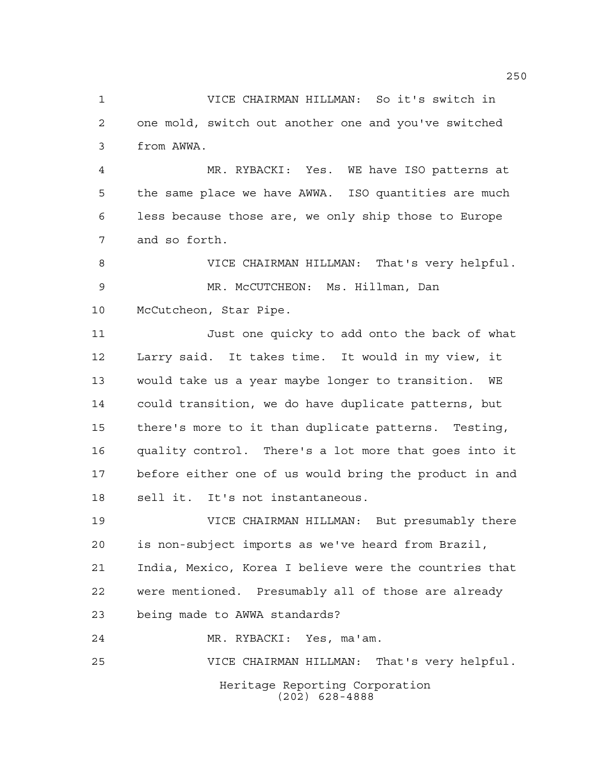VICE CHAIRMAN HILLMAN: So it's switch in one mold, switch out another one and you've switched from AWWA.

 MR. RYBACKI: Yes. WE have ISO patterns at the same place we have AWWA. ISO quantities are much less because those are, we only ship those to Europe and so forth.

 VICE CHAIRMAN HILLMAN: That's very helpful. MR. McCUTCHEON: Ms. Hillman, Dan McCutcheon, Star Pipe.

 Just one quicky to add onto the back of what Larry said. It takes time. It would in my view, it would take us a year maybe longer to transition. WE could transition, we do have duplicate patterns, but there's more to it than duplicate patterns. Testing, quality control. There's a lot more that goes into it before either one of us would bring the product in and sell it. It's not instantaneous.

 VICE CHAIRMAN HILLMAN: But presumably there is non-subject imports as we've heard from Brazil, India, Mexico, Korea I believe were the countries that were mentioned. Presumably all of those are already being made to AWWA standards?

MR. RYBACKI: Yes, ma'am.

VICE CHAIRMAN HILLMAN: That's very helpful.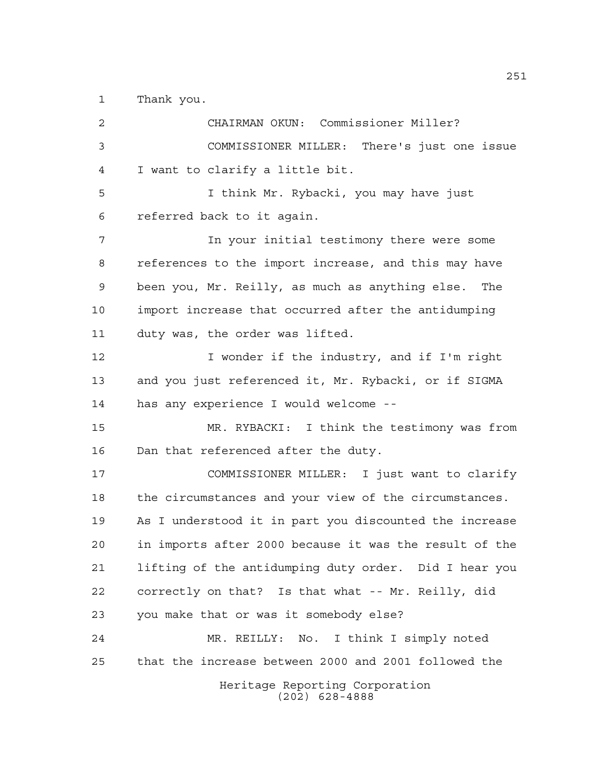Thank you.

Heritage Reporting Corporation (202) 628-4888 CHAIRMAN OKUN: Commissioner Miller? COMMISSIONER MILLER: There's just one issue I want to clarify a little bit. I think Mr. Rybacki, you may have just referred back to it again. In your initial testimony there were some references to the import increase, and this may have been you, Mr. Reilly, as much as anything else. The import increase that occurred after the antidumping duty was, the order was lifted. I wonder if the industry, and if I'm right and you just referenced it, Mr. Rybacki, or if SIGMA has any experience I would welcome -- MR. RYBACKI: I think the testimony was from Dan that referenced after the duty. COMMISSIONER MILLER: I just want to clarify the circumstances and your view of the circumstances. As I understood it in part you discounted the increase in imports after 2000 because it was the result of the lifting of the antidumping duty order. Did I hear you correctly on that? Is that what -- Mr. Reilly, did you make that or was it somebody else? MR. REILLY: No. I think I simply noted that the increase between 2000 and 2001 followed the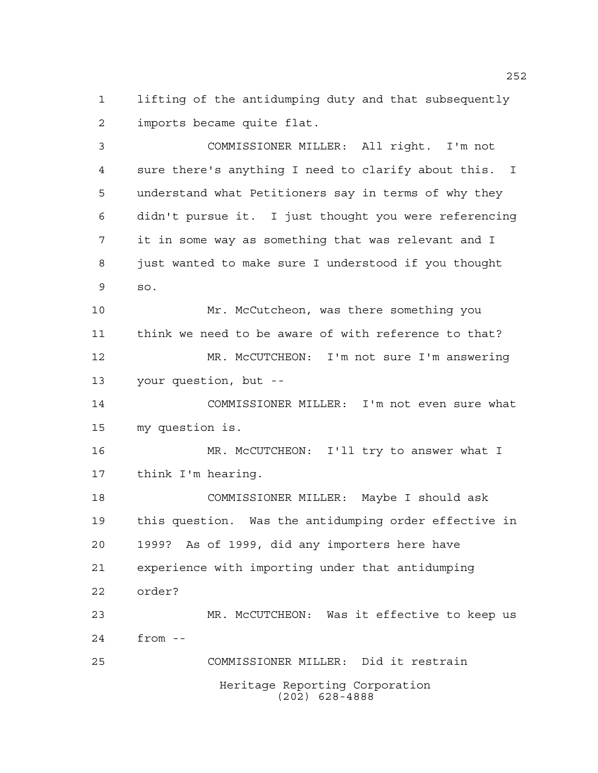lifting of the antidumping duty and that subsequently imports became quite flat.

 COMMISSIONER MILLER: All right. I'm not sure there's anything I need to clarify about this. I understand what Petitioners say in terms of why they didn't pursue it. I just thought you were referencing it in some way as something that was relevant and I just wanted to make sure I understood if you thought so. Mr. McCutcheon, was there something you think we need to be aware of with reference to that? MR. McCUTCHEON: I'm not sure I'm answering your question, but -- COMMISSIONER MILLER: I'm not even sure what my question is. MR. McCUTCHEON: I'll try to answer what I think I'm hearing. COMMISSIONER MILLER: Maybe I should ask this question. Was the antidumping order effective in 1999? As of 1999, did any importers here have experience with importing under that antidumping order? MR. McCUTCHEON: Was it effective to keep us from -- COMMISSIONER MILLER: Did it restrain

> Heritage Reporting Corporation (202) 628-4888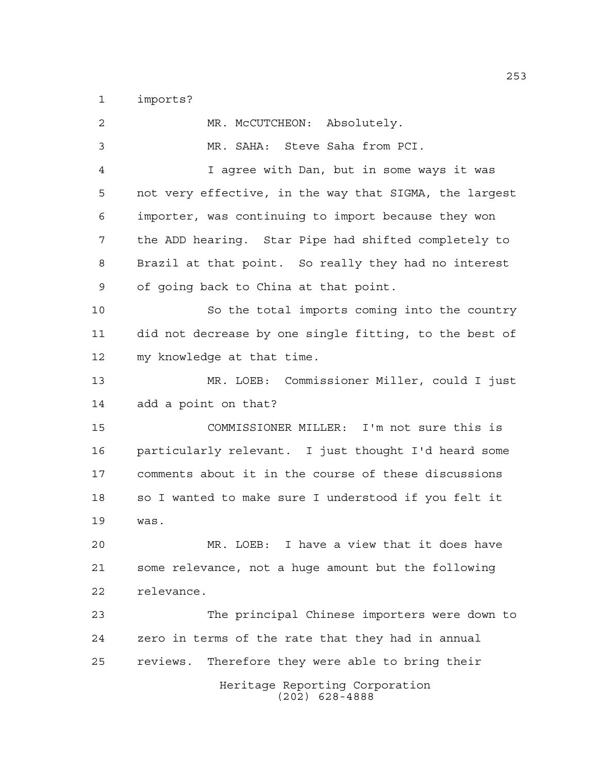imports?

| 2  | MR. MCCUTCHEON: Absolutely.                            |
|----|--------------------------------------------------------|
| 3  | MR. SAHA: Steve Saha from PCI.                         |
| 4  | I agree with Dan, but in some ways it was              |
| 5  | not very effective, in the way that SIGMA, the largest |
| 6  | importer, was continuing to import because they won    |
| 7  | the ADD hearing. Star Pipe had shifted completely to   |
| 8  | Brazil at that point. So really they had no interest   |
| 9  | of going back to China at that point.                  |
| 10 | So the total imports coming into the country           |
| 11 | did not decrease by one single fitting, to the best of |
| 12 | my knowledge at that time.                             |
| 13 | MR. LOEB: Commissioner Miller, could I just            |
| 14 | add a point on that?                                   |
| 15 | COMMISSIONER MILLER: I'm not sure this is              |
| 16 | particularly relevant. I just thought I'd heard some   |
| 17 | comments about it in the course of these discussions   |
| 18 | so I wanted to make sure I understood if you felt it   |
| 19 | was.                                                   |
| 20 | I have a view that it does have<br>MR. LOEB:           |
| 21 | some relevance, not a huge amount but the following    |
| 22 | relevance.                                             |
| 23 | The principal Chinese importers were down to           |
| 24 | zero in terms of the rate that they had in annual      |
| 25 | reviews.<br>Therefore they were able to bring their    |
|    | Heritage Reporting Corporation<br>$(202)$ 628-4888     |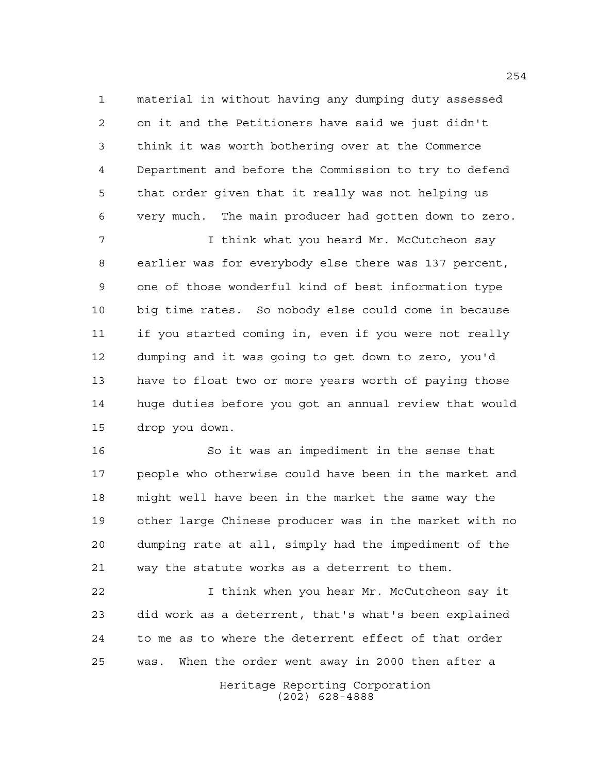material in without having any dumping duty assessed on it and the Petitioners have said we just didn't think it was worth bothering over at the Commerce Department and before the Commission to try to defend that order given that it really was not helping us very much. The main producer had gotten down to zero.

 I think what you heard Mr. McCutcheon say earlier was for everybody else there was 137 percent, one of those wonderful kind of best information type big time rates. So nobody else could come in because if you started coming in, even if you were not really dumping and it was going to get down to zero, you'd have to float two or more years worth of paying those huge duties before you got an annual review that would drop you down.

 So it was an impediment in the sense that people who otherwise could have been in the market and might well have been in the market the same way the other large Chinese producer was in the market with no dumping rate at all, simply had the impediment of the way the statute works as a deterrent to them.

 I think when you hear Mr. McCutcheon say it did work as a deterrent, that's what's been explained to me as to where the deterrent effect of that order was. When the order went away in 2000 then after a

> Heritage Reporting Corporation (202) 628-4888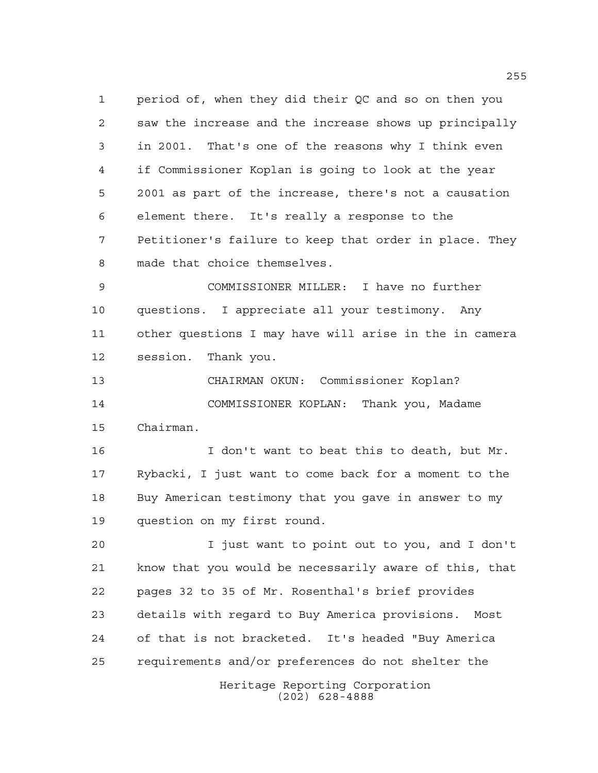period of, when they did their QC and so on then you saw the increase and the increase shows up principally in 2001. That's one of the reasons why I think even if Commissioner Koplan is going to look at the year 2001 as part of the increase, there's not a causation element there. It's really a response to the Petitioner's failure to keep that order in place. They made that choice themselves.

 COMMISSIONER MILLER: I have no further questions. I appreciate all your testimony. Any other questions I may have will arise in the in camera session. Thank you.

 CHAIRMAN OKUN: Commissioner Koplan? COMMISSIONER KOPLAN: Thank you, Madame Chairman.

 I don't want to beat this to death, but Mr. Rybacki, I just want to come back for a moment to the Buy American testimony that you gave in answer to my question on my first round.

Heritage Reporting Corporation I just want to point out to you, and I don't know that you would be necessarily aware of this, that pages 32 to 35 of Mr. Rosenthal's brief provides details with regard to Buy America provisions. Most of that is not bracketed. It's headed "Buy America requirements and/or preferences do not shelter the

(202) 628-4888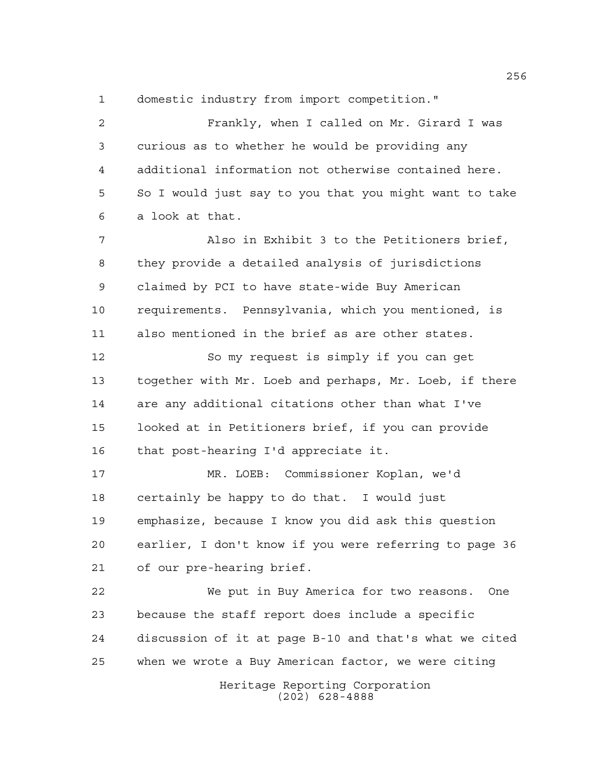domestic industry from import competition."

Heritage Reporting Corporation Frankly, when I called on Mr. Girard I was curious as to whether he would be providing any additional information not otherwise contained here. So I would just say to you that you might want to take a look at that. Also in Exhibit 3 to the Petitioners brief, they provide a detailed analysis of jurisdictions claimed by PCI to have state-wide Buy American requirements. Pennsylvania, which you mentioned, is also mentioned in the brief as are other states. So my request is simply if you can get together with Mr. Loeb and perhaps, Mr. Loeb, if there are any additional citations other than what I've looked at in Petitioners brief, if you can provide that post-hearing I'd appreciate it. MR. LOEB: Commissioner Koplan, we'd certainly be happy to do that. I would just emphasize, because I know you did ask this question earlier, I don't know if you were referring to page 36 of our pre-hearing brief. We put in Buy America for two reasons. One because the staff report does include a specific discussion of it at page B-10 and that's what we cited when we wrote a Buy American factor, we were citing

(202) 628-4888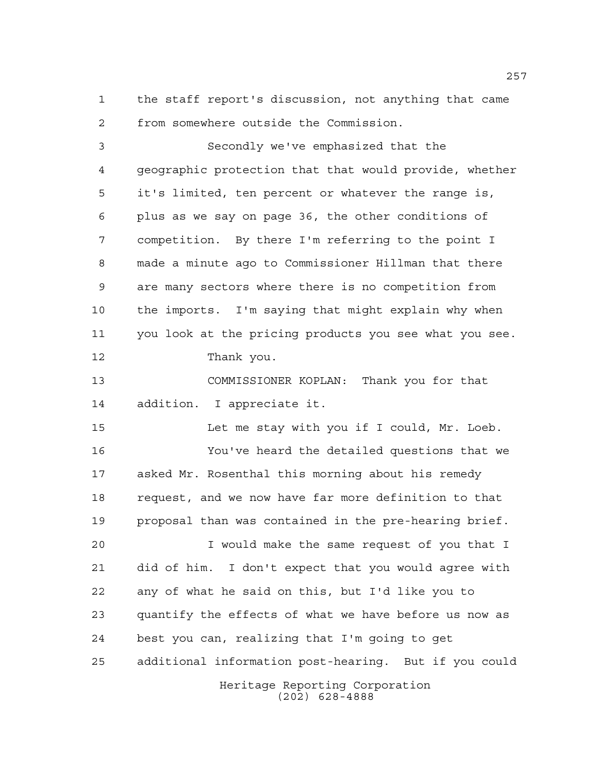the staff report's discussion, not anything that came from somewhere outside the Commission.

 Secondly we've emphasized that the geographic protection that that would provide, whether it's limited, ten percent or whatever the range is, plus as we say on page 36, the other conditions of competition. By there I'm referring to the point I made a minute ago to Commissioner Hillman that there are many sectors where there is no competition from the imports. I'm saying that might explain why when you look at the pricing products you see what you see. Thank you. COMMISSIONER KOPLAN: Thank you for that

 Let me stay with you if I could, Mr. Loeb. You've heard the detailed questions that we asked Mr. Rosenthal this morning about his remedy

addition. I appreciate it.

 request, and we now have far more definition to that proposal than was contained in the pre-hearing brief.

Heritage Reporting Corporation I would make the same request of you that I did of him. I don't expect that you would agree with any of what he said on this, but I'd like you to quantify the effects of what we have before us now as best you can, realizing that I'm going to get additional information post-hearing. But if you could

(202) 628-4888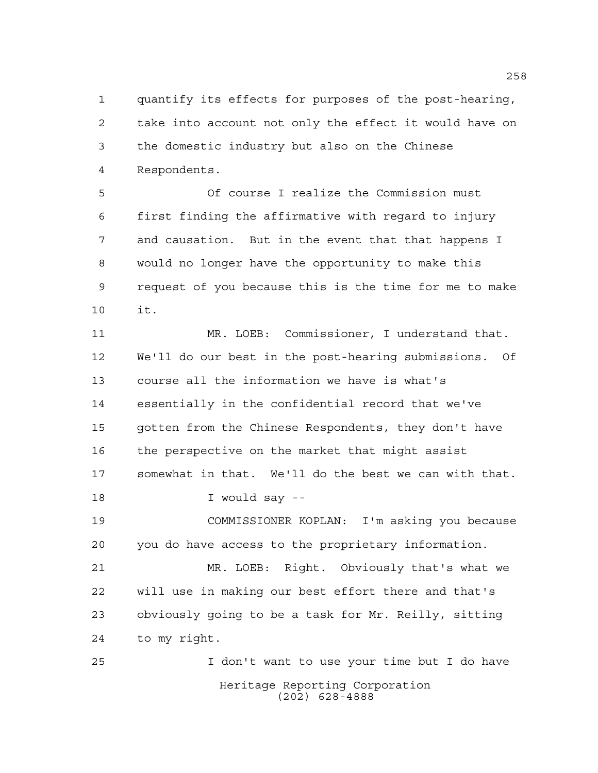quantify its effects for purposes of the post-hearing, take into account not only the effect it would have on the domestic industry but also on the Chinese Respondents.

 Of course I realize the Commission must first finding the affirmative with regard to injury and causation. But in the event that that happens I would no longer have the opportunity to make this request of you because this is the time for me to make it.

 MR. LOEB: Commissioner, I understand that. We'll do our best in the post-hearing submissions. Of course all the information we have is what's essentially in the confidential record that we've gotten from the Chinese Respondents, they don't have the perspective on the market that might assist somewhat in that. We'll do the best we can with that. I would say -- COMMISSIONER KOPLAN: I'm asking you because you do have access to the proprietary information. MR. LOEB: Right. Obviously that's what we will use in making our best effort there and that's

 obviously going to be a task for Mr. Reilly, sitting to my right.

Heritage Reporting Corporation (202) 628-4888 I don't want to use your time but I do have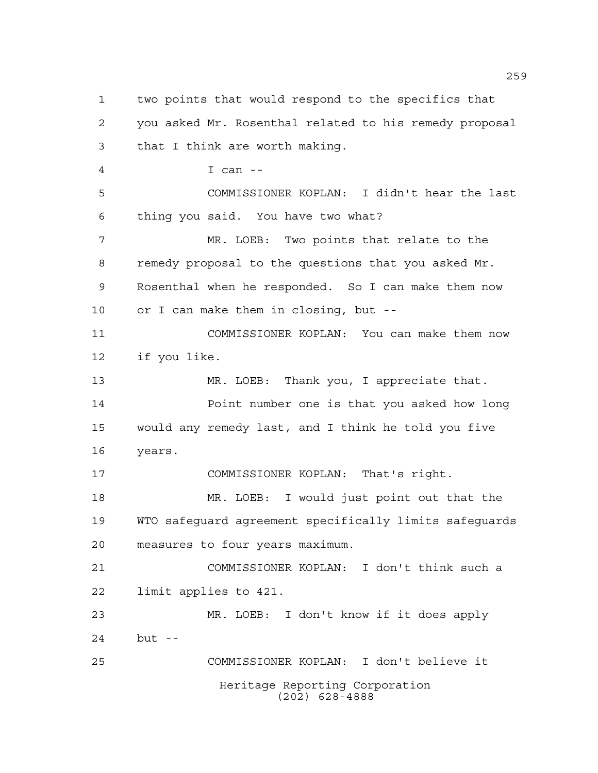Heritage Reporting Corporation (202) 628-4888 two points that would respond to the specifics that you asked Mr. Rosenthal related to his remedy proposal that I think are worth making. I can -- COMMISSIONER KOPLAN: I didn't hear the last thing you said. You have two what? MR. LOEB: Two points that relate to the remedy proposal to the questions that you asked Mr. Rosenthal when he responded. So I can make them now or I can make them in closing, but -- COMMISSIONER KOPLAN: You can make them now if you like. 13 MR. LOEB: Thank you, I appreciate that. Point number one is that you asked how long would any remedy last, and I think he told you five years. COMMISSIONER KOPLAN: That's right. MR. LOEB: I would just point out that the WTO safeguard agreement specifically limits safeguards measures to four years maximum. COMMISSIONER KOPLAN: I don't think such a limit applies to 421. MR. LOEB: I don't know if it does apply but -- COMMISSIONER KOPLAN: I don't believe it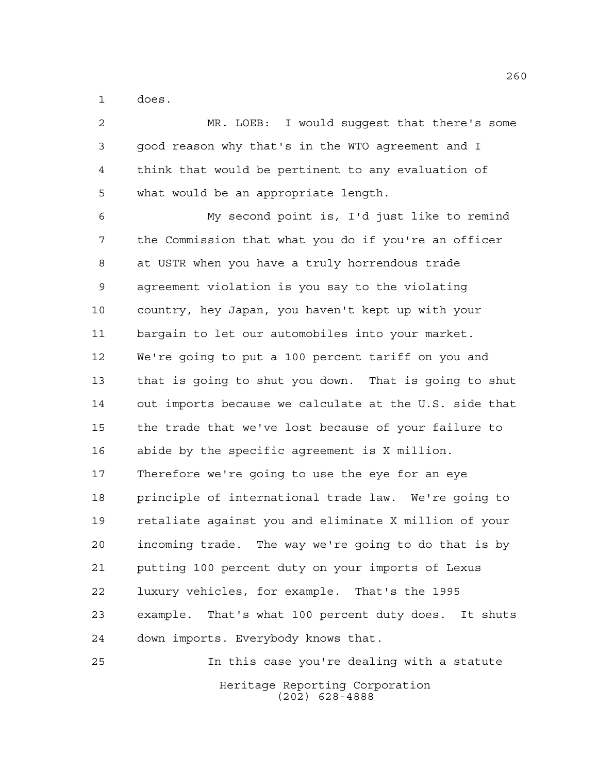does.

 MR. LOEB: I would suggest that there's some good reason why that's in the WTO agreement and I think that would be pertinent to any evaluation of what would be an appropriate length. My second point is, I'd just like to remind the Commission that what you do if you're an officer at USTR when you have a truly horrendous trade agreement violation is you say to the violating country, hey Japan, you haven't kept up with your bargain to let our automobiles into your market. We're going to put a 100 percent tariff on you and that is going to shut you down. That is going to shut out imports because we calculate at the U.S. side that the trade that we've lost because of your failure to abide by the specific agreement is X million. Therefore we're going to use the eye for an eye principle of international trade law. We're going to retaliate against you and eliminate X million of your incoming trade. The way we're going to do that is by putting 100 percent duty on your imports of Lexus luxury vehicles, for example. That's the 1995 example. That's what 100 percent duty does. It shuts down imports. Everybody knows that. In this case you're dealing with a statute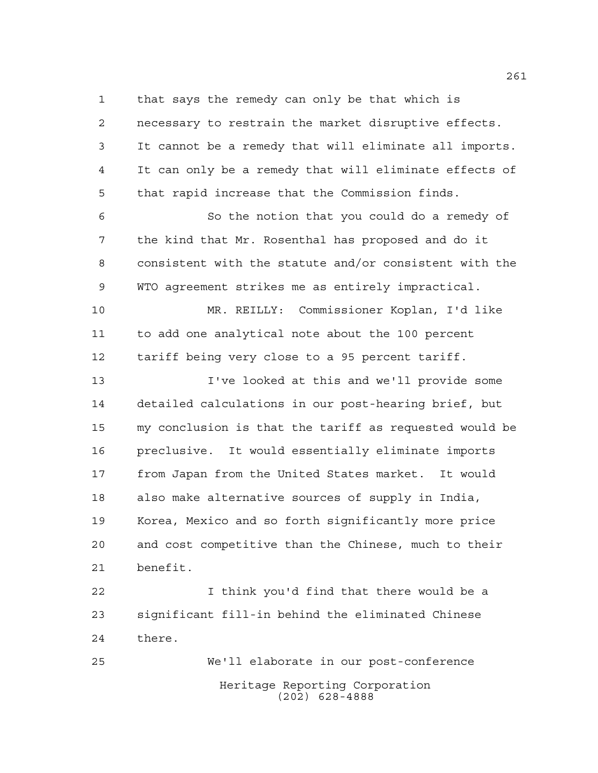that says the remedy can only be that which is

 necessary to restrain the market disruptive effects. It cannot be a remedy that will eliminate all imports. It can only be a remedy that will eliminate effects of that rapid increase that the Commission finds. So the notion that you could do a remedy of the kind that Mr. Rosenthal has proposed and do it consistent with the statute and/or consistent with the WTO agreement strikes me as entirely impractical. MR. REILLY: Commissioner Koplan, I'd like to add one analytical note about the 100 percent tariff being very close to a 95 percent tariff. I've looked at this and we'll provide some detailed calculations in our post-hearing brief, but my conclusion is that the tariff as requested would be preclusive. It would essentially eliminate imports from Japan from the United States market. It would also make alternative sources of supply in India, Korea, Mexico and so forth significantly more price and cost competitive than the Chinese, much to their benefit. I think you'd find that there would be a

 significant fill-in behind the eliminated Chinese there.

Heritage Reporting Corporation (202) 628-4888 We'll elaborate in our post-conference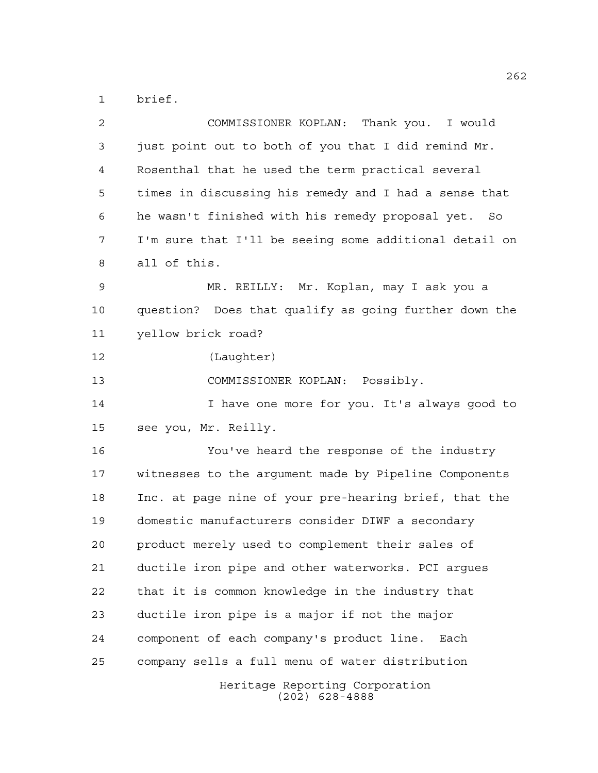brief.

| 2  | COMMISSIONER KOPLAN: Thank you. I would                |
|----|--------------------------------------------------------|
| 3  | just point out to both of you that I did remind Mr.    |
| 4  | Rosenthal that he used the term practical several      |
| 5  | times in discussing his remedy and I had a sense that  |
| 6  | he wasn't finished with his remedy proposal yet. So    |
| 7  | I'm sure that I'll be seeing some additional detail on |
| 8  | all of this.                                           |
| 9  | MR. REILLY: Mr. Koplan, may I ask you a                |
| 10 | question? Does that qualify as going further down the  |
| 11 | yellow brick road?                                     |
| 12 | (Laughter)                                             |
| 13 | COMMISSIONER KOPLAN: Possibly.                         |
| 14 | I have one more for you. It's always good to           |
| 15 | see you, Mr. Reilly.                                   |
| 16 | You've heard the response of the industry              |
| 17 | witnesses to the argument made by Pipeline Components  |
| 18 | Inc. at page nine of your pre-hearing brief, that the  |
| 19 | domestic manufacturers consider DIWF a secondary       |
| 20 | product merely used to complement their sales of       |
| 21 | ductile iron pipe and other waterworks. PCI arques     |
| 22 | that it is common knowledge in the industry that       |
| 23 | ductile iron pipe is a major if not the major          |
| 24 | component of each company's product line.<br>Each      |
| 25 | company sells a full menu of water distribution        |
|    | Heritage Reporting Corporation<br>$(202)$ 628-4888     |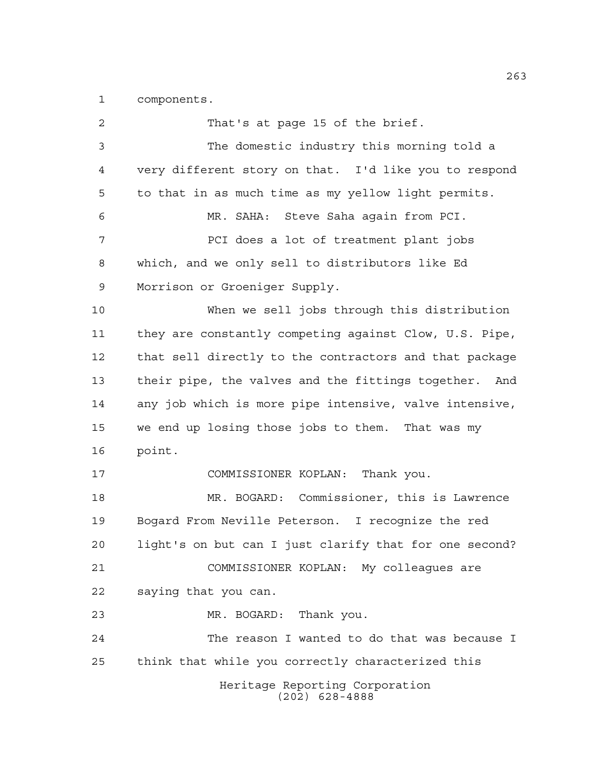components.

Heritage Reporting Corporation (202) 628-4888 That's at page 15 of the brief. The domestic industry this morning told a very different story on that. I'd like you to respond to that in as much time as my yellow light permits. MR. SAHA: Steve Saha again from PCI. PCI does a lot of treatment plant jobs which, and we only sell to distributors like Ed Morrison or Groeniger Supply. When we sell jobs through this distribution they are constantly competing against Clow, U.S. Pipe, that sell directly to the contractors and that package their pipe, the valves and the fittings together. And any job which is more pipe intensive, valve intensive, we end up losing those jobs to them. That was my point. COMMISSIONER KOPLAN: Thank you. MR. BOGARD: Commissioner, this is Lawrence Bogard From Neville Peterson. I recognize the red light's on but can I just clarify that for one second? COMMISSIONER KOPLAN: My colleagues are saying that you can. MR. BOGARD: Thank you. The reason I wanted to do that was because I think that while you correctly characterized this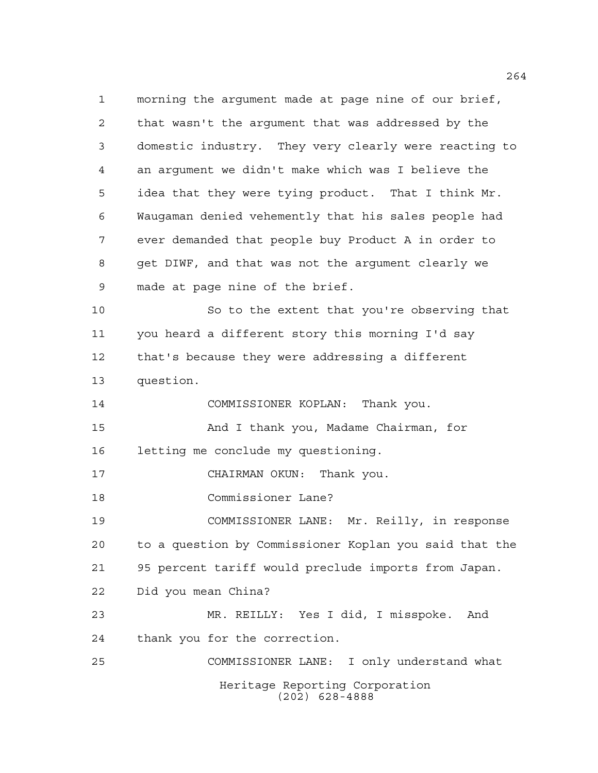Heritage Reporting Corporation (202) 628-4888 morning the argument made at page nine of our brief, that wasn't the argument that was addressed by the domestic industry. They very clearly were reacting to an argument we didn't make which was I believe the idea that they were tying product. That I think Mr. Waugaman denied vehemently that his sales people had ever demanded that people buy Product A in order to get DIWF, and that was not the argument clearly we made at page nine of the brief. So to the extent that you're observing that you heard a different story this morning I'd say that's because they were addressing a different question. COMMISSIONER KOPLAN: Thank you. And I thank you, Madame Chairman, for letting me conclude my questioning. CHAIRMAN OKUN: Thank you. Commissioner Lane? COMMISSIONER LANE: Mr. Reilly, in response to a question by Commissioner Koplan you said that the 95 percent tariff would preclude imports from Japan. Did you mean China? MR. REILLY: Yes I did, I misspoke. And thank you for the correction. COMMISSIONER LANE: I only understand what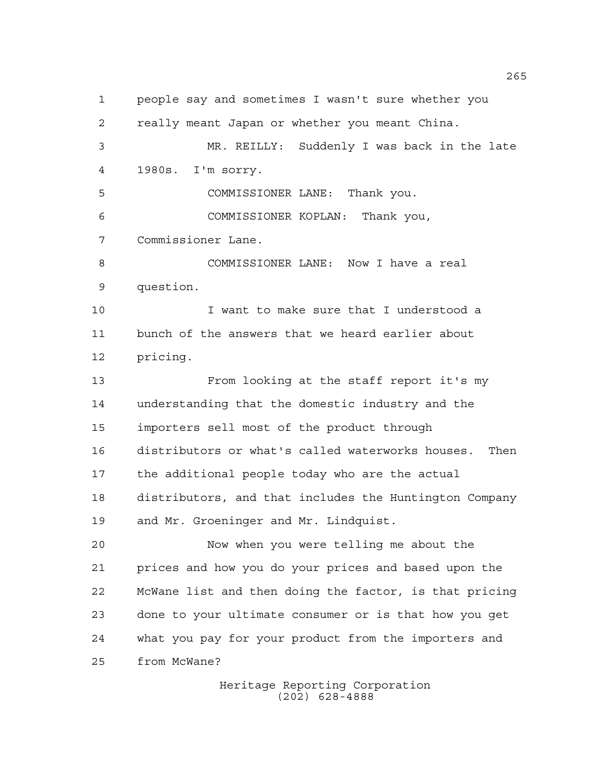people say and sometimes I wasn't sure whether you really meant Japan or whether you meant China. MR. REILLY: Suddenly I was back in the late 1980s. I'm sorry. COMMISSIONER LANE: Thank you. COMMISSIONER KOPLAN: Thank you, Commissioner Lane. COMMISSIONER LANE: Now I have a real question. I want to make sure that I understood a bunch of the answers that we heard earlier about pricing. From looking at the staff report it's my understanding that the domestic industry and the importers sell most of the product through distributors or what's called waterworks houses. Then the additional people today who are the actual distributors, and that includes the Huntington Company and Mr. Groeninger and Mr. Lindquist. Now when you were telling me about the prices and how you do your prices and based upon the McWane list and then doing the factor, is that pricing done to your ultimate consumer or is that how you get what you pay for your product from the importers and from McWane?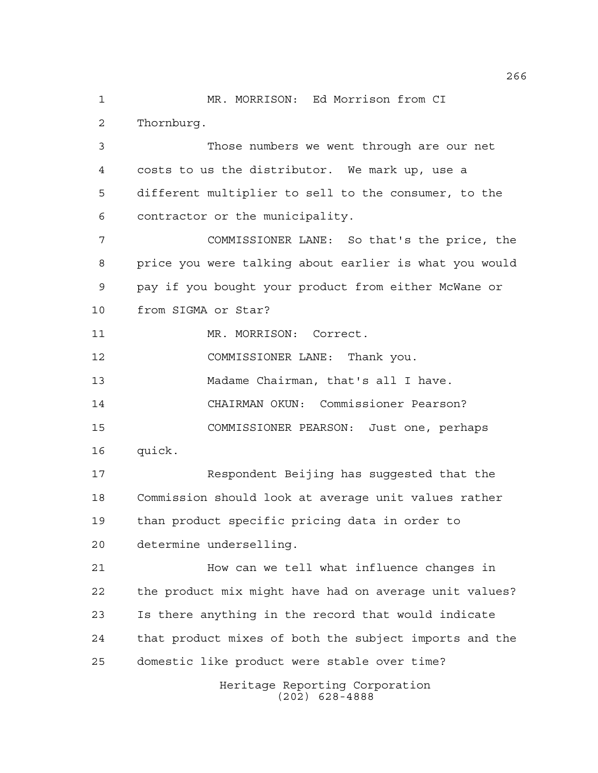MR. MORRISON: Ed Morrison from CI Thornburg.

 Those numbers we went through are our net costs to us the distributor. We mark up, use a different multiplier to sell to the consumer, to the contractor or the municipality.

 COMMISSIONER LANE: So that's the price, the price you were talking about earlier is what you would pay if you bought your product from either McWane or from SIGMA or Star?

11 MR. MORRISON: Correct.

COMMISSIONER LANE: Thank you.

Madame Chairman, that's all I have.

CHAIRMAN OKUN: Commissioner Pearson?

COMMISSIONER PEARSON: Just one, perhaps

quick.

 Respondent Beijing has suggested that the Commission should look at average unit values rather than product specific pricing data in order to determine underselling.

 How can we tell what influence changes in the product mix might have had on average unit values? Is there anything in the record that would indicate that product mixes of both the subject imports and the domestic like product were stable over time?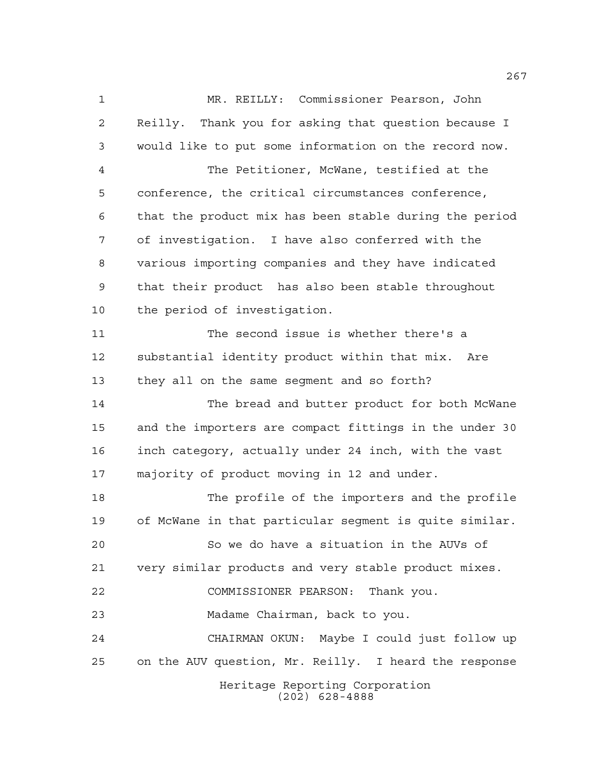Heritage Reporting Corporation (202) 628-4888 MR. REILLY: Commissioner Pearson, John Reilly. Thank you for asking that question because I would like to put some information on the record now. The Petitioner, McWane, testified at the conference, the critical circumstances conference, that the product mix has been stable during the period of investigation. I have also conferred with the various importing companies and they have indicated that their product has also been stable throughout the period of investigation. The second issue is whether there's a substantial identity product within that mix. Are they all on the same segment and so forth? The bread and butter product for both McWane and the importers are compact fittings in the under 30 inch category, actually under 24 inch, with the vast majority of product moving in 12 and under. The profile of the importers and the profile of McWane in that particular segment is quite similar. So we do have a situation in the AUVs of very similar products and very stable product mixes. COMMISSIONER PEARSON: Thank you. Madame Chairman, back to you. CHAIRMAN OKUN: Maybe I could just follow up on the AUV question, Mr. Reilly. I heard the response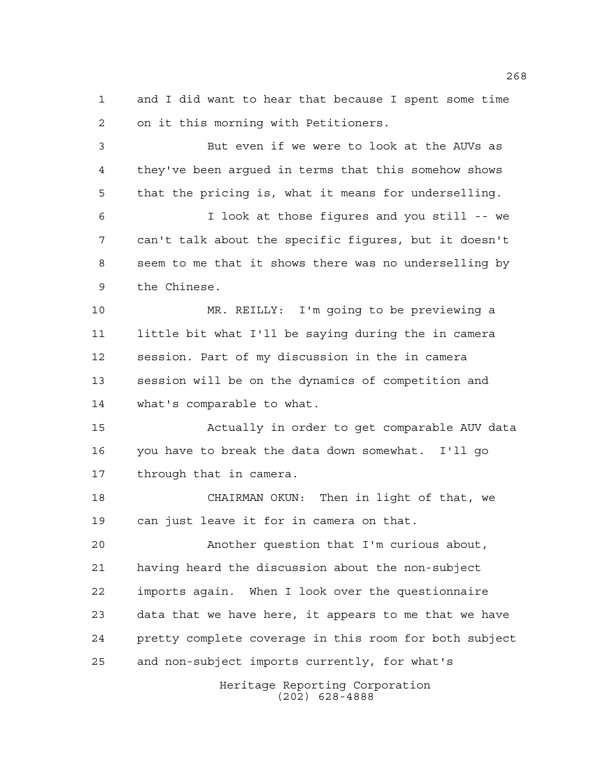and I did want to hear that because I spent some time on it this morning with Petitioners.

 But even if we were to look at the AUVs as they've been argued in terms that this somehow shows that the pricing is, what it means for underselling. I look at those figures and you still -- we can't talk about the specific figures, but it doesn't seem to me that it shows there was no underselling by the Chinese.

 MR. REILLY: I'm going to be previewing a little bit what I'll be saying during the in camera session. Part of my discussion in the in camera session will be on the dynamics of competition and what's comparable to what.

 Actually in order to get comparable AUV data you have to break the data down somewhat. I'll go through that in camera.

 CHAIRMAN OKUN: Then in light of that, we can just leave it for in camera on that.

 Another question that I'm curious about, having heard the discussion about the non-subject imports again. When I look over the questionnaire data that we have here, it appears to me that we have pretty complete coverage in this room for both subject and non-subject imports currently, for what's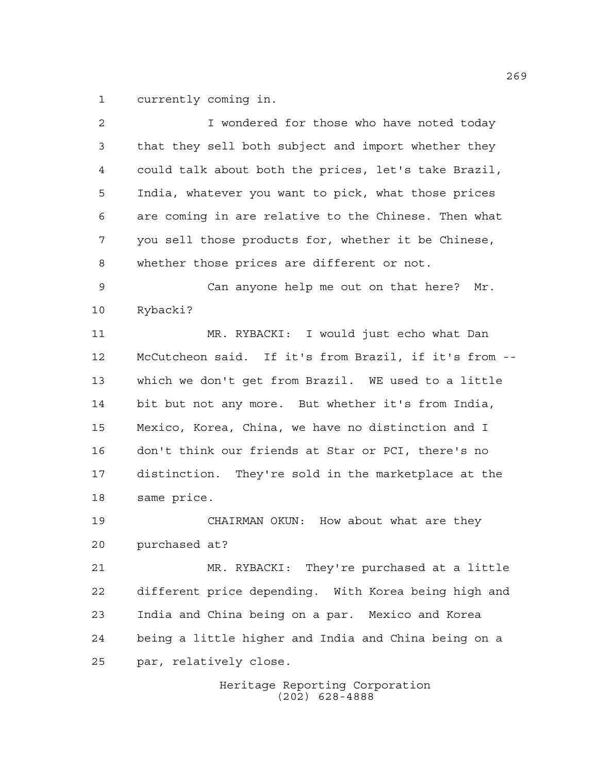currently coming in.

| 2  | I wondered for those who have noted today             |
|----|-------------------------------------------------------|
| 3  | that they sell both subject and import whether they   |
| 4  | could talk about both the prices, let's take Brazil,  |
| 5  | India, whatever you want to pick, what those prices   |
| 6  | are coming in are relative to the Chinese. Then what  |
| 7  | you sell those products for, whether it be Chinese,   |
| 8  | whether those prices are different or not.            |
| 9  | Can anyone help me out on that here? Mr.              |
| 10 | Rybacki?                                              |
| 11 | MR. RYBACKI: I would just echo what Dan               |
| 12 | McCutcheon said. If it's from Brazil, if it's from -- |
| 13 | which we don't get from Brazil. WE used to a little   |
| 14 | bit but not any more. But whether it's from India,    |
| 15 | Mexico, Korea, China, we have no distinction and I    |
| 16 | don't think our friends at Star or PCI, there's no    |
| 17 | distinction. They're sold in the marketplace at the   |
| 18 | same price.                                           |
| 19 | CHAIRMAN OKUN: How about what are they                |
| 20 | purchased at?                                         |
| 21 | MR. RYBACKI: They're purchased at a little            |
| 22 | different price depending. With Korea being high and  |
| 23 | India and China being on a par. Mexico and Korea      |
| 24 | being a little higher and India and China being on a  |
| 25 | par, relatively close.                                |
|    | Heritage Reporting Corporation<br>$(202)$ 628-4888    |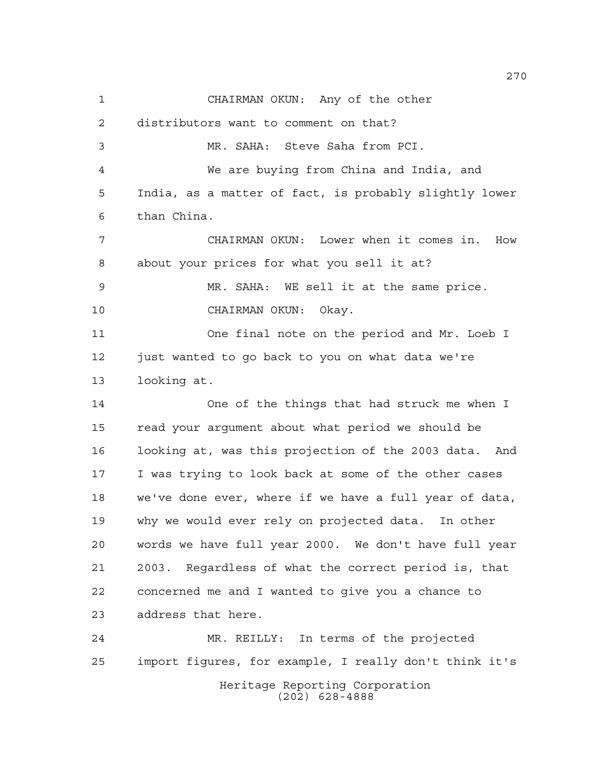CHAIRMAN OKUN: Any of the other distributors want to comment on that? MR. SAHA: Steve Saha from PCI. We are buying from China and India, and India, as a matter of fact, is probably slightly lower than China. CHAIRMAN OKUN: Lower when it comes in. How about your prices for what you sell it at? MR. SAHA: WE sell it at the same price. CHAIRMAN OKUN: Okay. One final note on the period and Mr. Loeb I just wanted to go back to you on what data we're looking at. One of the things that had struck me when I read your argument about what period we should be looking at, was this projection of the 2003 data. And I was trying to look back at some of the other cases we've done ever, where if we have a full year of data, why we would ever rely on projected data. In other words we have full year 2000. We don't have full year 2003. Regardless of what the correct period is, that concerned me and I wanted to give you a chance to address that here. MR. REILLY: In terms of the projected import figures, for example, I really don't think it's

Heritage Reporting Corporation (202) 628-4888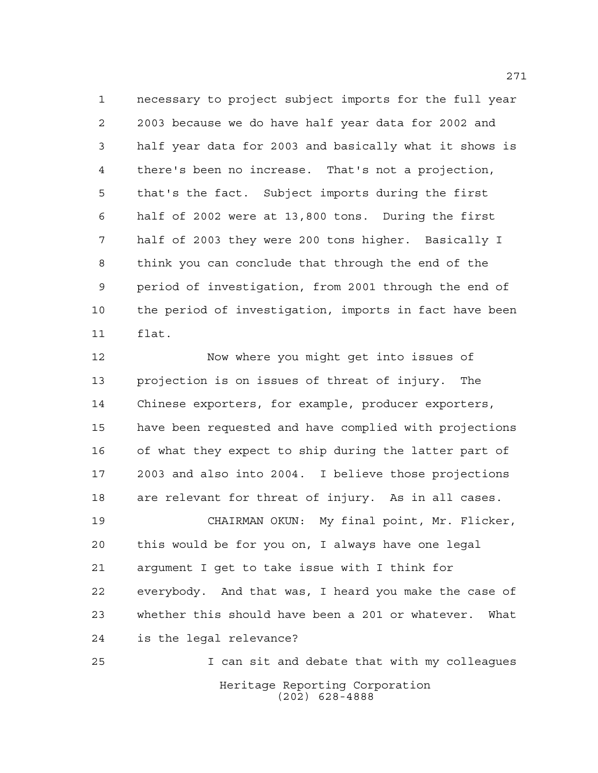necessary to project subject imports for the full year 2003 because we do have half year data for 2002 and half year data for 2003 and basically what it shows is there's been no increase. That's not a projection, that's the fact. Subject imports during the first half of 2002 were at 13,800 tons. During the first half of 2003 they were 200 tons higher. Basically I think you can conclude that through the end of the period of investigation, from 2001 through the end of the period of investigation, imports in fact have been flat.

 Now where you might get into issues of projection is on issues of threat of injury. The Chinese exporters, for example, producer exporters, have been requested and have complied with projections of what they expect to ship during the latter part of 2003 and also into 2004. I believe those projections are relevant for threat of injury. As in all cases. CHAIRMAN OKUN: My final point, Mr. Flicker, this would be for you on, I always have one legal argument I get to take issue with I think for everybody. And that was, I heard you make the case of whether this should have been a 201 or whatever. What is the legal relevance? I can sit and debate that with my colleagues

> Heritage Reporting Corporation (202) 628-4888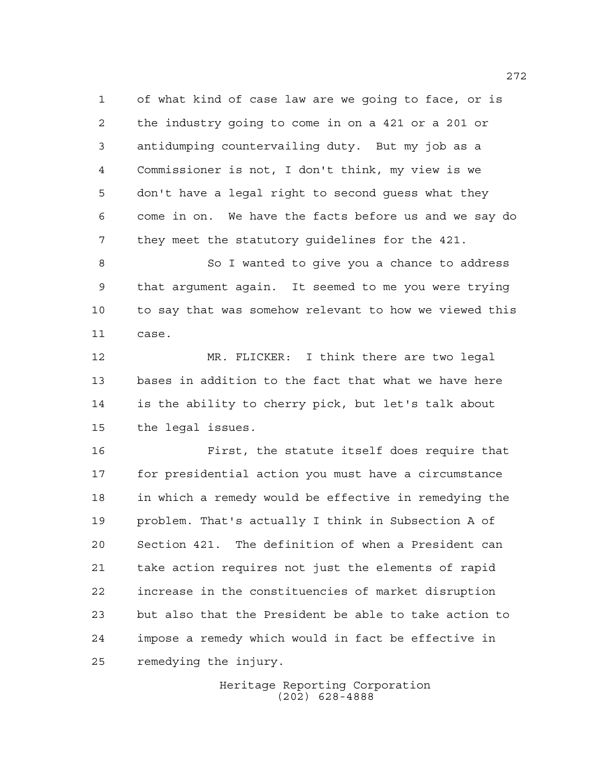of what kind of case law are we going to face, or is the industry going to come in on a 421 or a 201 or antidumping countervailing duty. But my job as a Commissioner is not, I don't think, my view is we don't have a legal right to second guess what they come in on. We have the facts before us and we say do they meet the statutory guidelines for the 421.

 So I wanted to give you a chance to address that argument again. It seemed to me you were trying to say that was somehow relevant to how we viewed this case.

 MR. FLICKER: I think there are two legal bases in addition to the fact that what we have here is the ability to cherry pick, but let's talk about the legal issues.

 First, the statute itself does require that for presidential action you must have a circumstance in which a remedy would be effective in remedying the problem. That's actually I think in Subsection A of Section 421. The definition of when a President can take action requires not just the elements of rapid increase in the constituencies of market disruption but also that the President be able to take action to impose a remedy which would in fact be effective in remedying the injury.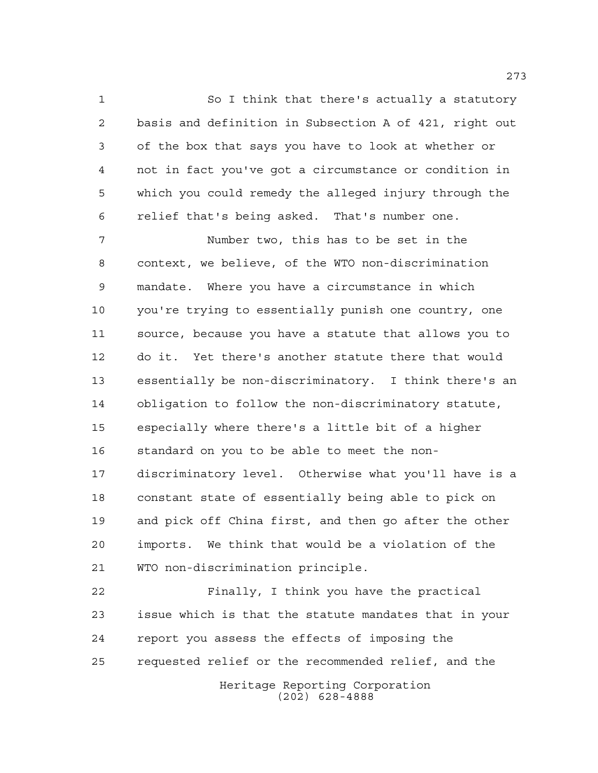So I think that there's actually a statutory basis and definition in Subsection A of 421, right out of the box that says you have to look at whether or not in fact you've got a circumstance or condition in which you could remedy the alleged injury through the relief that's being asked. That's number one.

 Number two, this has to be set in the context, we believe, of the WTO non-discrimination mandate. Where you have a circumstance in which you're trying to essentially punish one country, one source, because you have a statute that allows you to do it. Yet there's another statute there that would essentially be non-discriminatory. I think there's an obligation to follow the non-discriminatory statute, especially where there's a little bit of a higher standard on you to be able to meet the non- discriminatory level. Otherwise what you'll have is a constant state of essentially being able to pick on and pick off China first, and then go after the other imports. We think that would be a violation of the WTO non-discrimination principle.

Heritage Reporting Corporation (202) 628-4888 Finally, I think you have the practical issue which is that the statute mandates that in your report you assess the effects of imposing the requested relief or the recommended relief, and the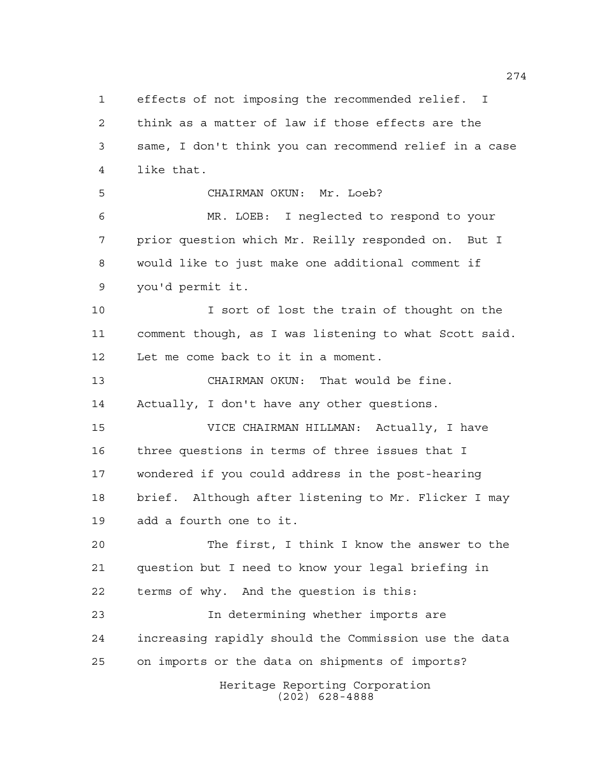Heritage Reporting Corporation (202) 628-4888 effects of not imposing the recommended relief. I think as a matter of law if those effects are the same, I don't think you can recommend relief in a case like that. CHAIRMAN OKUN: Mr. Loeb? MR. LOEB: I neglected to respond to your prior question which Mr. Reilly responded on. But I would like to just make one additional comment if you'd permit it. I sort of lost the train of thought on the comment though, as I was listening to what Scott said. Let me come back to it in a moment. CHAIRMAN OKUN: That would be fine. Actually, I don't have any other questions. VICE CHAIRMAN HILLMAN: Actually, I have three questions in terms of three issues that I wondered if you could address in the post-hearing brief. Although after listening to Mr. Flicker I may add a fourth one to it. The first, I think I know the answer to the question but I need to know your legal briefing in terms of why. And the question is this: In determining whether imports are increasing rapidly should the Commission use the data on imports or the data on shipments of imports?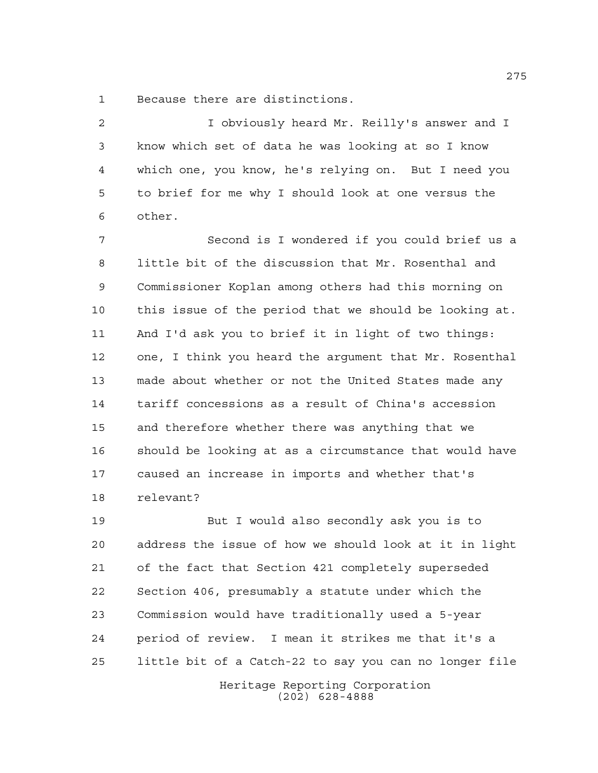Because there are distinctions.

 I obviously heard Mr. Reilly's answer and I know which set of data he was looking at so I know which one, you know, he's relying on. But I need you to brief for me why I should look at one versus the other.

 Second is I wondered if you could brief us a little bit of the discussion that Mr. Rosenthal and Commissioner Koplan among others had this morning on this issue of the period that we should be looking at. And I'd ask you to brief it in light of two things: one, I think you heard the argument that Mr. Rosenthal made about whether or not the United States made any tariff concessions as a result of China's accession and therefore whether there was anything that we should be looking at as a circumstance that would have caused an increase in imports and whether that's relevant?

 But I would also secondly ask you is to address the issue of how we should look at it in light of the fact that Section 421 completely superseded Section 406, presumably a statute under which the Commission would have traditionally used a 5-year period of review. I mean it strikes me that it's a little bit of a Catch-22 to say you can no longer file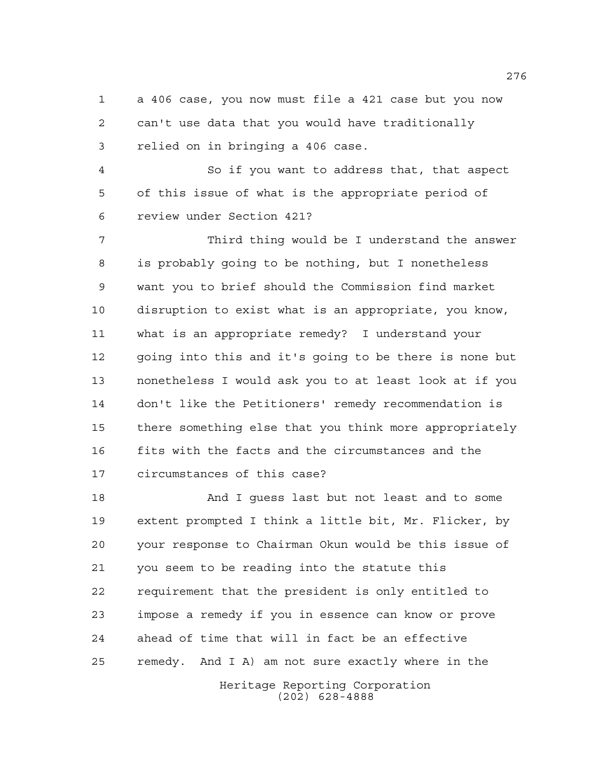a 406 case, you now must file a 421 case but you now can't use data that you would have traditionally relied on in bringing a 406 case.

 So if you want to address that, that aspect of this issue of what is the appropriate period of review under Section 421?

 Third thing would be I understand the answer is probably going to be nothing, but I nonetheless want you to brief should the Commission find market disruption to exist what is an appropriate, you know, what is an appropriate remedy? I understand your going into this and it's going to be there is none but nonetheless I would ask you to at least look at if you don't like the Petitioners' remedy recommendation is there something else that you think more appropriately fits with the facts and the circumstances and the circumstances of this case?

Heritage Reporting Corporation And I guess last but not least and to some extent prompted I think a little bit, Mr. Flicker, by your response to Chairman Okun would be this issue of you seem to be reading into the statute this requirement that the president is only entitled to impose a remedy if you in essence can know or prove ahead of time that will in fact be an effective remedy. And I A) am not sure exactly where in the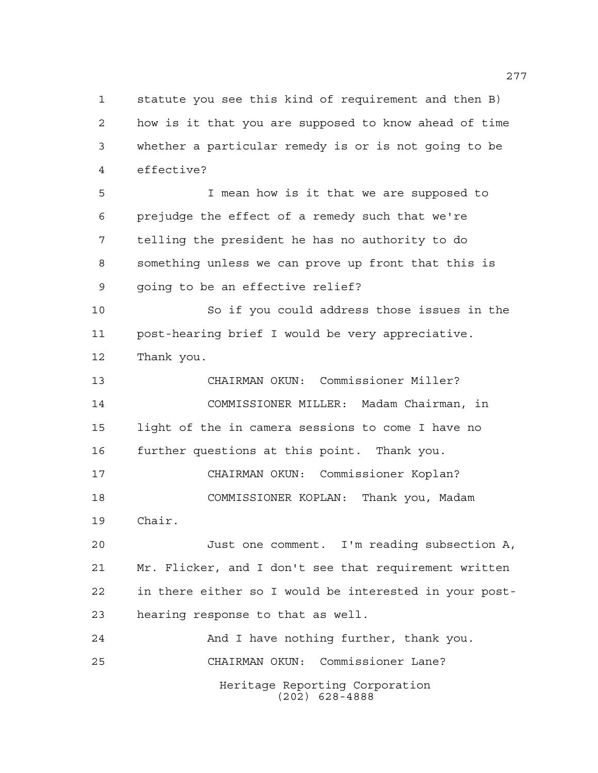statute you see this kind of requirement and then B) how is it that you are supposed to know ahead of time whether a particular remedy is or is not going to be effective?

 I mean how is it that we are supposed to prejudge the effect of a remedy such that we're telling the president he has no authority to do something unless we can prove up front that this is going to be an effective relief?

 So if you could address those issues in the post-hearing brief I would be very appreciative. Thank you.

 CHAIRMAN OKUN: Commissioner Miller? COMMISSIONER MILLER: Madam Chairman, in light of the in camera sessions to come I have no further questions at this point. Thank you.

 CHAIRMAN OKUN: Commissioner Koplan? COMMISSIONER KOPLAN: Thank you, Madam Chair.

 Just one comment. I'm reading subsection A, Mr. Flicker, and I don't see that requirement written in there either so I would be interested in your post-hearing response to that as well.

Heritage Reporting Corporation (202) 628-4888 24 And I have nothing further, thank you. CHAIRMAN OKUN: Commissioner Lane?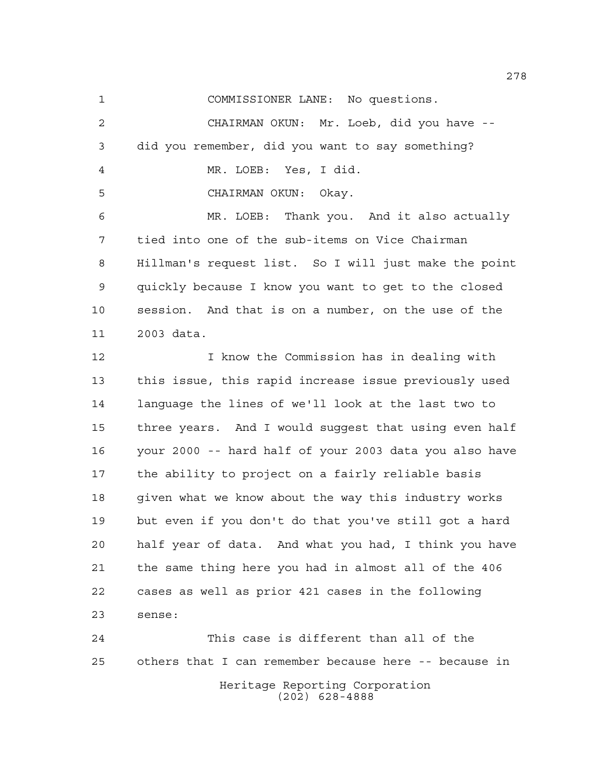COMMISSIONER LANE: No questions.

 CHAIRMAN OKUN: Mr. Loeb, did you have -- did you remember, did you want to say something? MR. LOEB: Yes, I did. CHAIRMAN OKUN: Okay. MR. LOEB: Thank you. And it also actually tied into one of the sub-items on Vice Chairman Hillman's request list. So I will just make the point quickly because I know you want to get to the closed session. And that is on a number, on the use of the 2003 data.

 I know the Commission has in dealing with this issue, this rapid increase issue previously used language the lines of we'll look at the last two to three years. And I would suggest that using even half your 2000 -- hard half of your 2003 data you also have the ability to project on a fairly reliable basis given what we know about the way this industry works but even if you don't do that you've still got a hard half year of data. And what you had, I think you have the same thing here you had in almost all of the 406 cases as well as prior 421 cases in the following sense:

Heritage Reporting Corporation (202) 628-4888 This case is different than all of the others that I can remember because here -- because in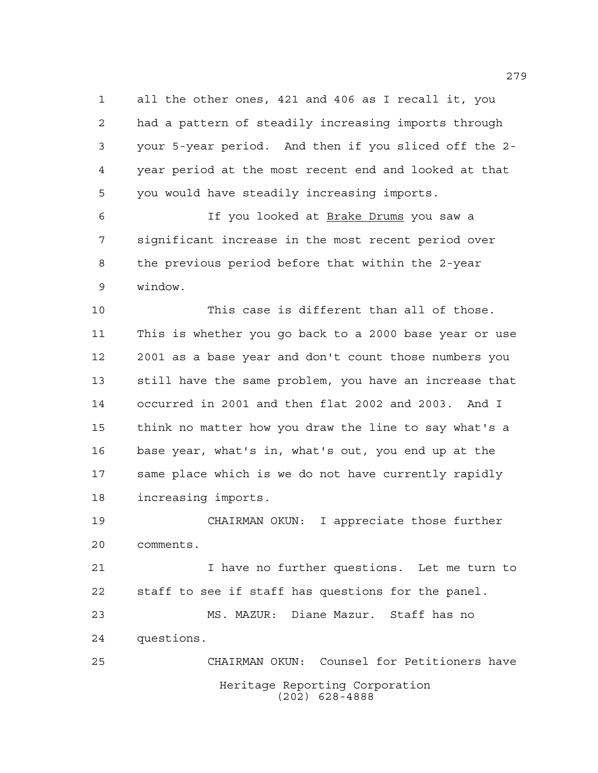all the other ones, 421 and 406 as I recall it, you had a pattern of steadily increasing imports through your 5-year period. And then if you sliced off the 2- year period at the most recent end and looked at that you would have steadily increasing imports.

 If you looked at Brake Drums you saw a significant increase in the most recent period over the previous period before that within the 2-year window.

 This case is different than all of those. This is whether you go back to a 2000 base year or use 2001 as a base year and don't count those numbers you still have the same problem, you have an increase that occurred in 2001 and then flat 2002 and 2003. And I think no matter how you draw the line to say what's a base year, what's in, what's out, you end up at the same place which is we do not have currently rapidly increasing imports.

 CHAIRMAN OKUN: I appreciate those further comments.

 I have no further questions. Let me turn to staff to see if staff has questions for the panel.

 MS. MAZUR: Diane Mazur. Staff has no questions.

Heritage Reporting Corporation (202) 628-4888 CHAIRMAN OKUN: Counsel for Petitioners have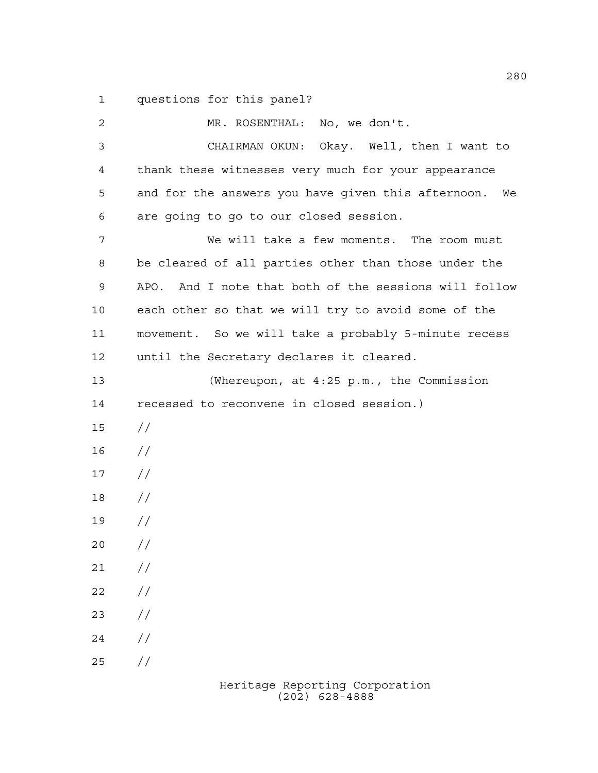questions for this panel?

| 2  | MR. ROSENTHAL: No, we don't.                          |
|----|-------------------------------------------------------|
| 3  | CHAIRMAN OKUN: Okay. Well, then I want to             |
| 4  | thank these witnesses very much for your appearance   |
| 5  | and for the answers you have given this afternoon. We |
| 6  | are going to go to our closed session.                |
| 7  | We will take a few moments. The room must             |
| 8  | be cleared of all parties other than those under the  |
| 9  | APO. And I note that both of the sessions will follow |
| 10 | each other so that we will try to avoid some of the   |
| 11 | movement. So we will take a probably 5-minute recess  |
| 12 | until the Secretary declares it cleared.              |
| 13 | (Whereupon, at 4:25 p.m., the Commission              |
| 14 | recessed to reconvene in closed session.)             |
| 15 | $\frac{1}{2}$                                         |
| 16 | $\frac{1}{2}$                                         |
| 17 | $\frac{1}{2}$                                         |
| 18 | $\frac{1}{2}$                                         |
| 19 | $\frac{1}{2}$                                         |
| 20 | $\frac{1}{2}$                                         |
| 21 | $\frac{1}{2}$                                         |
| 22 | $\frac{1}{2}$                                         |
| 23 | $\frac{1}{2}$                                         |
| 24 | $\frac{1}{2}$                                         |
| 25 | $\frac{1}{2}$                                         |
|    |                                                       |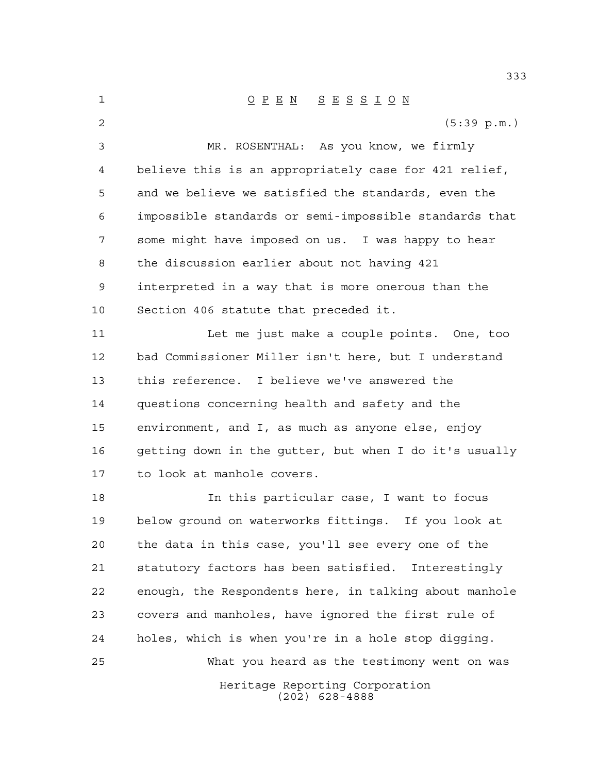Heritage Reporting Corporation (202) 628-4888 O P E N S E S S I O N (5:39 p.m.) MR. ROSENTHAL: As you know, we firmly believe this is an appropriately case for 421 relief, and we believe we satisfied the standards, even the impossible standards or semi-impossible standards that some might have imposed on us. I was happy to hear the discussion earlier about not having 421 interpreted in a way that is more onerous than the Section 406 statute that preceded it. Let me just make a couple points. One, too bad Commissioner Miller isn't here, but I understand this reference. I believe we've answered the questions concerning health and safety and the environment, and I, as much as anyone else, enjoy getting down in the gutter, but when I do it's usually to look at manhole covers. In this particular case, I want to focus below ground on waterworks fittings. If you look at the data in this case, you'll see every one of the statutory factors has been satisfied. Interestingly enough, the Respondents here, in talking about manhole covers and manholes, have ignored the first rule of holes, which is when you're in a hole stop digging. What you heard as the testimony went on was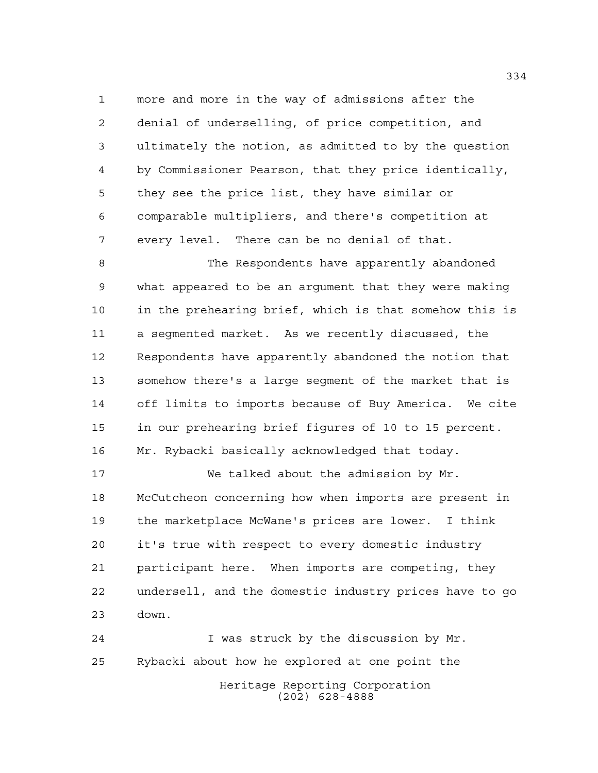more and more in the way of admissions after the denial of underselling, of price competition, and ultimately the notion, as admitted to by the question by Commissioner Pearson, that they price identically, they see the price list, they have similar or comparable multipliers, and there's competition at every level. There can be no denial of that.

 The Respondents have apparently abandoned what appeared to be an argument that they were making in the prehearing brief, which is that somehow this is a segmented market. As we recently discussed, the Respondents have apparently abandoned the notion that somehow there's a large segment of the market that is off limits to imports because of Buy America. We cite in our prehearing brief figures of 10 to 15 percent. Mr. Rybacki basically acknowledged that today.

 We talked about the admission by Mr. McCutcheon concerning how when imports are present in the marketplace McWane's prices are lower. I think it's true with respect to every domestic industry participant here. When imports are competing, they undersell, and the domestic industry prices have to go down.

Heritage Reporting Corporation (202) 628-4888 I was struck by the discussion by Mr. Rybacki about how he explored at one point the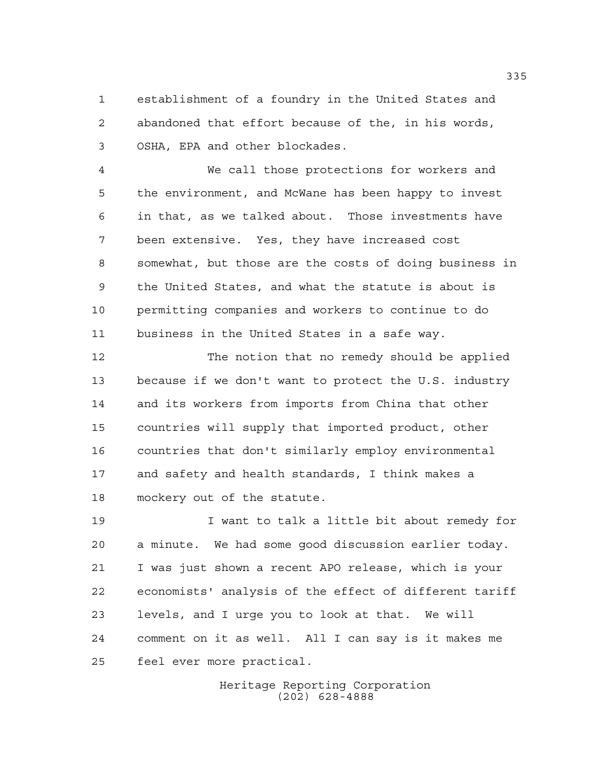establishment of a foundry in the United States and abandoned that effort because of the, in his words, OSHA, EPA and other blockades.

 We call those protections for workers and the environment, and McWane has been happy to invest in that, as we talked about. Those investments have been extensive. Yes, they have increased cost somewhat, but those are the costs of doing business in the United States, and what the statute is about is permitting companies and workers to continue to do business in the United States in a safe way.

 The notion that no remedy should be applied because if we don't want to protect the U.S. industry and its workers from imports from China that other countries will supply that imported product, other countries that don't similarly employ environmental and safety and health standards, I think makes a mockery out of the statute.

 I want to talk a little bit about remedy for a minute. We had some good discussion earlier today. I was just shown a recent APO release, which is your economists' analysis of the effect of different tariff levels, and I urge you to look at that. We will comment on it as well. All I can say is it makes me feel ever more practical.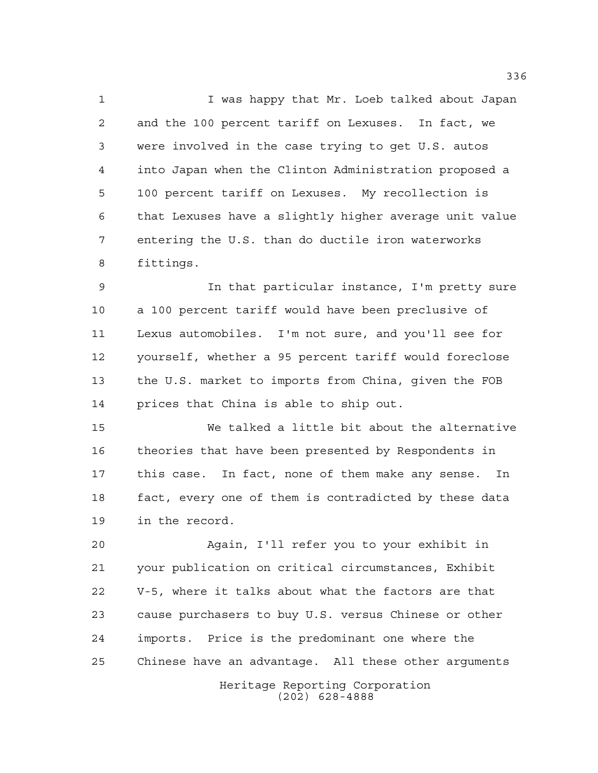I was happy that Mr. Loeb talked about Japan and the 100 percent tariff on Lexuses. In fact, we were involved in the case trying to get U.S. autos into Japan when the Clinton Administration proposed a 100 percent tariff on Lexuses. My recollection is that Lexuses have a slightly higher average unit value entering the U.S. than do ductile iron waterworks fittings.

 In that particular instance, I'm pretty sure a 100 percent tariff would have been preclusive of Lexus automobiles. I'm not sure, and you'll see for yourself, whether a 95 percent tariff would foreclose the U.S. market to imports from China, given the FOB prices that China is able to ship out.

 We talked a little bit about the alternative theories that have been presented by Respondents in this case. In fact, none of them make any sense. In fact, every one of them is contradicted by these data in the record.

 Again, I'll refer you to your exhibit in your publication on critical circumstances, Exhibit V-5, where it talks about what the factors are that cause purchasers to buy U.S. versus Chinese or other imports. Price is the predominant one where the Chinese have an advantage. All these other arguments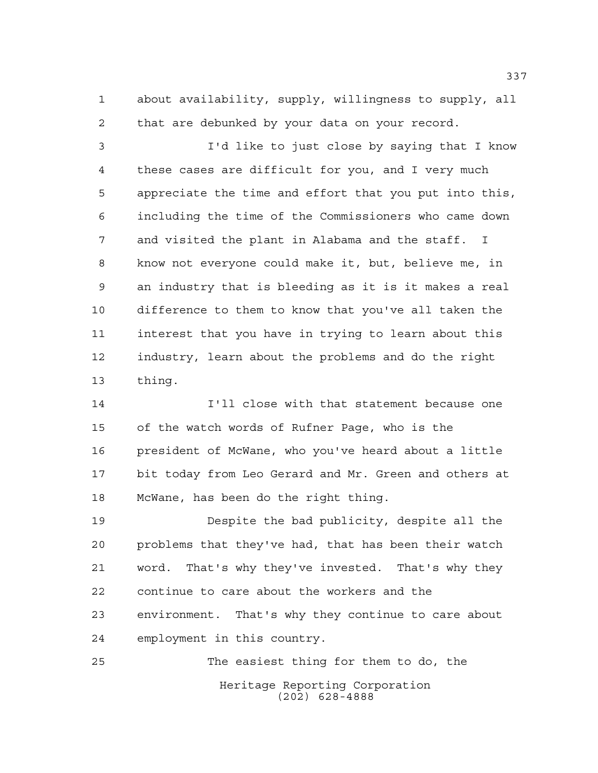about availability, supply, willingness to supply, all that are debunked by your data on your record.

 I'd like to just close by saying that I know these cases are difficult for you, and I very much appreciate the time and effort that you put into this, including the time of the Commissioners who came down and visited the plant in Alabama and the staff. I know not everyone could make it, but, believe me, in an industry that is bleeding as it is it makes a real difference to them to know that you've all taken the interest that you have in trying to learn about this industry, learn about the problems and do the right thing.

 I'll close with that statement because one of the watch words of Rufner Page, who is the president of McWane, who you've heard about a little bit today from Leo Gerard and Mr. Green and others at McWane, has been do the right thing.

 Despite the bad publicity, despite all the problems that they've had, that has been their watch word. That's why they've invested. That's why they continue to care about the workers and the environment. That's why they continue to care about employment in this country.

Heritage Reporting Corporation (202) 628-4888 The easiest thing for them to do, the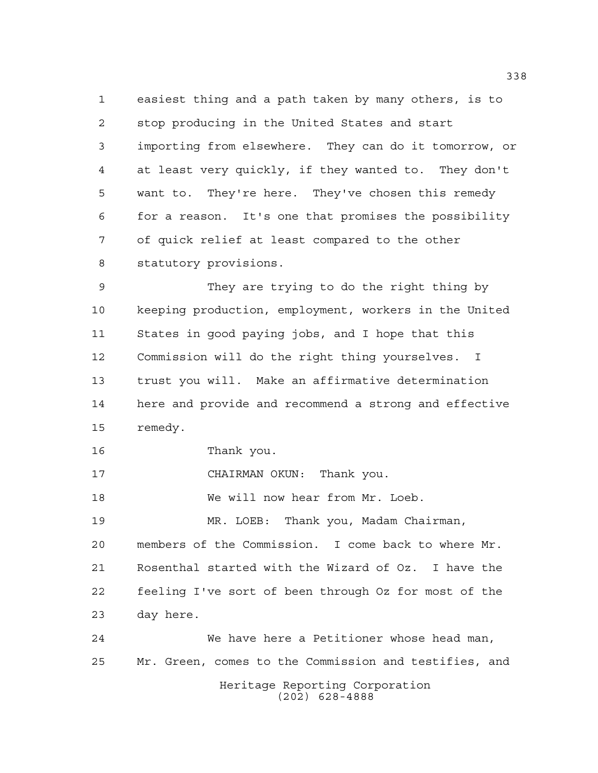easiest thing and a path taken by many others, is to stop producing in the United States and start importing from elsewhere. They can do it tomorrow, or at least very quickly, if they wanted to. They don't want to. They're here. They've chosen this remedy for a reason. It's one that promises the possibility of quick relief at least compared to the other statutory provisions.

 They are trying to do the right thing by keeping production, employment, workers in the United States in good paying jobs, and I hope that this Commission will do the right thing yourselves. I trust you will. Make an affirmative determination here and provide and recommend a strong and effective remedy.

Thank you.

CHAIRMAN OKUN: Thank you.

We will now hear from Mr. Loeb.

 MR. LOEB: Thank you, Madam Chairman, members of the Commission. I come back to where Mr. Rosenthal started with the Wizard of Oz. I have the feeling I've sort of been through Oz for most of the day here.

Heritage Reporting Corporation (202) 628-4888 We have here a Petitioner whose head man, Mr. Green, comes to the Commission and testifies, and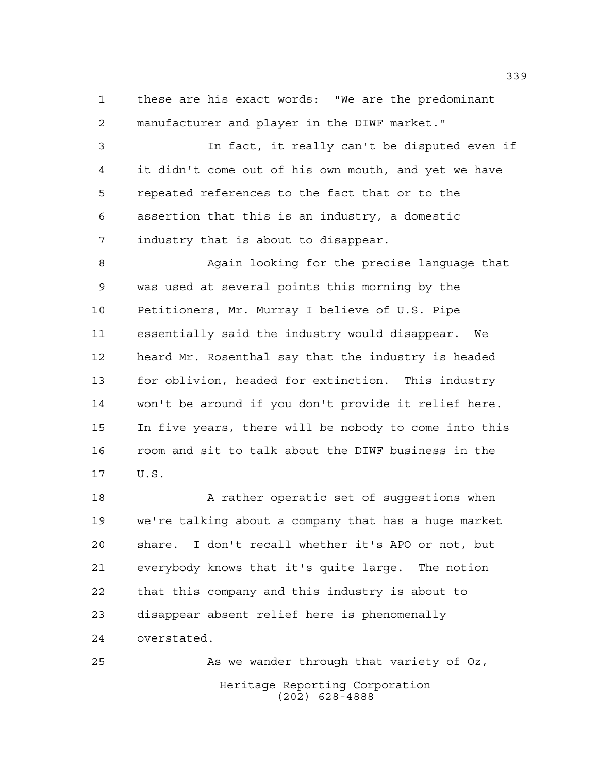these are his exact words: "We are the predominant manufacturer and player in the DIWF market."

 In fact, it really can't be disputed even if it didn't come out of his own mouth, and yet we have repeated references to the fact that or to the assertion that this is an industry, a domestic industry that is about to disappear.

 Again looking for the precise language that was used at several points this morning by the Petitioners, Mr. Murray I believe of U.S. Pipe essentially said the industry would disappear. We heard Mr. Rosenthal say that the industry is headed for oblivion, headed for extinction. This industry won't be around if you don't provide it relief here. In five years, there will be nobody to come into this room and sit to talk about the DIWF business in the U.S.

18 A rather operatic set of suggestions when we're talking about a company that has a huge market share. I don't recall whether it's APO or not, but everybody knows that it's quite large. The notion that this company and this industry is about to disappear absent relief here is phenomenally overstated.

Heritage Reporting Corporation (202) 628-4888 As we wander through that variety of Oz,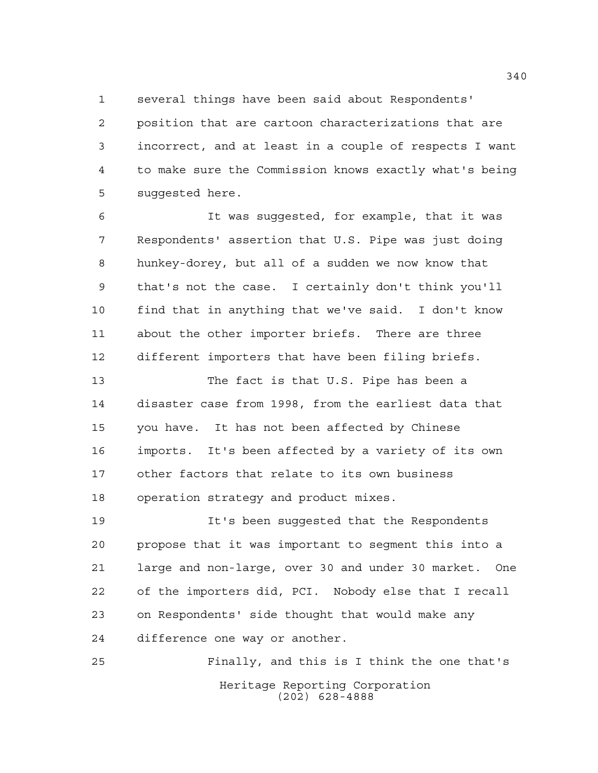several things have been said about Respondents'

 position that are cartoon characterizations that are incorrect, and at least in a couple of respects I want to make sure the Commission knows exactly what's being suggested here.

 It was suggested, for example, that it was Respondents' assertion that U.S. Pipe was just doing hunkey-dorey, but all of a sudden we now know that that's not the case. I certainly don't think you'll find that in anything that we've said. I don't know about the other importer briefs. There are three different importers that have been filing briefs.

 The fact is that U.S. Pipe has been a disaster case from 1998, from the earliest data that you have. It has not been affected by Chinese imports. It's been affected by a variety of its own other factors that relate to its own business operation strategy and product mixes.

 It's been suggested that the Respondents propose that it was important to segment this into a large and non-large, over 30 and under 30 market. One of the importers did, PCI. Nobody else that I recall on Respondents' side thought that would make any difference one way or another.

Heritage Reporting Corporation (202) 628-4888 Finally, and this is I think the one that's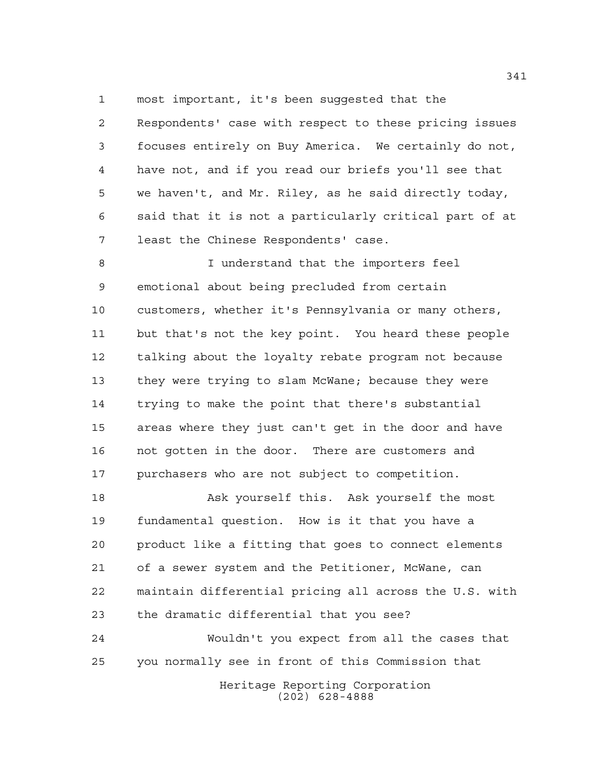most important, it's been suggested that the

 Respondents' case with respect to these pricing issues focuses entirely on Buy America. We certainly do not, have not, and if you read our briefs you'll see that we haven't, and Mr. Riley, as he said directly today, said that it is not a particularly critical part of at least the Chinese Respondents' case.

8 I understand that the importers feel emotional about being precluded from certain customers, whether it's Pennsylvania or many others, but that's not the key point. You heard these people talking about the loyalty rebate program not because they were trying to slam McWane; because they were trying to make the point that there's substantial areas where they just can't get in the door and have not gotten in the door. There are customers and purchasers who are not subject to competition.

 Ask yourself this. Ask yourself the most fundamental question. How is it that you have a product like a fitting that goes to connect elements of a sewer system and the Petitioner, McWane, can maintain differential pricing all across the U.S. with the dramatic differential that you see?

 Wouldn't you expect from all the cases that you normally see in front of this Commission that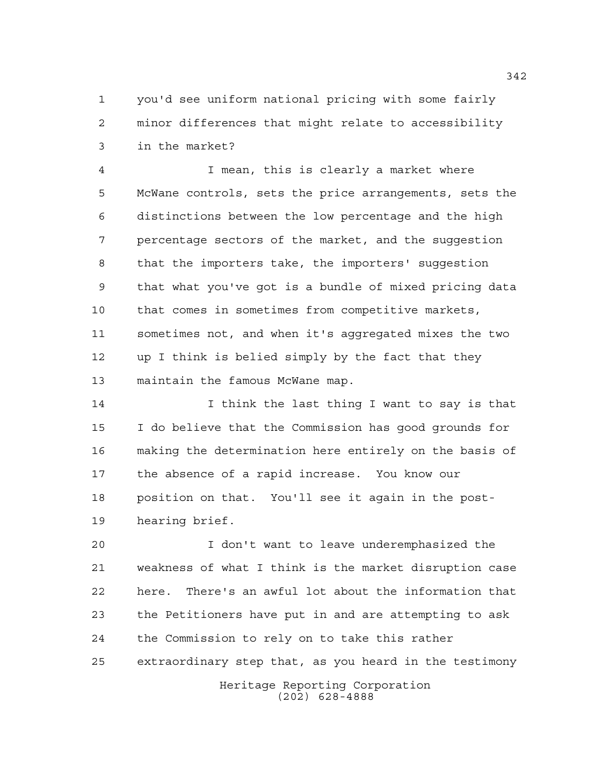you'd see uniform national pricing with some fairly minor differences that might relate to accessibility in the market?

 I mean, this is clearly a market where McWane controls, sets the price arrangements, sets the distinctions between the low percentage and the high percentage sectors of the market, and the suggestion that the importers take, the importers' suggestion that what you've got is a bundle of mixed pricing data that comes in sometimes from competitive markets, sometimes not, and when it's aggregated mixes the two up I think is belied simply by the fact that they maintain the famous McWane map.

 I think the last thing I want to say is that I do believe that the Commission has good grounds for making the determination here entirely on the basis of the absence of a rapid increase. You know our position on that. You'll see it again in the post-hearing brief.

 I don't want to leave underemphasized the weakness of what I think is the market disruption case here. There's an awful lot about the information that the Petitioners have put in and are attempting to ask the Commission to rely on to take this rather extraordinary step that, as you heard in the testimony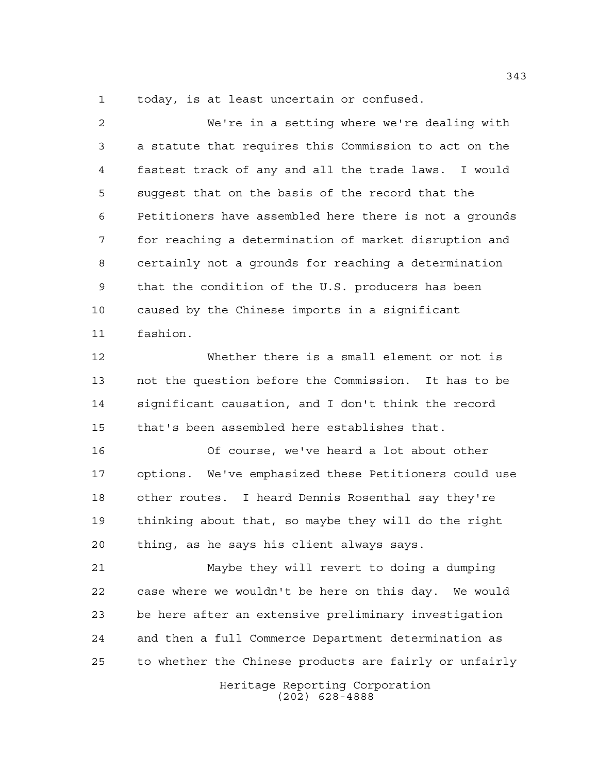today, is at least uncertain or confused.

 We're in a setting where we're dealing with a statute that requires this Commission to act on the fastest track of any and all the trade laws. I would suggest that on the basis of the record that the Petitioners have assembled here there is not a grounds for reaching a determination of market disruption and certainly not a grounds for reaching a determination that the condition of the U.S. producers has been caused by the Chinese imports in a significant fashion.

 Whether there is a small element or not is not the question before the Commission. It has to be significant causation, and I don't think the record that's been assembled here establishes that.

 Of course, we've heard a lot about other options. We've emphasized these Petitioners could use other routes. I heard Dennis Rosenthal say they're thinking about that, so maybe they will do the right thing, as he says his client always says.

 Maybe they will revert to doing a dumping case where we wouldn't be here on this day. We would be here after an extensive preliminary investigation and then a full Commerce Department determination as to whether the Chinese products are fairly or unfairly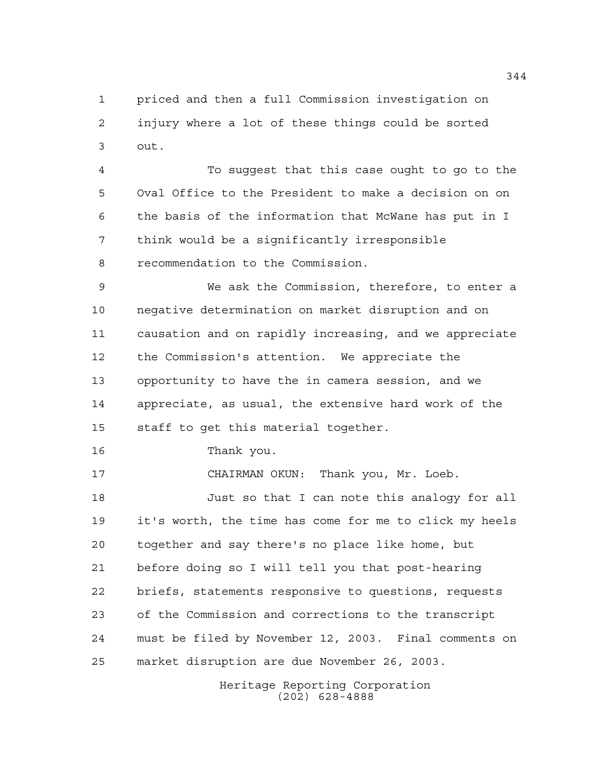priced and then a full Commission investigation on injury where a lot of these things could be sorted out.

 To suggest that this case ought to go to the Oval Office to the President to make a decision on on the basis of the information that McWane has put in I think would be a significantly irresponsible recommendation to the Commission.

 We ask the Commission, therefore, to enter a negative determination on market disruption and on causation and on rapidly increasing, and we appreciate the Commission's attention. We appreciate the opportunity to have the in camera session, and we appreciate, as usual, the extensive hard work of the staff to get this material together.

Thank you.

CHAIRMAN OKUN: Thank you, Mr. Loeb.

 Just so that I can note this analogy for all it's worth, the time has come for me to click my heels together and say there's no place like home, but before doing so I will tell you that post-hearing briefs, statements responsive to questions, requests of the Commission and corrections to the transcript must be filed by November 12, 2003. Final comments on market disruption are due November 26, 2003.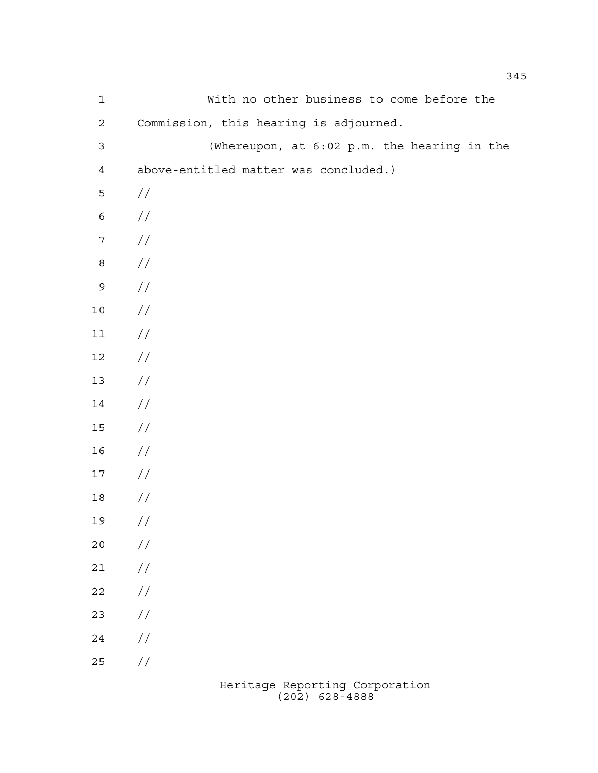| $\mathbf 1$    | With no other business to come before the   |
|----------------|---------------------------------------------|
| $\mathbf{2}$   | Commission, this hearing is adjourned.      |
| $\mathfrak{Z}$ | (Whereupon, at 6:02 p.m. the hearing in the |
| $\overline{4}$ | above-entitled matter was concluded.)       |
| 5              | $\frac{1}{2}$                               |
| $\epsilon$     | //                                          |
| $\sqrt{ }$     | $\frac{1}{2}$                               |
| $\,8\,$        | $\frac{1}{2}$                               |
| $\mathsf 9$    | $\frac{1}{2}$                               |
| $10$           | $\frac{1}{2}$                               |
| 11             | $\frac{1}{2}$                               |
| $12\,$         | $\frac{1}{2}$                               |
| 13             | $\frac{1}{2}$                               |
| $14\,$         | $\frac{1}{2}$                               |
| $15\,$         | $\frac{1}{2}$                               |
| 16             | $\frac{1}{2}$                               |
| $17$           | $\frac{1}{2}$                               |
| $18\,$         | //                                          |
| 19             | $\sqrt{}$                                   |
| 20             | $\frac{1}{2}$                               |
| $21$           | $\frac{\sqrt{2}}{2}$                        |
| 22             | $\frac{\sqrt{2}}{2}$                        |
| 23             | $\frac{\sqrt{2}}{2}$                        |
| 24             | $\sqrt{}$                                   |
| 25             | $\sqrt{}$                                   |
|                |                                             |